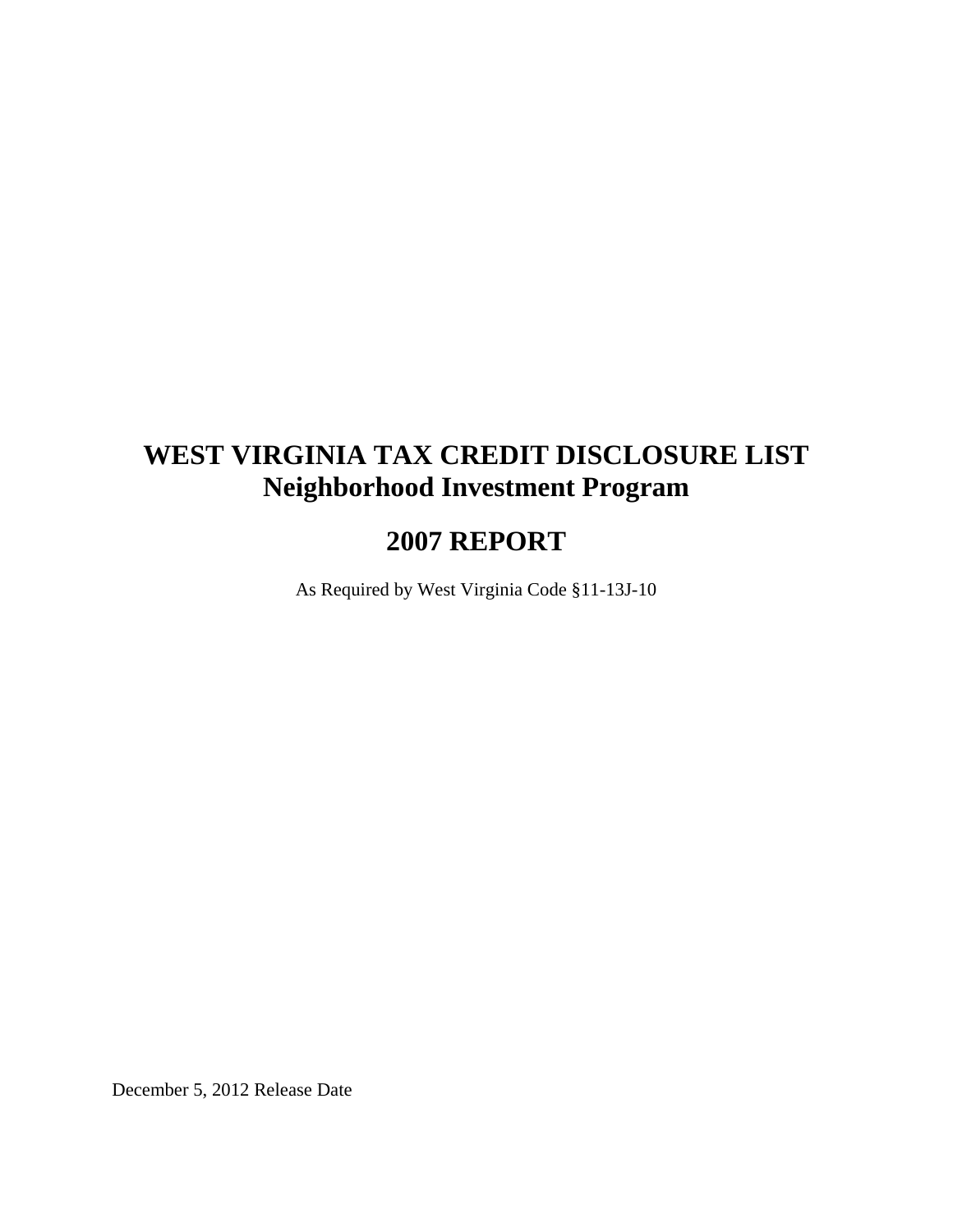# **WEST VIRGINIA TAX CREDIT DISCLOSURE LIST Neighborhood Investment Program**

# **2007 REPORT**

As Required by West Virginia Code §11-13J-10

December 5, 2012 Release Date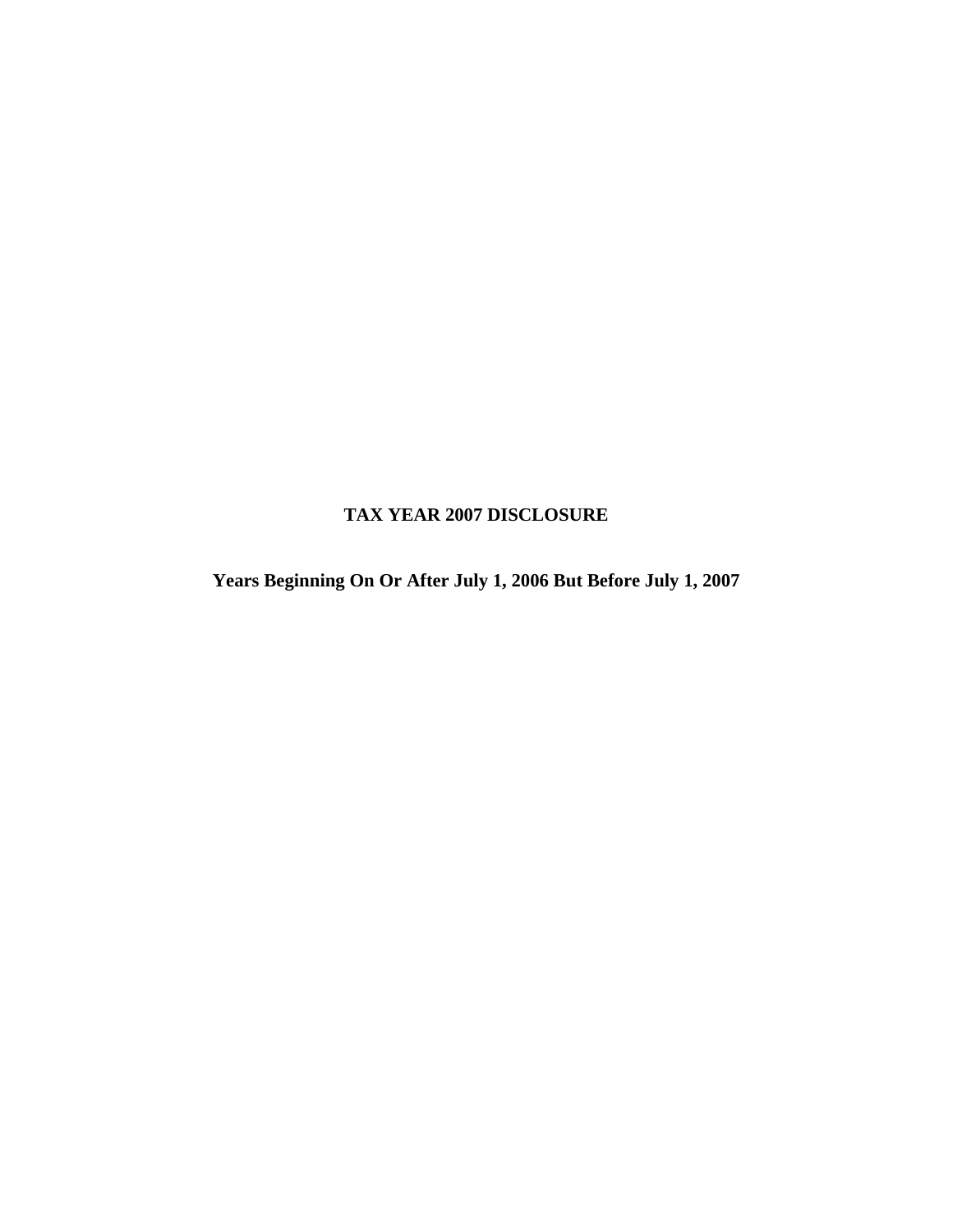## **TAX YEAR 2007 DISCLOSURE**

**Years Beginning On Or After July 1, 2006 But Before July 1, 2007**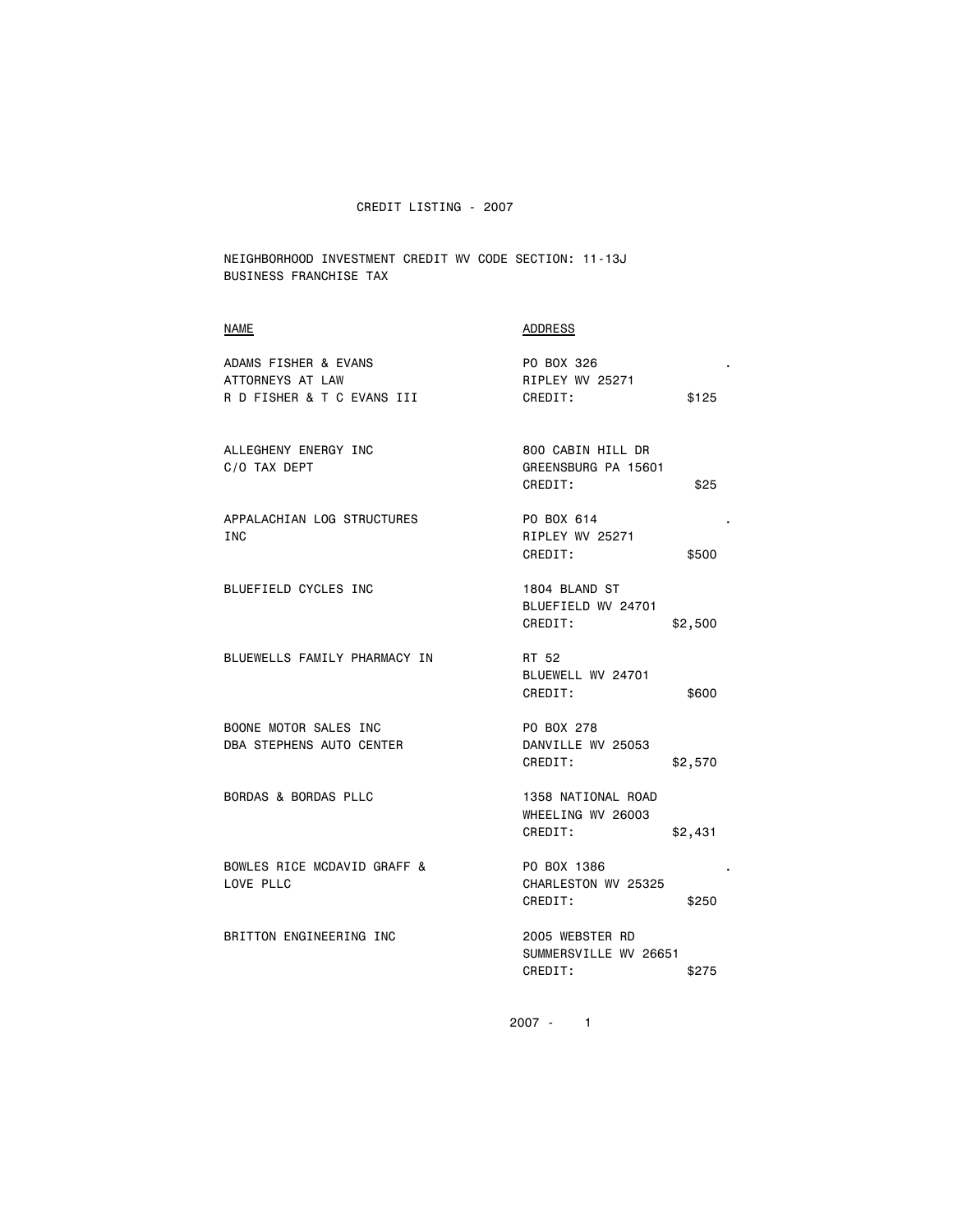NEIGHBORHOOD INVESTMENT CREDIT WV CODE SECTION: 11-13J BUSINESS FRANCHISE TAX

# NAME ADDRESS

| ADAMS FISHER & EVANS<br>ATTORNEYS AT LAW                 | PO BOX 326<br>RIPLEY WV 25271                                 |  |
|----------------------------------------------------------|---------------------------------------------------------------|--|
| R D FISHER & T C EVANS III                               | \$125<br>CREDIT:                                              |  |
| ALLEGHENY ENERGY INC<br>C/O TAX DEPT                     | 800 CABIN HILL DR<br>GREENSBURG PA 15601<br>CREDIT:<br>\$25   |  |
| APPALACHIAN LOG STRUCTURES<br><b>INC</b>                 | PO BOX 614<br>RIPLEY WV 25271<br>CREDIT:<br>\$500             |  |
| BLUEFIELD CYCLES INC                                     | 1804 BLAND ST<br>BLUEFIELD WV 24701<br>CREDIT:<br>\$2,500     |  |
| BLUEWELLS FAMILY PHARMACY IN                             | RT 52<br>BLUEWELL WV 24701<br>CREDIT:<br>\$600                |  |
| BOONE MOTOR SALES INC<br><b>DBA STEPHENS AUTO CENTER</b> | PO BOX 278<br>DANVILLE WV 25053<br>CREDIT:<br>\$2,570         |  |
| BORDAS & BORDAS PLLC                                     | 1358 NATIONAL ROAD<br>WHEELING WV 26003<br>CREDIT:<br>\$2,431 |  |
| BOWLES RICE MCDAVID GRAFF &<br>LOVE PLLC                 | PO BOX 1386<br>CHARLESTON WV 25325<br>CREDIT:<br>\$250        |  |
| BRITTON ENGINEERING INC                                  | 2005 WEBSTER RD<br>SUMMERSVILLE WV 26651<br>CREDIT:<br>\$275  |  |
|                                                          |                                                               |  |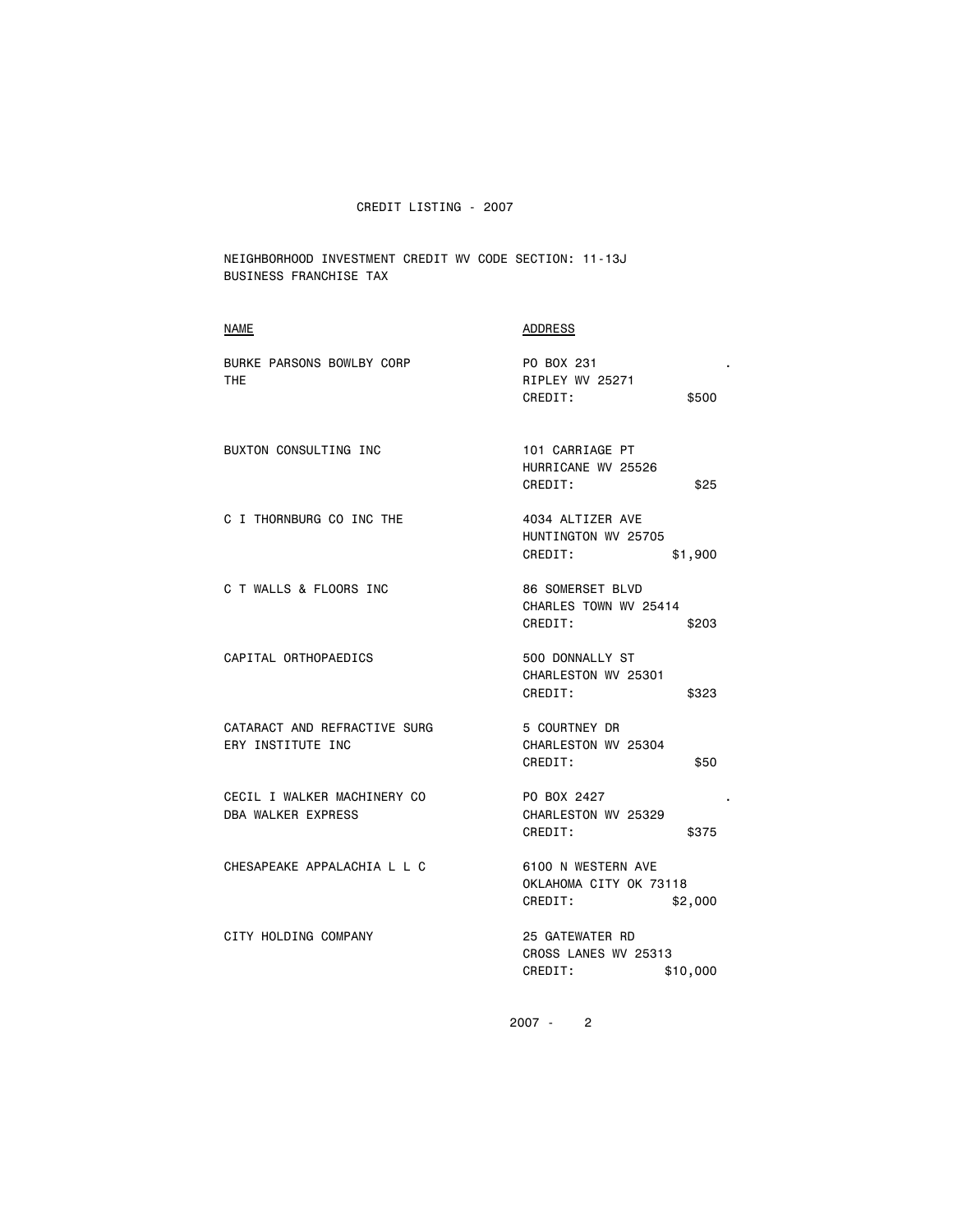NEIGHBORHOOD INVESTMENT CREDIT WV CODE SECTION: 11-13J BUSINESS FRANCHISE TAX

| <b>NAME</b>                                              | <b>ADDRESS</b>                                                     |
|----------------------------------------------------------|--------------------------------------------------------------------|
| BURKE PARSONS BOWLBY CORP<br>THE.                        | PO BOX 231<br>RIPLEY WV 25271<br>CREDIT:<br>\$500                  |
| BUXTON CONSULTING INC                                    | 101 CARRIAGE PT<br>HURRICANE WV 25526<br>CREDIT:<br>\$25           |
| C I THORNBURG CO INC THE                                 | 4034 ALTIZER AVE<br>HUNTINGTON WV 25705<br>CREDIT:<br>\$1,900      |
| C T WALLS & FLOORS INC                                   | 86 SOMERSET BLVD<br>CHARLES TOWN WV 25414<br>CREDIT:<br>\$203      |
| CAPITAL ORTHOPAEDICS                                     | 500 DONNALLY ST<br>CHARLESTON WV 25301<br>CREDIT:<br>\$323         |
| CATARACT AND REFRACTIVE SURG<br>ERY INSTITUTE INC        | 5 COURTNEY DR<br>CHARLESTON WV 25304<br>CREDIT:<br>\$50            |
| CECIL I WALKER MACHINERY CO<br><b>DBA WALKER EXPRESS</b> | PO BOX 2427<br>CHARLESTON WV 25329<br>CREDIT:<br>\$375             |
| CHESAPEAKE APPALACHIA L L C                              | 6100 N WESTERN AVE<br>OKLAHOMA CITY OK 73118<br>CREDIT:<br>\$2,000 |
| CITY HOLDING COMPANY                                     | 25 GATEWATER RD<br>CROSS LANES WV 25313<br>CREDIT:<br>\$10,000     |
|                                                          |                                                                    |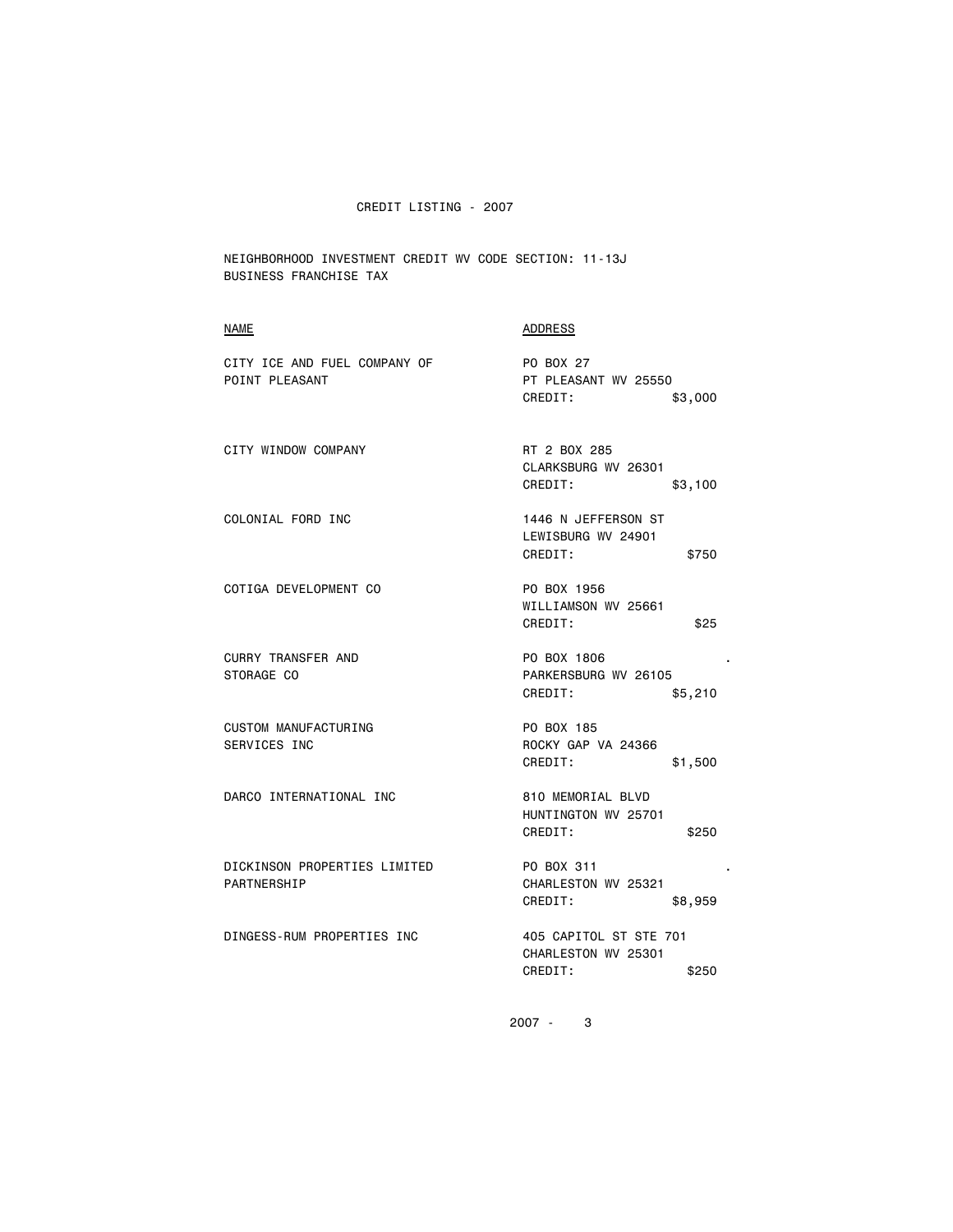NEIGHBORHOOD INVESTMENT CREDIT WV CODE SECTION: 11-13J BUSINESS FRANCHISE TAX

| <b>NAME</b>                                    | <b>ADDRESS</b>                                                    |
|------------------------------------------------|-------------------------------------------------------------------|
| CITY ICE AND FUEL COMPANY OF<br>POINT PLEASANT | PO BOX 27<br>PT PLEASANT WV 25550<br>CREDIT:                      |
|                                                | \$3,000                                                           |
| CITY WINDOW COMPANY                            | RT 2 BOX 285<br>CLARKSBURG WV 26301<br>CREDIT:<br>\$3,100         |
| COLONIAL FORD INC                              | 1446 N JEFFERSON ST<br>LEWISBURG WV 24901<br>CREDIT:<br>\$750     |
| COTIGA DEVELOPMENT CO                          | PO BOX 1956<br>WILLIAMSON WV 25661<br>CREDIT:<br>\$25             |
| <b>CURRY TRANSFER AND</b><br>STORAGE CO        | PO BOX 1806<br>PARKERSBURG WV 26105<br>CREDIT:<br>\$5,210         |
| CUSTOM MANUFACTURING<br>SERVICES INC           | PO BOX 185<br>ROCKY GAP VA 24366<br>CREDIT:<br>\$1,500            |
| DARCO INTERNATIONAL INC                        | 810 MEMORIAL BLVD<br>HUNTINGTON WV 25701<br>CREDIT:<br>\$250      |
| DICKINSON PROPERTIES LIMITED<br>PARTNERSHIP    | PO BOX 311<br>CHARLESTON WV 25321<br>CREDIT:<br>\$8,959           |
| DINGESS-RUM PROPERTIES INC                     | 405 CAPITOL ST STE 701<br>CHARLESTON WV 25301<br>CREDIT:<br>\$250 |
|                                                |                                                                   |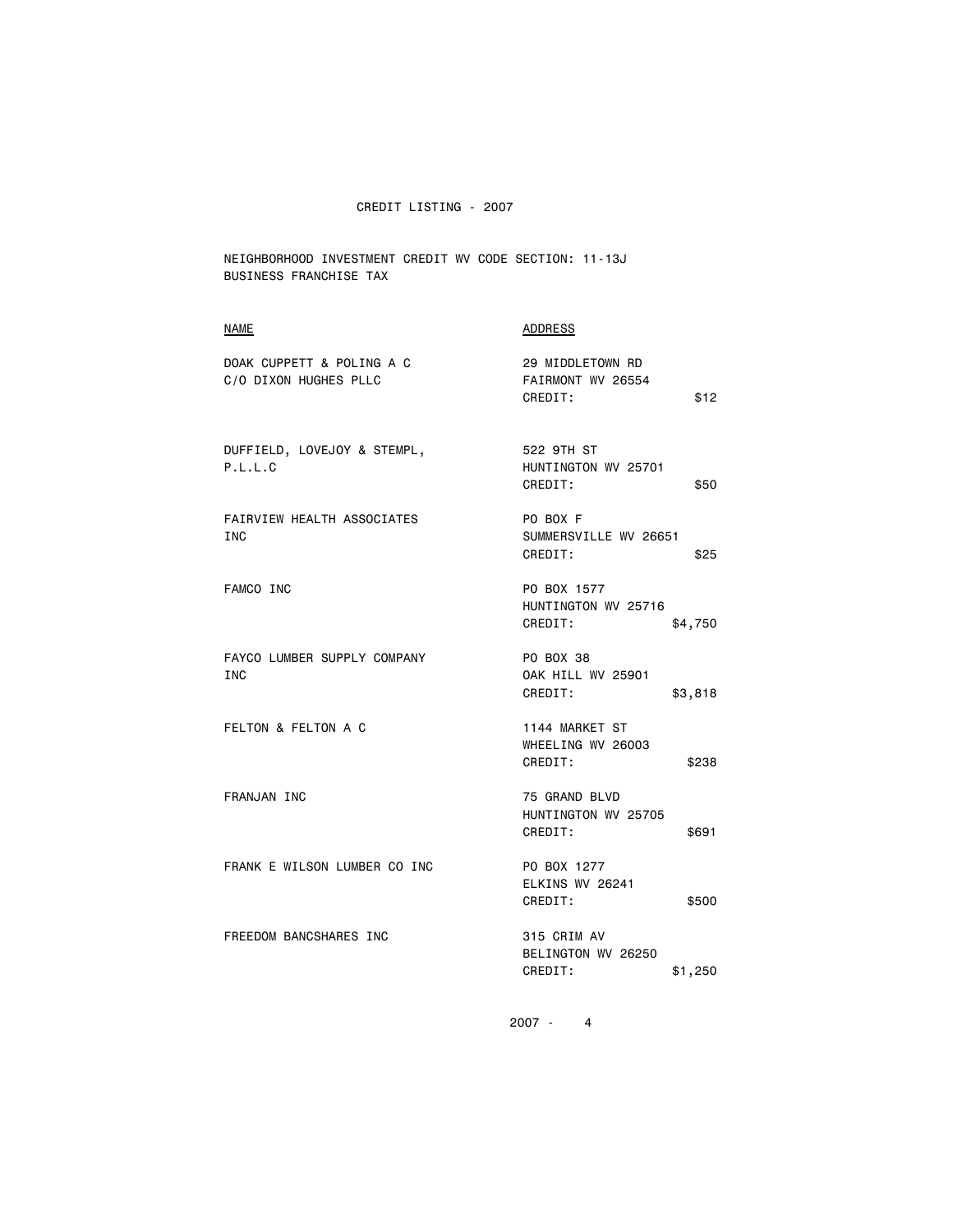NEIGHBORHOOD INVESTMENT CREDIT WV CODE SECTION: 11-13J BUSINESS FRANCHISE TAX

### NAME ADDRESS

| DOAK CUPPETT & POLING A C<br>C/O DIXON HUGHES PLLC | 29 MIDDLETOWN RD<br>FAIRMONT WV 26554<br>CREDIT:<br>\$12    |
|----------------------------------------------------|-------------------------------------------------------------|
| DUFFIELD, LOVEJOY & STEMPL,<br>P.L.L.C             | 522 9TH ST<br>HUNTINGTON WV 25701<br>CREDIT:<br>\$50        |
| FAIRVIEW HEALTH ASSOCIATES<br><b>INC</b>           | PO BOX F<br>SUMMERSVILLE WV 26651<br>CREDIT:<br>\$25        |
| FAMCO INC                                          | PO BOX 1577<br>HUNTINGTON WV 25716<br>CREDIT:<br>\$4,750    |
| FAYCO LUMBER SUPPLY COMPANY<br><b>INC</b>          | PO BOX 38<br><b>OAK HILL WV 25901</b><br>CREDIT:<br>\$3,818 |
| FELTON & FELTON A C                                | 1144 MARKET ST<br>WHEELING WV 26003<br>CREDIT:<br>\$238     |
| FRANJAN INC                                        | 75 GRAND BLVD<br>HUNTINGTON WV 25705<br>CREDIT:<br>\$691    |
| FRANK E WILSON LUMBER CO INC                       | PO BOX 1277<br>ELKINS WV 26241<br>CREDIT:<br>\$500          |
| FREEDOM BANCSHARES INC                             | 315 CRIM AV<br>BELINGTON WV 26250<br>CREDIT:<br>\$1,250     |
|                                                    |                                                             |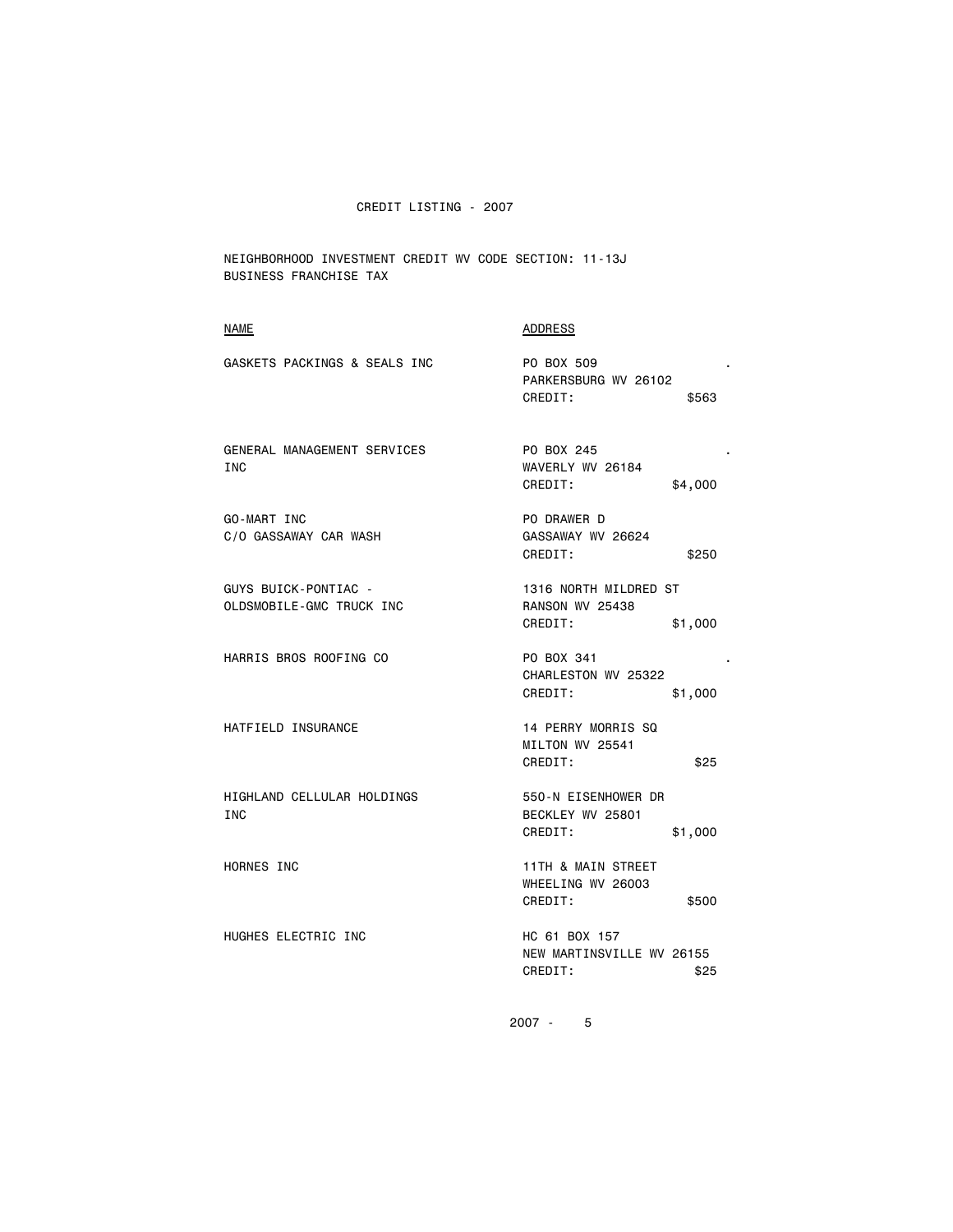NEIGHBORHOOD INVESTMENT CREDIT WV CODE SECTION: 11-13J BUSINESS FRANCHISE TAX

# NAME ADDRESS GASKETS PACKINGS & SEALS INC **PO BOX 509**  PARKERSBURG WV 26102 CREDIT: \$563 GENERAL MANAGEMENT SERVICES THE PO BOX 245 . INC WAVERLY WV 26184 CREDIT: \$4,000 GO-MART INC PO DRAWER D C/O GASSAWAY CAR WASH GASSAWAY WV 26624 CREDIT: \$250 GUYS BUICK-PONTIAC - 1316 NORTH MILDRED ST OLDSMOBILE-GMC TRUCK INC RANSON WV 25438 CREDIT: \$1,000 HARRIS BROS ROOFING CO PO BOX 341 . CHARLESTON WV 25322 CREDIT: \$1,000 HATFIELD INSURANCE 14 PERRY MORRIS SQ MILTON WV 25541 CREDIT: \$25 HIGHLAND CELLULAR HOLDINGS 550-N EISENHOWER DR<br>INC 5501 BECKLEY WV 25801 CREDIT: \$1,000 HORNES INC **11TH & MAIN STREET**  WHEELING WV 26003 credit to the CREDIT: the state of the state of the state of the state of the state of the state of the state o HUGHES ELECTRIC INC NO HC 61 BOX 157 NEW MARTINSVILLE WV 26155 credit to the CREDIT: the set of the set of the set of the set of the set of the set of the set of the set of the set of the set of the set of the set of the set of the set of the set of the set of the set of the set of th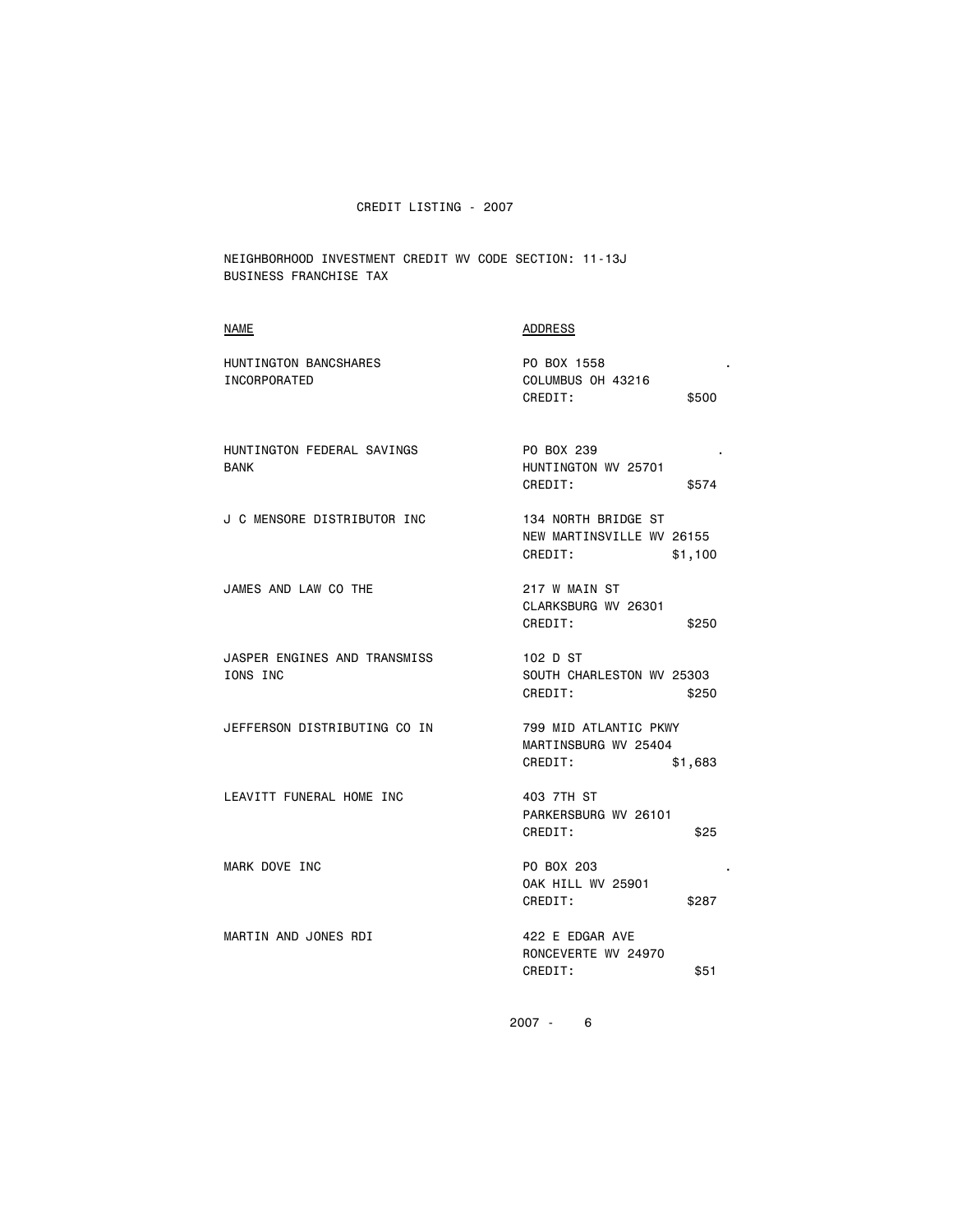NEIGHBORHOOD INVESTMENT CREDIT WV CODE SECTION: 11-13J BUSINESS FRANCHISE TAX

# NAME ADDRESS

| HUNTINGTON BANCSHARES<br><b>INCORPORATED</b> | PO BOX 1558<br>COLUMBUS OH 43216                                       |
|----------------------------------------------|------------------------------------------------------------------------|
|                                              | CREDIT:<br>\$500                                                       |
| HUNTINGTON FEDERAL SAVINGS<br><b>BANK</b>    | PO BOX 239<br>HUNTINGTON WV 25701<br>CREDIT:<br>\$574                  |
| J C MENSORE DISTRIBUTOR INC                  | 134 NORTH BRIDGE ST<br>NEW MARTINSVILLE WV 26155<br>CREDIT:<br>\$1,100 |
| JAMES AND LAW CO THE                         | 217 W MAIN ST<br>CLARKSBURG WV 26301<br>CREDIT:<br>\$250               |
| JASPER ENGINES AND TRANSMISS<br>IONS INC     | 102 D ST<br>SOUTH CHARLESTON WV 25303<br>CREDIT:<br>\$250              |
| JEFFERSON DISTRIBUTING CO IN                 | 799 MID ATLANTIC PKWY<br>MARTINSBURG WV 25404<br>CREDIT:<br>\$1,683    |
| LEAVITT FUNERAL HOME INC                     | 403 7TH ST<br>PARKERSBURG WV 26101<br>CREDIT:<br>\$25                  |
| MARK DOVE INC                                | PO BOX 203<br><b>OAK HILL WV 25901</b><br>CREDIT:<br>\$287             |
| MARTIN AND JONES RDI                         | 422 E EDGAR AVE<br>RONCEVERTE WV 24970<br>CREDIT:<br>\$51              |
|                                              |                                                                        |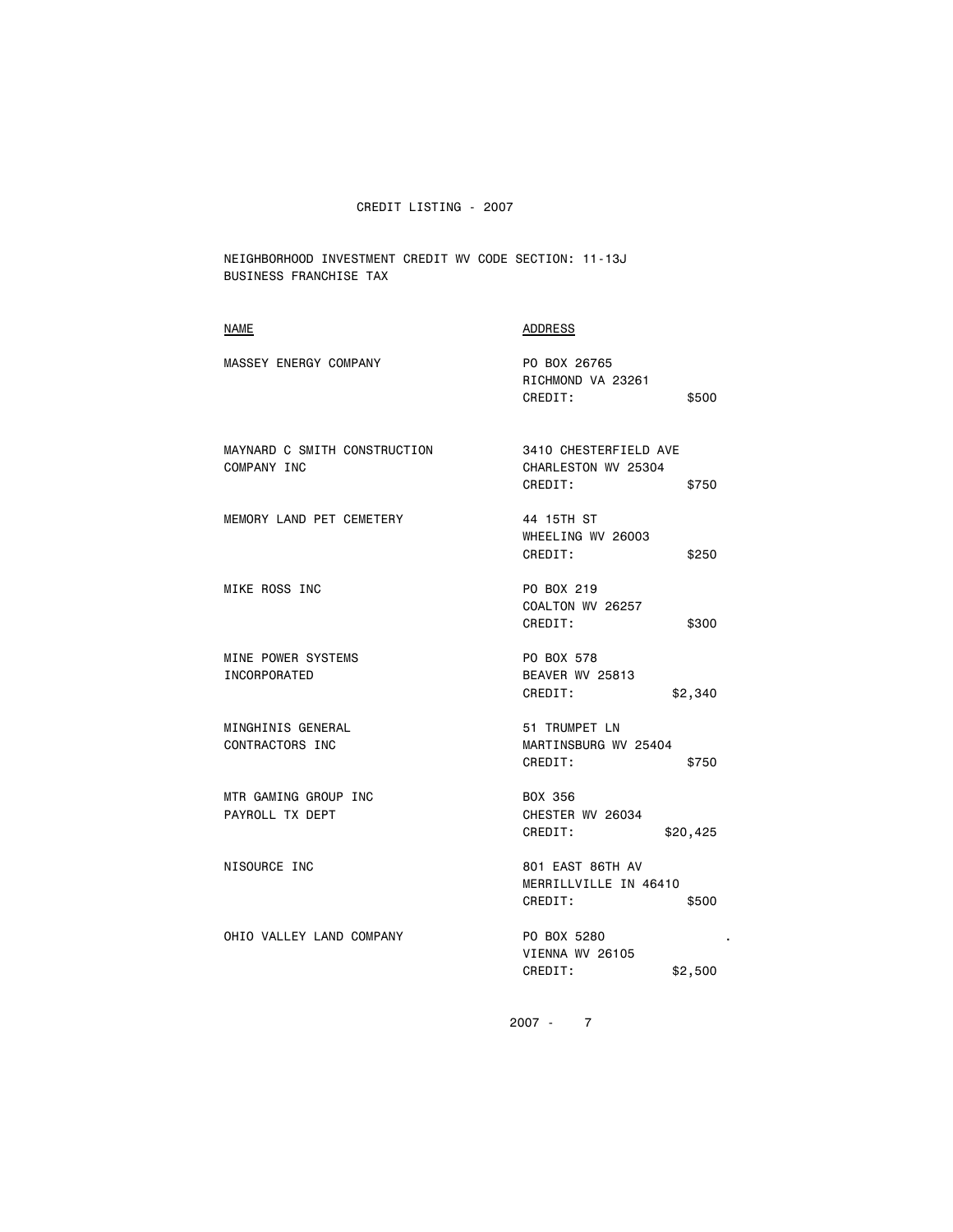NEIGHBORHOOD INVESTMENT CREDIT WV CODE SECTION: 11-13J BUSINESS FRANCHISE TAX

# NAME ADDRESS

| MASSEY ENERGY COMPANY                       | PO BOX 26765<br>RICHMOND VA 23261<br>CREDIT:<br>\$500            |  |
|---------------------------------------------|------------------------------------------------------------------|--|
| MAYNARD C SMITH CONSTRUCTION<br>COMPANY INC | 3410 CHESTERFIELD AVE<br>CHARLESTON WV 25304<br>CREDIT:<br>\$750 |  |
| MEMORY LAND PET CEMETERY                    | 44 15TH ST<br>WHEELING WV 26003<br>CREDIT:<br>\$250              |  |
| MIKE ROSS INC                               | PO BOX 219<br>COALTON WV 26257<br>CREDIT:<br>\$300               |  |
| MINE POWER SYSTEMS<br><b>INCORPORATED</b>   | PO BOX 578<br>BEAVER WV 25813<br>CREDIT:<br>\$2,340              |  |
| MINGHINIS GENERAL<br>CONTRACTORS INC        | 51 TRUMPET LN<br>MARTINSBURG WV 25404<br>CREDIT:<br>\$750        |  |
| MTR GAMING GROUP INC<br>PAYROLL TX DEPT     | BOX 356<br>CHESTER WV 26034<br>CREDIT:<br>\$20,425               |  |
| NISOURCE INC                                | 801 EAST 86TH AV<br>MERRILLVILLE IN 46410<br>CREDIT:<br>\$500    |  |
| OHIO VALLEY LAND COMPANY                    | PO BOX 5280<br>VIENNA WV 26105<br>CREDIT:<br>\$2,500             |  |
|                                             |                                                                  |  |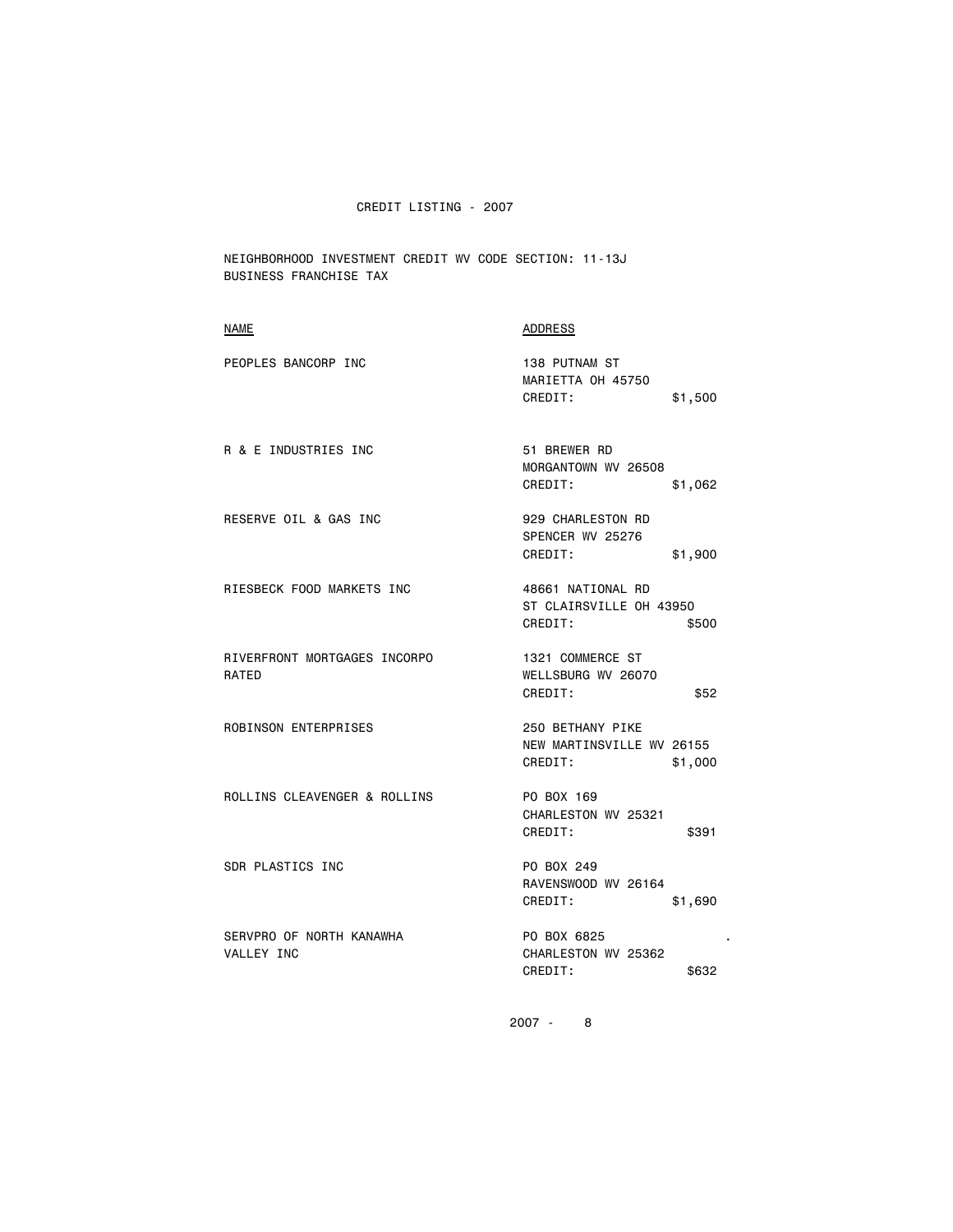NEIGHBORHOOD INVESTMENT CREDIT WV CODE SECTION: 11-13J BUSINESS FRANCHISE TAX

| <b>NAME</b>                            | <b>ADDRESS</b>                                                      |
|----------------------------------------|---------------------------------------------------------------------|
| PEOPLES BANCORP INC                    | 138 PUTNAM ST<br>MARIETTA OH 45750<br>CREDIT:<br>\$1,500            |
| R & E INDUSTRIES INC                   | 51 BREWER RD<br>MORGANTOWN WV 26508<br>CREDIT:<br>\$1,062           |
| RESERVE OIL & GAS INC                  | 929 CHARLESTON RD<br>SPENCER WV 25276<br>CREDIT:<br>\$1,900         |
| RIESBECK FOOD MARKETS INC              | 48661 NATIONAL RD<br>ST CLAIRSVILLE OH 43950<br>CREDIT:<br>\$500    |
| RIVERFRONT MORTGAGES INCORPO<br>RATED  | 1321 COMMERCE ST<br>WELLSBURG WV 26070<br>CREDIT:<br>\$52           |
| ROBINSON ENTERPRISES                   | 250 BETHANY PIKE<br>NEW MARTINSVILLE WV 26155<br>CREDIT:<br>\$1,000 |
| ROLLINS CLEAVENGER & ROLLINS           | PO BOX 169<br>CHARLESTON WV 25321<br>CREDIT:<br>\$391               |
| SDR PLASTICS INC                       | PO BOX 249<br>RAVENSWOOD WV 26164<br>CREDIT:<br>\$1,690             |
| SERVPRO OF NORTH KANAWHA<br>VALLEY INC | PO BOX 6825<br>CHARLESTON WV 25362<br>CREDIT:<br>\$632              |
|                                        |                                                                     |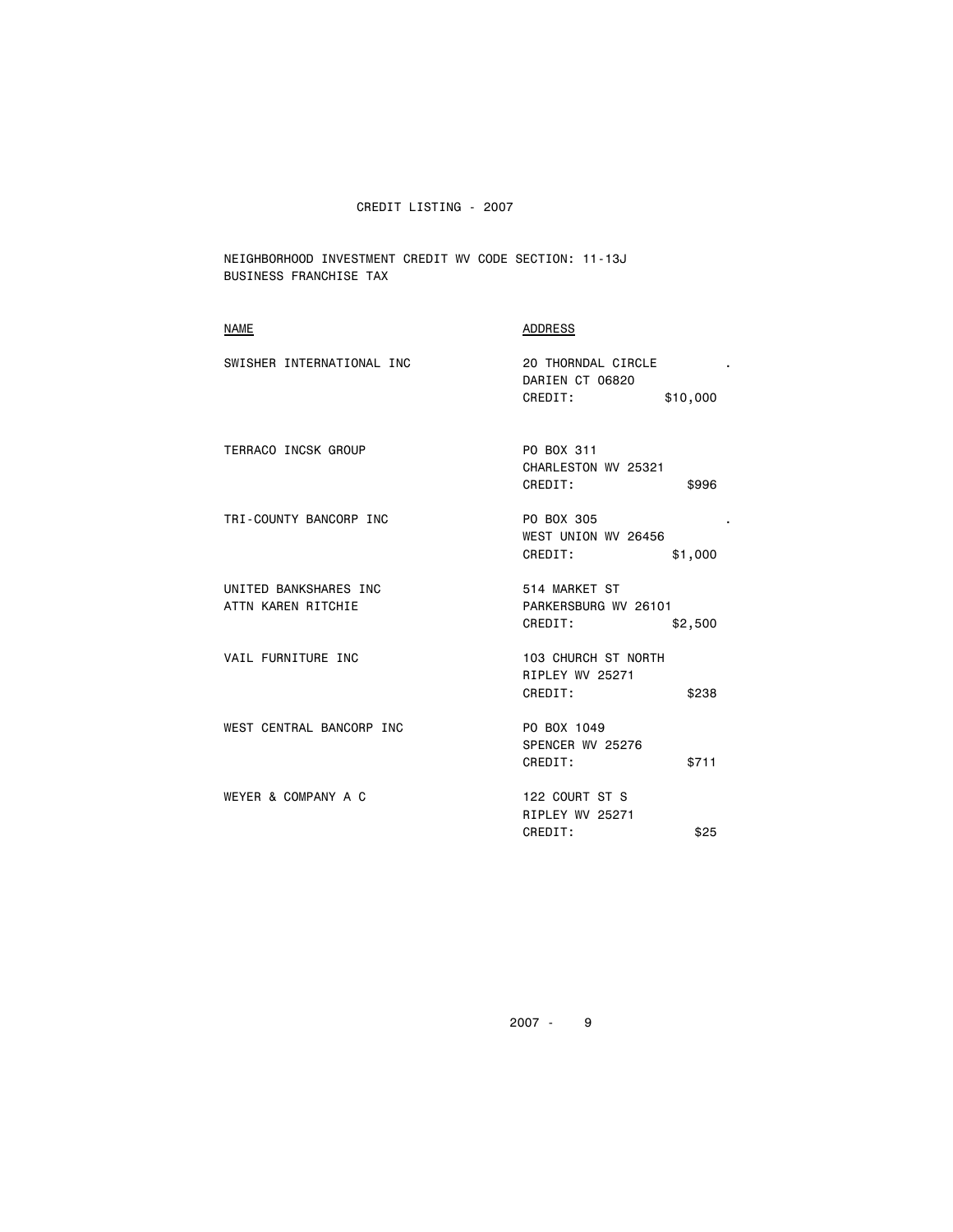NEIGHBORHOOD INVESTMENT CREDIT WV CODE SECTION: 11-13J BUSINESS FRANCHISE TAX

| <b>NAME</b>                                 | <b>ADDRESS</b>                                               |
|---------------------------------------------|--------------------------------------------------------------|
| SWISHER INTERNATIONAL INC                   | 20 THORNDAL CIRCLE<br>DARIEN CT 06820<br>CREDIT:<br>\$10,000 |
| <b>TERRACO INCSK GROUP</b>                  | PO BOX 311<br>CHARLESTON WV 25321<br>CREDIT:<br>\$996        |
| TRI-COUNTY BANCORP INC                      | PO BOX 305<br>WEST UNION WV 26456<br>\$1,000<br>CREDIT:      |
| UNITED BANKSHARES INC<br>ATTN KAREN RITCHIE | 514 MARKET ST<br>PARKERSBURG WV 26101<br>CREDIT:<br>\$2,500  |
| VAIL FURNITURE INC                          | 103 CHURCH ST NORTH<br>RIPLEY WV 25271<br>CREDIT:<br>\$238   |
| WEST CENTRAL BANCORP INC                    | PO BOX 1049<br>SPENCER WV 25276<br>CREDIT:<br>\$711          |
| WEYER & COMPANY A C                         | 122 COURT ST S<br>RIPLEY WV 25271<br>CREDIT:<br>\$25         |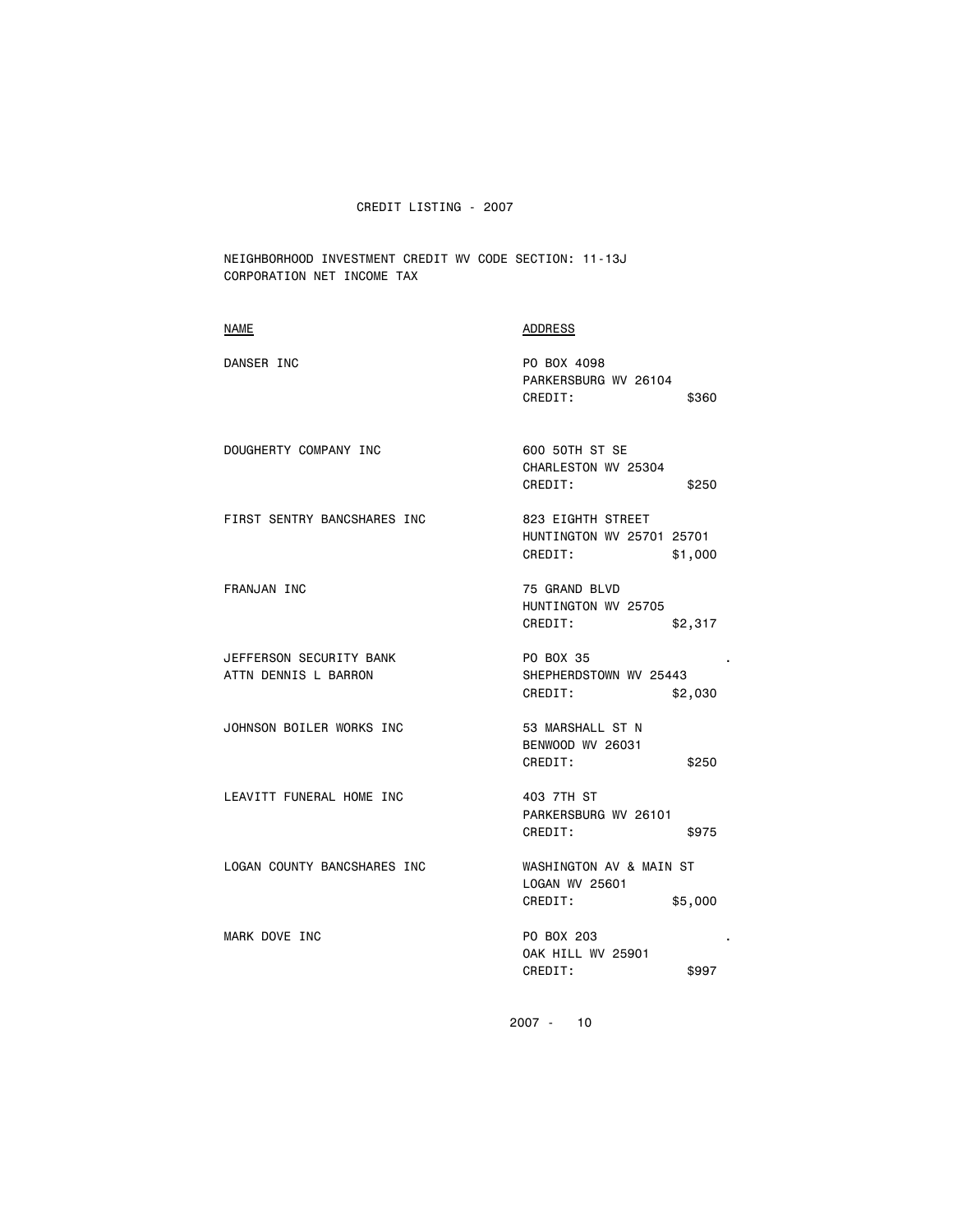NEIGHBORHOOD INVESTMENT CREDIT WV CODE SECTION: 11-13J CORPORATION NET INCOME TAX

| <b>NAME</b>                                     | <b>ADDRESS</b>                                                       |
|-------------------------------------------------|----------------------------------------------------------------------|
| DANSER INC                                      | PO BOX 4098<br>PARKERSBURG WV 26104<br>CREDIT:<br>\$360              |
| DOUGHERTY COMPANY INC                           | 600 50TH ST SE<br>CHARLESTON WV 25304<br>CREDIT:<br>\$250            |
| FIRST SENTRY BANCSHARES INC                     | 823 EIGHTH STREET<br>HUNTINGTON WV 25701 25701<br>CREDIT:<br>\$1,000 |
| FRANJAN INC                                     | 75 GRAND BLVD<br>HUNTINGTON WV 25705<br>CREDIT:<br>\$2,317           |
| JEFFERSON SECURITY BANK<br>ATTN DENNIS L BARRON | PO BOX 35<br>SHEPHERDSTOWN WV 25443<br>CREDIT:<br>\$2,030            |
| JOHNSON BOILER WORKS INC                        | 53 MARSHALL ST N<br>BENWOOD WV 26031<br>CREDIT:<br>\$250             |
| LEAVITT FUNERAL HOME INC                        | 403 7TH ST<br>PARKERSBURG WV 26101<br>CREDIT:<br>\$975               |
| LOGAN COUNTY BANCSHARES INC                     | WASHINGTON AV & MAIN ST<br>LOGAN WV 25601<br>CREDIT:<br>\$5,000      |
| MARK DOVE INC                                   | PO BOX 203<br><b>OAK HILL WV 25901</b><br>CREDIT:<br>\$997           |
|                                                 |                                                                      |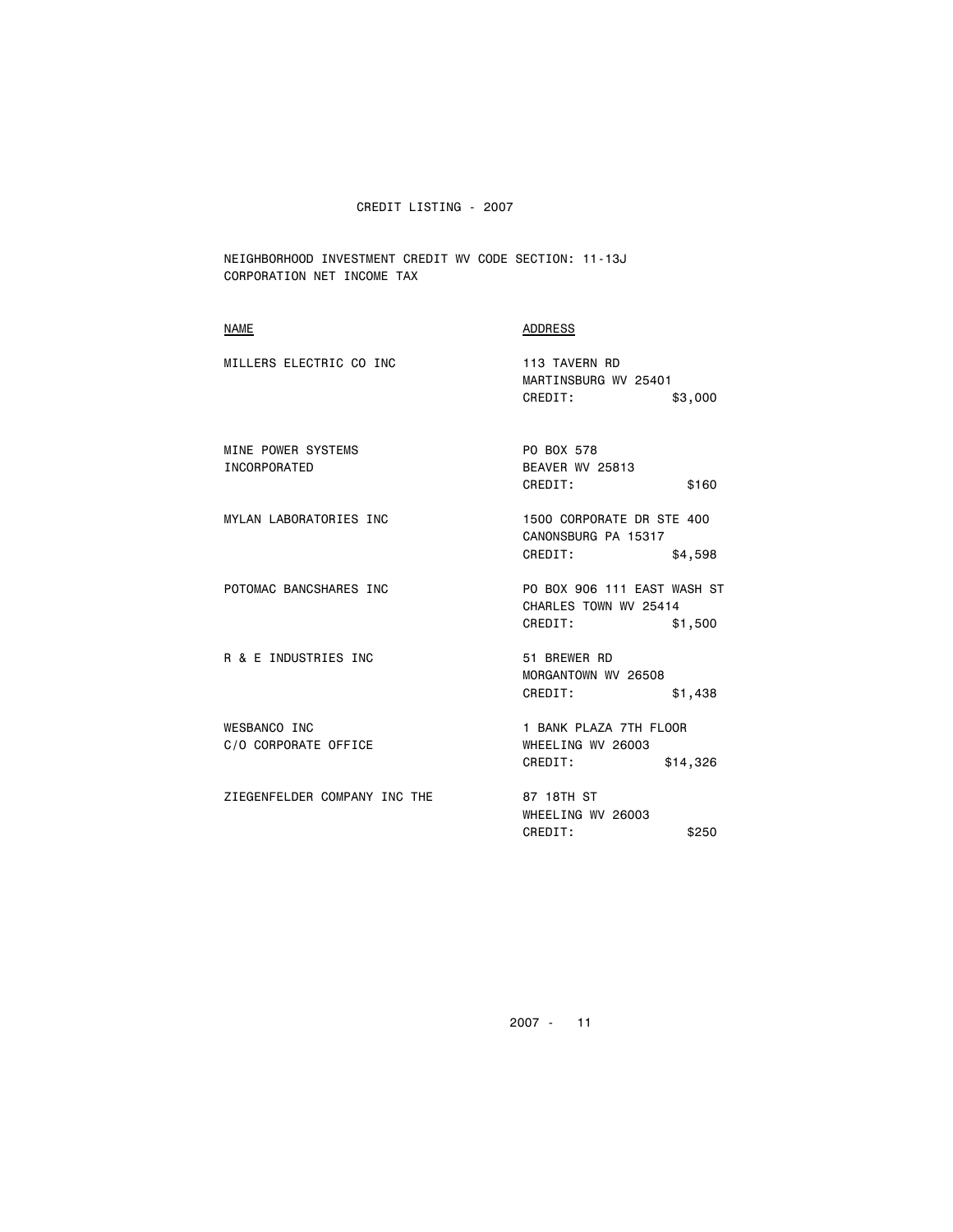NEIGHBORHOOD INVESTMENT CREDIT WV CODE SECTION: 11-13J CORPORATION NET INCOME TAX

## NAME ADDRESS

| MILLERS ELECTRIC CO INC            | 113 TAVERN RD<br>MARTINSBURG WV 25401    |         |
|------------------------------------|------------------------------------------|---------|
|                                    | CREDIT:                                  | \$3,000 |
| MINE POWER SYSTEMS<br>INCORPORATED | PO BOX 578<br>BEAVER WV 25813<br>CREDIT: | \$160   |
| MYLAN LABORATORIES INC             | 1500 CORPORATE DR STE 400                |         |

 CANONSBURG PA 15317 CREDIT: \$4,598

POTOMAC BANCSHARES INC PO BOX 906 111 EAST WASH ST CHARLES TOWN WV 25414 CREDIT: \$1,500

R & E INDUSTRIES INC 51 BREWER RD MORGANTOWN WV 26508

WESBANCO INC<br>
C/O CORPORATE OFFICE THE SERIES WHEELING WY 26003 C/O CORPORATE OFFICE

ZIEGENFELDER COMPANY INC THE 87 18TH ST

CREDIT: \$14,326

CREDIT: \$1,438

 WHEELING WV 26003 CREDIT: \$250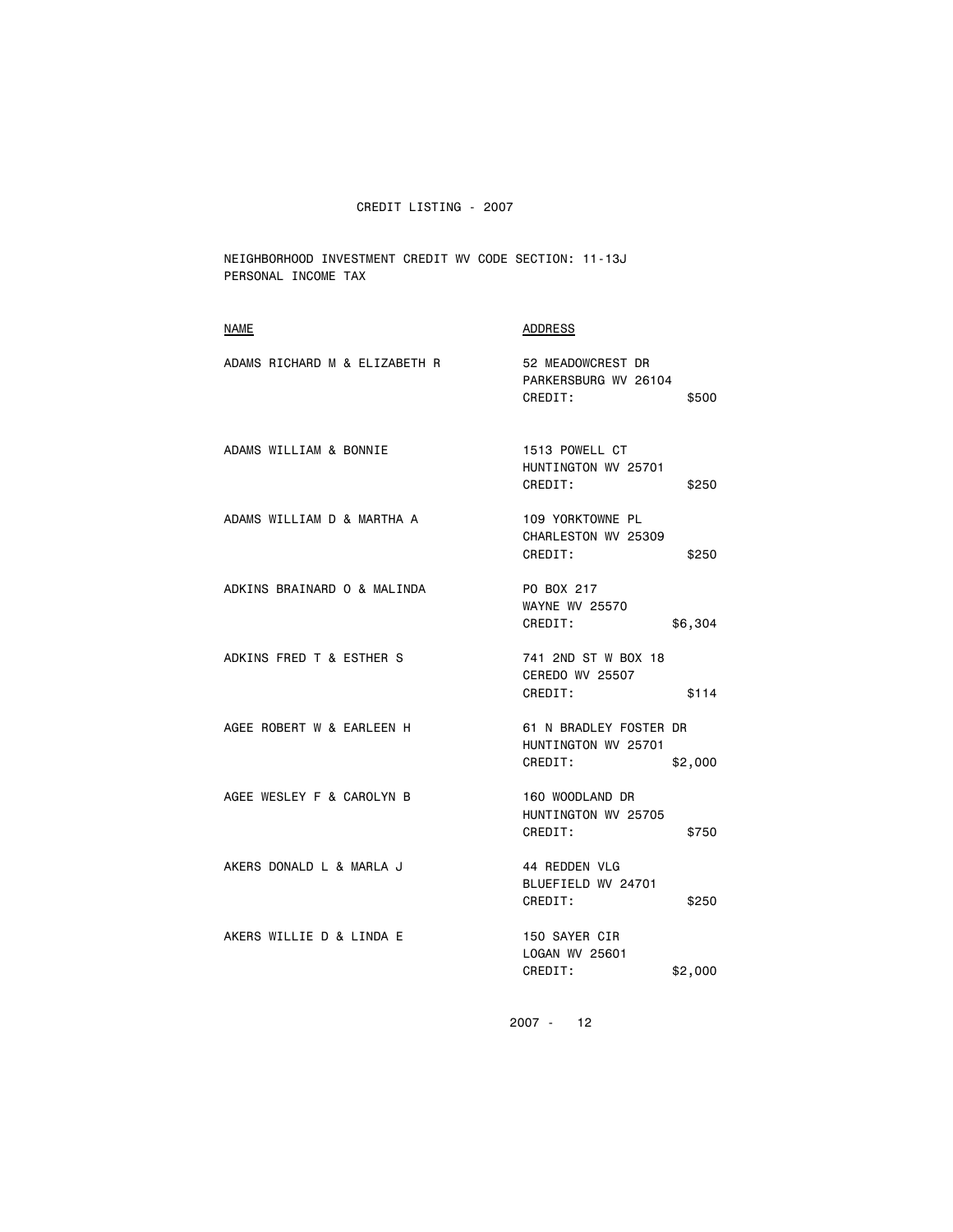NEIGHBORHOOD INVESTMENT CREDIT WV CODE SECTION: 11-13J PERSONAL INCOME TAX

| <b>NAME</b>                   | <b>ADDRESS</b>                                                      |
|-------------------------------|---------------------------------------------------------------------|
| ADAMS RICHARD M & ELIZABETH R | 52 MEADOWCREST DR<br>PARKERSBURG WV 26104<br>CREDIT:<br>\$500       |
| ADAMS WILLIAM & BONNIE        | 1513 POWELL CT<br>HUNTINGTON WV 25701<br>CREDIT:<br>\$250           |
| ADAMS WILLIAM D & MARTHA A    | 109 YORKTOWNE PL<br>CHARLESTON WV 25309<br>CREDIT:<br>\$250         |
| ADKINS BRAINARD O & MALINDA   | PO BOX 217<br><b>WAYNE WV 25570</b><br>CREDIT:<br>\$6,304           |
| ADKINS FRED T & ESTHER S      | 741 2ND ST W BOX 18<br><b>CEREDO WV 25507</b><br>CREDIT:<br>\$114   |
| AGEE ROBERT W & EARLEEN H     | 61 N BRADLEY FOSTER DR<br>HUNTINGTON WV 25701<br>CREDIT:<br>\$2,000 |
| AGEE WESLEY F & CAROLYN B     | 160 WOODLAND DR<br>HUNTINGTON WV 25705<br>CREDIT:<br>\$750          |
| AKERS DONALD L & MARLA J      | 44 REDDEN VLG<br>BLUEFIELD WV 24701<br>CREDIT:<br>\$250             |
| AKERS WILLIE D & LINDA E      | 150 SAYER CIR<br>LOGAN WV 25601<br>CREDIT:<br>\$2,000               |
|                               |                                                                     |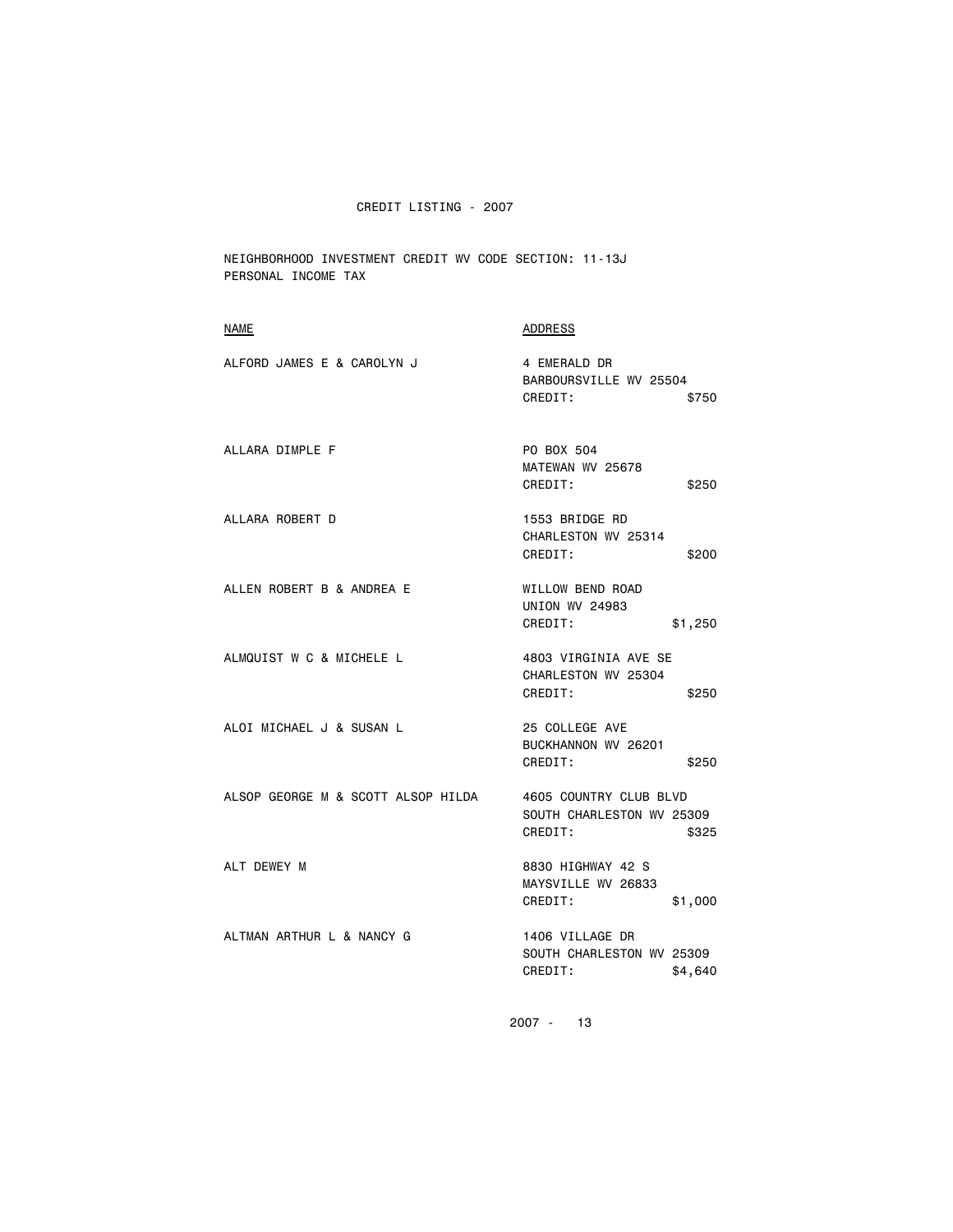NEIGHBORHOOD INVESTMENT CREDIT WV CODE SECTION: 11-13J PERSONAL INCOME TAX

| NAME                               | ADDRESS                                                                 |
|------------------------------------|-------------------------------------------------------------------------|
| ALFORD JAMES E & CAROLYN J         | 4 EMERALD DR<br>BARBOURSVILLE WV 25504<br>CREDIT:<br>\$750              |
| ALLARA DIMPLE F                    | PO BOX 504<br>MATEWAN WV 25678<br>CREDIT:<br>\$250                      |
| ALLARA ROBERT D                    | 1553 BRIDGE RD<br>CHARLESTON WV 25314<br>CREDIT:<br>\$200               |
| ALLEN ROBERT B & ANDREA E          | WILLOW BEND ROAD<br><b>UNION WV 24983</b><br>CREDIT:<br>\$1,250         |
| ALMQUIST W C & MICHELE L           | 4803 VIRGINIA AVE SE<br>CHARLESTON WV 25304<br>CREDIT:<br>\$250         |
| ALOI MICHAEL J & SUSAN L           | 25 COLLEGE AVE<br>BUCKHANNON WV 26201<br>CREDIT:<br>\$250               |
| ALSOP GEORGE M & SCOTT ALSOP HILDA | 4605 COUNTRY CLUB BLVD<br>SOUTH CHARLESTON WV 25309<br>CREDIT:<br>\$325 |
| ALT DEWEY M                        | 8830 HIGHWAY 42 S<br>MAYSVILLE WV 26833<br>CREDIT:<br>\$1,000           |
| ALTMAN ARTHUR L & NANCY G          | 1406 VILLAGE DR<br>SOUTH CHARLESTON WV 25309<br>CREDIT:<br>\$4,640      |
|                                    |                                                                         |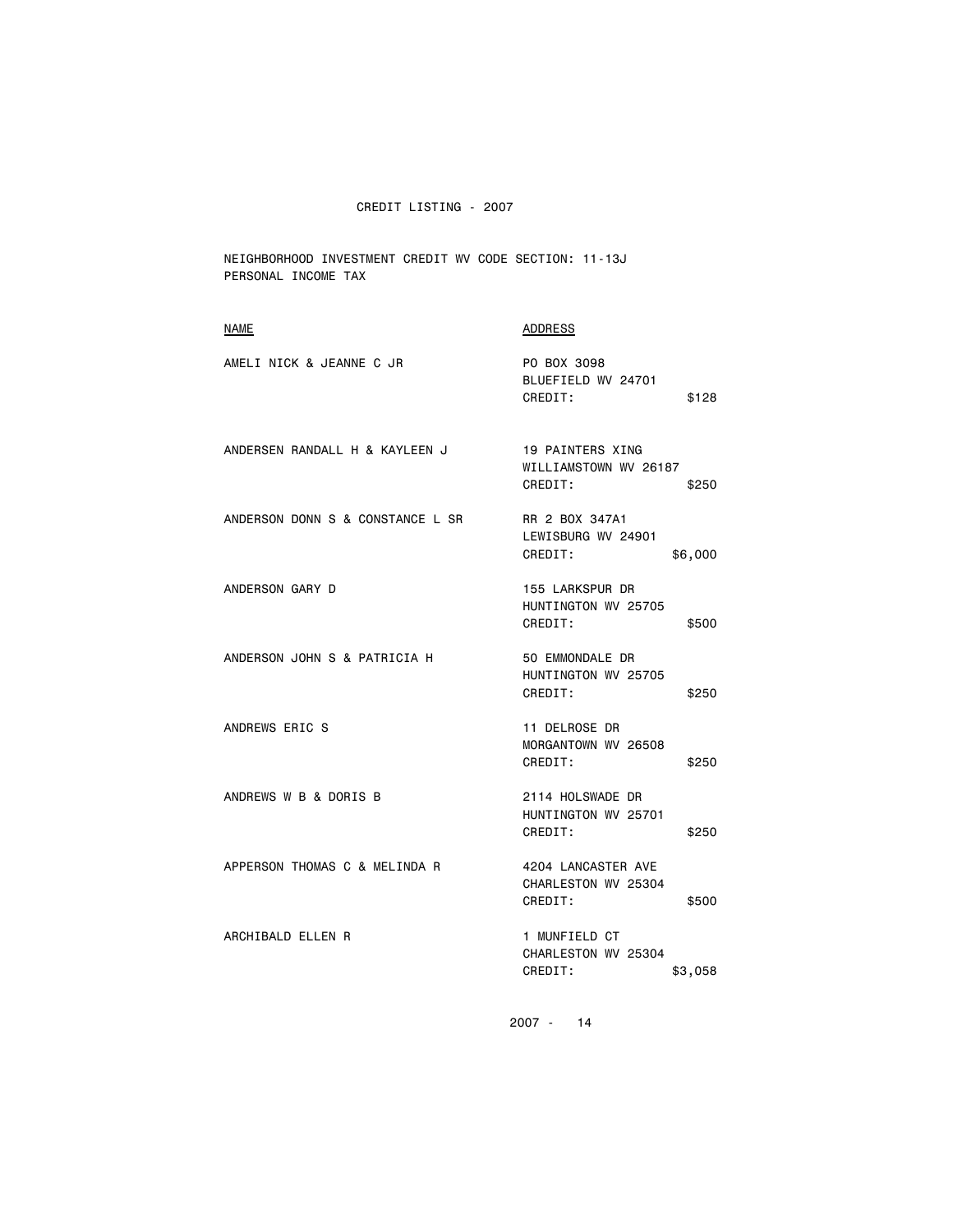NEIGHBORHOOD INVESTMENT CREDIT WV CODE SECTION: 11-13J PERSONAL INCOME TAX

| <b>NAME</b>                      | <b>ADDRESS</b>                                                |
|----------------------------------|---------------------------------------------------------------|
| AMELI NICK & JEANNE C JR         | PO BOX 3098<br>BLUEFIELD WV 24701<br>CREDIT:<br>\$128         |
| ANDERSEN RANDALL H & KAYLEEN J   | 19 PAINTERS XING<br>WILLIAMSTOWN WV 26187<br>CREDIT:<br>\$250 |
| ANDERSON DONN S & CONSTANCE L SR | RR 2 BOX 347A1<br>LEWISBURG WV 24901<br>CREDIT:<br>\$6,000    |
| ANDERSON GARY D                  | 155 LARKSPUR DR<br>HUNTINGTON WV 25705<br>CREDIT:<br>\$500    |
| ANDERSON JOHN S & PATRICIA H     | 50 EMMONDALE DR<br>HUNTINGTON WV 25705<br>CREDIT:<br>\$250    |
| ANDREWS ERIC S                   | 11 DELROSE DR<br>MORGANTOWN WV 26508<br>CREDIT:<br>\$250      |
| ANDREWS W B & DORIS B            | 2114 HOLSWADE DR<br>HUNTINGTON WV 25701<br>CREDIT:<br>\$250   |
| APPERSON THOMAS C & MELINDA R    | 4204 LANCASTER AVE<br>CHARLESTON WV 25304<br>CREDIT:<br>\$500 |
| ARCHIBALD ELLEN R                | 1 MUNFIELD CT<br>CHARLESTON WV 25304<br>CREDIT:<br>\$3,058    |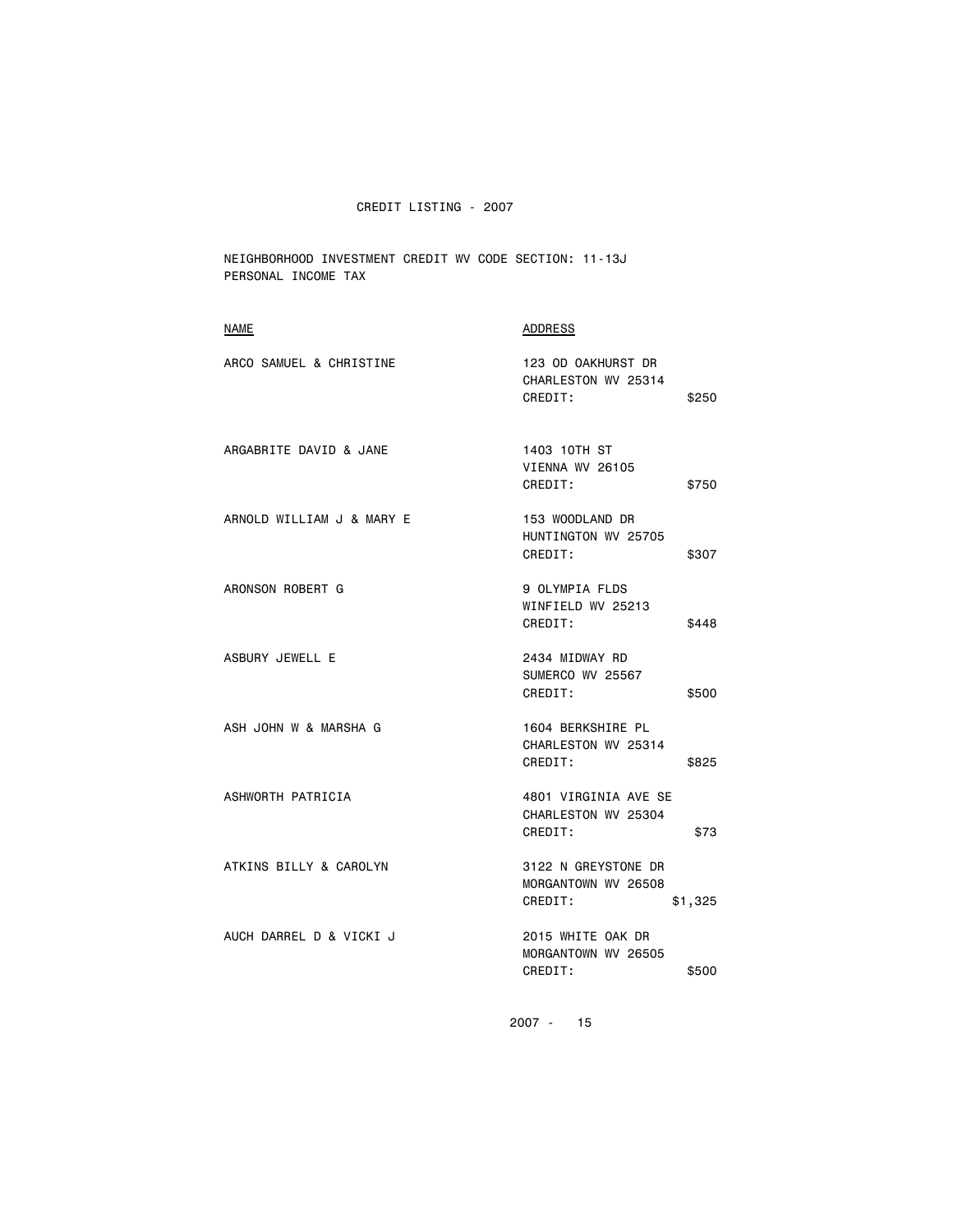NEIGHBORHOOD INVESTMENT CREDIT WV CODE SECTION: 11-13J PERSONAL INCOME TAX

| <b>NAME</b>               | <b>ADDRESS</b>                                                   |
|---------------------------|------------------------------------------------------------------|
| ARCO SAMUEL & CHRISTINE   | 123 OD OAKHURST DR<br>CHARLESTON WV 25314<br>CREDIT:<br>\$250    |
| ARGABRITE DAVID & JANE    | 1403 10TH ST<br>VIENNA WV 26105<br>CREDIT:<br>\$750              |
| ARNOLD WILLIAM J & MARY E | 153 WOODLAND DR<br>HUNTINGTON WV 25705<br>CREDIT:<br>\$307       |
| ARONSON ROBERT G          | 9 OLYMPIA FLDS<br>WINFIELD WV 25213<br>CREDIT:<br>\$448          |
| ASBURY JEWELL E           | 2434 MIDWAY RD<br>SUMERCO WV 25567<br>CREDIT:<br>\$500           |
| ASH JOHN W & MARSHA G     | 1604 BERKSHIRE PL<br>CHARLESTON WV 25314<br>CREDIT:<br>\$825     |
| ASHWORTH PATRICIA         | 4801 VIRGINIA AVE SE<br>CHARLESTON WV 25304<br>CREDIT:<br>\$73   |
| ATKINS BILLY & CAROLYN    | 3122 N GREYSTONE DR<br>MORGANTOWN WV 26508<br>CREDIT:<br>\$1,325 |
| AUCH DARREL D & VICKI J   | 2015 WHITE OAK DR<br>MORGANTOWN WV 26505<br>CREDIT:<br>\$500     |
|                           |                                                                  |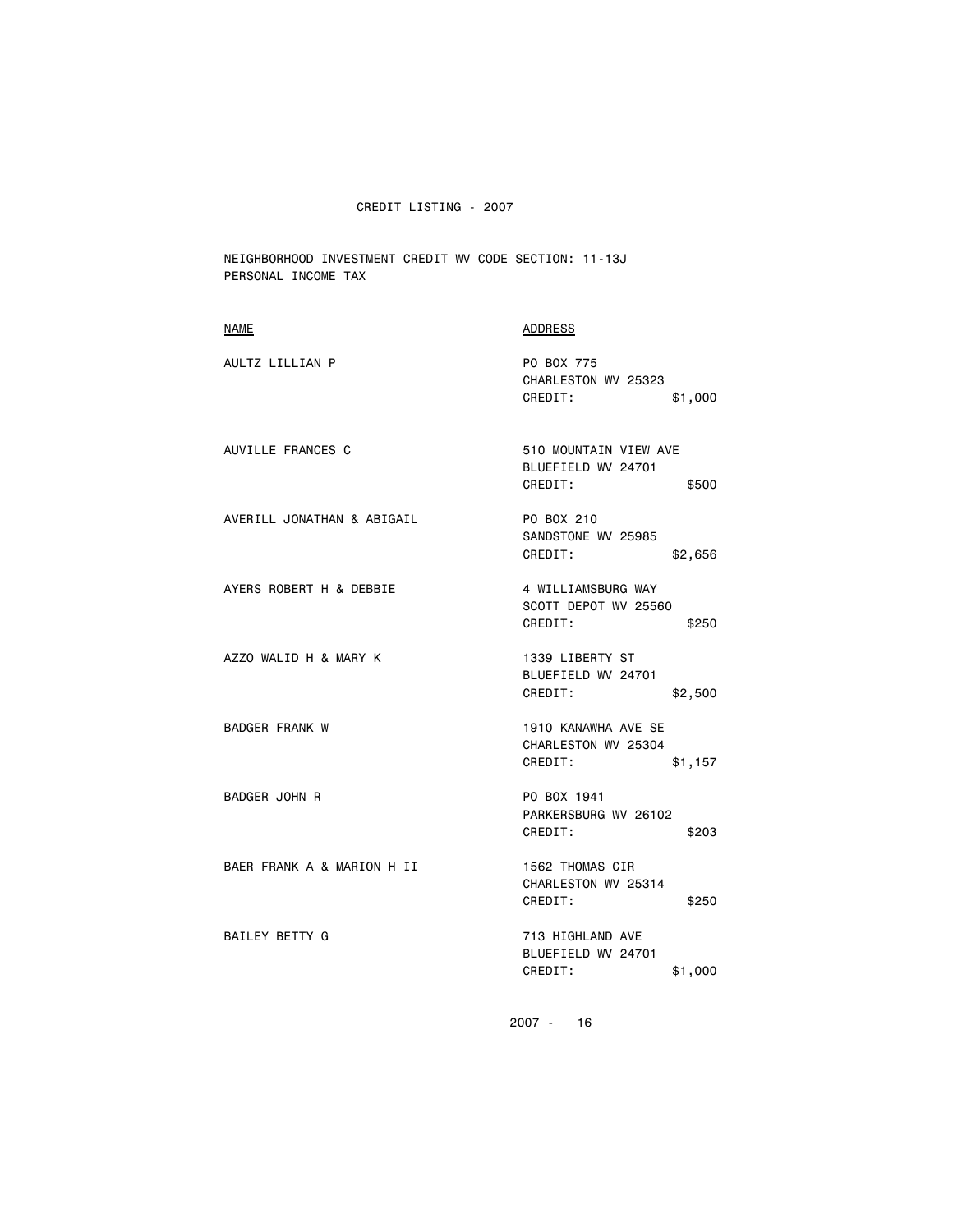NEIGHBORHOOD INVESTMENT CREDIT WV CODE SECTION: 11-13J PERSONAL INCOME TAX

| <b>NAME</b>                | <b>ADDRESS</b>                                                   |
|----------------------------|------------------------------------------------------------------|
| AULTZ LILLIAN P            | PO BOX 775<br>CHARLESTON WV 25323<br>CREDIT:<br>\$1,000          |
| AUVILLE FRANCES C          | 510 MOUNTAIN VIEW AVE<br>BLUEFIELD WV 24701<br>CREDIT:<br>\$500  |
| AVERILL JONATHAN & ABIGAIL | PO BOX 210<br>SANDSTONE WV 25985<br>CREDIT:<br>\$2,656           |
| AYERS ROBERT H & DEBBIE    | 4 WILLIAMSBURG WAY<br>SCOTT DEPOT WV 25560<br>CREDIT:<br>\$250   |
| AZZO WALID H & MARY K      | 1339 LIBERTY ST<br>BLUEFIELD WV 24701<br>CREDIT:<br>\$2,500      |
| <b>BADGER FRANK W</b>      | 1910 KANAWHA AVE SE<br>CHARLESTON WV 25304<br>CREDIT:<br>\$1,157 |
| BADGER JOHN R              | PO BOX 1941<br>PARKERSBURG WV 26102<br>CREDIT:<br>\$203          |
| BAER FRANK A & MARION H II | 1562 THOMAS CIR<br>CHARLESTON WV 25314<br>CREDIT:<br>\$250       |
| BAILEY BETTY G             | 713 HIGHLAND AVE<br>BLUEFIELD WV 24701<br>CREDIT:<br>\$1,000     |
|                            |                                                                  |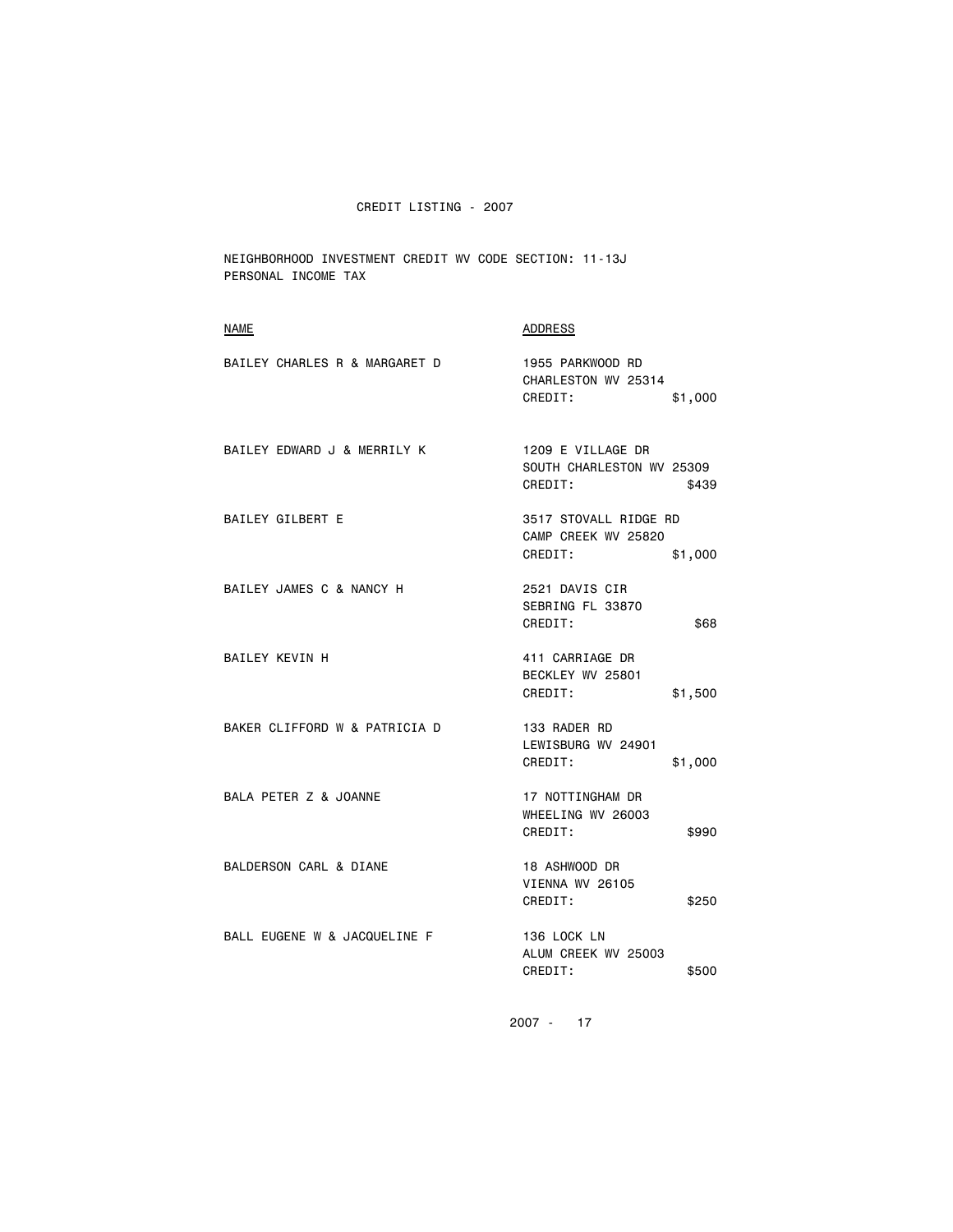NEIGHBORHOOD INVESTMENT CREDIT WV CODE SECTION: 11-13J PERSONAL INCOME TAX

| <b>NAME</b>                   | <b>ADDRESS</b>                                                     |
|-------------------------------|--------------------------------------------------------------------|
| BAILEY CHARLES R & MARGARET D | 1955 PARKWOOD RD<br>CHARLESTON WV 25314<br>CREDIT:<br>\$1,000      |
| BAILEY EDWARD J & MERRILY K   | 1209 E VILLAGE DR<br>SOUTH CHARLESTON WV 25309<br>CREDIT:<br>\$439 |
| BAILEY GILBERT E              | 3517 STOVALL RIDGE RD<br>CAMP CREEK WV 25820<br>CREDIT:<br>\$1,000 |
| BAILEY JAMES C & NANCY H      | 2521 DAVIS CIR<br>SEBRING FL 33870<br>CREDIT:<br>\$68              |
| BAILEY KEVIN H                | 411 CARRIAGE DR<br>BECKLEY WV 25801<br>CREDIT:<br>\$1,500          |
| BAKER CLIFFORD W & PATRICIA D | 133 RADER RD<br>LEWISBURG WV 24901<br>CREDIT:<br>\$1,000           |
| BALA PETER Z & JOANNE         | 17 NOTTINGHAM DR<br>WHEELING WV 26003<br>CREDIT:<br>\$990          |
| BALDERSON CARL & DIANE        | 18 ASHWOOD DR<br>VIENNA WV 26105<br>\$250<br>CREDIT:               |
| BALL EUGENE W & JACQUELINE F  | 136 LOCK LN<br>ALUM CREEK WV 25003<br>CREDIT:<br>\$500             |
|                               |                                                                    |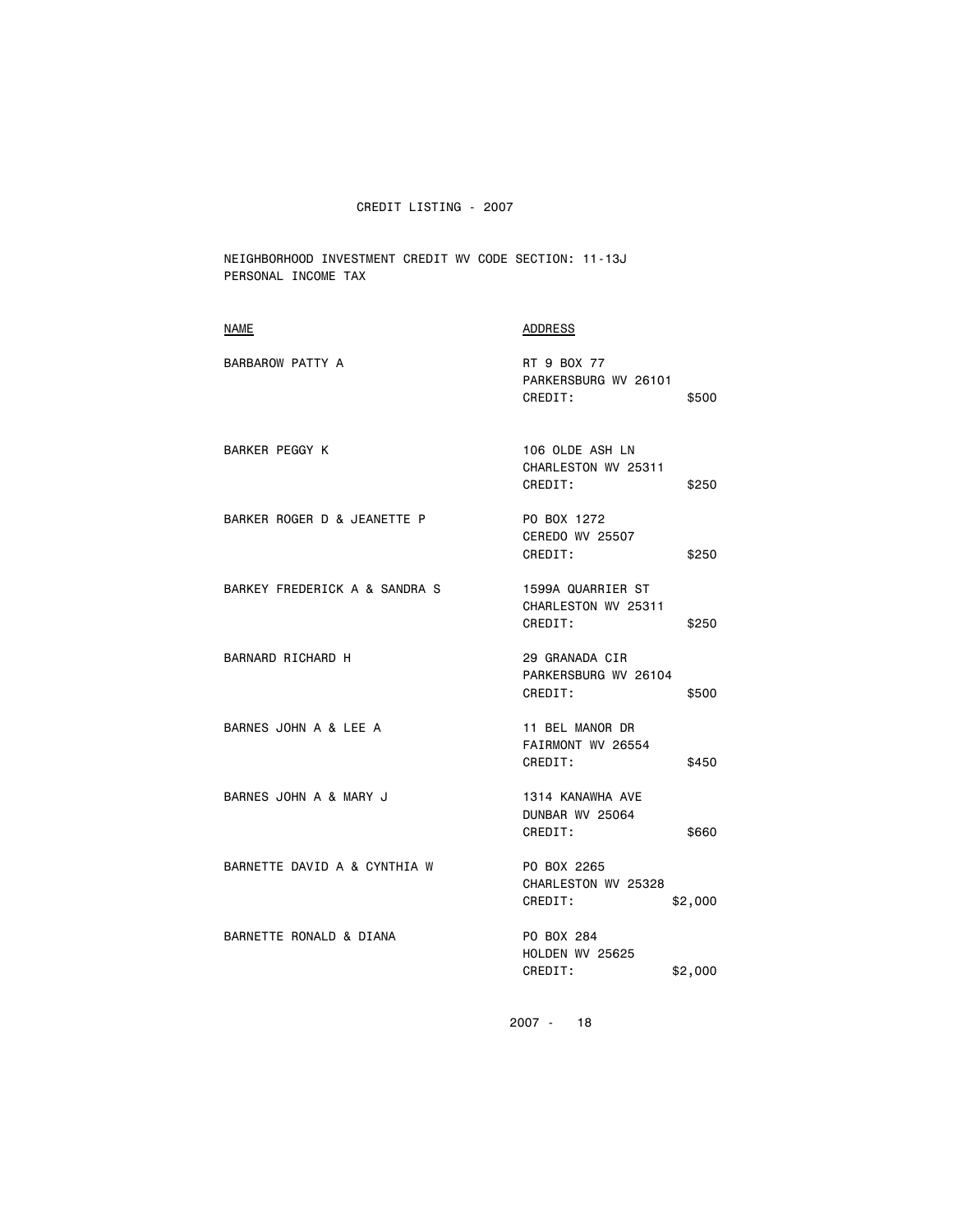NEIGHBORHOOD INVESTMENT CREDIT WV CODE SECTION: 11-13J PERSONAL INCOME TAX

| <b>NAME</b>                   | ADDRESS                                                      |
|-------------------------------|--------------------------------------------------------------|
| BARBAROW PATTY A              | RT 9 BOX 77<br>PARKERSBURG WV 26101<br>CREDIT:<br>\$500      |
| BARKER PEGGY K                | 106 OLDE ASH LN<br>CHARLESTON WV 25311<br>CREDIT:<br>\$250   |
| BARKER ROGER D & JEANETTE P   | PO BOX 1272<br>CEREDO WV 25507<br>CREDIT:<br>\$250           |
| BARKEY FREDERICK A & SANDRA S | 1599A QUARRIER ST<br>CHARLESTON WV 25311<br>CREDIT:<br>\$250 |
| BARNARD RICHARD H             | 29 GRANADA CIR<br>PARKERSBURG WV 26104<br>CREDIT:<br>\$500   |
| BARNES JOHN A & LEE A         | 11 BEL MANOR DR<br>FAIRMONT WV 26554<br>CREDIT:<br>\$450     |
| BARNES JOHN A & MARY J        | 1314 KANAWHA AVE<br>DUNBAR WV 25064<br>CREDIT:<br>\$660      |
| BARNETTE DAVID A & CYNTHIA W  | PO BOX 2265<br>CHARLESTON WV 25328<br>CREDIT:<br>\$2,000     |
| BARNETTE RONALD & DIANA       | PO BOX 284<br>HOLDEN WV 25625<br>CREDIT:<br>\$2,000          |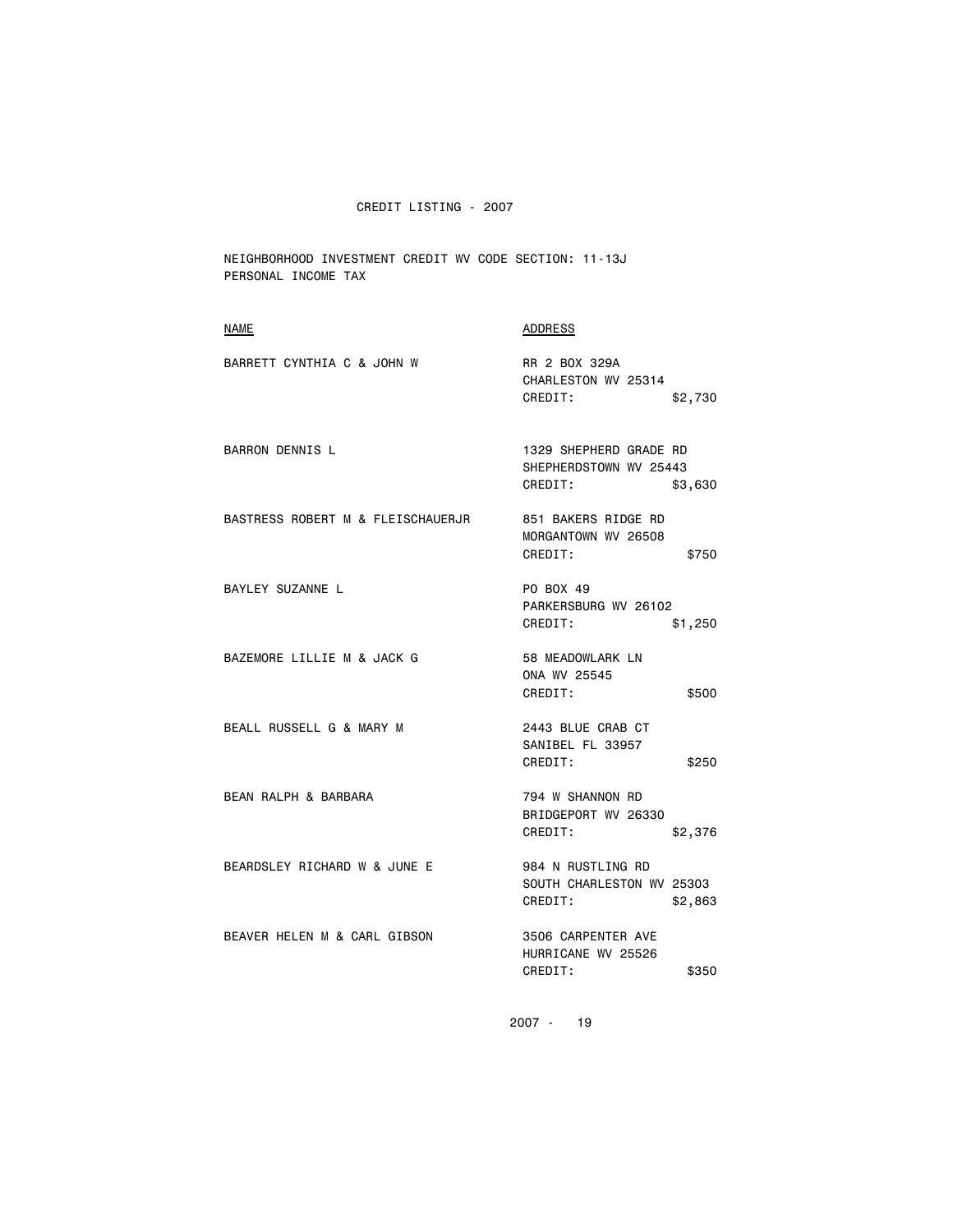NEIGHBORHOOD INVESTMENT CREDIT WV CODE SECTION: 11-13J PERSONAL INCOME TAX

| NAME                              | <b>ADDRESS</b>                                                         |
|-----------------------------------|------------------------------------------------------------------------|
| BARRETT CYNTHIA C & JOHN W        | RR 2 BOX 329A<br>CHARLESTON WV 25314<br>CREDIT:<br>\$2,730             |
| <b>BARRON DENNIS L</b>            | 1329 SHEPHERD GRADE RD<br>SHEPHERDSTOWN WV 25443<br>CREDIT:<br>\$3,630 |
| BASTRESS ROBERT M & FLEISCHAUERJR | 851 BAKERS RIDGE RD<br>MORGANTOWN WV 26508<br>CREDIT:<br>\$750         |
| BAYLEY SUZANNE L                  | PO BOX 49<br>PARKERSBURG WV 26102<br>CREDIT:<br>\$1,250                |
| BAZEMORE LILLIE M & JACK G        | 58 MEADOWLARK LN<br>ONA WV 25545<br>CREDIT:<br>\$500                   |
| BEALL RUSSELL G & MARY M          | 2443 BLUE CRAB CT<br>SANIBEL FL 33957<br>CREDIT:<br>\$250              |
| BEAN RALPH & BARBARA              | 794 W SHANNON RD<br>BRIDGEPORT WV 26330<br>CREDIT:<br>\$2,376          |
| BEARDSLEY RICHARD W & JUNE E      | 984 N RUSTLING RD<br>SOUTH CHARLESTON WV 25303<br>CREDIT:<br>\$2,863   |
| BEAVER HELEN M & CARL GIBSON      | 3506 CARPENTER AVE<br>HURRICANE WV 25526<br>CREDIT:<br>\$350           |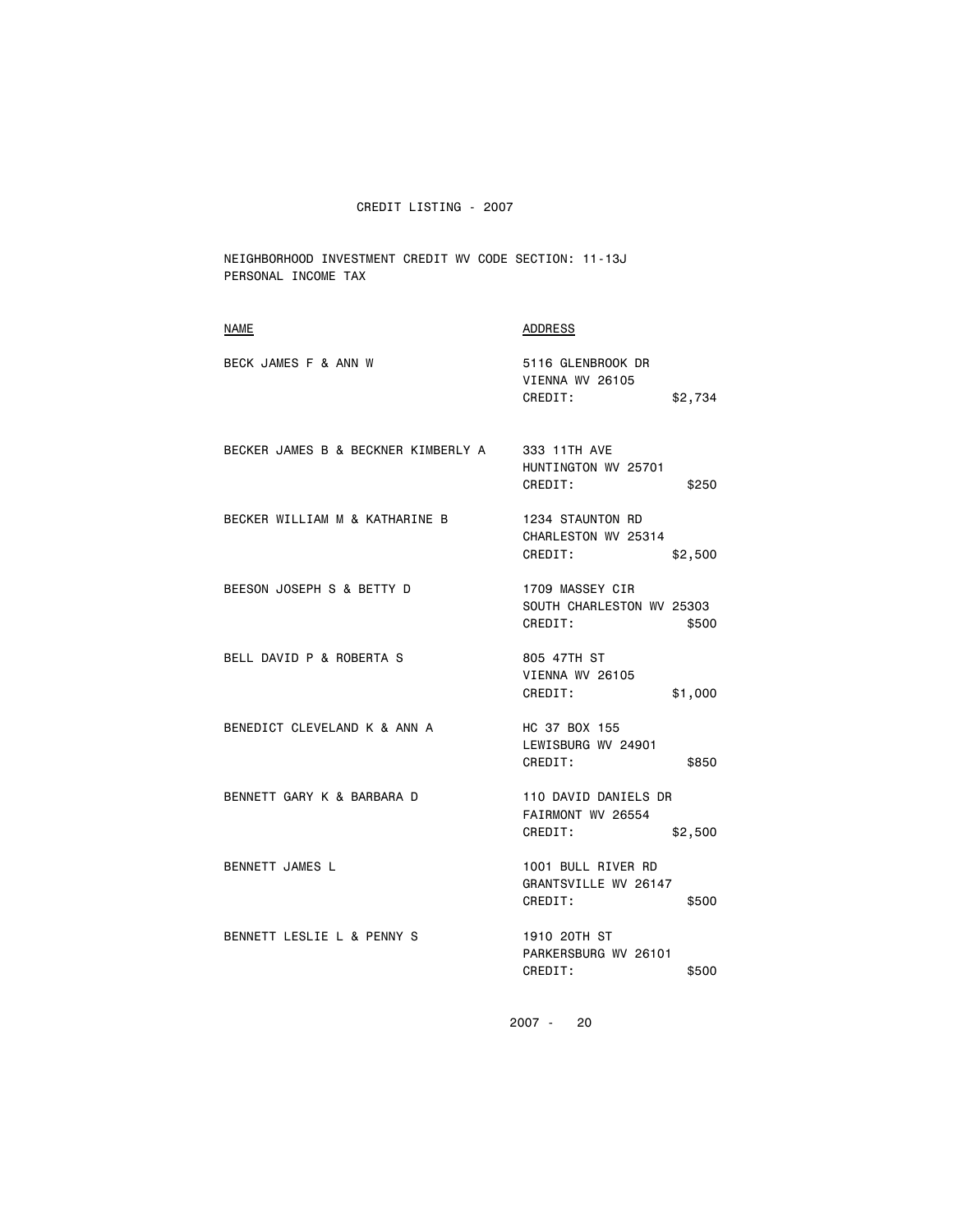NEIGHBORHOOD INVESTMENT CREDIT WV CODE SECTION: 11-13J PERSONAL INCOME TAX

| <b>NAME</b>                         | <b>ADDRESS</b>                                                   |
|-------------------------------------|------------------------------------------------------------------|
| BECK JAMES F & ANN W                | 5116 GLENBROOK DR<br>VIENNA WV 26105<br>CREDIT:<br>\$2,734       |
| BECKER JAMES B & BECKNER KIMBERLY A | 333 11TH AVE<br>HUNTINGTON WV 25701<br>CREDIT:<br>\$250          |
| BECKER WILLIAM M & KATHARINE B      | 1234 STAUNTON RD<br>CHARLESTON WV 25314<br>CREDIT:<br>\$2,500    |
| BEESON JOSEPH S & BETTY D           | 1709 MASSEY CIR<br>SOUTH CHARLESTON WV 25303<br>CREDIT:<br>\$500 |
| BELL DAVID P & ROBERTA S            | 805 47TH ST<br><b>VIENNA WV 26105</b><br>CREDIT:<br>\$1,000      |
| BENEDICT CLEVELAND K & ANN A        | HC 37 BOX 155<br>LEWISBURG WV 24901<br>CREDIT:<br>\$850          |
| BENNETT GARY K & BARBARA D          | 110 DAVID DANIELS DR<br>FAIRMONT WV 26554<br>CREDIT:<br>\$2,500  |
| BENNETT JAMES L                     | 1001 BULL RIVER RD<br>GRANTSVILLE WV 26147<br>CREDIT:<br>\$500   |
| BENNETT LESLIE L & PENNY S          | 1910 20TH ST<br>PARKERSBURG WV 26101<br>CREDIT:<br>\$500         |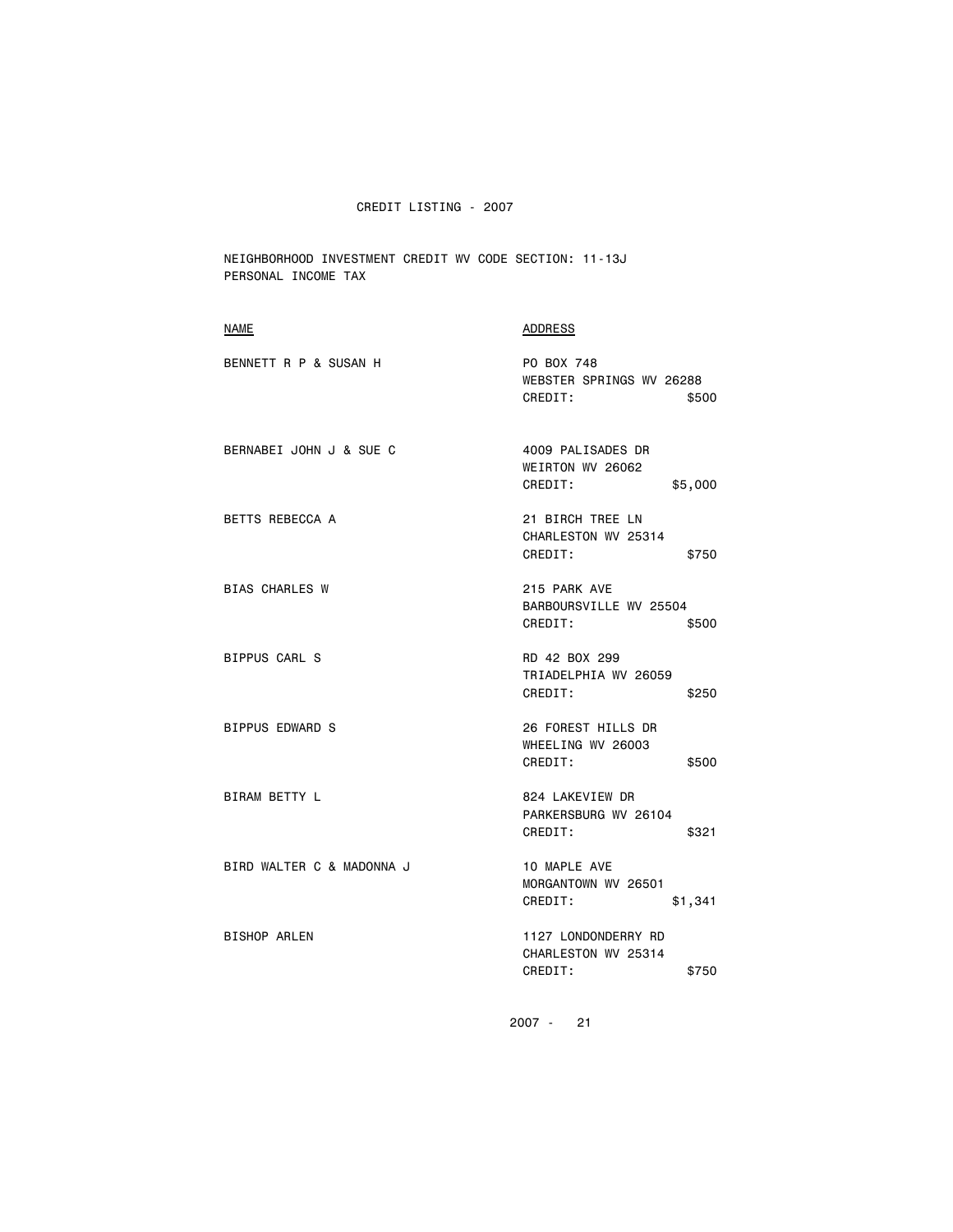NEIGHBORHOOD INVESTMENT CREDIT WV CODE SECTION: 11-13J PERSONAL INCOME TAX

| BENNETT R P & SUSAN H<br>PO BOX 748<br>WEBSTER SPRINGS WV 26288<br>CREDIT:<br>\$500<br>BERNABEI JOHN J & SUE C<br>4009 PALISADES DR<br>WEIRTON WV 26062<br>CREDIT:<br>\$5,000<br>21 BIRCH TREE LN<br>BETTS REBECCA A<br>CHARLESTON WV 25314<br>CREDIT:<br>\$750<br><b>BIAS CHARLES W</b><br>215 PARK AVE<br>BARBOURSVILLE WV 25504<br>CREDIT:<br>\$500<br><b>BIPPUS CARL S</b><br>RD 42 BOX 299<br>TRIADELPHIA WV 26059<br>CREDIT:<br>\$250<br>BIPPUS EDWARD S<br>26 FOREST HILLS DR<br>WHEELING WV 26003<br>CREDIT:<br>\$500<br><b>BIRAM BETTY L</b><br>824 LAKEVIEW DR<br>PARKERSBURG WV 26104<br>CREDIT:<br>\$321<br>BIRD WALTER C & MADONNA J<br>10 MAPLE AVE<br>MORGANTOWN WV 26501<br>CREDIT:<br>\$1,341<br><b>BISHOP ARLEN</b><br>1127 LONDONDERRY RD<br>CHARLESTON WV 25314<br>CREDIT:<br>\$750 | <b>NAME</b> | ADDRESS |
|---------------------------------------------------------------------------------------------------------------------------------------------------------------------------------------------------------------------------------------------------------------------------------------------------------------------------------------------------------------------------------------------------------------------------------------------------------------------------------------------------------------------------------------------------------------------------------------------------------------------------------------------------------------------------------------------------------------------------------------------------------------------------------------------------------|-------------|---------|
|                                                                                                                                                                                                                                                                                                                                                                                                                                                                                                                                                                                                                                                                                                                                                                                                         |             |         |
|                                                                                                                                                                                                                                                                                                                                                                                                                                                                                                                                                                                                                                                                                                                                                                                                         |             |         |
|                                                                                                                                                                                                                                                                                                                                                                                                                                                                                                                                                                                                                                                                                                                                                                                                         |             |         |
|                                                                                                                                                                                                                                                                                                                                                                                                                                                                                                                                                                                                                                                                                                                                                                                                         |             |         |
|                                                                                                                                                                                                                                                                                                                                                                                                                                                                                                                                                                                                                                                                                                                                                                                                         |             |         |
|                                                                                                                                                                                                                                                                                                                                                                                                                                                                                                                                                                                                                                                                                                                                                                                                         |             |         |
|                                                                                                                                                                                                                                                                                                                                                                                                                                                                                                                                                                                                                                                                                                                                                                                                         |             |         |
|                                                                                                                                                                                                                                                                                                                                                                                                                                                                                                                                                                                                                                                                                                                                                                                                         |             |         |
|                                                                                                                                                                                                                                                                                                                                                                                                                                                                                                                                                                                                                                                                                                                                                                                                         |             |         |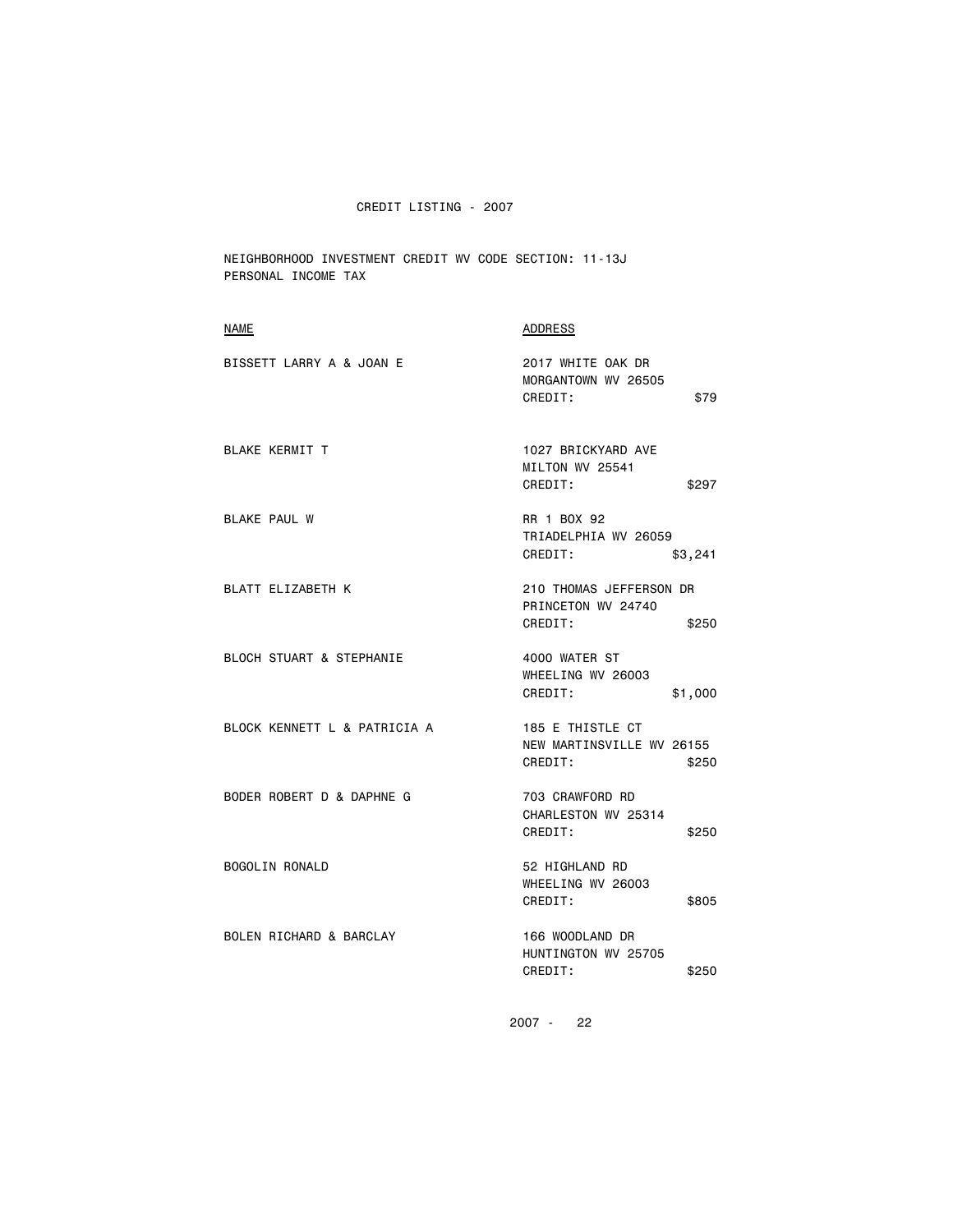NEIGHBORHOOD INVESTMENT CREDIT WV CODE SECTION: 11-13J PERSONAL INCOME TAX

| <b>NAME</b>                  | <b>ADDRESS</b>                                                    |
|------------------------------|-------------------------------------------------------------------|
| BISSETT LARRY A & JOAN E     | 2017 WHITE OAK DR<br>MORGANTOWN WV 26505<br>CREDIT:<br>\$79       |
| <b>BLAKE KERMIT T</b>        | 1027 BRICKYARD AVE<br>MILTON WV 25541<br>CREDIT:<br>\$297         |
| <b>BLAKE PAUL W</b>          | RR 1 BOX 92<br>TRIADELPHIA WV 26059<br>CREDIT:<br>\$3,241         |
| BLATT ELIZABETH K            | 210 THOMAS JEFFERSON DR<br>PRINCETON WV 24740<br>CREDIT:<br>\$250 |
| BLOCH STUART & STEPHANIE     | 4000 WATER ST<br>WHEELING WV 26003<br>CREDIT:<br>\$1,000          |
| BLOCK KENNETT L & PATRICIA A | 185 E THISTLE CT<br>NEW MARTINSVILLE WV 26155<br>CREDIT:<br>\$250 |
| BODER ROBERT D & DAPHNE G    | 703 CRAWFORD RD<br>CHARLESTON WV 25314<br>CREDIT:<br>\$250        |
| BOGOLIN RONALD               | 52 HIGHLAND RD<br>WHEELING WV 26003<br>CREDIT:<br>\$805           |
| BOLEN RICHARD & BARCLAY      | 166 WOODLAND DR<br>HUNTINGTON WV 25705<br>CREDIT:<br>\$250        |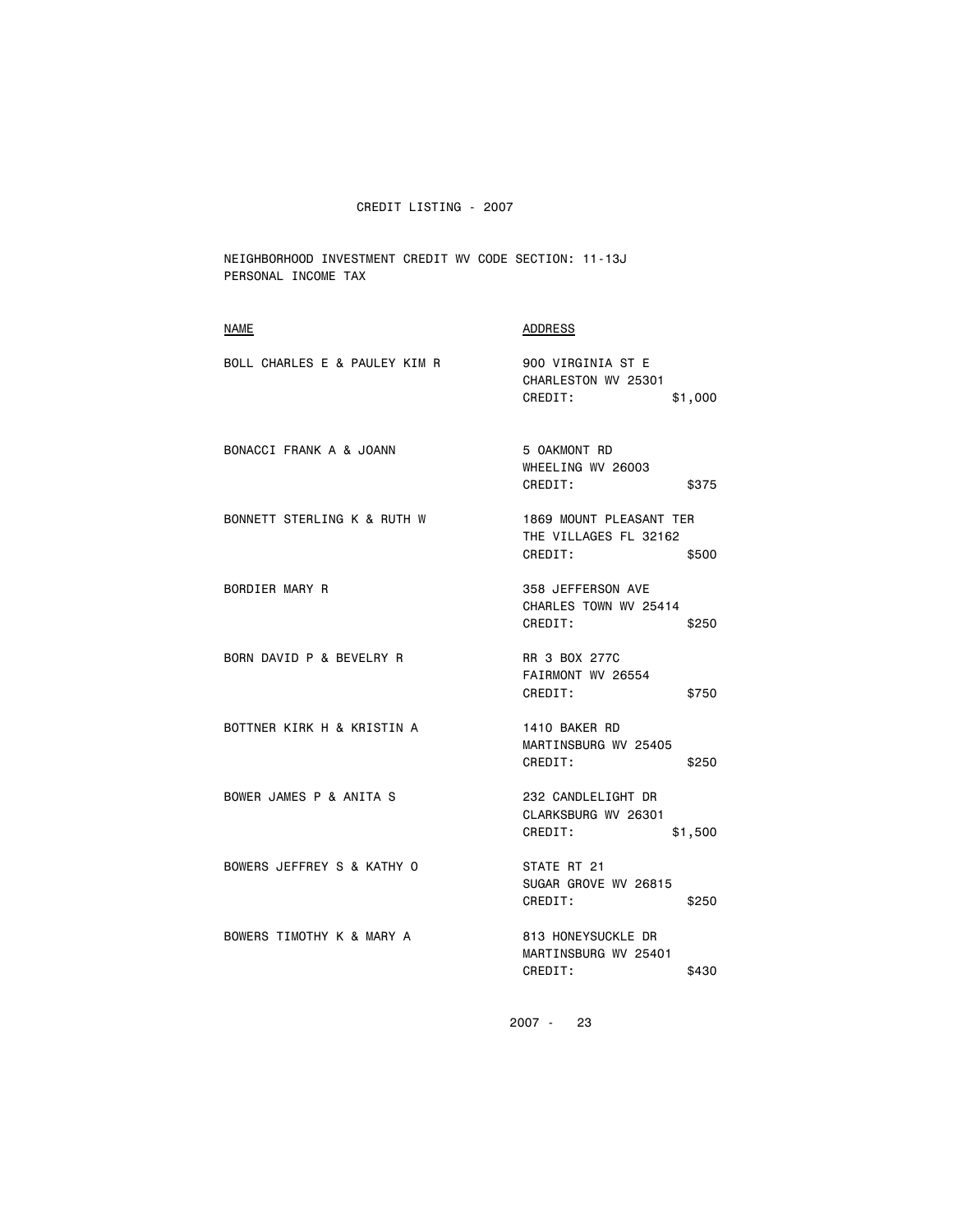NEIGHBORHOOD INVESTMENT CREDIT WV CODE SECTION: 11-13J PERSONAL INCOME TAX

| <b>NAME</b>                   | <b>ADDRESS</b>                                                       |
|-------------------------------|----------------------------------------------------------------------|
| BOLL CHARLES E & PAULEY KIM R | 900 VIRGINIA ST E<br>CHARLESTON WV 25301<br>CREDIT:<br>\$1,000       |
| BONACCI FRANK A & JOANN       | 5 OAKMONT RD<br>WHEELING WV 26003<br>CREDIT:<br>\$375                |
| BONNETT STERLING K & RUTH W   | 1869 MOUNT PLEASANT TER<br>THE VILLAGES FL 32162<br>CREDIT:<br>\$500 |
| BORDIER MARY R                | 358 JEFFERSON AVE<br>CHARLES TOWN WV 25414<br>CREDIT:<br>\$250       |
| BORN DAVID P & BEVELRY R      | RR 3 BOX 277C<br>FAIRMONT WV 26554<br>CREDIT:<br>\$750               |
| BOTTNER KIRK H & KRISTIN A    | 1410 BAKER RD<br>MARTINSBURG WV 25405<br>CREDIT:<br>\$250            |
| BOWER JAMES P & ANITA S       | 232 CANDLELIGHT DR<br>CLARKSBURG WV 26301<br>CREDIT:<br>\$1,500      |
| BOWERS JEFFREY S & KATHY O    | STATE RT 21<br>SUGAR GROVE WV 26815<br>CREDIT:<br>\$250              |
| BOWERS TIMOTHY K & MARY A     | 813 HONEYSUCKLE DR<br>MARTINSBURG WV 25401<br>CREDIT:<br>\$430       |
|                               |                                                                      |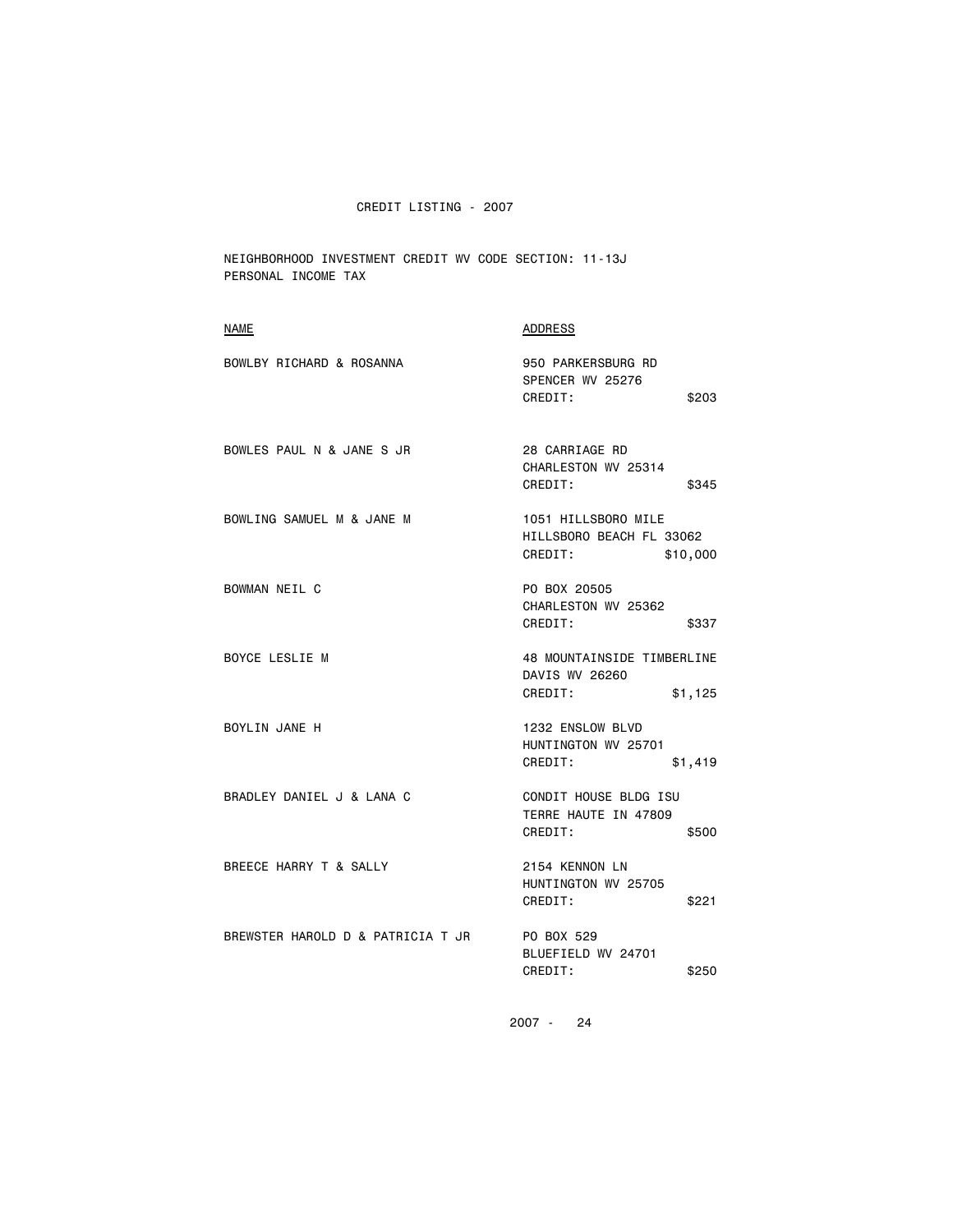NEIGHBORHOOD INVESTMENT CREDIT WV CODE SECTION: 11-13J PERSONAL INCOME TAX

| <b>NAME</b>                       | <b>ADDRESS</b>                                                         |
|-----------------------------------|------------------------------------------------------------------------|
| BOWLBY RICHARD & ROSANNA          | 950 PARKERSBURG RD<br>SPENCER WV 25276<br>CREDIT:<br>\$203             |
| BOWLES PAUL N & JANE S JR         | 28 CARRIAGE RD<br>CHARLESTON WV 25314<br>CREDIT:<br>\$345              |
| BOWLING SAMUEL M & JANE M         | 1051 HILLSBORO MILE<br>HILLSBORO BEACH FL 33062<br>\$10,000<br>CREDIT: |
| BOWMAN NEIL C                     | PO BOX 20505<br>CHARLESTON WV 25362<br>CREDIT:<br>\$337                |
| BOYCE LESLIE M                    | 48 MOUNTAINSIDE TIMBERLINE<br>DAVIS WV 26260<br>CREDIT:<br>\$1,125     |
| BOYLIN JANE H                     | 1232 ENSLOW BLVD<br>HUNTINGTON WV 25701<br>CREDIT:<br>\$1,419          |
| BRADLEY DANIEL J & LANA C         | CONDIT HOUSE BLDG ISU<br>TERRE HAUTE IN 47809<br>CREDIT:<br>\$500      |
| BREECE HARRY T & SALLY            | 2154 KENNON LN<br>HUNTINGTON WV 25705<br>CREDIT:<br>\$221              |
| BREWSTER HAROLD D & PATRICIA T JR | PO BOX 529<br>BLUEFIELD WV 24701<br>CREDIT:<br>\$250                   |
|                                   |                                                                        |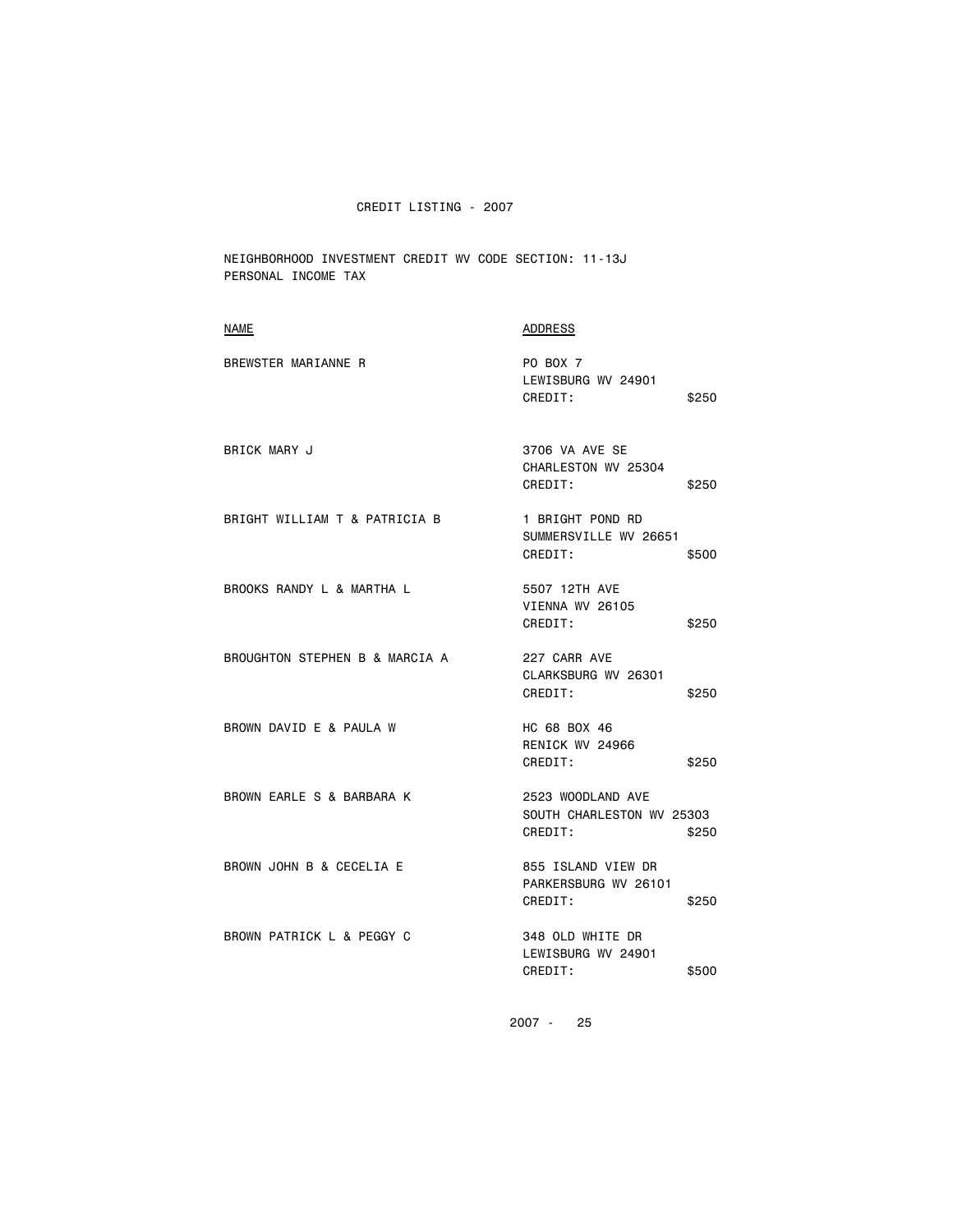NEIGHBORHOOD INVESTMENT CREDIT WV CODE SECTION: 11-13J PERSONAL INCOME TAX

| <b>ADDRESS</b>                                                     |
|--------------------------------------------------------------------|
| <b>PO BOX 7</b><br>LEWISBURG WV 24901<br>CREDIT:<br>\$250          |
| 3706 VA AVE SE<br>CHARLESTON WV 25304<br>CREDIT:<br>\$250          |
| 1 BRIGHT POND RD<br>SUMMERSVILLE WV 26651<br>CREDIT:<br>\$500      |
| 5507 12TH AVE<br>VIENNA WV 26105<br>CREDIT:<br>\$250               |
| 227 CARR AVE<br>CLARKSBURG WV 26301<br>CREDIT:<br>\$250            |
| HC 68 BOX 46<br>RENICK WV 24966<br>CREDIT:<br>\$250                |
| 2523 WOODLAND AVE<br>SOUTH CHARLESTON WV 25303<br>CREDIT:<br>\$250 |
| 855 ISLAND VIEW DR<br>PARKERSBURG WV 26101<br>CREDIT:<br>\$250     |
| 348 OLD WHITE DR<br>LEWISBURG WV 24901<br>CREDIT:<br>\$500         |
|                                                                    |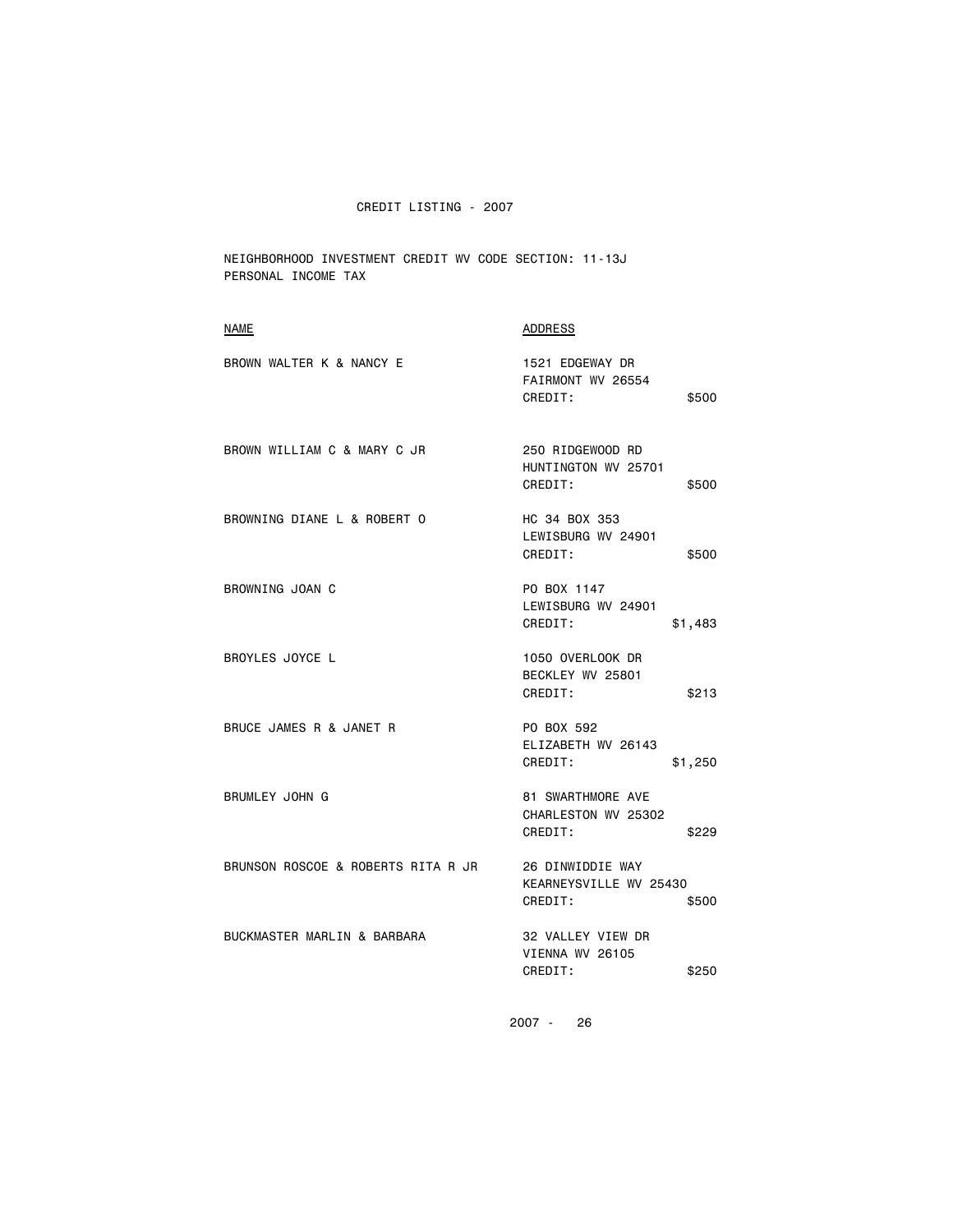NEIGHBORHOOD INVESTMENT CREDIT WV CODE SECTION: 11-13J PERSONAL INCOME TAX

| NAME                               | ADDRESS                                                             |
|------------------------------------|---------------------------------------------------------------------|
| BROWN WALTER K & NANCY E           | 1521 EDGEWAY DR<br>FAIRMONT WV 26554<br>CREDIT:<br>\$500            |
| BROWN WILLIAM C & MARY C JR        | 250 RIDGEWOOD RD<br>HUNTINGTON WV 25701<br>CREDIT:<br>\$500         |
| BROWNING DIANE L & ROBERT O        | HC 34 BOX 353<br>LEWISBURG WV 24901<br>CREDIT:<br>\$500             |
| BROWNING JOAN C                    | PO BOX 1147<br>LEWISBURG WV 24901<br>CREDIT:<br>\$1,483             |
| <b>BROYLES JOYCE L</b>             | 1050 OVERLOOK DR<br>BECKLEY WV 25801<br>CREDIT:<br>\$213            |
| BRUCE JAMES R & JANET R            | PO BOX 592<br>ELIZABETH WV 26143<br>CREDIT:<br>\$1,250              |
| <b>BRUMLEY JOHN G</b>              | <b>81 SWARTHMORE AVE</b><br>CHARLESTON WV 25302<br>CREDIT:<br>\$229 |
| BRUNSON ROSCOE & ROBERTS RITA R JR | 26 DINWIDDIE WAY<br>KEARNEYSVILLE WV 25430<br>CREDIT:<br>\$500      |
| BUCKMASTER MARLIN & BARBARA        | 32 VALLEY VIEW DR<br>VIENNA WV 26105<br>CREDIT:<br>\$250            |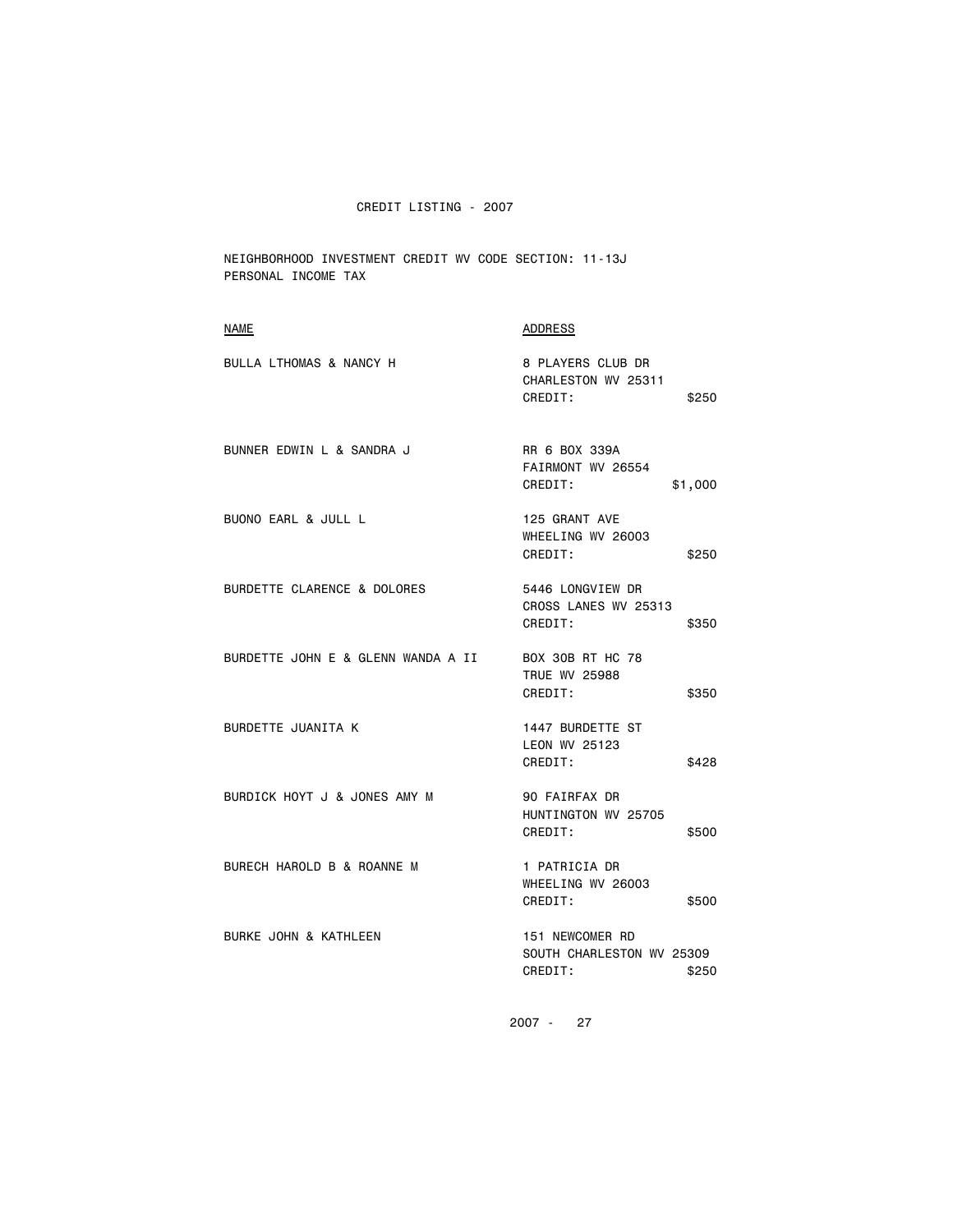NEIGHBORHOOD INVESTMENT CREDIT WV CODE SECTION: 11-13J PERSONAL INCOME TAX

| <b>NAME</b>                        | <b>ADDRESS</b>                                                      |
|------------------------------------|---------------------------------------------------------------------|
| BULLA LTHOMAS & NANCY H            | 8 PLAYERS CLUB DR<br>CHARLESTON WV 25311<br>CREDIT:<br>\$250        |
| BUNNER EDWIN L & SANDRA J          | RR 6 BOX 339A<br>FAIRMONT WV 26554<br>CREDIT:<br>\$1,000            |
| BUONO EARL & JULL L                | 125 GRANT AVE<br>WHEELING WV 26003<br>CREDIT:<br>\$250              |
| BURDETTE CLARENCE & DOLORES        | 5446 LONGVIEW DR<br>CROSS LANES WV 25313<br>CREDIT:<br>\$350        |
| BURDETTE JOHN E & GLENN WANDA A II | <b>BOX 30B RT HC 78</b><br><b>TRUE WV 25988</b><br>CREDIT:<br>\$350 |
| BURDETTE JUANITA K                 | 1447 BURDETTE ST<br>LEON WV 25123<br>CREDIT:<br>\$428               |
| BURDICK HOYT J & JONES AMY M       | 90 FAIRFAX DR<br>HUNTINGTON WV 25705<br>CREDIT:<br>\$500            |
| BURECH HAROLD B & ROANNE M         | 1 PATRICIA DR<br>WHEELING WV 26003<br>CREDIT:<br>\$500              |
| BURKE JOHN & KATHLEEN              | 151 NEWCOMER RD<br>SOUTH CHARLESTON WV 25309<br>CREDIT:<br>\$250    |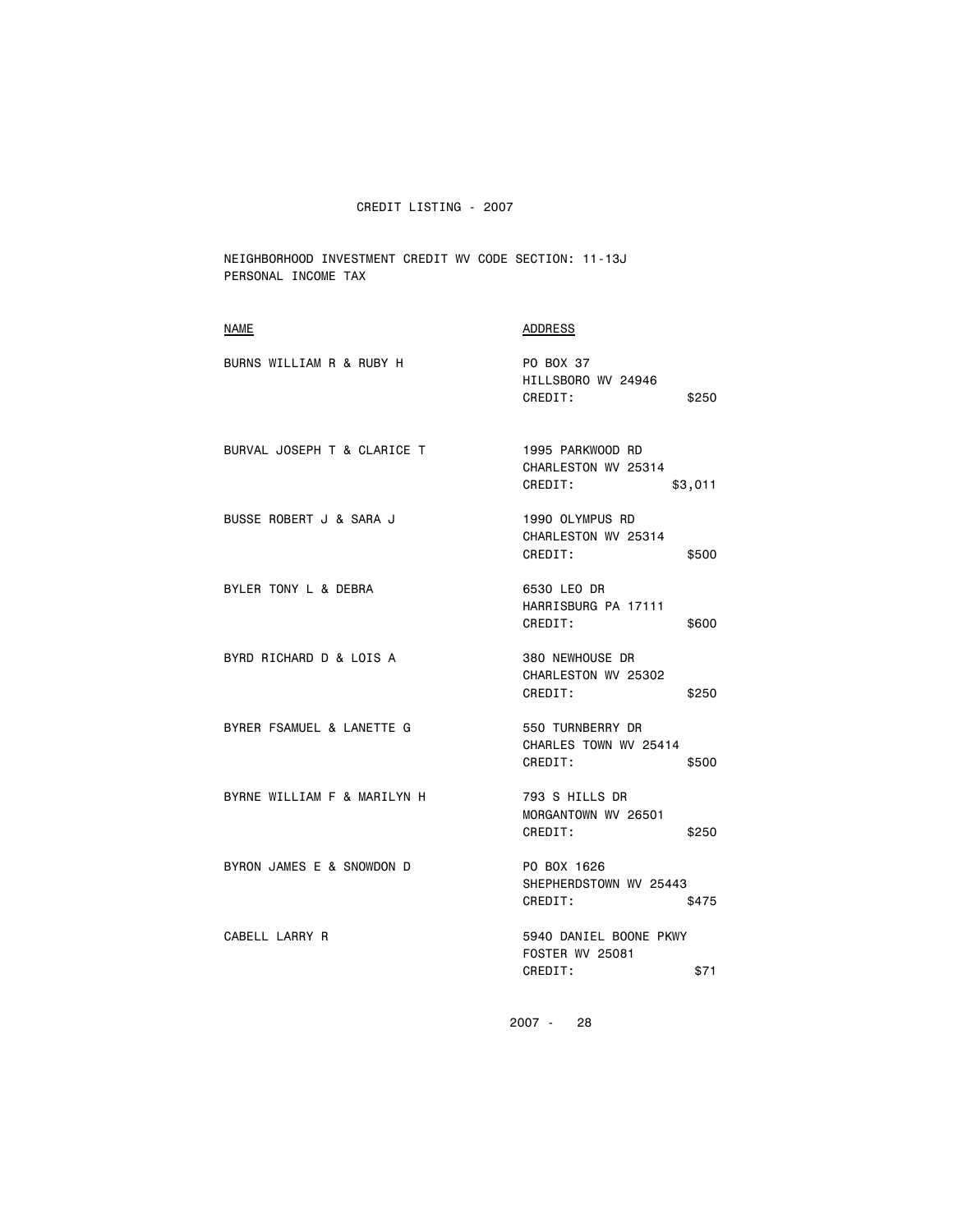NEIGHBORHOOD INVESTMENT CREDIT WV CODE SECTION: 11-13J PERSONAL INCOME TAX

| <b>NAME</b>                 | <b>ADDRESS</b>                                                      |
|-----------------------------|---------------------------------------------------------------------|
| BURNS WILLIAM R & RUBY H    | PO BOX 37<br>HILLSBORO WV 24946<br>CREDIT:<br>\$250                 |
| BURVAL JOSEPH T & CLARICE T | 1995 PARKWOOD RD<br>CHARLESTON WV 25314<br>CREDIT:<br>\$3,011       |
| BUSSE ROBERT J & SARA J     | 1990 OLYMPUS RD<br>CHARLESTON WV 25314<br>CREDIT:<br>\$500          |
| BYLER TONY L & DEBRA        | 6530 LEO DR<br>HARRISBURG PA 17111<br>CREDIT:<br>\$600              |
| BYRD RICHARD D & LOIS A     | 380 NEWHOUSE DR<br>CHARLESTON WV 25302<br>CREDIT:<br>\$250          |
| BYRER FSAMUEL & LANETTE G   | 550 TURNBERRY DR<br>CHARLES TOWN WV 25414<br>CREDIT:<br>\$500       |
| BYRNE WILLIAM F & MARILYN H | 793 S HILLS DR<br>MORGANTOWN WV 26501<br>CREDIT:<br>\$250           |
| BYRON JAMES E & SNOWDON D   | PO BOX 1626<br>SHEPHERDSTOWN WV 25443<br>CREDIT:<br>\$475           |
| CABELL LARRY R              | 5940 DANIEL BOONE PKWY<br><b>FOSTER WV 25081</b><br>CREDIT:<br>\$71 |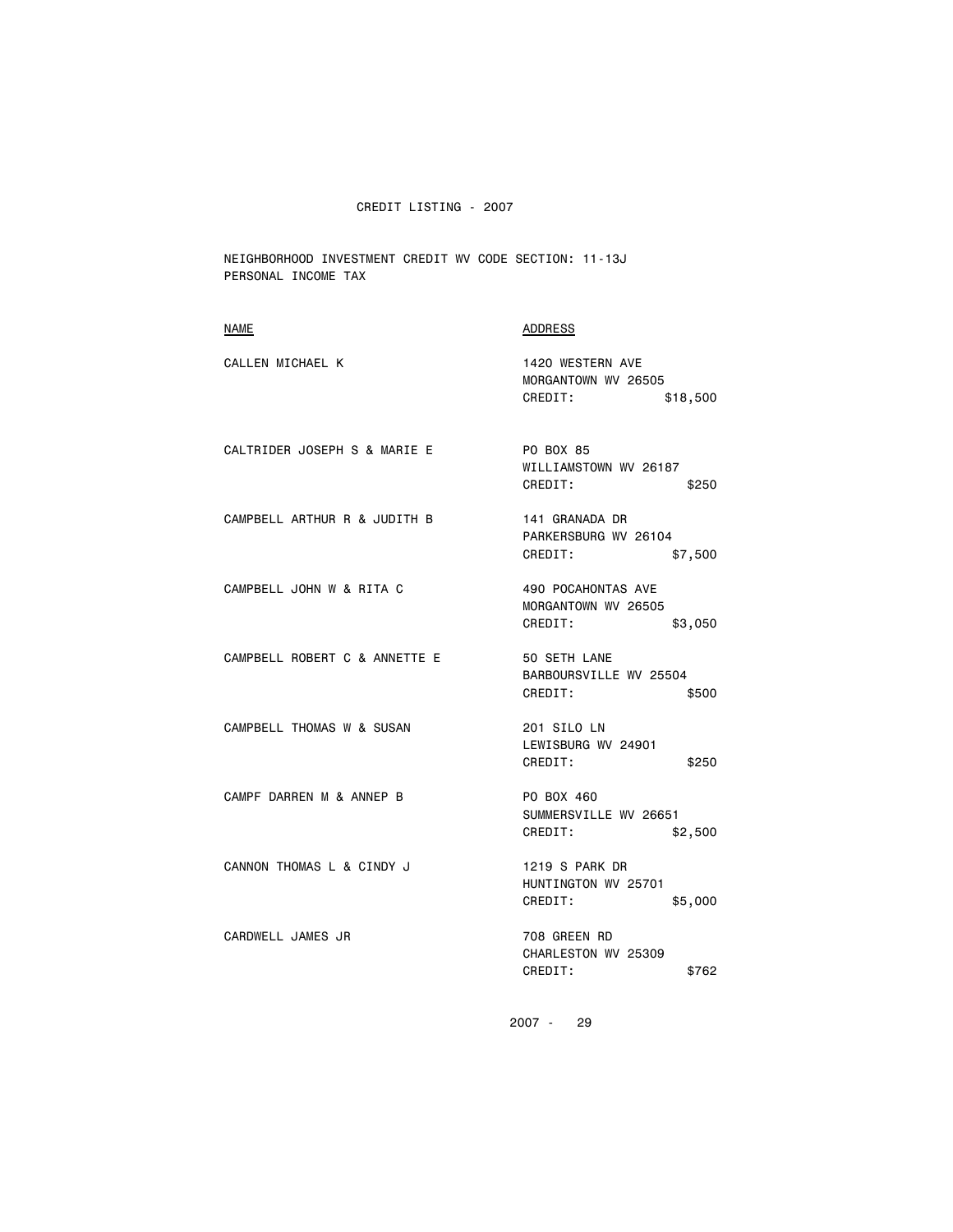NEIGHBORHOOD INVESTMENT CREDIT WV CODE SECTION: 11-13J PERSONAL INCOME TAX

| <b>NAME</b>                   | <b>ADDRESS</b>                                                  |
|-------------------------------|-----------------------------------------------------------------|
| CALLEN MICHAEL K              | 1420 WESTERN AVE<br>MORGANTOWN WV 26505<br>CREDIT:<br>\$18,500  |
| CALTRIDER JOSEPH S & MARIE E  | PO BOX 85<br>WILLIAMSTOWN WV 26187<br>CREDIT:<br>\$250          |
| CAMPBELL ARTHUR R & JUDITH B  | 141 GRANADA DR<br>PARKERSBURG WV 26104<br>CREDIT:<br>\$7,500    |
| CAMPBELL JOHN W & RITA C      | 490 POCAHONTAS AVE<br>MORGANTOWN WV 26505<br>CREDIT:<br>\$3,050 |
| CAMPBELL ROBERT C & ANNETTE E | 50 SETH LANE<br>BARBOURSVILLE WV 25504<br>CREDIT:<br>\$500      |
| CAMPBELL THOMAS W & SUSAN     | 201 SILO LN<br>LEWISBURG WV 24901<br>CREDIT:<br>\$250           |
| CAMPF DARREN M & ANNEP B      | PO BOX 460<br>SUMMERSVILLE WV 26651<br>CREDIT:<br>\$2,500       |
| CANNON THOMAS L & CINDY J     | 1219 S PARK DR<br>HUNTINGTON WV 25701<br>CREDIT:<br>\$5,000     |
| CARDWELL JAMES JR             | 708 GREEN RD<br>CHARLESTON WV 25309<br>CREDIT:<br>\$762         |
|                               |                                                                 |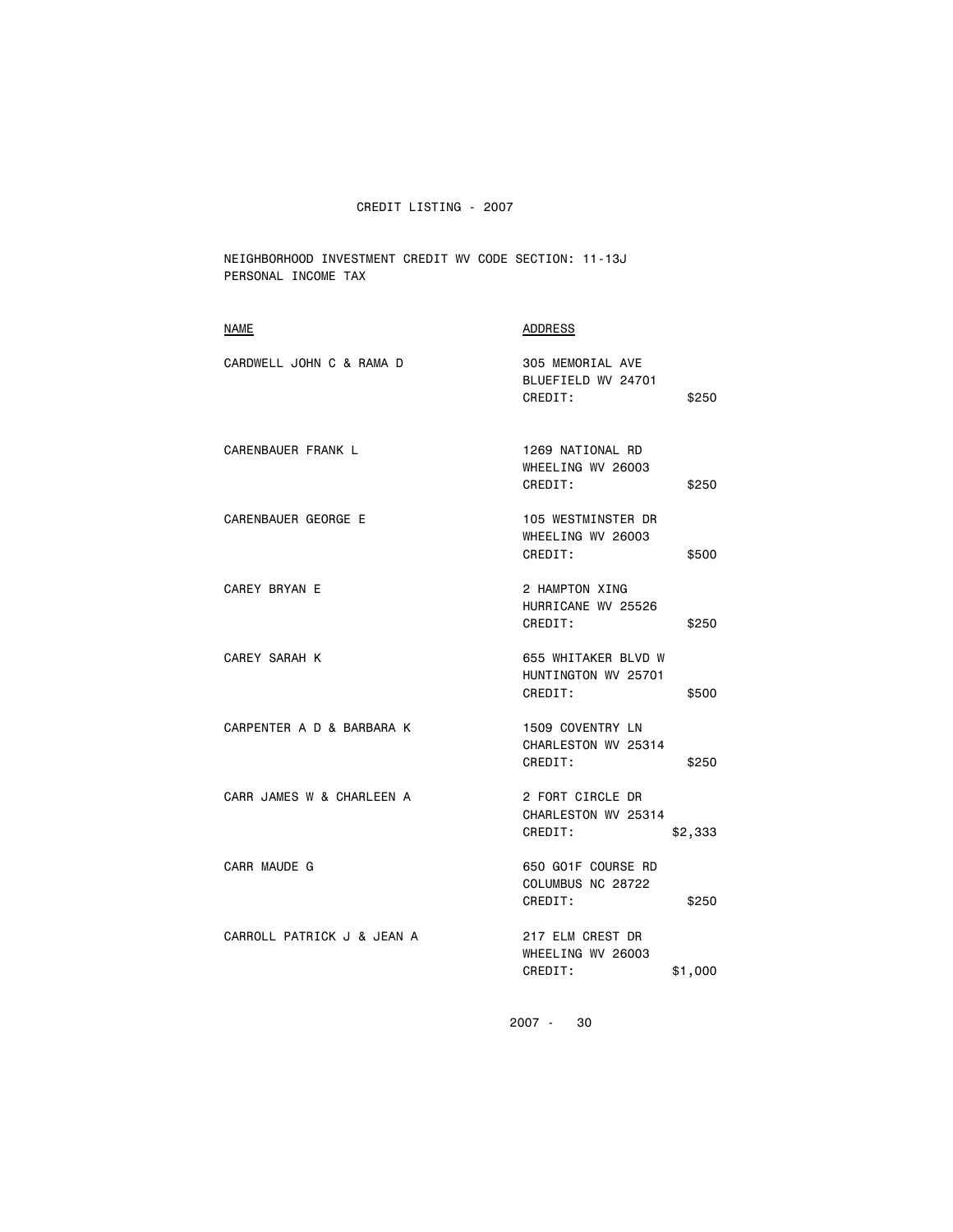NEIGHBORHOOD INVESTMENT CREDIT WV CODE SECTION: 11-13J PERSONAL INCOME TAX

| <b>NAME</b>                | <b>ADDRESS</b>                                        |         |
|----------------------------|-------------------------------------------------------|---------|
| CARDWELL JOHN C & RAMA D   | 305 MEMORIAL AVE<br>BLUEFIELD WV 24701<br>CREDIT:     | \$250   |
| CARENBAUER FRANK L         | 1269 NATIONAL RD<br>WHEELING WV 26003<br>CREDIT:      | \$250   |
| CARENBAUER GEORGE E        | 105 WESTMINSTER DR<br>WHEELING WV 26003<br>CREDIT:    | \$500   |
| <b>CAREY BRYAN E</b>       | 2 HAMPTON XING<br>HURRICANE WV 25526<br>CREDIT:       | \$250   |
| <b>CAREY SARAH K</b>       | 655 WHITAKER BLVD W<br>HUNTINGTON WV 25701<br>CREDIT: | \$500   |
| CARPENTER A D & BARBARA K  | 1509 COVENTRY LN<br>CHARLESTON WV 25314<br>CREDIT:    | \$250   |
| CARR JAMES W & CHARLEEN A  | 2 FORT CIRCLE DR<br>CHARLESTON WV 25314<br>CREDIT:    | \$2,333 |
| CARR MAUDE G               | 650 GO1F COURSE RD<br>COLUMBUS NC 28722<br>CREDIT:    | \$250   |
| CARROLL PATRICK J & JEAN A | 217 ELM CREST DR<br>WHEELING WV 26003<br>CREDIT:      | \$1,000 |
|                            |                                                       |         |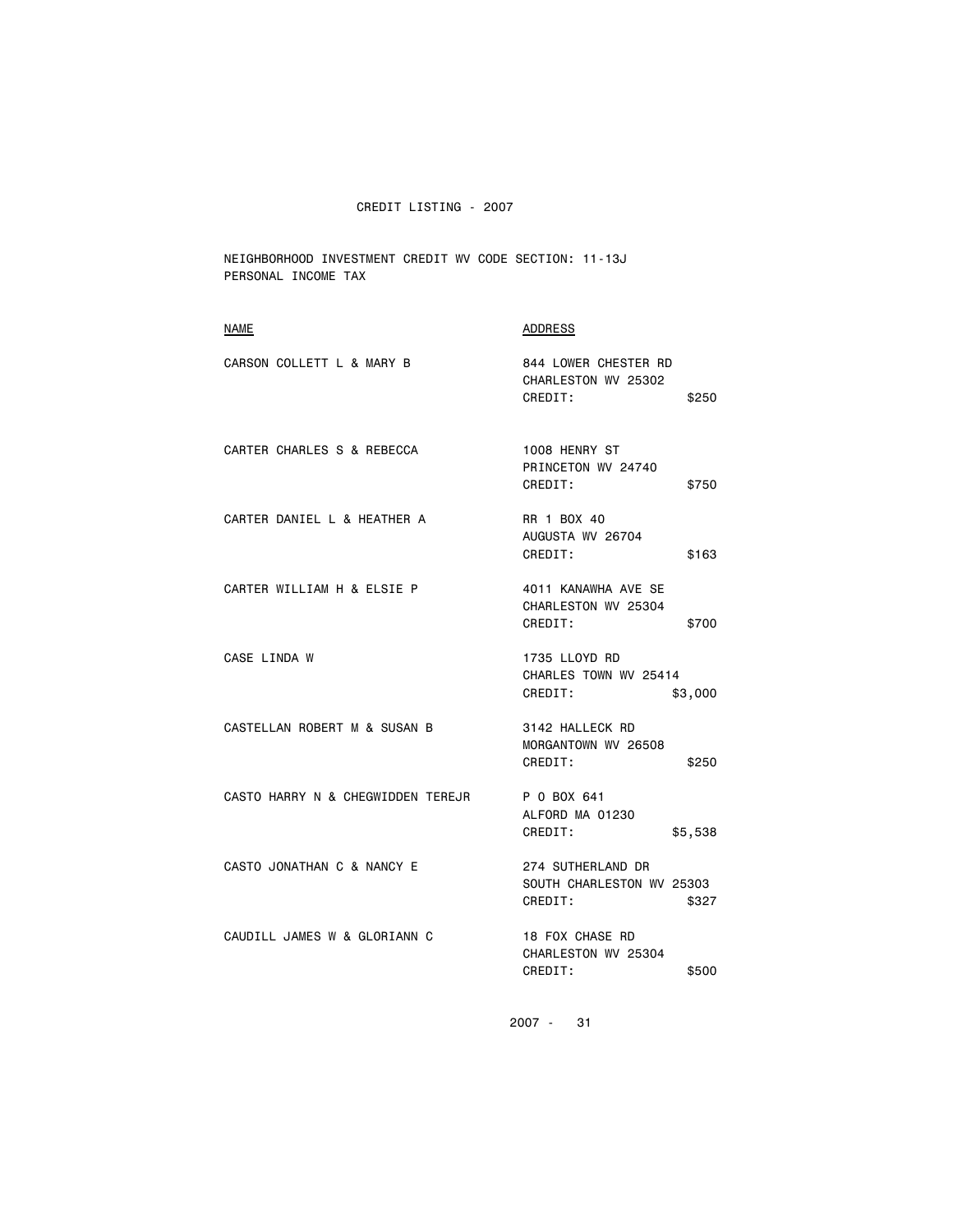NEIGHBORHOOD INVESTMENT CREDIT WV CODE SECTION: 11-13J PERSONAL INCOME TAX

| <b>NAME</b>                       | <b>ADDRESS</b>                                                     |
|-----------------------------------|--------------------------------------------------------------------|
| CARSON COLLETT L & MARY B         | 844 LOWER CHESTER RD<br>CHARLESTON WV 25302<br>CREDIT:<br>\$250    |
| CARTER CHARLES S & REBECCA        | 1008 HENRY ST<br>PRINCETON WV 24740<br>CREDIT:<br>\$750            |
| CARTER DANIEL L & HEATHER A       | RR 1 BOX 40<br>AUGUSTA WV 26704<br>CREDIT:<br>\$163                |
| CARTER WILLIAM H & ELSIE P        | 4011 KANAWHA AVE SE<br>CHARLESTON WV 25304<br>CREDIT:<br>\$700     |
| CASE LINDA W                      | 1735 LLOYD RD<br>CHARLES TOWN WV 25414<br>CREDIT:<br>\$3,000       |
| CASTELLAN ROBERT M & SUSAN B      | 3142 HALLECK RD<br>MORGANTOWN WV 26508<br>CREDIT:<br>\$250         |
| CASTO HARRY N & CHEGWIDDEN TEREJR | P 0 BOX 641<br>ALFORD MA 01230<br>CREDIT:<br>\$5,538               |
| CASTO JONATHAN C & NANCY E        | 274 SUTHERLAND DR<br>SOUTH CHARLESTON WV 25303<br>CREDIT:<br>\$327 |
| CAUDILL JAMES W & GLORIANN C      | 18 FOX CHASE RD<br>CHARLESTON WV 25304<br>CREDIT:<br>\$500         |
|                                   |                                                                    |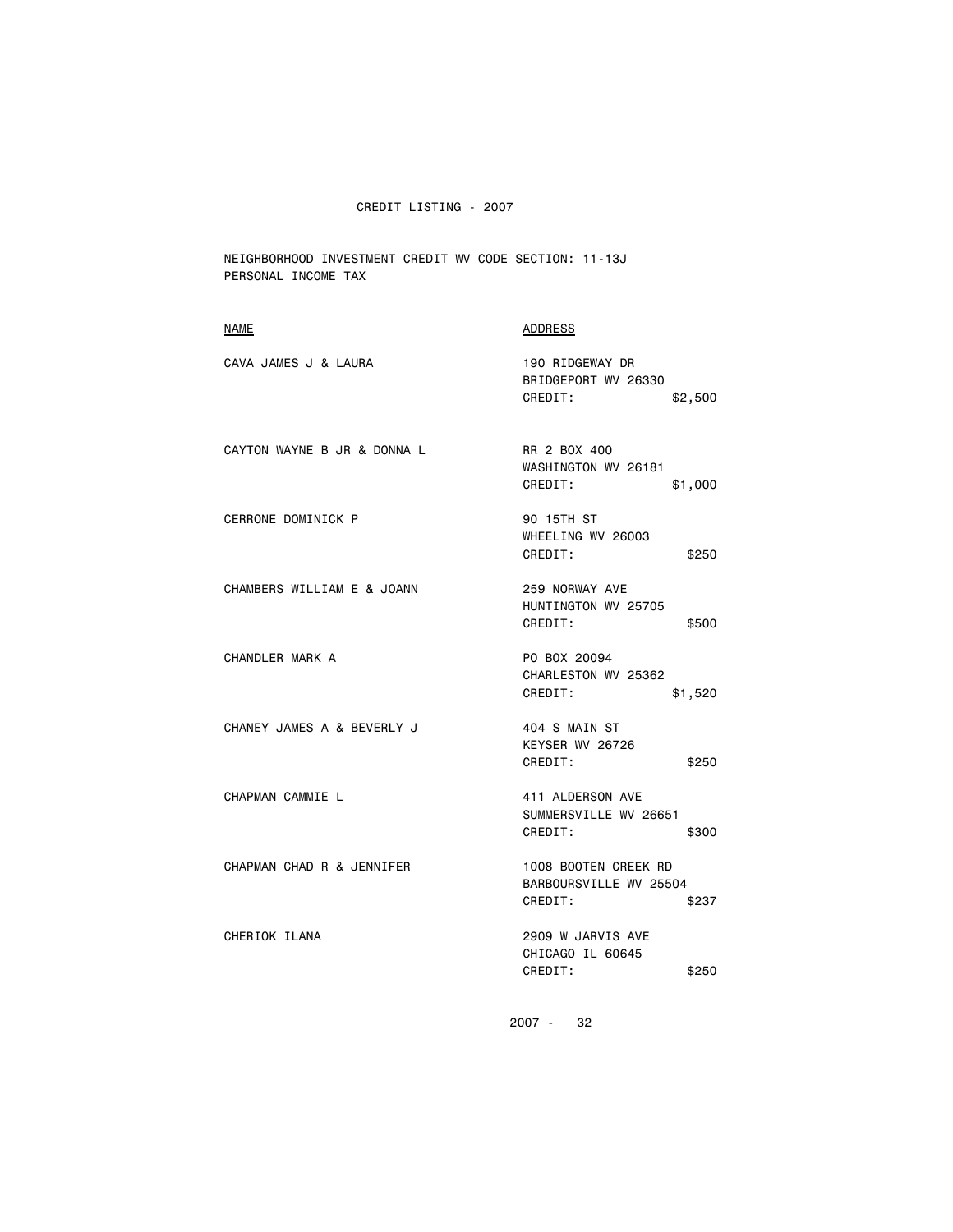NEIGHBORHOOD INVESTMENT CREDIT WV CODE SECTION: 11-13J PERSONAL INCOME TAX

| <u>NAME</u>                 | <b>ADDRESS</b>                                                     |
|-----------------------------|--------------------------------------------------------------------|
| CAVA JAMES J & LAURA        | 190 RIDGEWAY DR<br>BRIDGEPORT WV 26330<br>CREDIT:<br>\$2,500       |
| CAYTON WAYNE B JR & DONNA L | RR 2 BOX 400<br>WASHINGTON WV 26181<br>CREDIT:<br>\$1,000          |
| CERRONE DOMINICK P          | 90 15TH ST<br>WHEELING WV 26003<br>CREDIT:<br>\$250                |
| CHAMBERS WILLIAM E & JOANN  | 259 NORWAY AVE<br>HUNTINGTON WV 25705<br>CREDIT:<br>\$500          |
| CHANDLER MARK A             | PO BOX 20094<br>CHARLESTON WV 25362<br>CREDIT:<br>\$1,520          |
| CHANEY JAMES A & BEVERLY J  | 404 S MAIN ST<br>KEYSER WV 26726<br>CREDIT:<br>\$250               |
| CHAPMAN CAMMIE L            | 411 ALDERSON AVE<br>SUMMERSVILLE WV 26651<br>CREDIT:<br>\$300      |
| CHAPMAN CHAD R & JENNIFER   | 1008 BOOTEN CREEK RD<br>BARBOURSVILLE WV 25504<br>CREDIT:<br>\$237 |
| CHERIOK ILANA               | 2909 W JARVIS AVE<br>CHICAGO IL 60645<br>CREDIT:<br>\$250          |
|                             | 2007 -<br>32                                                       |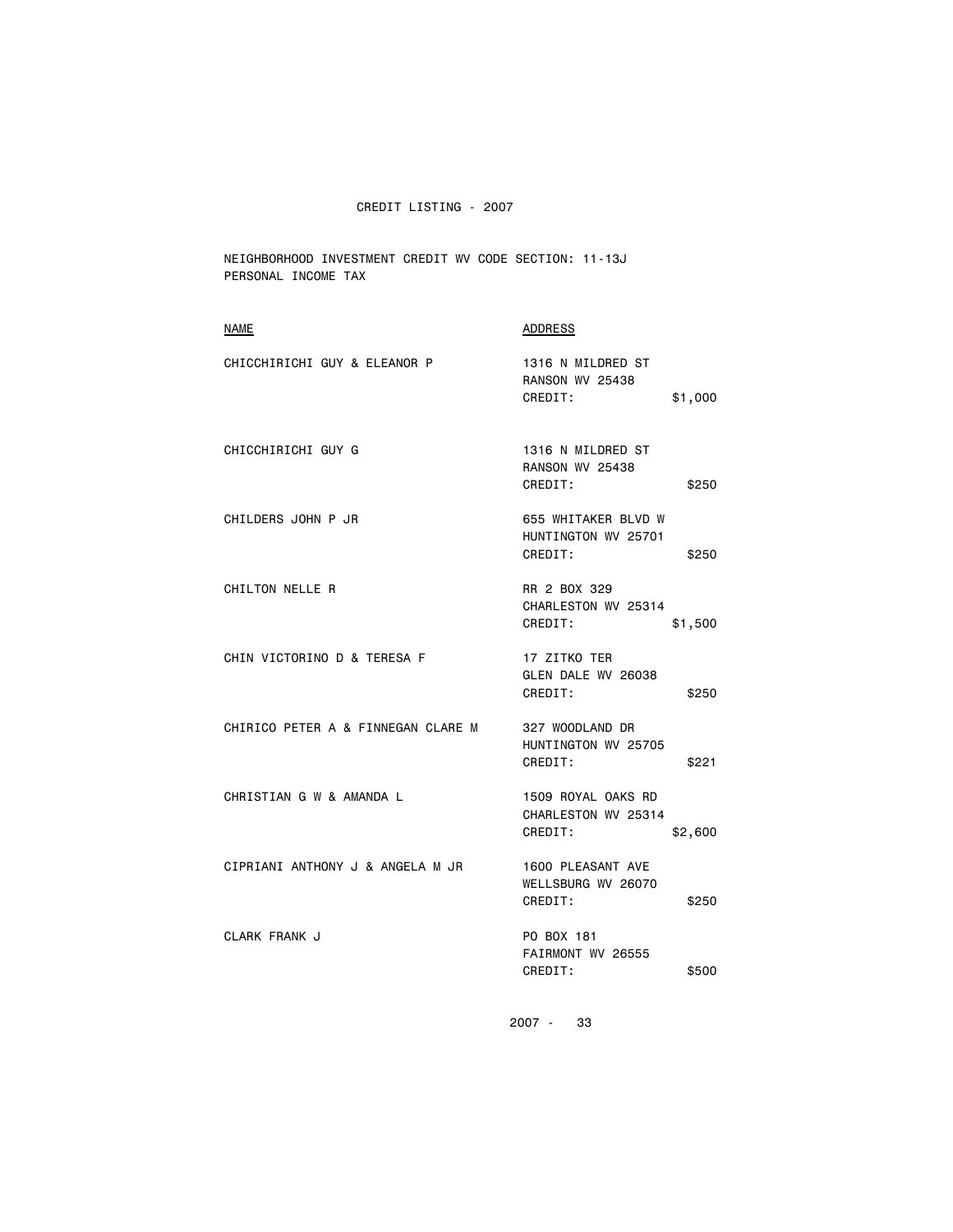NEIGHBORHOOD INVESTMENT CREDIT WV CODE SECTION: 11-13J PERSONAL INCOME TAX

| <b>NAME</b>                        | <b>ADDRESS</b>                                                    |
|------------------------------------|-------------------------------------------------------------------|
| CHICCHIRICHI GUY & ELEANOR P       | 1316 N MILDRED ST<br><b>RANSON WV 25438</b><br>CREDIT:<br>\$1,000 |
| CHICCHIRICHI GUY G                 | 1316 N MILDRED ST<br><b>RANSON WV 25438</b><br>CREDIT:<br>\$250   |
| CHILDERS JOHN P JR                 | 655 WHITAKER BLVD W<br>HUNTINGTON WV 25701<br>CREDIT:<br>\$250    |
| CHILTON NELLE R                    | RR 2 BOX 329<br>CHARLESTON WV 25314<br>CREDIT:<br>\$1,500         |
| CHIN VICTORINO D & TERESA F        | 17 ZITKO TER<br>GLEN DALE WV 26038<br>CREDIT:<br>\$250            |
| CHIRICO PETER A & FINNEGAN CLARE M | 327 WOODLAND DR<br>HUNTINGTON WV 25705<br>CREDIT:<br>\$221        |
| CHRISTIAN G W & AMANDA L           | 1509 ROYAL OAKS RD<br>CHARLESTON WV 25314<br>CREDIT:<br>\$2,600   |
| CIPRIANI ANTHONY J & ANGELA M JR   | 1600 PLEASANT AVE<br>WELLSBURG WV 26070<br>CREDIT:<br>\$250       |
| CLARK FRANK J                      | PO BOX 181<br>FAIRMONT WV 26555<br>CREDIT:<br>\$500               |
|                                    |                                                                   |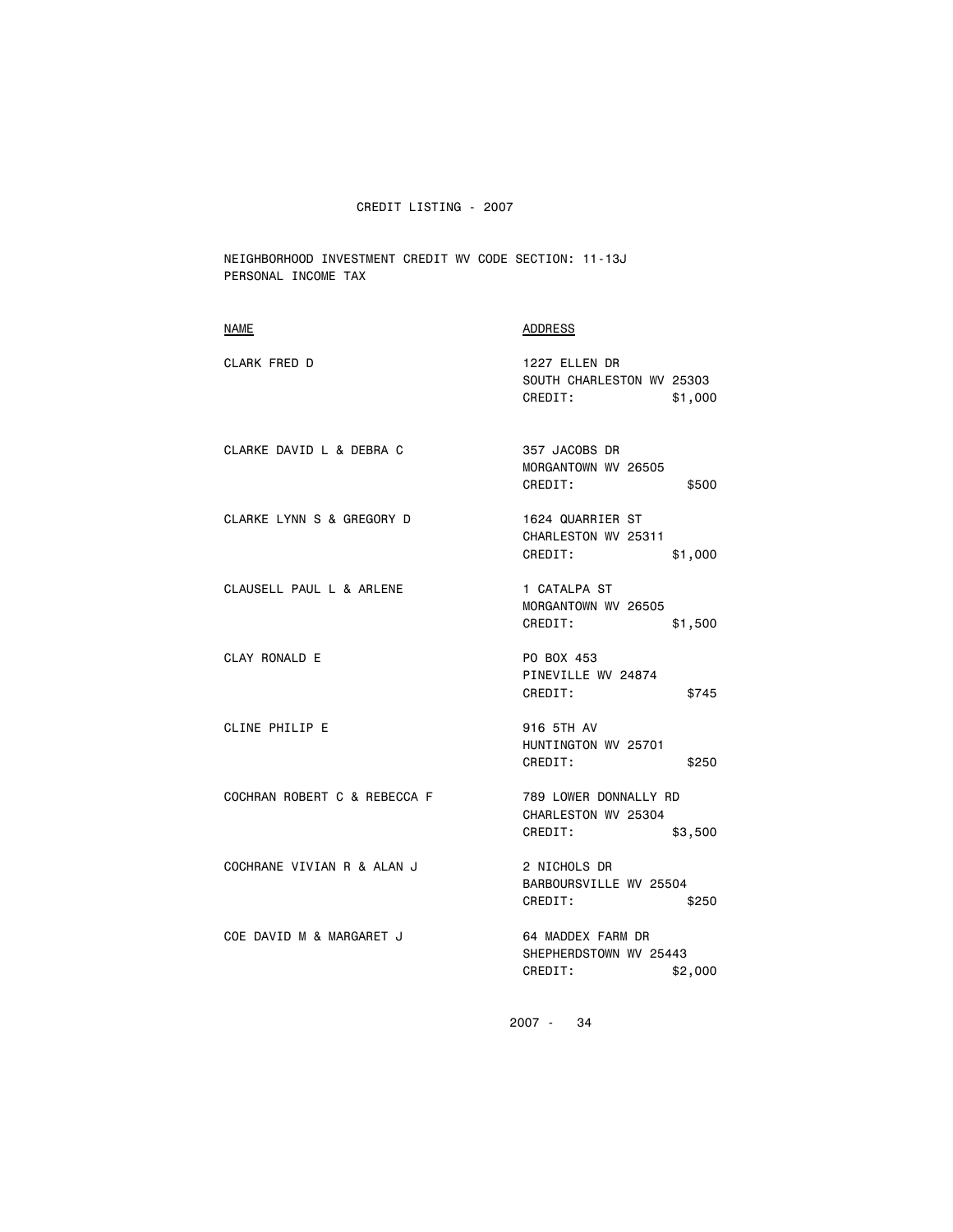NEIGHBORHOOD INVESTMENT CREDIT WV CODE SECTION: 11-13J PERSONAL INCOME TAX

| CLARK FRED D<br>1227 ELLEN DR<br>SOUTH CHARLESTON WV 25303<br>CREDIT:<br>\$1,000<br>CLARKE DAVID L & DEBRA C<br>357 JACOBS DR<br>MORGANTOWN WV 26505<br>CREDIT:<br>\$500<br>CLARKE LYNN S & GREGORY D<br>1624 QUARRIER ST<br>CHARLESTON WV 25311<br>CREDIT:<br>\$1,000<br>CLAUSELL PAUL L & ARLENE<br>1 CATALPA ST<br>MORGANTOWN WV 26505<br>CREDIT:<br>\$1,500<br><b>CLAY RONALD E</b><br>PO BOX 453<br>PINEVILLE WV 24874<br>CREDIT:<br>\$745<br>CLINE PHILIP E<br>916 5TH AV<br>HUNTINGTON WV 25701<br>CREDIT:<br>\$250<br>COCHRAN ROBERT C & REBECCA F<br>789 LOWER DONNALLY RD<br>CHARLESTON WV 25304<br>CREDIT:<br>\$3,500<br>COCHRANE VIVIAN R & ALAN J<br>2 NICHOLS DR<br>BARBOURSVILLE WV 25504<br>CREDIT:<br>\$250<br>COE DAVID M & MARGARET J<br>64 MADDEX FARM DR<br>SHEPHERDSTOWN WV 25443<br>CREDIT:<br>\$2,000 | <b>NAME</b> | ADDRESS |
|-------------------------------------------------------------------------------------------------------------------------------------------------------------------------------------------------------------------------------------------------------------------------------------------------------------------------------------------------------------------------------------------------------------------------------------------------------------------------------------------------------------------------------------------------------------------------------------------------------------------------------------------------------------------------------------------------------------------------------------------------------------------------------------------------------------------------------|-------------|---------|
|                                                                                                                                                                                                                                                                                                                                                                                                                                                                                                                                                                                                                                                                                                                                                                                                                               |             |         |
|                                                                                                                                                                                                                                                                                                                                                                                                                                                                                                                                                                                                                                                                                                                                                                                                                               |             |         |
|                                                                                                                                                                                                                                                                                                                                                                                                                                                                                                                                                                                                                                                                                                                                                                                                                               |             |         |
|                                                                                                                                                                                                                                                                                                                                                                                                                                                                                                                                                                                                                                                                                                                                                                                                                               |             |         |
|                                                                                                                                                                                                                                                                                                                                                                                                                                                                                                                                                                                                                                                                                                                                                                                                                               |             |         |
|                                                                                                                                                                                                                                                                                                                                                                                                                                                                                                                                                                                                                                                                                                                                                                                                                               |             |         |
|                                                                                                                                                                                                                                                                                                                                                                                                                                                                                                                                                                                                                                                                                                                                                                                                                               |             |         |
|                                                                                                                                                                                                                                                                                                                                                                                                                                                                                                                                                                                                                                                                                                                                                                                                                               |             |         |
|                                                                                                                                                                                                                                                                                                                                                                                                                                                                                                                                                                                                                                                                                                                                                                                                                               |             |         |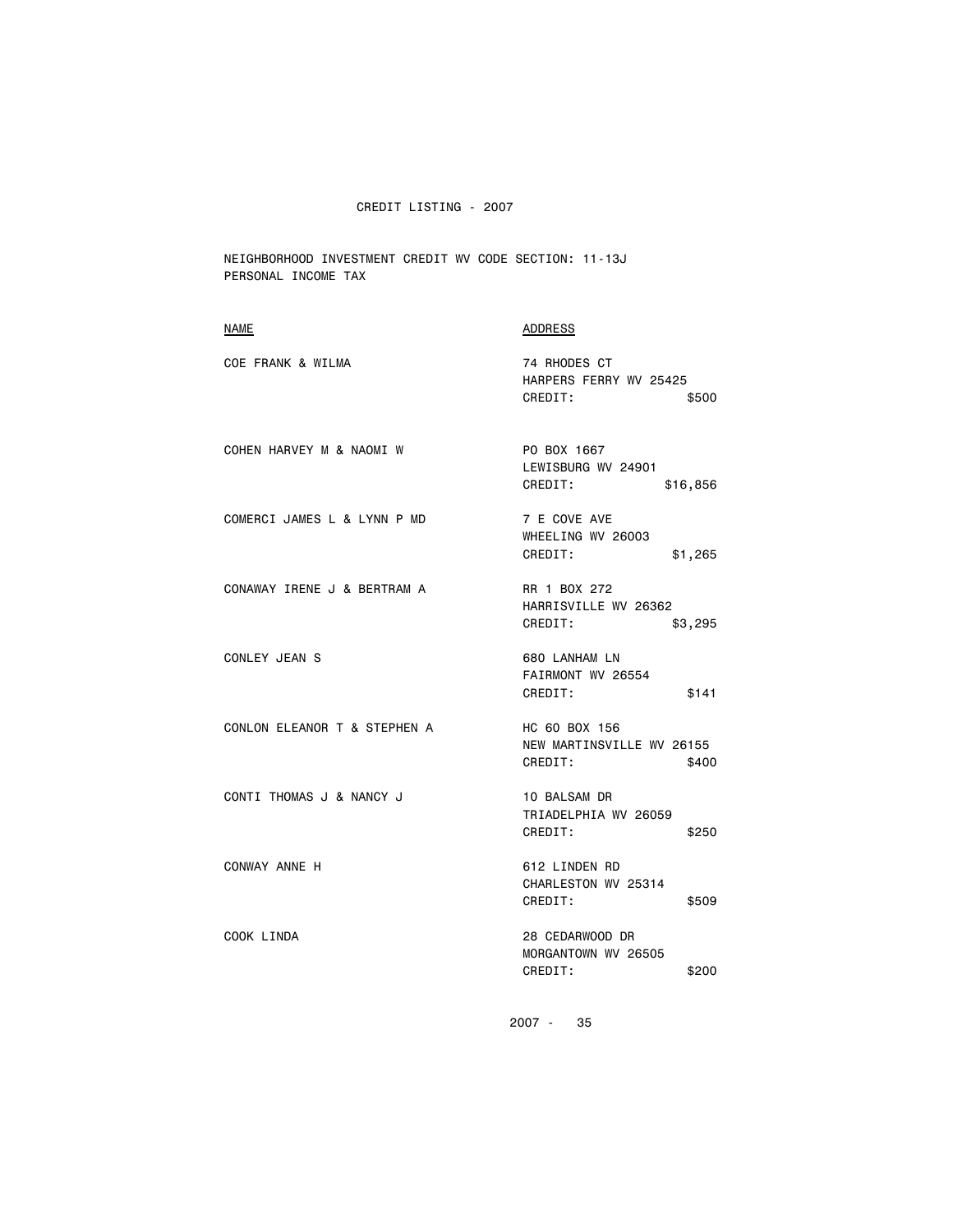NEIGHBORHOOD INVESTMENT CREDIT WV CODE SECTION: 11-13J PERSONAL INCOME TAX

| NAME                         | <b>ADDRESS</b>                                                 |
|------------------------------|----------------------------------------------------------------|
| COE FRANK & WILMA            | 74 RHODES CT<br>HARPERS FERRY WV 25425<br>CREDIT:<br>\$500     |
| COHEN HARVEY M & NAOMI W     | PO BOX 1667<br>LEWISBURG WV 24901<br>CREDIT:<br>\$16,856       |
| COMERCI JAMES L & LYNN P MD  | 7 E COVE AVE<br>WHEELING WV 26003<br>CREDIT:<br>\$1,265        |
| CONAWAY IRENE J & BERTRAM A  | RR 1 BOX 272<br>HARRISVILLE WV 26362<br>CREDIT:<br>\$3,295     |
| CONLEY JEAN S                | 680 LANHAM LN<br>FAIRMONT WV 26554<br>CREDIT:<br>\$141         |
| CONLON ELEANOR T & STEPHEN A | HC 60 BOX 156<br>NEW MARTINSVILLE WV 26155<br>CREDIT:<br>\$400 |
| CONTI THOMAS J & NANCY J     | 10 BALSAM DR<br>TRIADELPHIA WV 26059<br>CREDIT:<br>\$250       |
| CONWAY ANNE H                | 612 LINDEN RD<br>CHARLESTON WV 25314<br>CREDIT:<br>\$509       |
| COOK LINDA                   | 28 CEDARWOOD DR<br>MORGANTOWN WV 26505<br>CREDIT:<br>\$200     |
|                              |                                                                |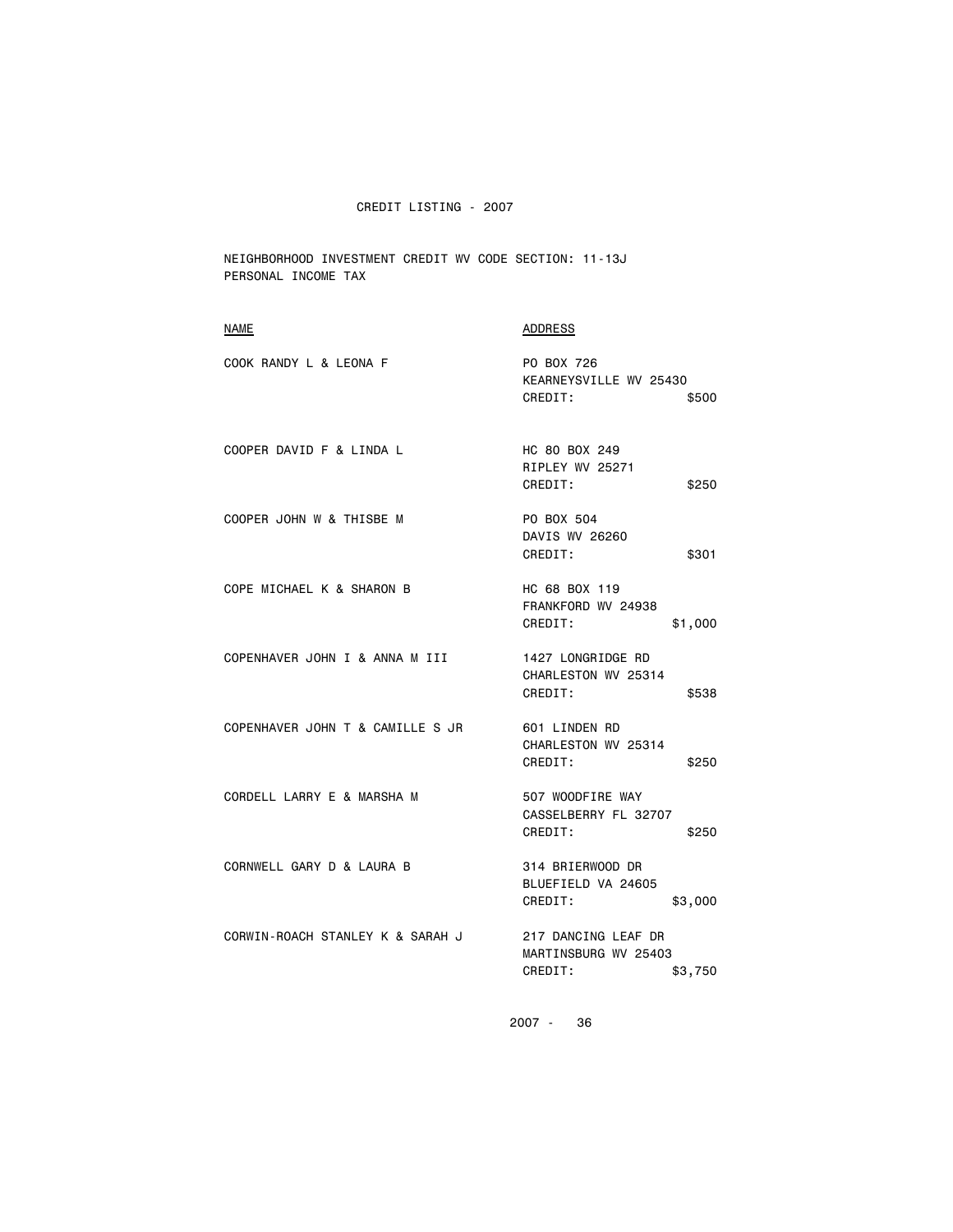NEIGHBORHOOD INVESTMENT CREDIT WV CODE SECTION: 11-13J PERSONAL INCOME TAX

| <b>ADDRESS</b>                                                    |
|-------------------------------------------------------------------|
| PO BOX 726<br>KEARNEYSVILLE WV 25430<br>CREDIT:<br>\$500          |
| HC 80 BOX 249<br>RIPLEY WV 25271<br>CREDIT:<br>\$250              |
| PO BOX 504<br>DAVIS WV 26260<br>CREDIT:<br>\$301                  |
| HC 68 BOX 119<br>FRANKFORD WV 24938<br>CREDIT:<br>\$1,000         |
| 1427 LONGRIDGE RD<br>CHARLESTON WV 25314<br>CREDIT:<br>\$538      |
| 601 LINDEN RD<br>CHARLESTON WV 25314<br>CREDIT:<br>\$250          |
| 507 WOODFIRE WAY<br>CASSELBERRY FL 32707<br>CREDIT:<br>\$250      |
| 314 BRIERWOOD DR<br>BLUEFIELD VA 24605<br>CREDIT:<br>\$3,000      |
| 217 DANCING LEAF DR<br>MARTINSBURG WV 25403<br>CREDIT:<br>\$3,750 |
|                                                                   |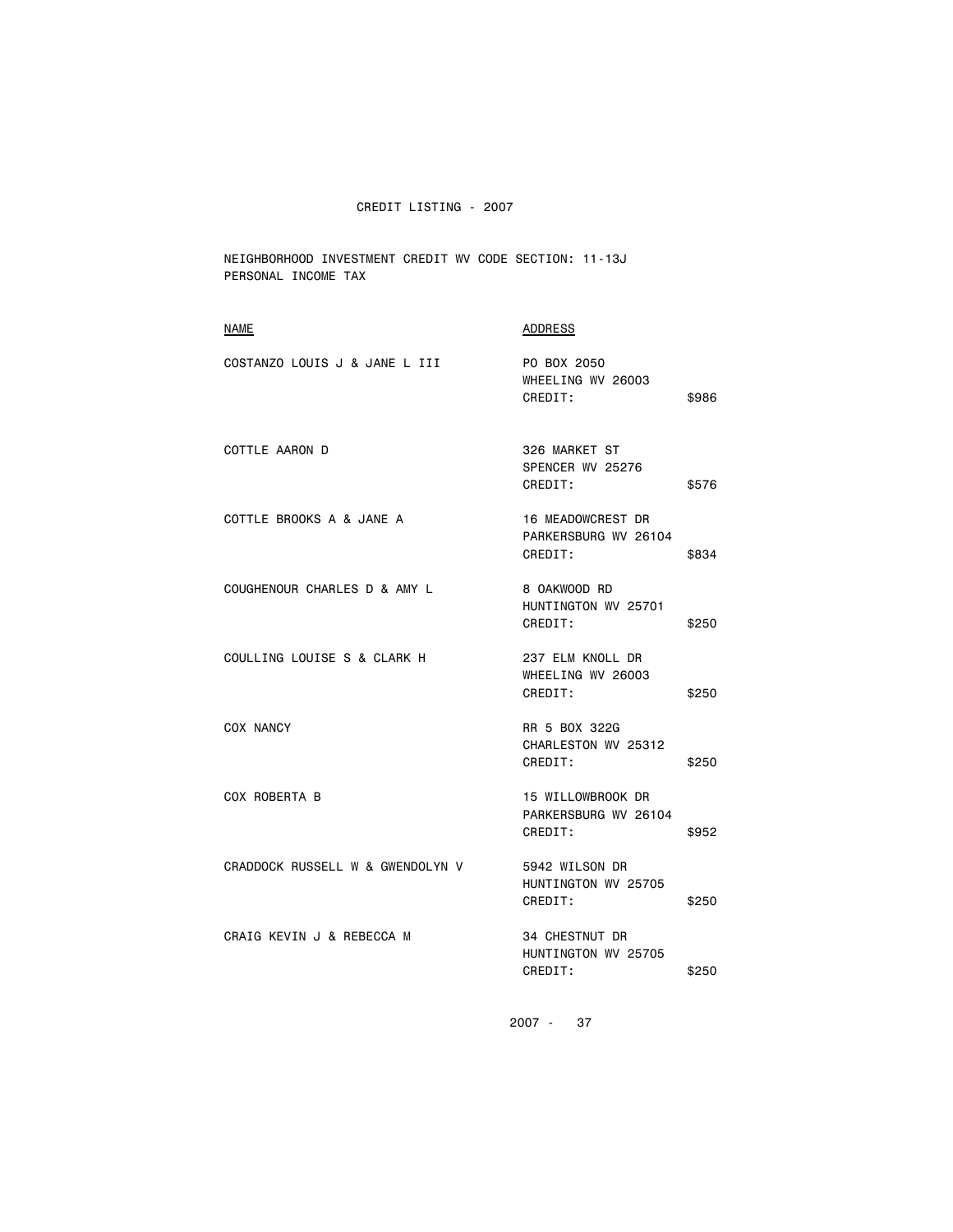NEIGHBORHOOD INVESTMENT CREDIT WV CODE SECTION: 11-13J PERSONAL INCOME TAX

| <b>NAME</b>                      | <b>ADDRESS</b>                                              |       |
|----------------------------------|-------------------------------------------------------------|-------|
| COSTANZO LOUIS J & JANE L III    | PO BOX 2050<br>WHEELING WV 26003<br>CREDIT:                 | \$986 |
| COTTLE AARON D                   | 326 MARKET ST<br>SPENCER WV 25276<br>CREDIT:                | \$576 |
| COTTLE BROOKS A & JANE A         | <b>16 MEADOWCREST DR</b><br>PARKERSBURG WV 26104<br>CREDIT: | \$834 |
| COUGHENOUR CHARLES D & AMY L     | 8 OAKWOOD RD<br>HUNTINGTON WV 25701<br>CREDIT:              | \$250 |
| COULLING LOUISE S & CLARK H      | 237 ELM KNOLL DR<br>WHEELING WV 26003<br>CREDIT:            | \$250 |
| COX NANCY                        | RR 5 BOX 322G<br>CHARLESTON WV 25312<br>CREDIT:             | \$250 |
| COX ROBERTA B                    | 15 WILLOWBROOK DR<br>PARKERSBURG WV 26104<br>CREDIT:        | \$952 |
| CRADDOCK RUSSELL W & GWENDOLYN V | 5942 WILSON DR<br>HUNTINGTON WV 25705<br>CREDIT:            | \$250 |
| CRAIG KEVIN J & REBECCA M        | 34 CHESTNUT DR<br>HUNTINGTON WV 25705<br>CREDIT:            | \$250 |
|                                  |                                                             |       |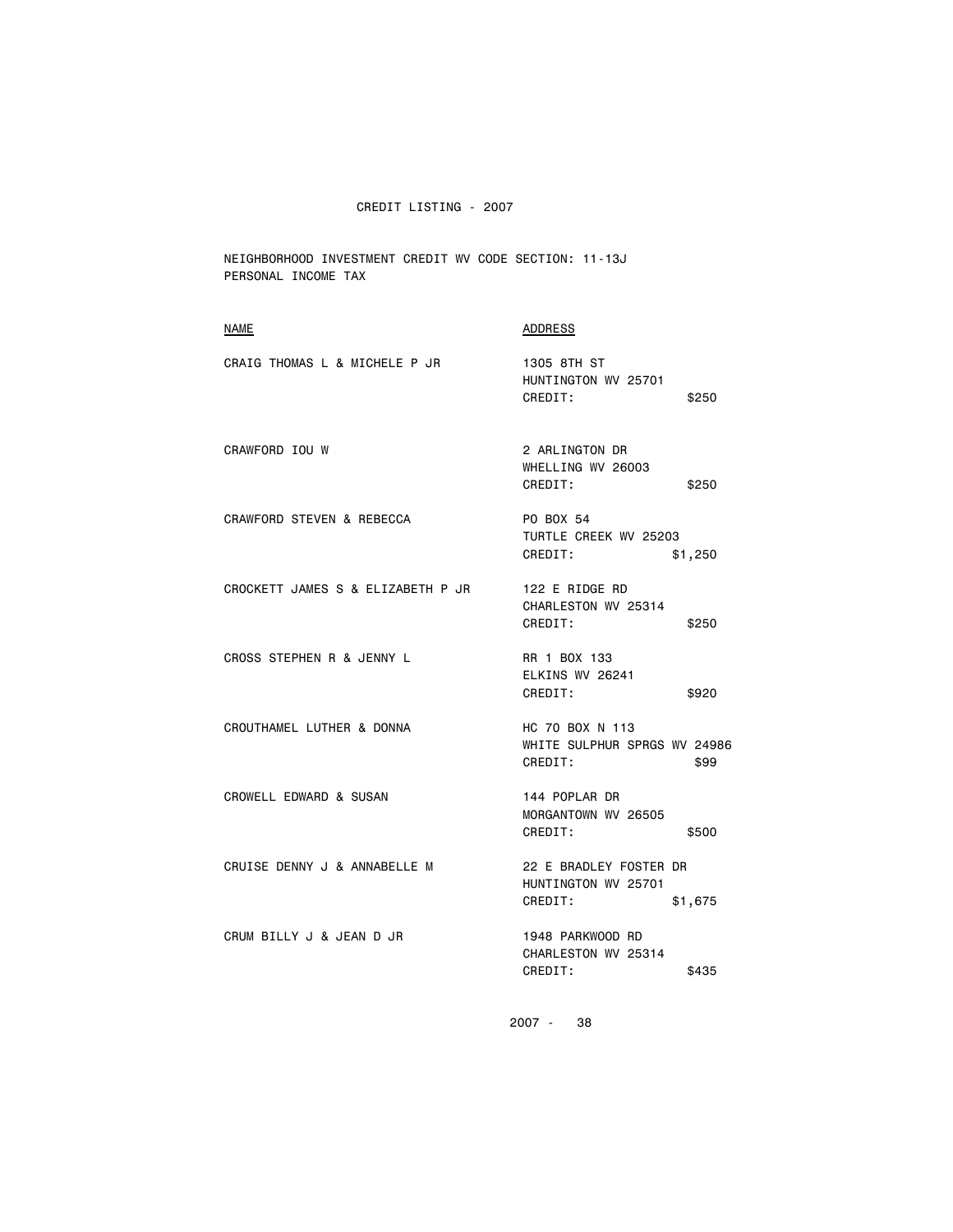NEIGHBORHOOD INVESTMENT CREDIT WV CODE SECTION: 11-13J PERSONAL INCOME TAX

| <b>NAME</b>                       | <b>ADDRESS</b>                                                      |
|-----------------------------------|---------------------------------------------------------------------|
| CRAIG THOMAS L & MICHELE P JR     | 1305 8TH ST<br>HUNTINGTON WV 25701<br>CREDIT:<br>\$250              |
| CRAWFORD IOU W                    | 2 ARLINGTON DR<br>WHELLING WV 26003<br>CREDIT:<br>\$250             |
| CRAWFORD STEVEN & REBECCA         | PO BOX 54<br>TURTLE CREEK WV 25203<br>CREDIT:<br>\$1,250            |
| CROCKETT JAMES S & ELIZABETH P JR | 122 E RIDGE RD<br>CHARLESTON WV 25314<br>CREDIT:<br>\$250           |
| CROSS STEPHEN R & JENNY L         | RR 1 BOX 133<br>ELKINS WV 26241<br>CREDIT:<br>\$920                 |
| CROUTHAMEL LUTHER & DONNA         | HC 70 BOX N 113<br>WHITE SULPHUR SPRGS WV 24986<br>CREDIT:<br>\$99  |
| CROWELL EDWARD & SUSAN            | 144 POPLAR DR<br>MORGANTOWN WV 26505<br>CREDIT:<br>\$500            |
| CRUISE DENNY J & ANNABELLE M      | 22 E BRADLEY FOSTER DR<br>HUNTINGTON WV 25701<br>CREDIT:<br>\$1,675 |
| CRUM BILLY J & JEAN D JR          | 1948 PARKWOOD RD<br>CHARLESTON WV 25314<br>CREDIT:<br>\$435         |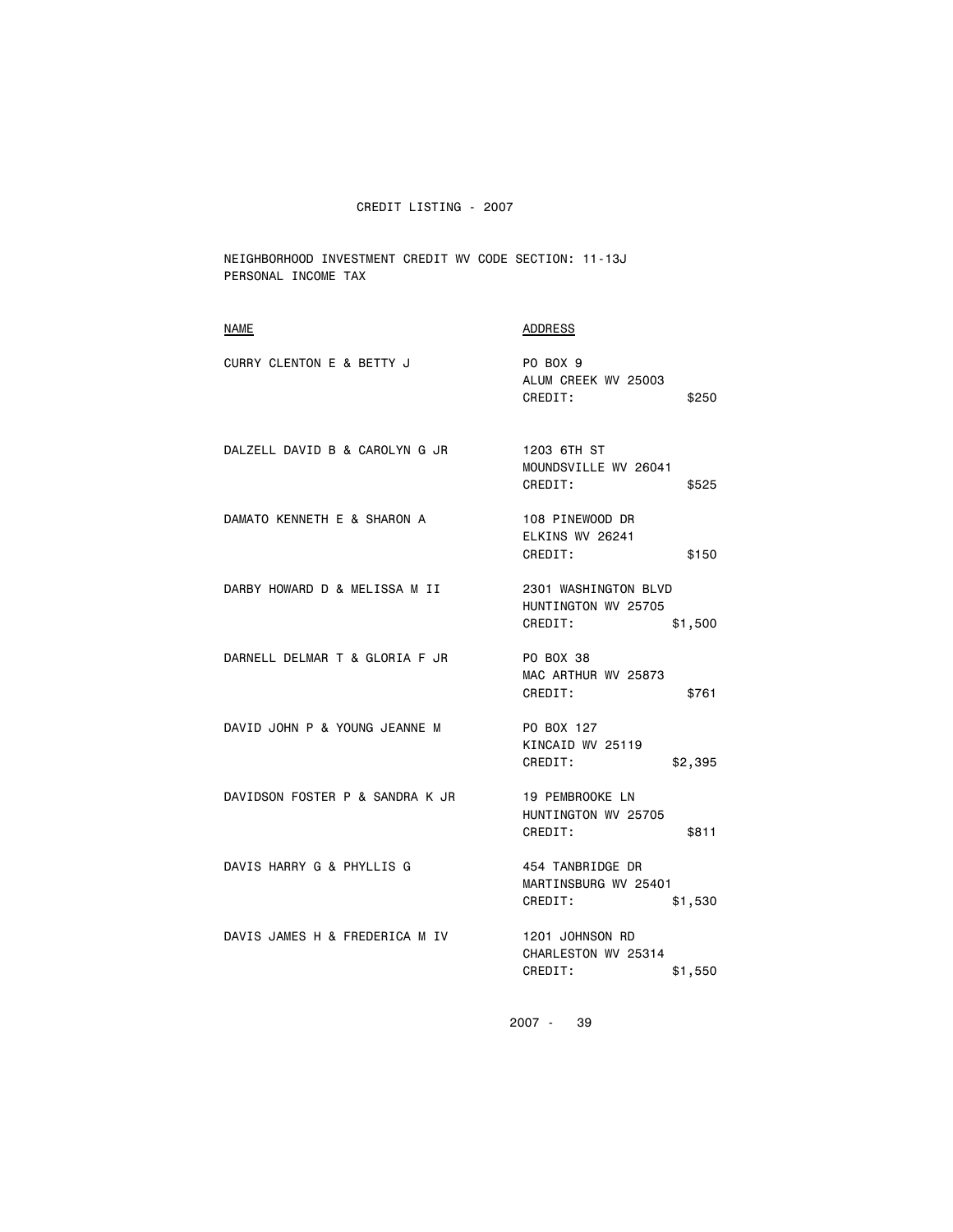NEIGHBORHOOD INVESTMENT CREDIT WV CODE SECTION: 11-13J PERSONAL INCOME TAX

| <b>NAME</b>                     | <b>ADDRESS</b>                                                    |
|---------------------------------|-------------------------------------------------------------------|
| CURRY CLENTON E & BETTY J       | PO BOX 9<br>ALUM CREEK WV 25003<br>CREDIT:<br>\$250               |
| DALZELL DAVID B & CAROLYN G JR  | 1203 6TH ST<br>MOUNDSVILLE WV 26041<br>CREDIT:<br>\$525           |
| DAMATO KENNETH E & SHARON A     | 108 PINEWOOD DR<br>ELKINS WV 26241<br>CREDIT:<br>\$150            |
| DARBY HOWARD D & MELISSA M II   | 2301 WASHINGTON BLVD<br>HUNTINGTON WV 25705<br>CREDIT:<br>\$1,500 |
| DARNELL DELMAR T & GLORIA F JR  | PO BOX 38<br>MAC ARTHUR WV 25873<br>CREDIT:<br>\$761              |
| DAVID JOHN P & YOUNG JEANNE M   | PO BOX 127<br>KINCAID WV 25119<br>CREDIT:<br>\$2,395              |
| DAVIDSON FOSTER P & SANDRA K JR | 19 PEMBROOKE LN<br>HUNTINGTON WV 25705<br>CREDIT:<br>\$811        |
| DAVIS HARRY G & PHYLLIS G       | 454 TANBRIDGE DR<br>MARTINSBURG WV 25401<br>CREDIT:<br>\$1,530    |
| DAVIS JAMES H & FREDERICA M IV  | 1201 JOHNSON RD<br>CHARLESTON WV 25314<br>CREDIT:<br>\$1,550      |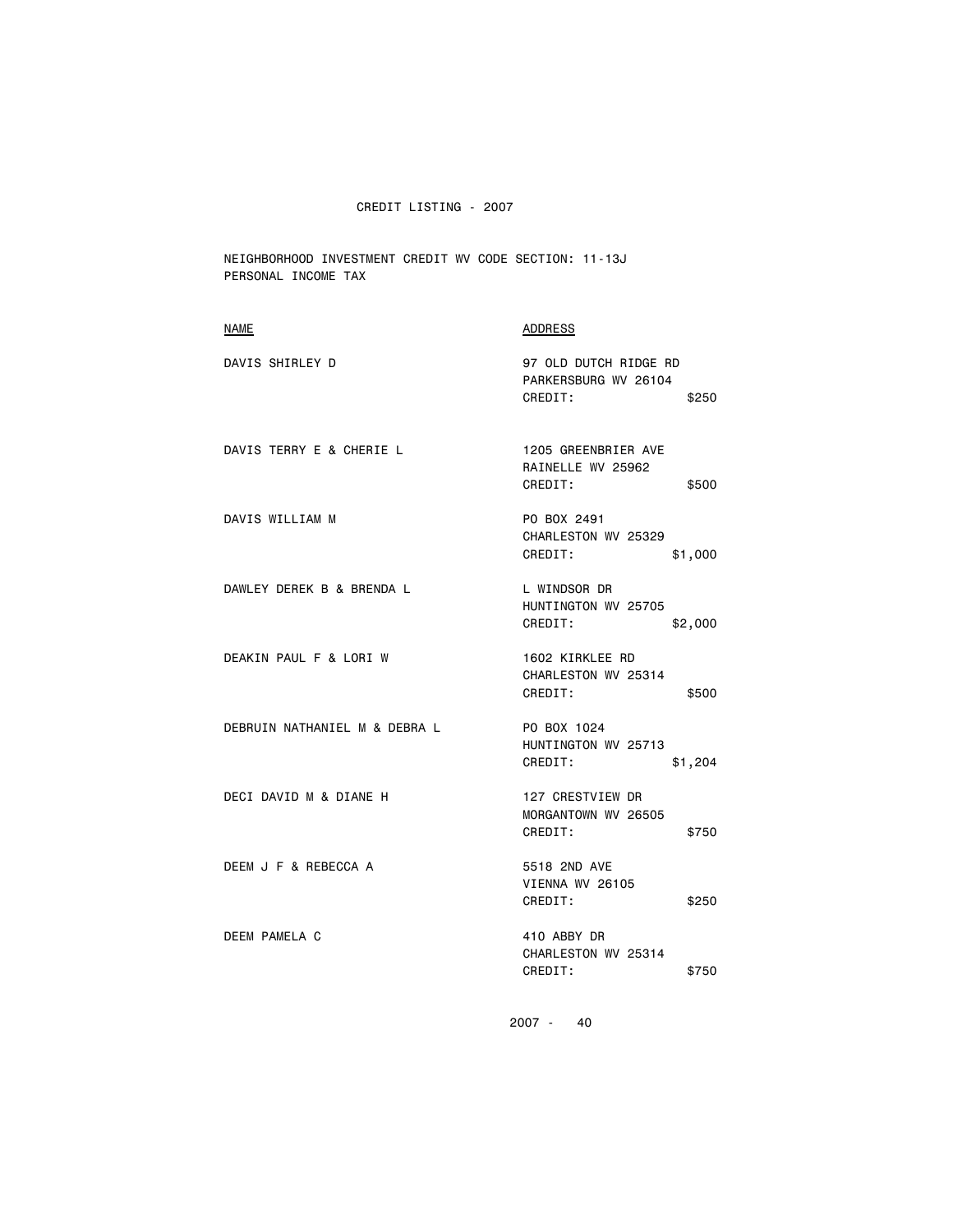NEIGHBORHOOD INVESTMENT CREDIT WV CODE SECTION: 11-13J PERSONAL INCOME TAX

| <b>NAME</b>                   | ADDRESS                                                           |
|-------------------------------|-------------------------------------------------------------------|
| DAVIS SHIRLEY D               | 97 OLD DUTCH RIDGE RD<br>PARKERSBURG WV 26104<br>CREDIT:<br>\$250 |
| DAVIS TERRY E & CHERIE L      | 1205 GREENBRIER AVE<br>RAINELLE WV 25962<br>CREDIT:<br>\$500      |
| DAVIS WILLIAM M               | PO BOX 2491<br>CHARLESTON WV 25329<br>CREDIT:<br>\$1,000          |
| DAWLEY DEREK B & BRENDA L     | L WINDSOR DR<br>HUNTINGTON WV 25705<br>CREDIT:<br>\$2,000         |
| DEAKIN PAUL F & LORI W        | 1602 KIRKLEE RD<br>CHARLESTON WV 25314<br>CREDIT:<br>\$500        |
| DEBRUIN NATHANIEL M & DEBRA L | PO BOX 1024<br>HUNTINGTON WV 25713<br>CREDIT:<br>\$1,204          |
| DECI DAVID M & DIANE H        | 127 CRESTVIEW DR<br>MORGANTOWN WV 26505<br>CREDIT:<br>\$750       |
| DEEM J F & REBECCA A          | 5518 2ND AVE<br>VIENNA WV 26105<br>CREDIT:<br>\$250               |
| DEEM PAMELA C                 | 410 ABBY DR<br>CHARLESTON WV 25314<br>CREDIT:<br>\$750            |
|                               |                                                                   |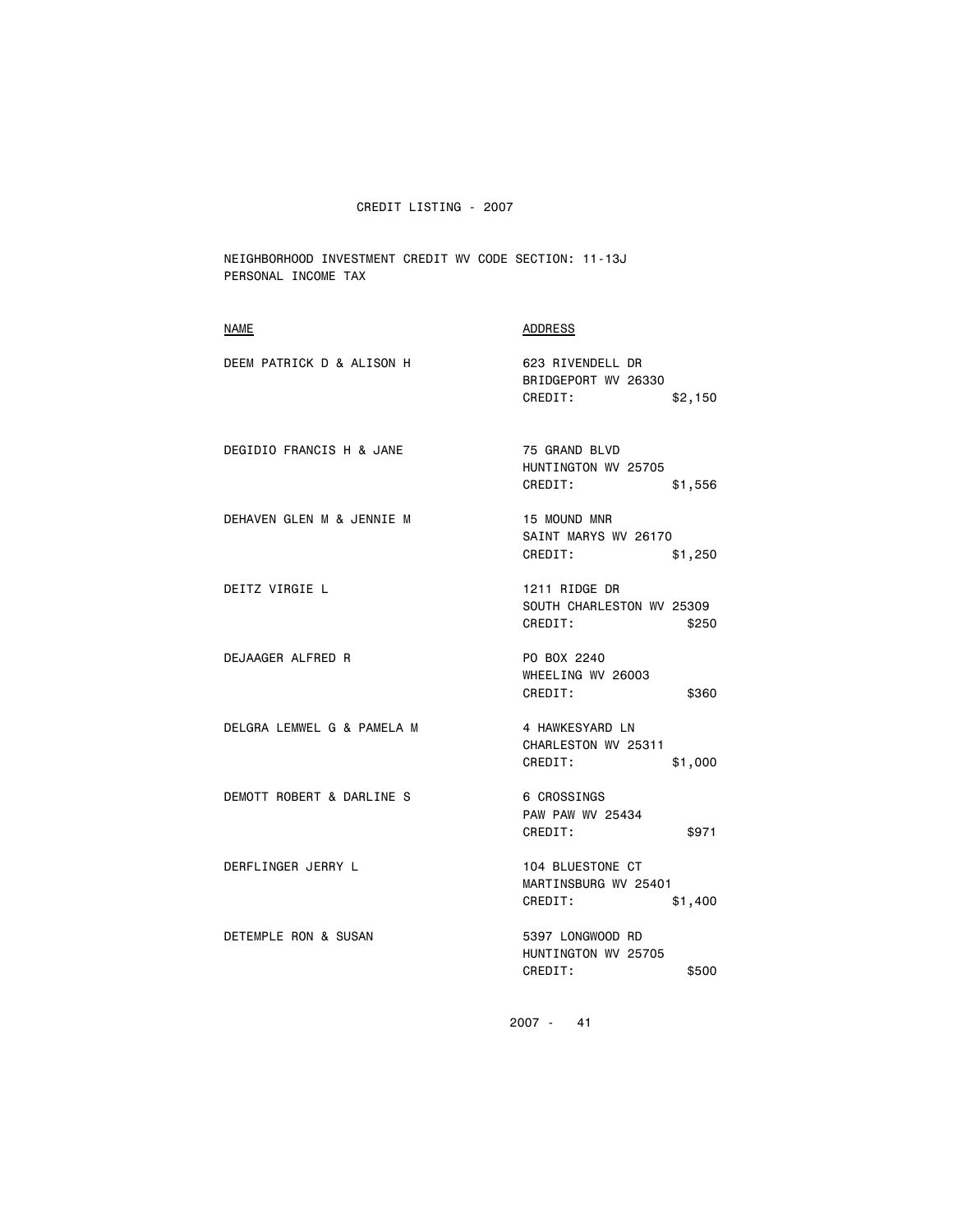NEIGHBORHOOD INVESTMENT CREDIT WV CODE SECTION: 11-13J PERSONAL INCOME TAX

| NAME                       | ADDRESS                                                        |
|----------------------------|----------------------------------------------------------------|
| DEEM PATRICK D & ALISON H  | 623 RIVENDELL DR<br>BRIDGEPORT WV 26330<br>CREDIT:<br>\$2,150  |
| DEGIDIO FRANCIS H & JANE   | 75 GRAND BLVD<br>HUNTINGTON WV 25705<br>CREDIT:<br>\$1,556     |
| DEHAVEN GLEN M & JENNIE M  | 15 MOUND MNR<br>SAINT MARYS WV 26170<br>CREDIT:<br>\$1,250     |
| DEITZ VIRGIE L             | 1211 RIDGE DR<br>SOUTH CHARLESTON WV 25309<br>CREDIT:<br>\$250 |
| DEJAAGER ALFRED R          | PO BOX 2240<br>WHEELING WV 26003<br>CREDIT:<br>\$360           |
| DELGRA LEMWEL G & PAMELA M | 4 HAWKESYARD LN<br>CHARLESTON WV 25311<br>CREDIT:<br>\$1,000   |
| DEMOTT ROBERT & DARLINE S  | 6 CROSSINGS<br>PAW PAW WV 25434<br>CREDIT:<br>\$971            |
| DERFLINGER JERRY L         | 104 BLUESTONE CT<br>MARTINSBURG WV 25401<br>CREDIT:<br>\$1,400 |
| DETEMPLE RON & SUSAN       | 5397 LONGWOOD RD<br>HUNTINGTON WV 25705<br>CREDIT:<br>\$500    |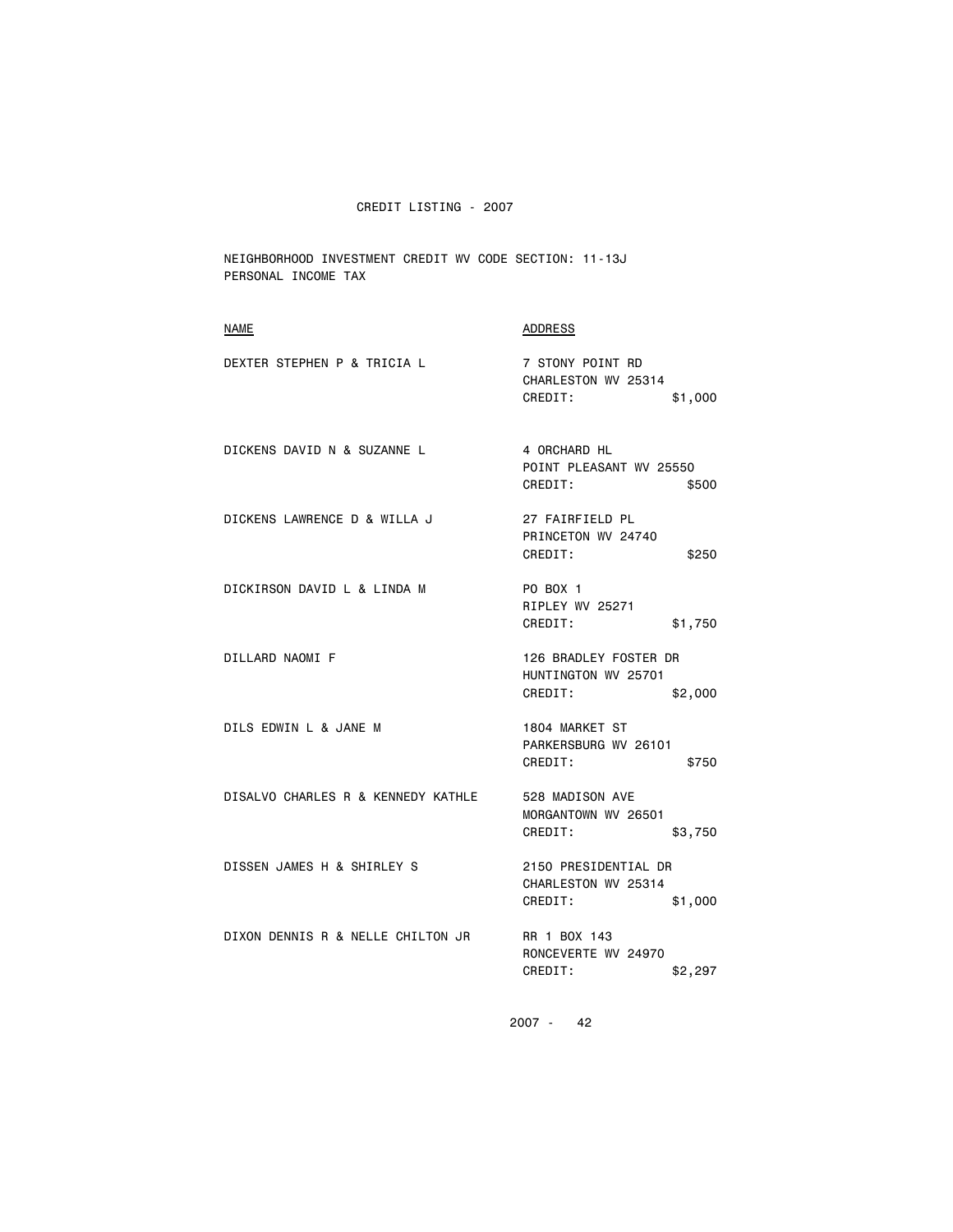NEIGHBORHOOD INVESTMENT CREDIT WV CODE SECTION: 11-13J PERSONAL INCOME TAX

| <b>NAME</b>                        | <b>ADDRESS</b>                                                     |
|------------------------------------|--------------------------------------------------------------------|
| DEXTER STEPHEN P & TRICIA L        | 7 STONY POINT RD<br>CHARLESTON WV 25314<br>CREDIT:<br>\$1,000      |
| DICKENS DAVID N & SUZANNE L        | 4 ORCHARD HL<br>POINT PLEASANT WV 25550<br>CREDIT:<br>\$500        |
| DICKENS LAWRENCE D & WILLA J       | 27 FAIRFIELD PL<br>PRINCETON WV 24740<br>CREDIT:<br>\$250          |
| DICKIRSON DAVID L & LINDA M        | PO BOX 1<br>RIPLEY WV 25271<br>CREDIT:<br>\$1,750                  |
| DILLARD NAOMI F                    | 126 BRADLEY FOSTER DR<br>HUNTINGTON WV 25701<br>CREDIT:<br>\$2,000 |
| DILS EDWIN L & JANE M              | 1804 MARKET ST<br>PARKERSBURG WV 26101<br>CREDIT:<br>\$750         |
| DISALVO CHARLES R & KENNEDY KATHLE | 528 MADISON AVE<br>MORGANTOWN WV 26501<br>CREDIT:<br>\$3,750       |
| DISSEN JAMES H & SHIRLEY S         | 2150 PRESIDENTIAL DR<br>CHARLESTON WV 25314<br>CREDIT:<br>\$1,000  |
| DIXON DENNIS R & NELLE CHILTON JR  | RR 1 BOX 143<br>RONCEVERTE WV 24970<br>CREDIT:<br>\$2,297          |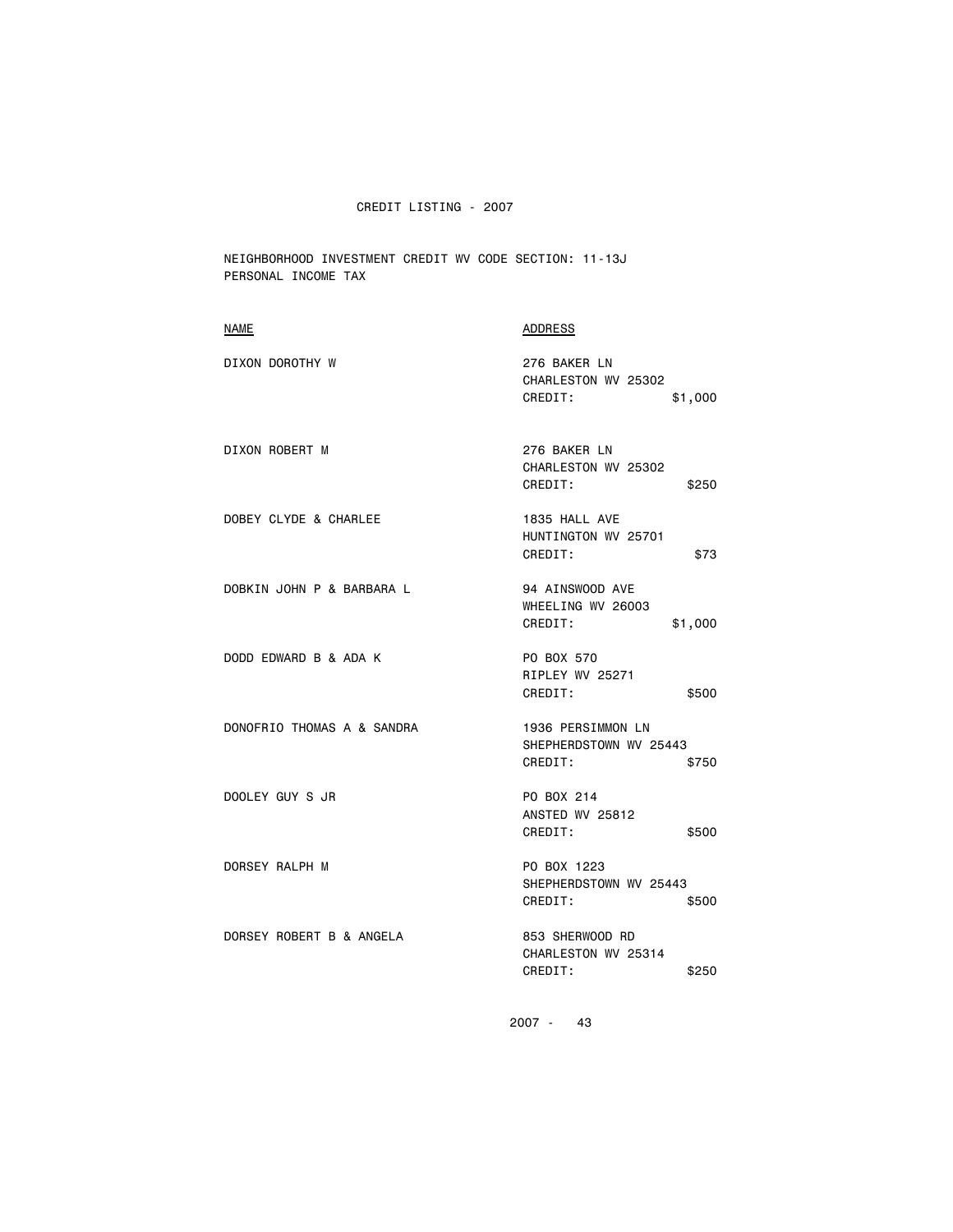NEIGHBORHOOD INVESTMENT CREDIT WV CODE SECTION: 11-13J PERSONAL INCOME TAX

| ADDRESS                                                                |
|------------------------------------------------------------------------|
| 276 BAKER LN<br>CHARLESTON WV 25302<br>CREDIT:<br>\$1,000              |
| 276 BAKER LN<br>CHARLESTON WV 25302<br>CREDIT:<br>\$250                |
| 1835 HALL AVE<br>HUNTINGTON WV 25701<br>CREDIT:<br>\$73                |
| 94 AINSWOOD AVE<br>WHEELING WV 26003<br>CREDIT:<br>\$1,000             |
| PO BOX 570<br>RIPLEY WV 25271<br>CREDIT:<br>\$500                      |
| <b>1936 PERSIMMON LN</b><br>SHEPHERDSTOWN WV 25443<br>CREDIT:<br>\$750 |
| PO BOX 214<br>ANSTED WV 25812<br>CREDIT:<br>\$500                      |
| PO BOX 1223<br>SHEPHERDSTOWN WV 25443<br>CREDIT:<br>\$500              |
| 853 SHERWOOD RD<br>CHARLESTON WV 25314<br>CREDIT:<br>\$250             |
|                                                                        |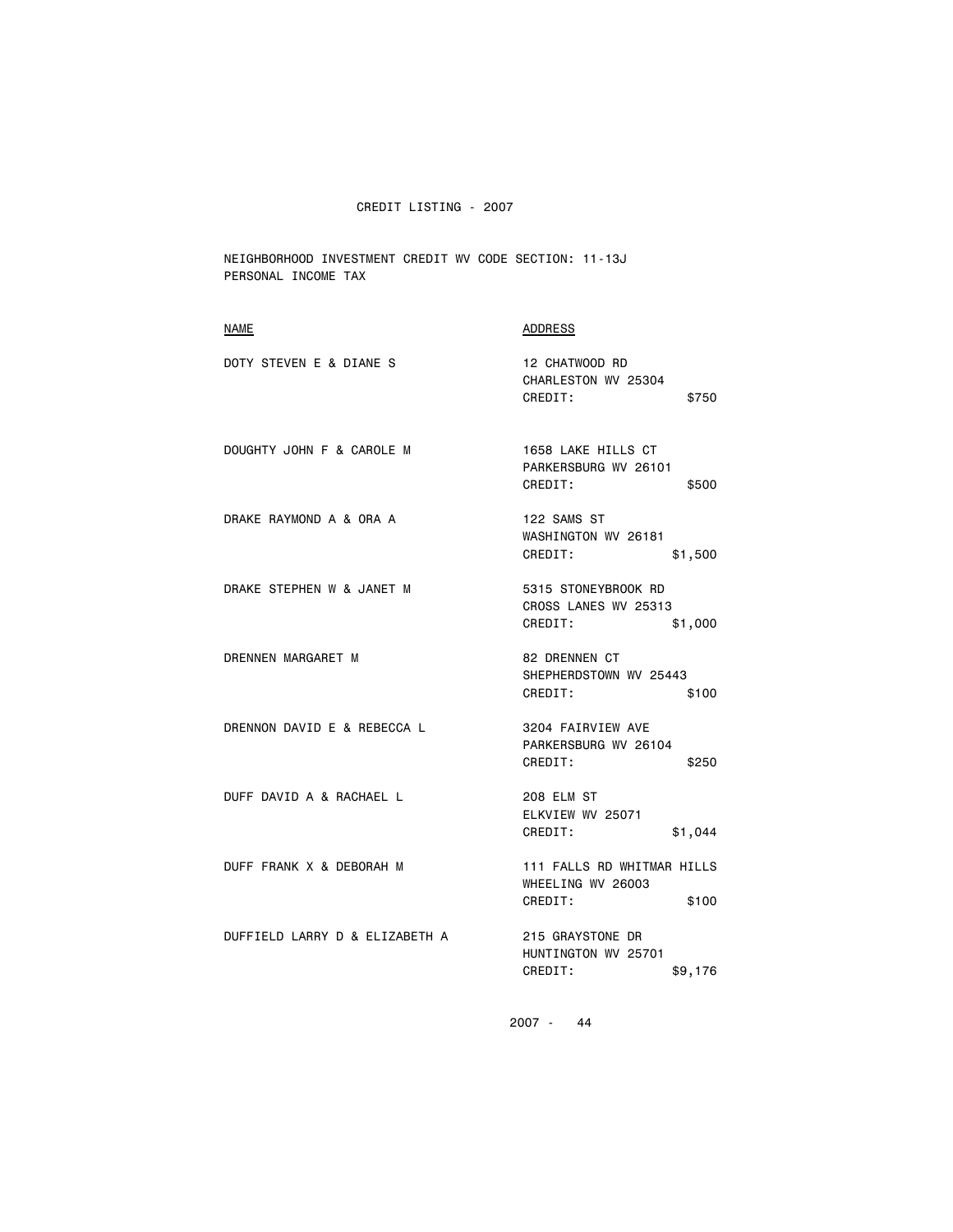NEIGHBORHOOD INVESTMENT CREDIT WV CODE SECTION: 11-13J PERSONAL INCOME TAX

| NAME                           | ADDRESS                                                             |
|--------------------------------|---------------------------------------------------------------------|
| DOTY STEVEN E & DIANE S        | 12 CHATWOOD RD<br>CHARLESTON WV 25304<br>CREDIT:<br>\$750           |
| DOUGHTY JOHN F & CAROLE M      | 1658 LAKE HILLS CT<br>PARKERSBURG WV 26101<br>CREDIT:<br>\$500      |
| DRAKE RAYMOND A & ORA A        | 122 SAMS ST<br>WASHINGTON WV 26181<br>CREDIT:<br>\$1,500            |
| DRAKE STEPHEN W & JANET M      | 5315 STONEYBROOK RD<br>CROSS LANES WV 25313<br>CREDIT:<br>\$1,000   |
| DRENNEN MARGARET M             | <b>82 DRENNEN CT</b><br>SHEPHERDSTOWN WV 25443<br>CREDIT:<br>\$100  |
| DRENNON DAVID E & REBECCA L    | 3204 FAIRVIEW AVE<br>PARKERSBURG WV 26104<br>CREDIT:<br>\$250       |
| DUFF DAVID A & RACHAEL L       | 208 ELM ST<br>ELKVIEW WV 25071<br>\$1,044<br>CREDIT:                |
| DUFF FRANK X & DEBORAH M       | 111 FALLS RD WHITMAR HILLS<br>WHEELING WV 26003<br>CREDIT:<br>\$100 |
| DUFFIELD LARRY D & ELIZABETH A | 215 GRAYSTONE DR<br>HUNTINGTON WV 25701<br>CREDIT:<br>\$9,176       |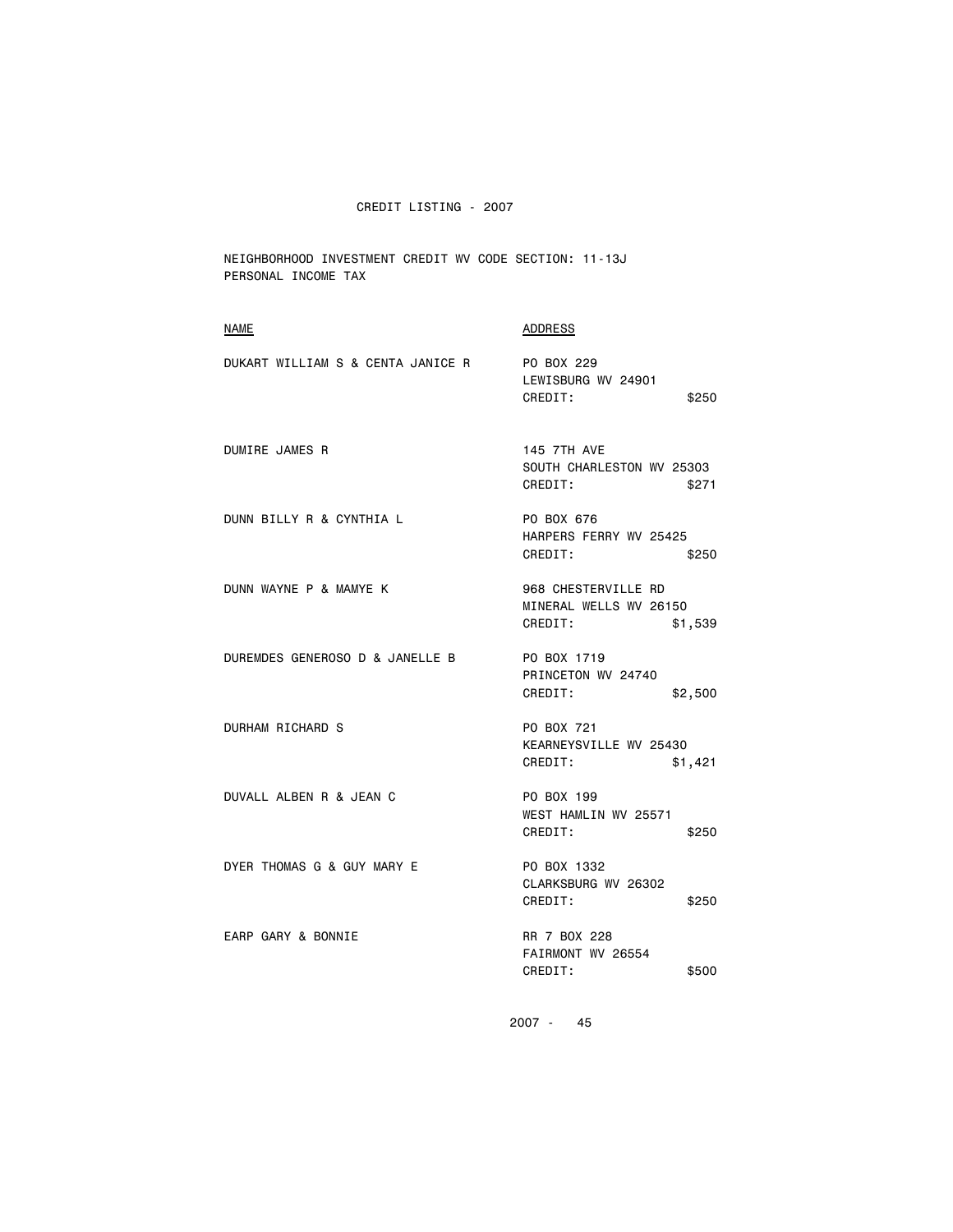NEIGHBORHOOD INVESTMENT CREDIT WV CODE SECTION: 11-13J PERSONAL INCOME TAX

| <b>NAME</b>                       | <b>ADDRESS</b>                                                      |
|-----------------------------------|---------------------------------------------------------------------|
| DUKART WILLIAM S & CENTA JANICE R | PO BOX 229<br>LEWISBURG WV 24901<br>CREDIT:<br>\$250                |
| DUMIRE JAMES R                    | <b>145 7TH AVE</b><br>SOUTH CHARLESTON WV 25303<br>CREDIT:<br>\$271 |
| DUNN BILLY R & CYNTHIA L          | PO BOX 676<br>HARPERS FERRY WV 25425<br>CREDIT:<br>\$250            |
| DUNN WAYNE P & MAMYE K            | 968 CHESTERVILLE RD<br>MINERAL WELLS WV 26150<br>CREDIT:<br>\$1,539 |
| DUREMDES GENEROSO D & JANELLE B   | PO BOX 1719<br>PRINCETON WV 24740<br>CREDIT:<br>\$2,500             |
| <b>DURHAM RICHARD S</b>           | PO BOX 721<br>KEARNEYSVILLE WV 25430<br>CREDIT:<br>\$1,421          |
| DUVALL ALBEN R & JEAN C           | PO BOX 199<br>WEST HAMLIN WV 25571<br>CREDIT:<br>\$250              |
| DYER THOMAS G & GUY MARY E        | PO BOX 1332<br>CLARKSBURG WV 26302<br>CREDIT:<br>\$250              |
| EARP GARY & BONNIE                | RR 7 BOX 228<br>FAIRMONT WV 26554<br>CREDIT:<br>\$500               |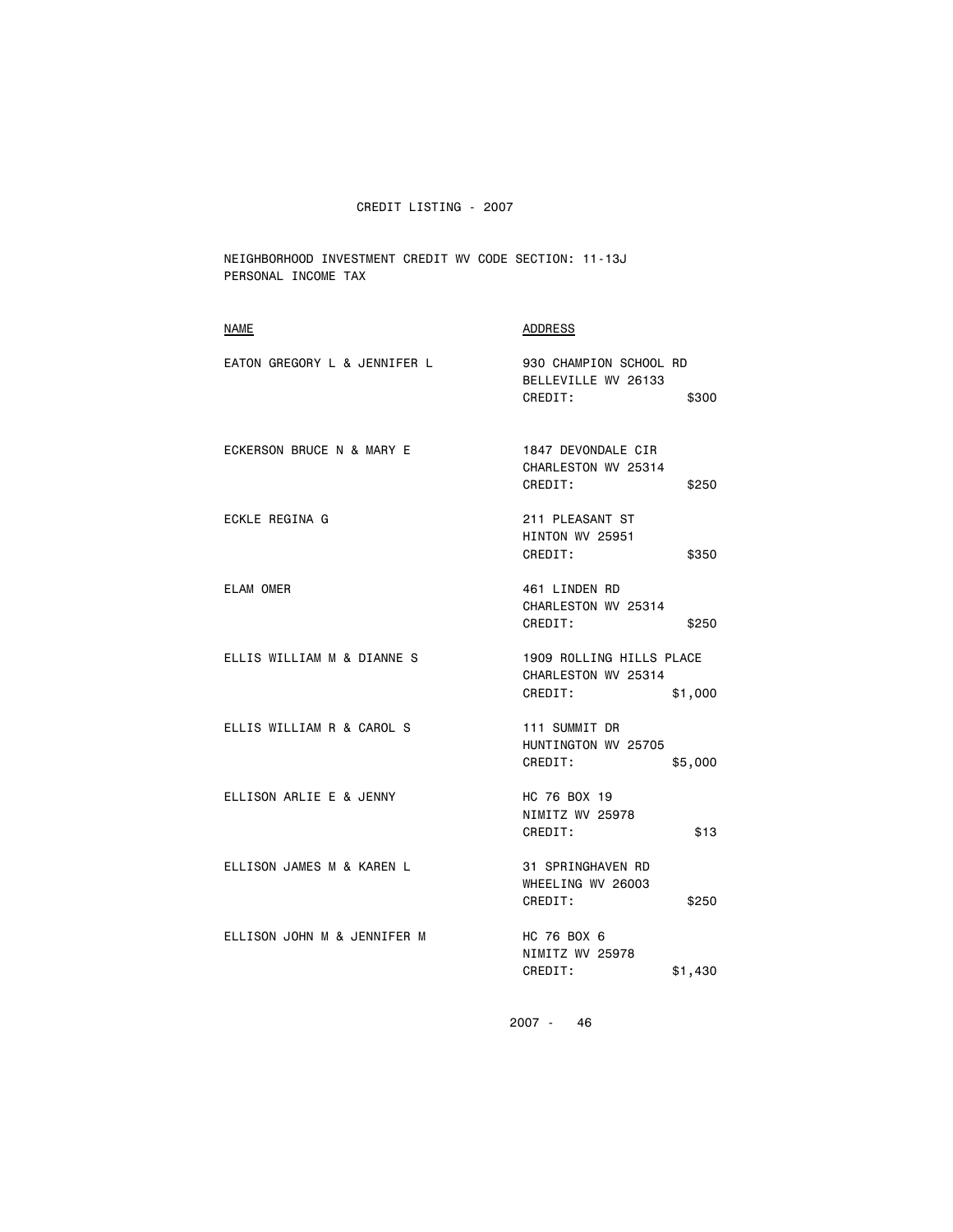NEIGHBORHOOD INVESTMENT CREDIT WV CODE SECTION: 11-13J PERSONAL INCOME TAX

| <b>NAME</b>                  | <b>ADDRESS</b>                                                        |
|------------------------------|-----------------------------------------------------------------------|
| EATON GREGORY L & JENNIFER L | 930 CHAMPION SCHOOL RD<br>BELLEVILLE WV 26133<br>CREDIT:<br>\$300     |
| ECKERSON BRUCE N & MARY E    | 1847 DEVONDALE CIR<br>CHARLESTON WV 25314<br>CREDIT:<br>\$250         |
| ECKLE REGINA G               | 211 PLEASANT ST<br>HINTON WV 25951<br>CREDIT:<br>\$350                |
| <b>ELAM OMER</b>             | 461 LINDEN RD<br>CHARLESTON WV 25314<br>CREDIT:<br>\$250              |
| ELLIS WILLIAM M & DIANNE S   | 1909 ROLLING HILLS PLACE<br>CHARLESTON WV 25314<br>CREDIT:<br>\$1,000 |
| ELLIS WILLIAM R & CAROL S    | 111 SUMMIT DR<br>HUNTINGTON WV 25705<br>CREDIT:<br>\$5,000            |
| ELLISON ARLIE E & JENNY      | HC 76 BOX 19<br>NIMITZ WV 25978<br>CREDIT:<br>\$13                    |
| ELLISON JAMES M & KAREN L    | 31 SPRINGHAVEN RD<br>WHEELING WV 26003<br>CREDIT:<br>\$250            |
| ELLISON JOHN M & JENNIFER M  | HC 76 BOX 6<br>NIMITZ WV 25978<br>CREDIT:<br>\$1,430                  |
|                              |                                                                       |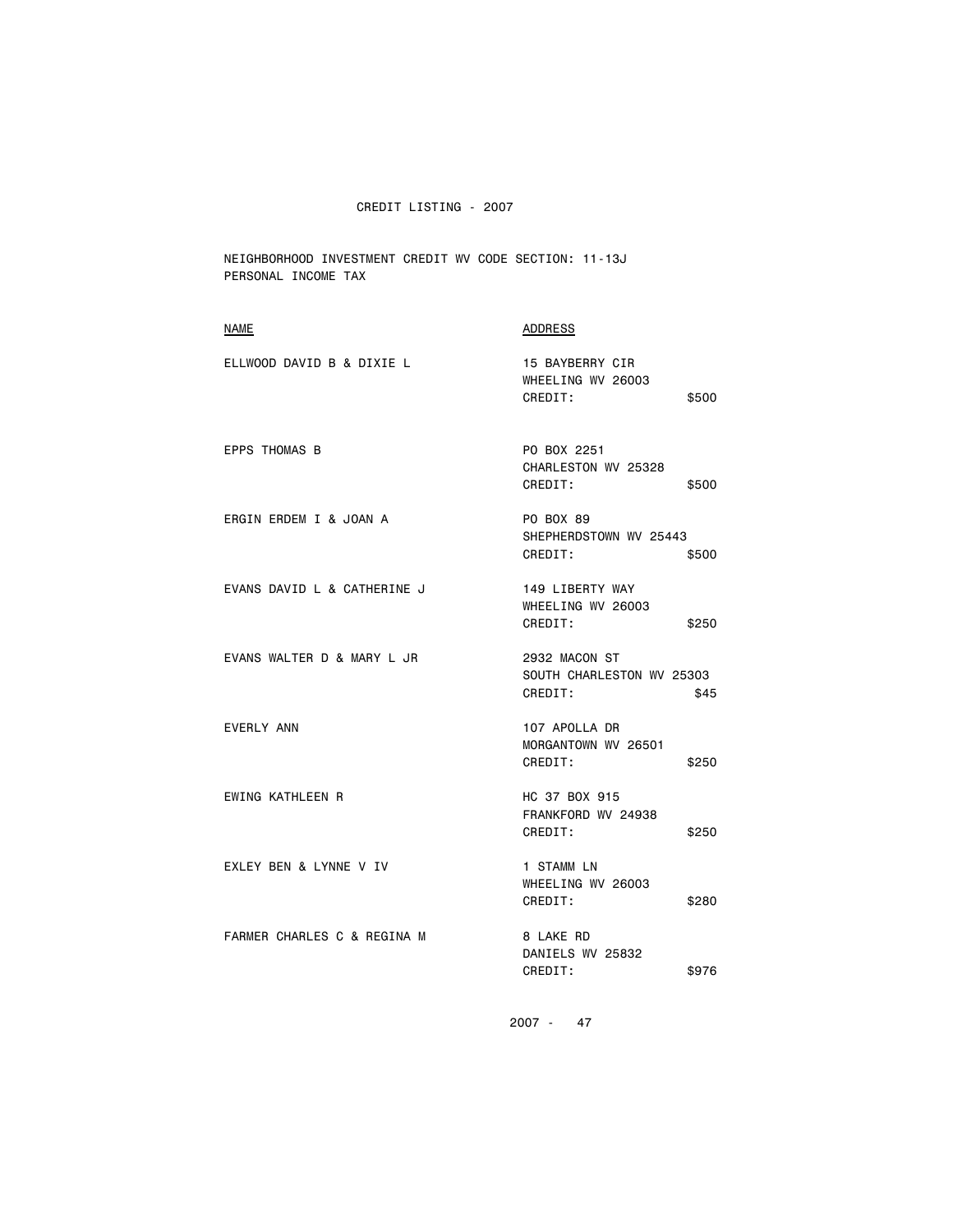NEIGHBORHOOD INVESTMENT CREDIT WV CODE SECTION: 11-13J PERSONAL INCOME TAX

| NAME                        | ADDRESS                                                       |
|-----------------------------|---------------------------------------------------------------|
| ELLWOOD DAVID B & DIXIE L   | 15 BAYBERRY CIR<br>WHEELING WV 26003<br>CREDIT:<br>\$500      |
| <b>EPPS THOMAS B</b>        | PO BOX 2251<br>CHARLESTON WV 25328<br>CREDIT:<br>\$500        |
| ERGIN ERDEM I & JOAN A      | PO BOX 89<br>SHEPHERDSTOWN WV 25443<br>CREDIT:<br>\$500       |
| EVANS DAVID L & CATHERINE J | 149 LIBERTY WAY<br>WHEELING WV 26003<br>CREDIT:<br>\$250      |
| EVANS WALTER D & MARY L JR  | 2932 MACON ST<br>SOUTH CHARLESTON WV 25303<br>CREDIT:<br>\$45 |
| EVERLY ANN                  | 107 APOLLA DR<br>MORGANTOWN WV 26501<br>CREDIT:<br>\$250      |
| EWING KATHLEEN R            | HC 37 BOX 915<br>FRANKFORD WV 24938<br>CREDIT:<br>\$250       |
| EXLEY BEN & LYNNE V IV      | 1 STAMM LN<br>WHEELING WV 26003<br>CREDIT:<br>\$280           |
| FARMER CHARLES C & REGINA M | 8 LAKE RD<br>DANIELS WV 25832<br>CREDIT:<br>\$976             |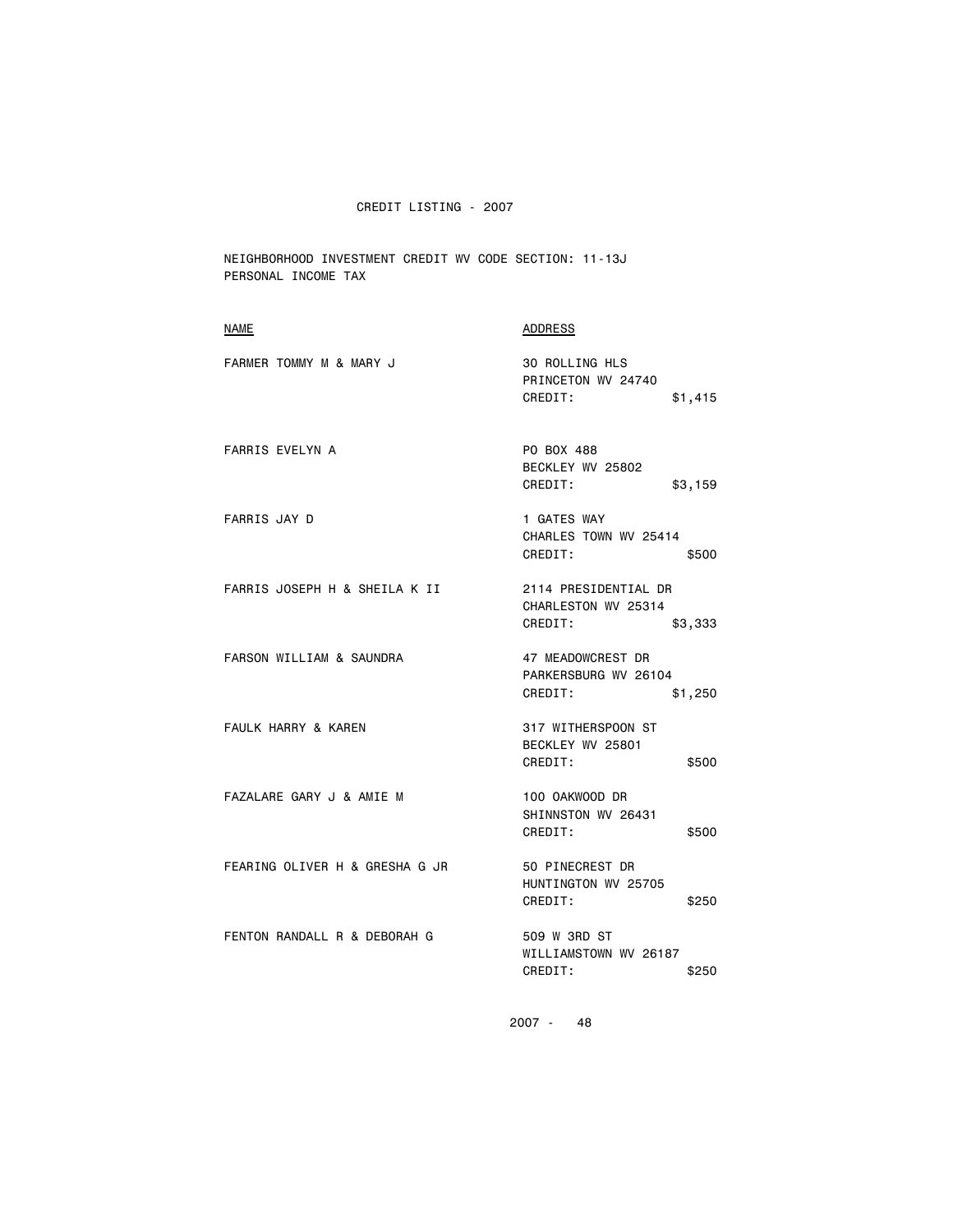NEIGHBORHOOD INVESTMENT CREDIT WV CODE SECTION: 11-13J PERSONAL INCOME TAX

| <b>NAME</b>                    | <b>ADDRESS</b>                                                    |
|--------------------------------|-------------------------------------------------------------------|
| FARMER TOMMY M & MARY J        | 30 ROLLING HLS<br>PRINCETON WV 24740<br>CREDIT:<br>\$1,415        |
| <b>FARRIS EVELYN A</b>         | PO BOX 488<br>BECKLEY WV 25802<br>CREDIT:<br>\$3,159              |
| <b>FARRIS JAY D</b>            | 1 GATES WAY<br>CHARLES TOWN WV 25414<br>CREDIT:<br>\$500          |
| FARRIS JOSEPH H & SHEILA K II  | 2114 PRESIDENTIAL DR<br>CHARLESTON WV 25314<br>CREDIT:<br>\$3,333 |
| FARSON WILLIAM & SAUNDRA       | 47 MEADOWCREST DR<br>PARKERSBURG WV 26104<br>CREDIT:<br>\$1,250   |
| FAULK HARRY & KAREN            | 317 WITHERSPOON ST<br>BECKLEY WV 25801<br>CREDIT:<br>\$500        |
| FAZALARE GARY J & AMIE M       | 100 OAKWOOD DR<br>SHINNSTON WV 26431<br>CREDIT:<br>\$500          |
| FEARING OLIVER H & GRESHA G JR | 50 PINECREST DR<br>HUNTINGTON WV 25705<br>CREDIT:<br>\$250        |
| FENTON RANDALL R & DEBORAH G   | 509 W 3RD ST<br>WILLIAMSTOWN WV 26187<br>CREDIT:<br>\$250         |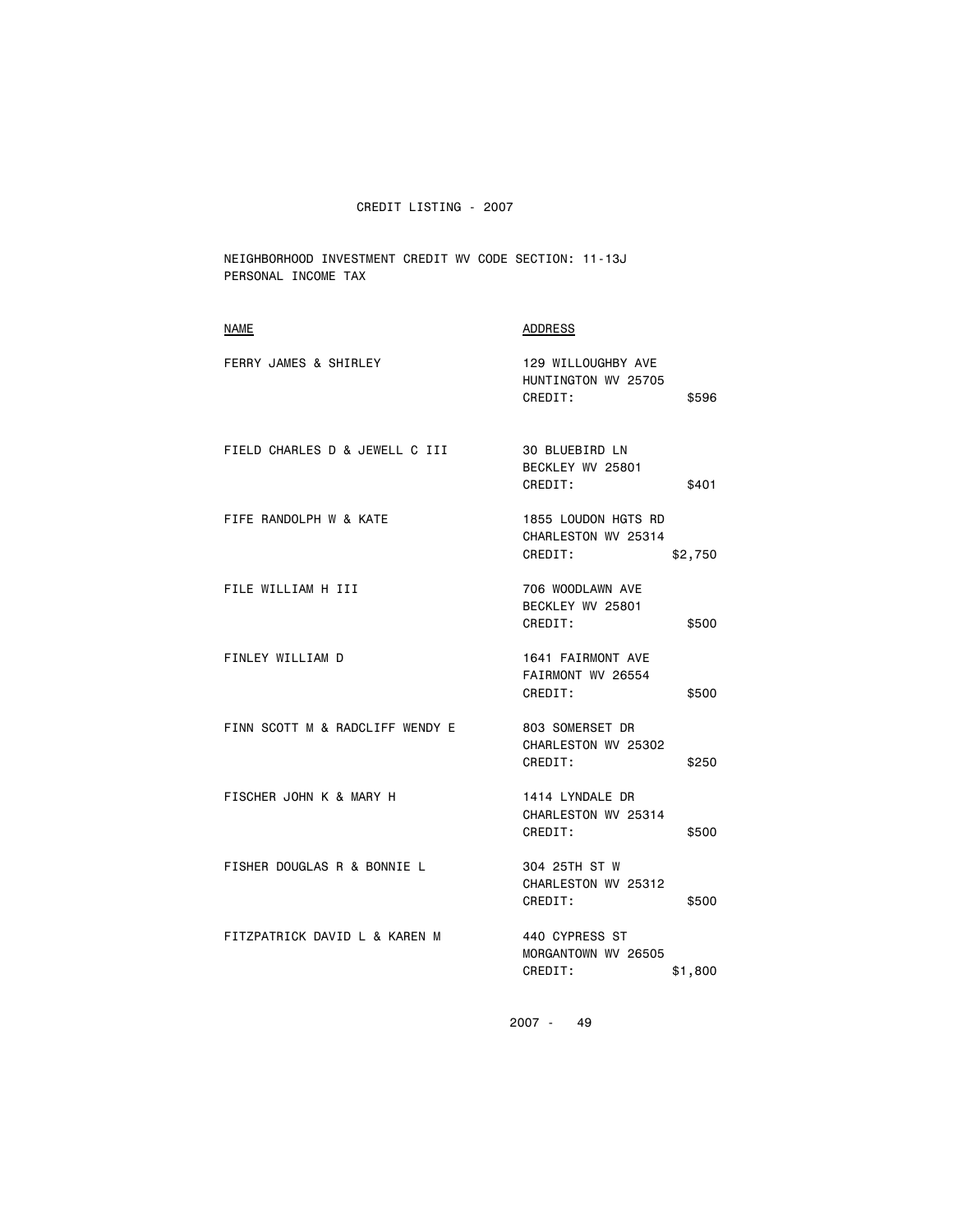NEIGHBORHOOD INVESTMENT CREDIT WV CODE SECTION: 11-13J PERSONAL INCOME TAX

| <b>NAME</b>                     | <b>ADDRESS</b>                                        |         |
|---------------------------------|-------------------------------------------------------|---------|
| FERRY JAMES & SHIRLEY           | 129 WILLOUGHBY AVE<br>HUNTINGTON WV 25705<br>CREDIT:  | \$596   |
| FIELD CHARLES D & JEWELL C III  | 30 BLUEBIRD LN<br>BECKLEY WV 25801<br>CREDIT:         | \$401   |
| FIFE RANDOLPH W & KATE          | 1855 LOUDON HGTS RD<br>CHARLESTON WV 25314<br>CREDIT: | \$2,750 |
| FILE WILLIAM H III              | 706 WOODLAWN AVE<br>BECKLEY WV 25801<br>CREDIT:       | \$500   |
| FINLEY WILLIAM D                | 1641 FAIRMONT AVE<br>FAIRMONT WV 26554<br>CREDIT:     | \$500   |
| FINN SCOTT M & RADCLIFF WENDY E | 803 SOMERSET DR<br>CHARLESTON WV 25302<br>CREDIT:     | \$250   |
| FISCHER JOHN K & MARY H         | 1414 LYNDALE DR<br>CHARLESTON WV 25314<br>CREDIT:     | \$500   |
| FISHER DOUGLAS R & BONNIE L     | 304 25TH ST W<br>CHARLESTON WV 25312<br>CREDIT:       | \$500   |
| FITZPATRICK DAVID L & KAREN M   | 440 CYPRESS ST<br>MORGANTOWN WV 26505<br>CREDIT:      | \$1,800 |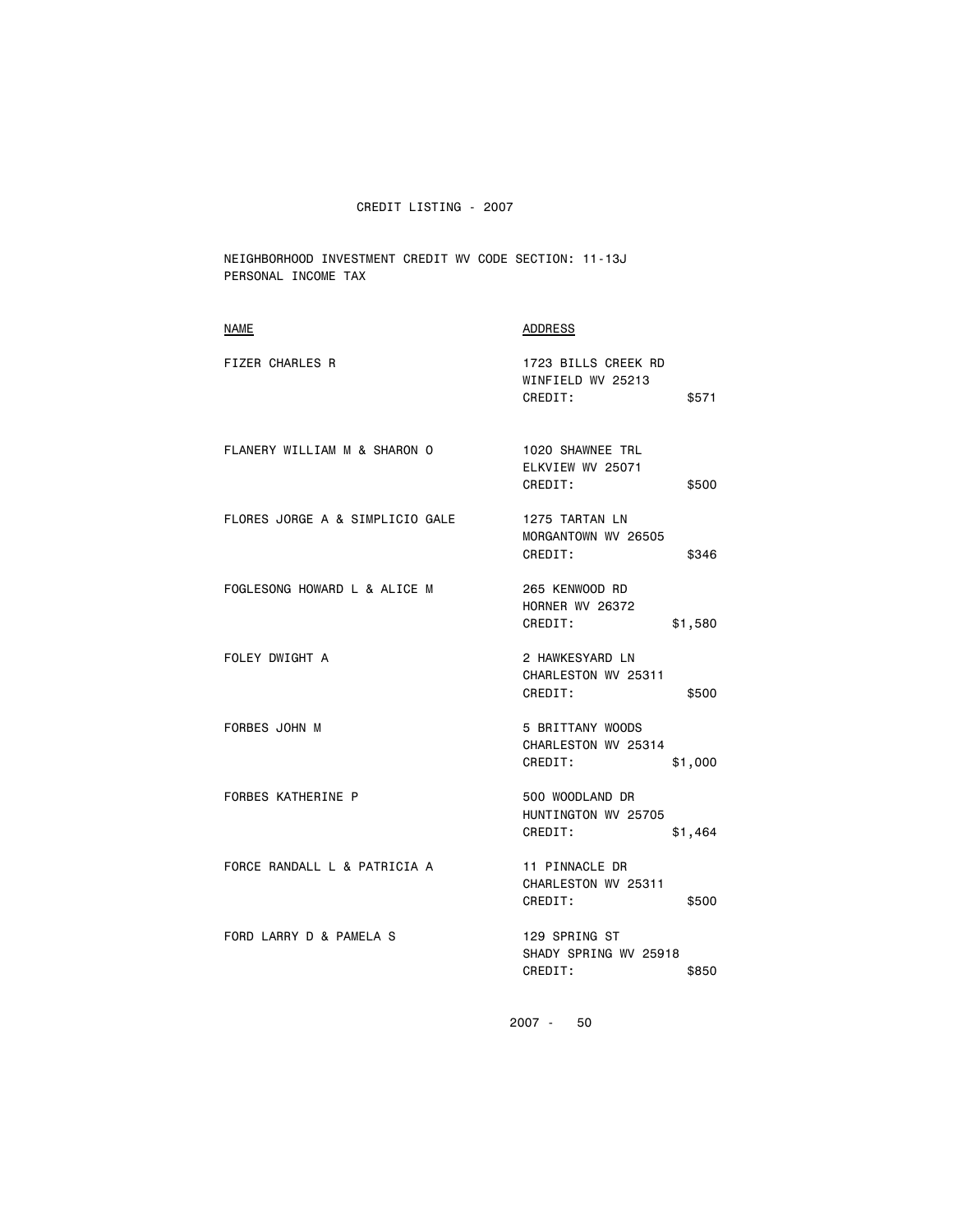NEIGHBORHOOD INVESTMENT CREDIT WV CODE SECTION: 11-13J PERSONAL INCOME TAX

| ADDRESS                                                        |
|----------------------------------------------------------------|
| 1723 BILLS CREEK RD<br>WINFIELD WV 25213<br>CREDIT:<br>\$571   |
| 1020 SHAWNEE TRL<br>ELKVIEW WV 25071<br>CREDIT:<br>\$500       |
| 1275 TARTAN LN<br>MORGANTOWN WV 26505<br>CREDIT:<br>\$346      |
| 265 KENWOOD RD<br><b>HORNER WV 26372</b><br>CREDIT:<br>\$1,580 |
| 2 HAWKESYARD LN<br>CHARLESTON WV 25311<br>CREDIT:<br>\$500     |
| 5 BRITTANY WOODS<br>CHARLESTON WV 25314<br>CREDIT:<br>\$1,000  |
| 500 WOODLAND DR<br>HUNTINGTON WV 25705<br>CREDIT:<br>\$1,464   |
| 11 PINNACLE DR<br>CHARLESTON WV 25311<br>CREDIT:<br>\$500      |
| 129 SPRING ST<br>SHADY SPRING WV 25918<br>CREDIT:<br>\$850     |
|                                                                |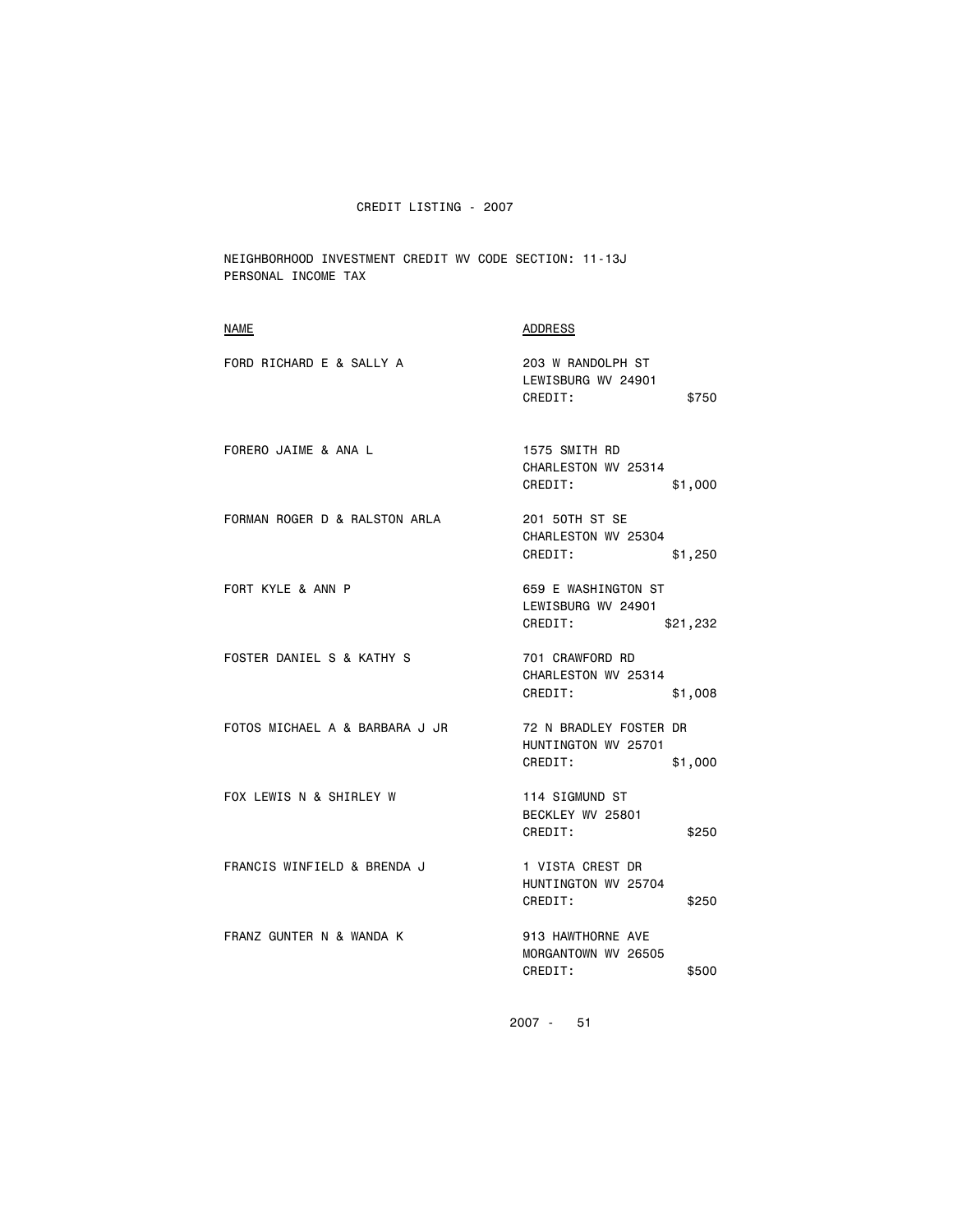NEIGHBORHOOD INVESTMENT CREDIT WV CODE SECTION: 11-13J PERSONAL INCOME TAX

| <b>NAME</b>                    | ADDRESS                                                             |
|--------------------------------|---------------------------------------------------------------------|
| FORD RICHARD E & SALLY A       | 203 W RANDOLPH ST<br>LEWISBURG WV 24901<br>CREDIT:<br>\$750         |
| FORERO JAIME & ANA L           | 1575 SMITH RD<br>CHARLESTON WV 25314<br>CREDIT:<br>\$1,000          |
| FORMAN ROGER D & RALSTON ARLA  | 201 50TH ST SE<br>CHARLESTON WV 25304<br>CREDIT:<br>\$1,250         |
| FORT KYLE & ANN P              | 659 E WASHINGTON ST<br>LEWISBURG WV 24901<br>CREDIT:<br>\$21,232    |
| FOSTER DANIEL S & KATHY S      | 701 CRAWFORD RD<br>CHARLESTON WV 25314<br>CREDIT:<br>\$1,008        |
| FOTOS MICHAEL A & BARBARA J JR | 72 N BRADLEY FOSTER DR<br>HUNTINGTON WV 25701<br>CREDIT:<br>\$1,000 |
| FOX LEWIS N & SHIRLEY W        | 114 SIGMUND ST<br>BECKLEY WV 25801<br>CREDIT:<br>\$250              |
| FRANCIS WINFIELD & BRENDA J    | 1 VISTA CREST DR<br>HUNTINGTON WV 25704<br>CREDIT:<br>\$250         |
| FRANZ GUNTER N & WANDA K       | 913 HAWTHORNE AVE<br>MORGANTOWN WV 26505<br>CREDIT:<br>\$500        |
|                                |                                                                     |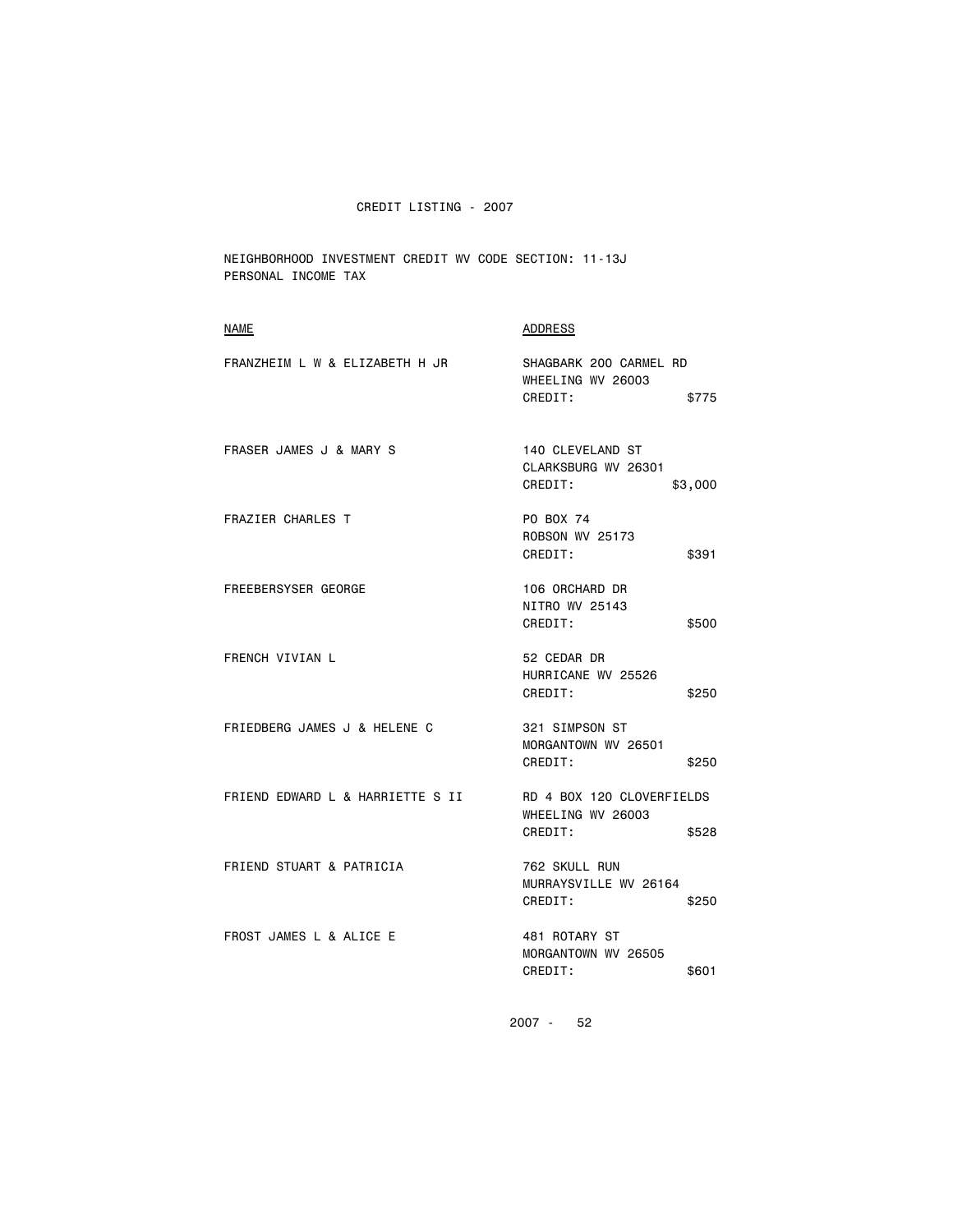NEIGHBORHOOD INVESTMENT CREDIT WV CODE SECTION: 11-13J PERSONAL INCOME TAX

| <b>NAME</b>                        | <b>ADDRESS</b>                                                     |
|------------------------------------|--------------------------------------------------------------------|
| FRANZHEIM L W & ELIZABETH H JR     | SHAGBARK 200 CARMEL RD<br>WHEELING WV 26003<br>CREDIT:<br>\$775    |
| <b>FRASER JAMES J &amp; MARY S</b> | 140 CLEVELAND ST<br>CLARKSBURG WV 26301<br>CREDIT:<br>\$3,000      |
| <b>FRAZIER CHARLES T</b>           | PO BOX 74<br><b>ROBSON WV 25173</b><br>CREDIT:<br>\$391            |
| <b>FREEBERSYSER GEORGE</b>         | 106 ORCHARD DR<br>NITRO WV 25143<br>CREDIT:<br>\$500               |
| FRENCH VIVIAN L                    | 52 CEDAR DR<br>HURRICANE WV 25526<br>CREDIT:<br>\$250              |
| FRIEDBERG JAMES J & HELENE C       | 321 SIMPSON ST<br>MORGANTOWN WV 26501<br>CREDIT:<br>\$250          |
| FRIEND EDWARD L & HARRIETTE S II   | RD 4 BOX 120 CLOVERFIELDS<br>WHEELING WV 26003<br>CREDIT:<br>\$528 |
| FRIEND STUART & PATRICIA           | 762 SKULL RUN<br>MURRAYSVILLE WV 26164<br>CREDIT:<br>\$250         |
| FROST JAMES L & ALICE E            | 481 ROTARY ST<br>MORGANTOWN WV 26505<br>CREDIT:<br>\$601           |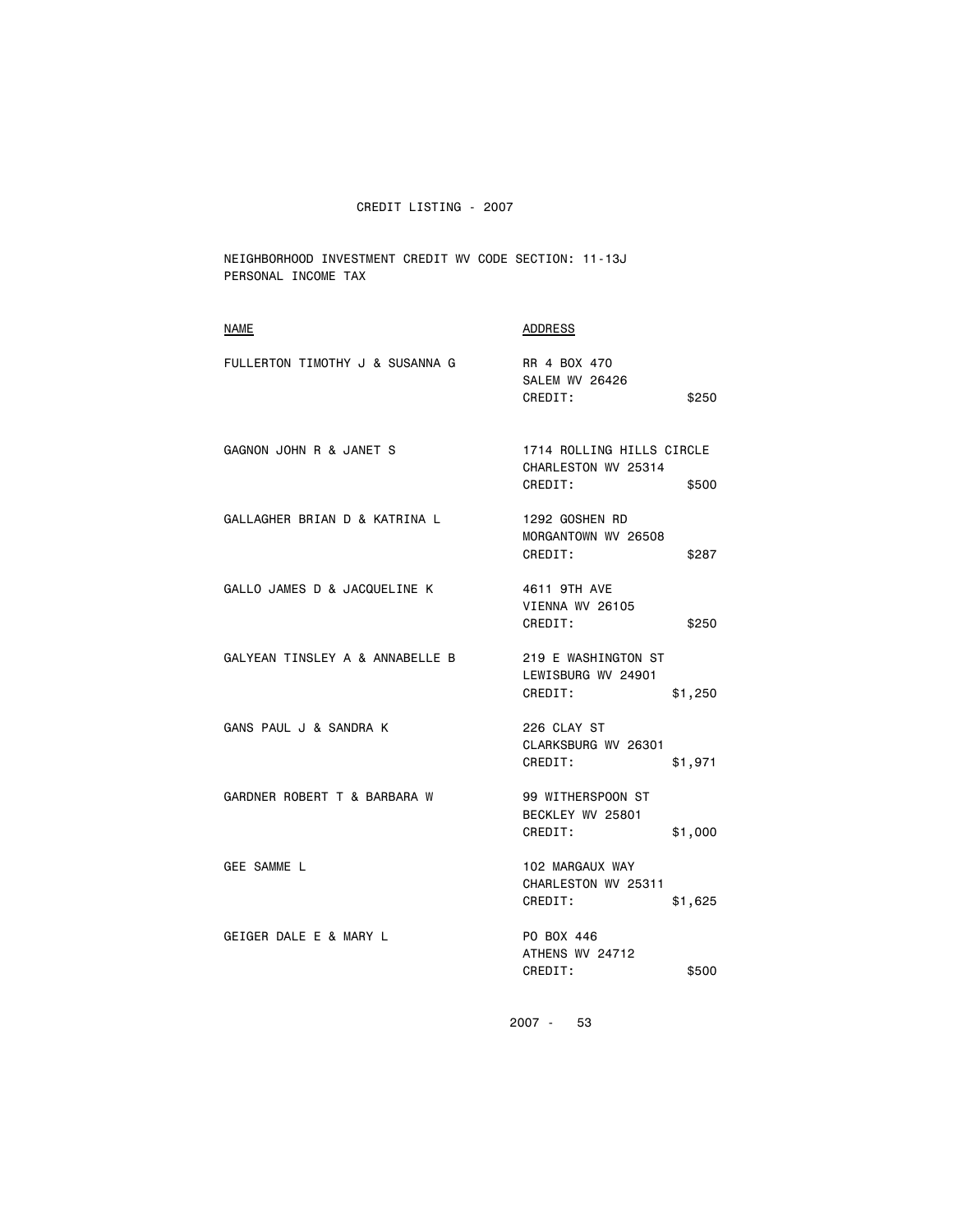NEIGHBORHOOD INVESTMENT CREDIT WV CODE SECTION: 11-13J PERSONAL INCOME TAX

| <b>NAME</b>                     | <b>ADDRESS</b>                                                       |
|---------------------------------|----------------------------------------------------------------------|
| FULLERTON TIMOTHY J & SUSANNA G | RR 4 BOX 470<br><b>SALEM WV 26426</b><br>CREDIT:<br>\$250            |
| GAGNON JOHN R & JANET S         | 1714 ROLLING HILLS CIRCLE<br>CHARLESTON WV 25314<br>CREDIT:<br>\$500 |
| GALLAGHER BRIAN D & KATRINA L   | 1292 GOSHEN RD<br>MORGANTOWN WV 26508<br>CREDIT:<br>\$287            |
| GALLO JAMES D & JACQUELINE K    | 4611 9TH AVE<br>VIENNA WV 26105<br>CREDIT:<br>\$250                  |
| GALYEAN TINSLEY A & ANNABELLE B | 219 E WASHINGTON ST<br>LEWISBURG WV 24901<br>CREDIT:<br>\$1,250      |
| GANS PAUL J & SANDRA K          | 226 CLAY ST<br>CLARKSBURG WV 26301<br>CREDIT:<br>\$1,971             |
| GARDNER ROBERT T & BARBARA W    | 99 WITHERSPOON ST<br>BECKLEY WV 25801<br>CREDIT:<br>\$1,000          |
| <b>GEE SAMME L</b>              | 102 MARGAUX WAY<br>CHARLESTON WV 25311<br>CREDIT:<br>\$1,625         |
| GEIGER DALE E & MARY L          | PO BOX 446<br>ATHENS WV 24712<br>CREDIT:<br>\$500                    |
|                                 |                                                                      |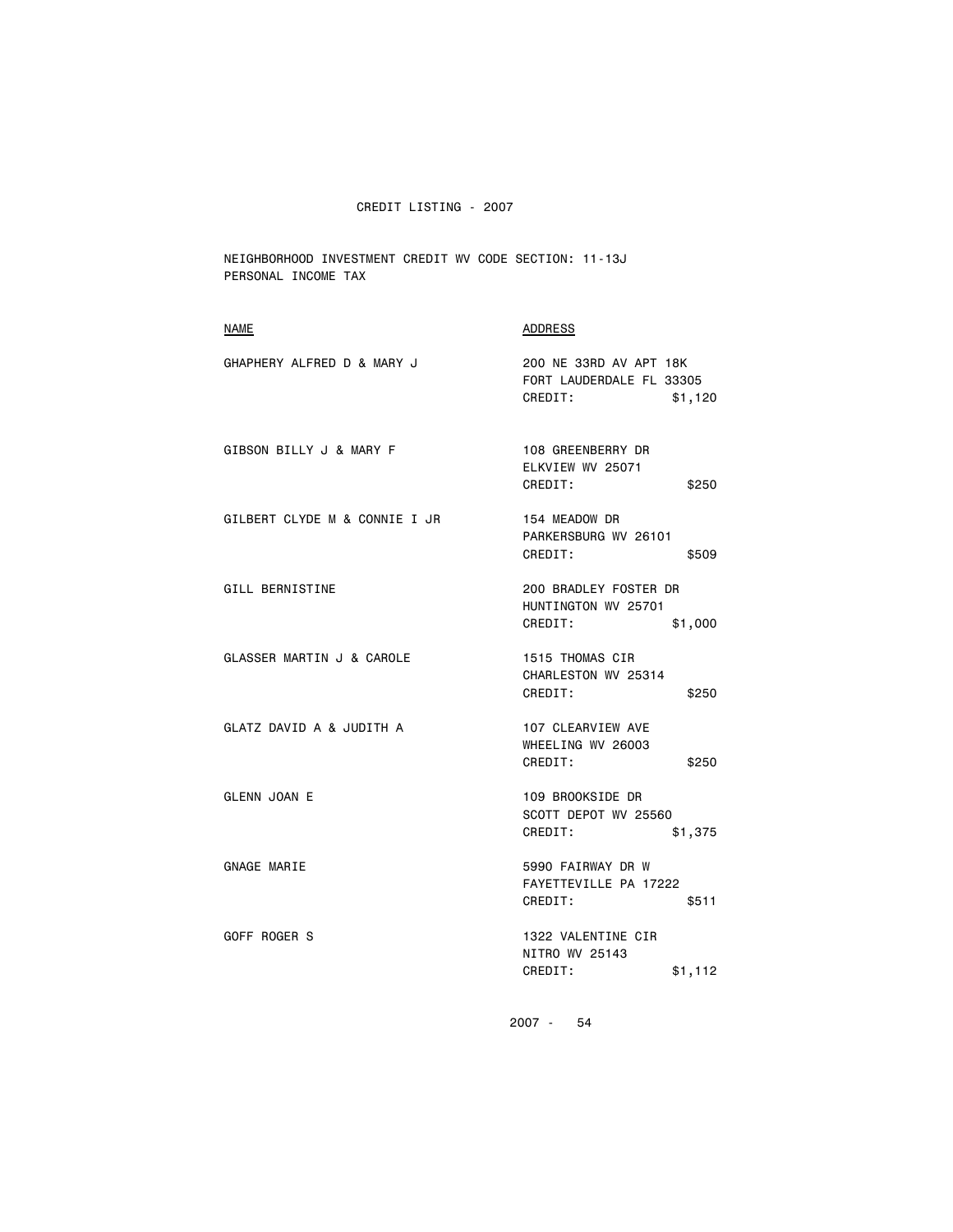NEIGHBORHOOD INVESTMENT CREDIT WV CODE SECTION: 11-13J PERSONAL INCOME TAX

| <b>NAME</b>                   | ADDRESS                                                                  |
|-------------------------------|--------------------------------------------------------------------------|
| GHAPHERY ALFRED D & MARY J    | 200 NE 33RD AV APT 18K<br>FORT LAUDERDALE FL 33305<br>CREDIT:<br>\$1,120 |
| GIBSON BILLY J & MARY F       | 108 GREENBERRY DR<br>ELKVIEW WV 25071<br>CREDIT:<br>\$250                |
| GILBERT CLYDE M & CONNIE I JR | 154 MEADOW DR<br>PARKERSBURG WV 26101<br>CREDIT:<br>\$509                |
| <b>GILL BERNISTINE</b>        | 200 BRADLEY FOSTER DR<br>HUNTINGTON WV 25701<br>CREDIT:<br>\$1,000       |
| GLASSER MARTIN J & CAROLE     | 1515 THOMAS CIR<br>CHARLESTON WV 25314<br>CREDIT:<br>\$250               |
| GLATZ DAVID A & JUDITH A      | 107 CLEARVIEW AVE<br>WHEELING WV 26003<br>CREDIT:<br>\$250               |
| <b>GLENN JOAN E</b>           | 109 BROOKSIDE DR<br>SCOTT DEPOT WV 25560<br>CREDIT:<br>\$1,375           |
| GNAGE MARIE                   | 5990 FAIRWAY DR W<br>FAYETTEVILLE PA 17222<br>CREDIT:<br>\$511           |
| GOFF ROGER S                  | 1322 VALENTINE CIR<br>NITRO WV 25143<br>CREDIT:<br>\$1,112               |
|                               |                                                                          |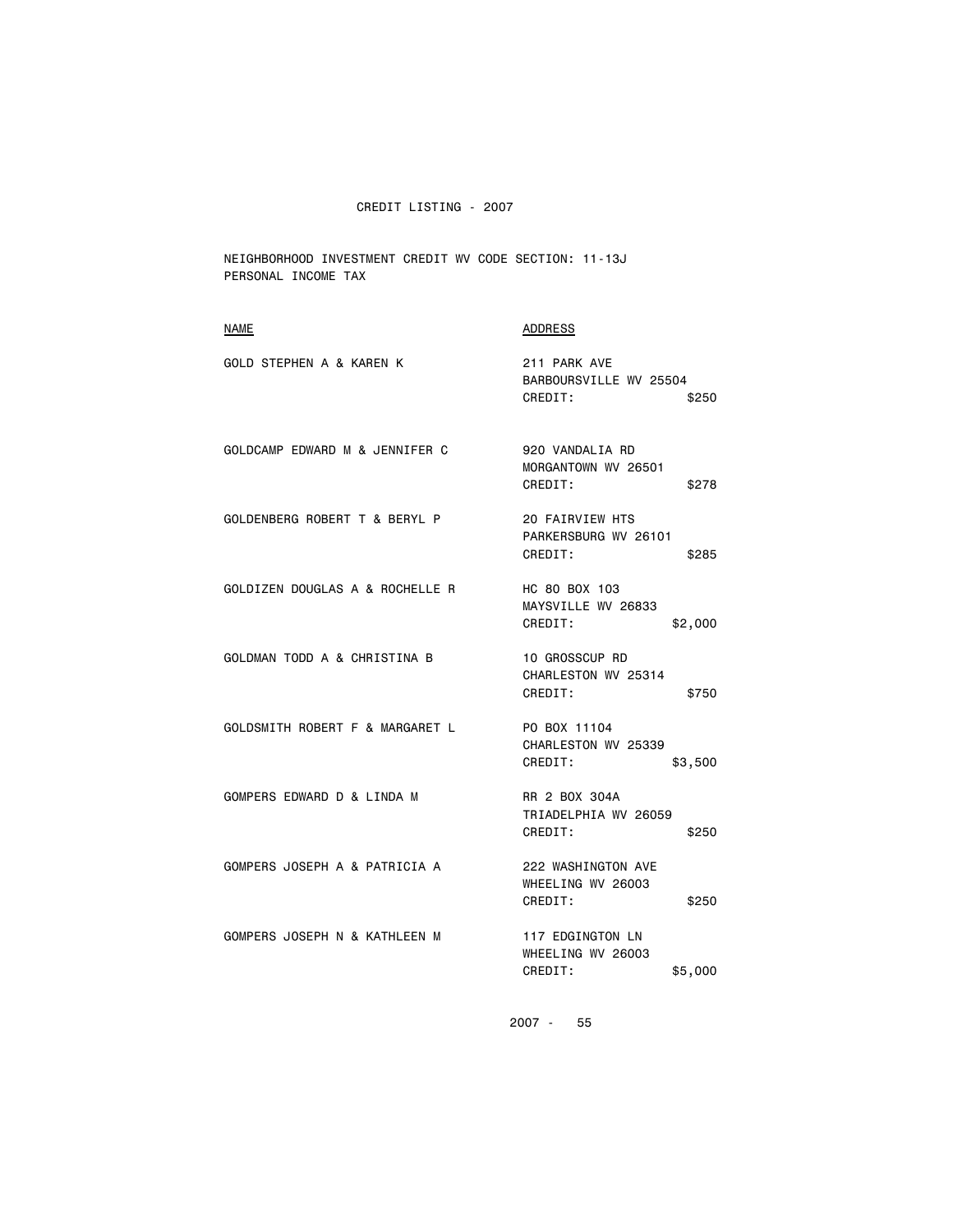NEIGHBORHOOD INVESTMENT CREDIT WV CODE SECTION: 11-13J PERSONAL INCOME TAX

| 211 PARK AVE<br>BARBOURSVILLE WV 25504<br>CREDIT:<br>\$250       |
|------------------------------------------------------------------|
| 920 VANDALIA RD<br>MORGANTOWN WV 26501<br>CREDIT:<br>\$278       |
| 20 FAIRVIEW HTS<br>PARKERSBURG WV 26101<br>CREDIT:<br>\$285      |
| HC 80 BOX 103<br>MAYSVILLE WV 26833<br>CREDIT:<br>\$2,000        |
| <b>10 GROSSCUP RD</b><br>CHARLESTON WV 25314<br>CREDIT:<br>\$750 |
| PO BOX 11104<br>CHARLESTON WV 25339<br>CREDIT:<br>\$3,500        |
| RR 2 BOX 304A<br>TRIADELPHIA WV 26059<br>CREDIT:<br>\$250        |
| 222 WASHINGTON AVE<br>WHEELING WV 26003<br>CREDIT:<br>\$250      |
| 117 EDGINGTON LN<br>WHEELING WV 26003<br>CREDIT:<br>\$5,000      |
|                                                                  |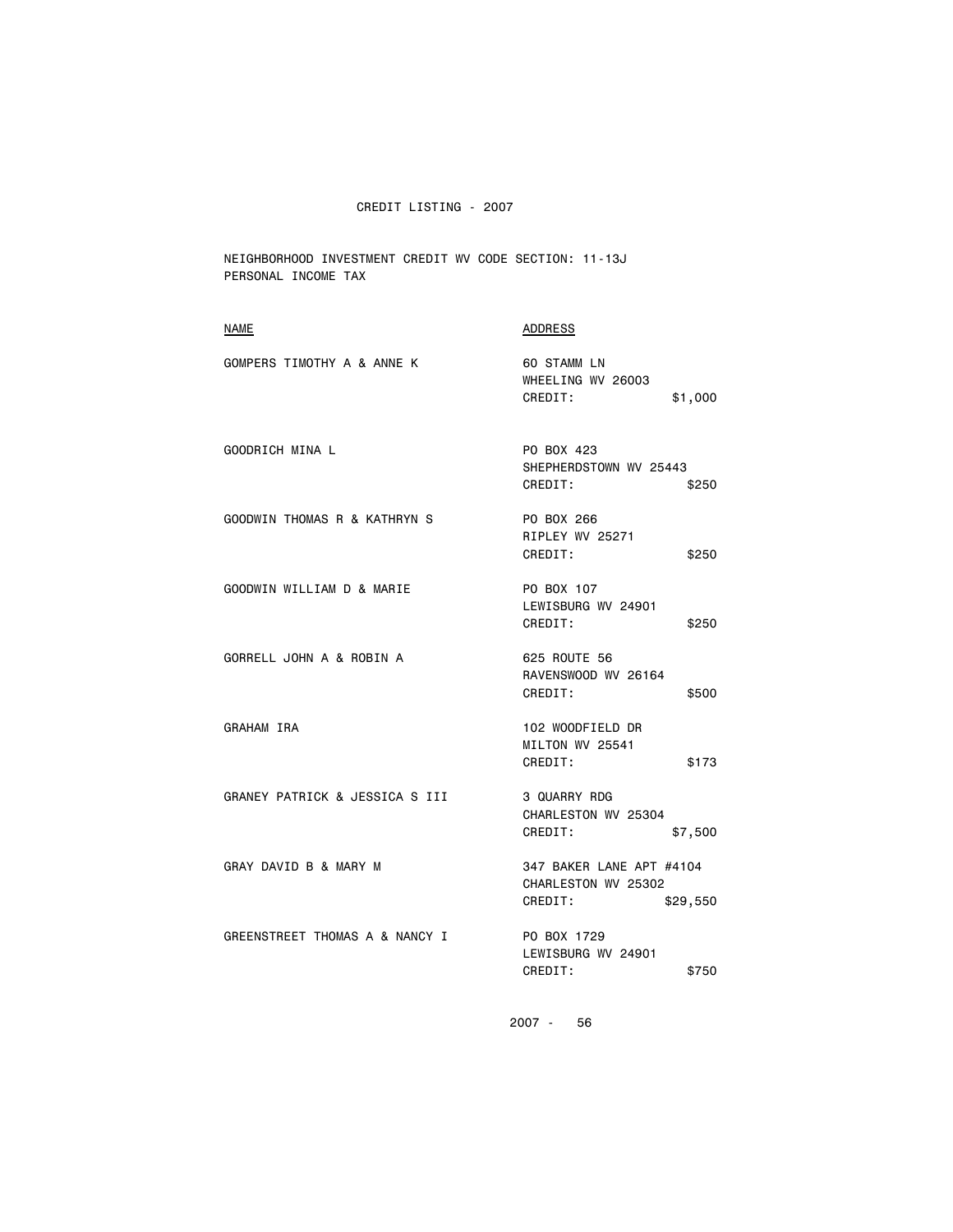NEIGHBORHOOD INVESTMENT CREDIT WV CODE SECTION: 11-13J PERSONAL INCOME TAX

| <b>NAME</b>                    | <b>ADDRESS</b>                                                         |
|--------------------------------|------------------------------------------------------------------------|
| GOMPERS TIMOTHY A & ANNE K     | 60 STAMM LN<br>WHEELING WV 26003<br>CREDIT:<br>\$1,000                 |
| GOODRICH MINA L                | PO BOX 423<br>SHEPHERDSTOWN WV 25443<br>CREDIT:<br>\$250               |
| GOODWIN THOMAS R & KATHRYN S   | PO BOX 266<br>RIPLEY WV 25271<br>CREDIT:<br>\$250                      |
| GOODWIN WILLIAM D & MARIE      | PO BOX 107<br>LEWISBURG WV 24901<br>CREDIT:<br>\$250                   |
| GORRELL JOHN A & ROBIN A       | 625 ROUTE 56<br>RAVENSWOOD WV 26164<br>CREDIT:<br>\$500                |
| GRAHAM IRA                     | 102 WOODFIELD DR<br>MILTON WV 25541<br>CREDIT:<br>\$173                |
| GRANEY PATRICK & JESSICA S III | 3 QUARRY RDG<br>CHARLESTON WV 25304<br>CREDIT:<br>\$7,500              |
| GRAY DAVID B & MARY M          | 347 BAKER LANE APT #4104<br>CHARLESTON WV 25302<br>CREDIT:<br>\$29,550 |
| GREENSTREET THOMAS A & NANCY I | PO BOX 1729<br>LEWISBURG WV 24901<br>CREDIT:<br>\$750                  |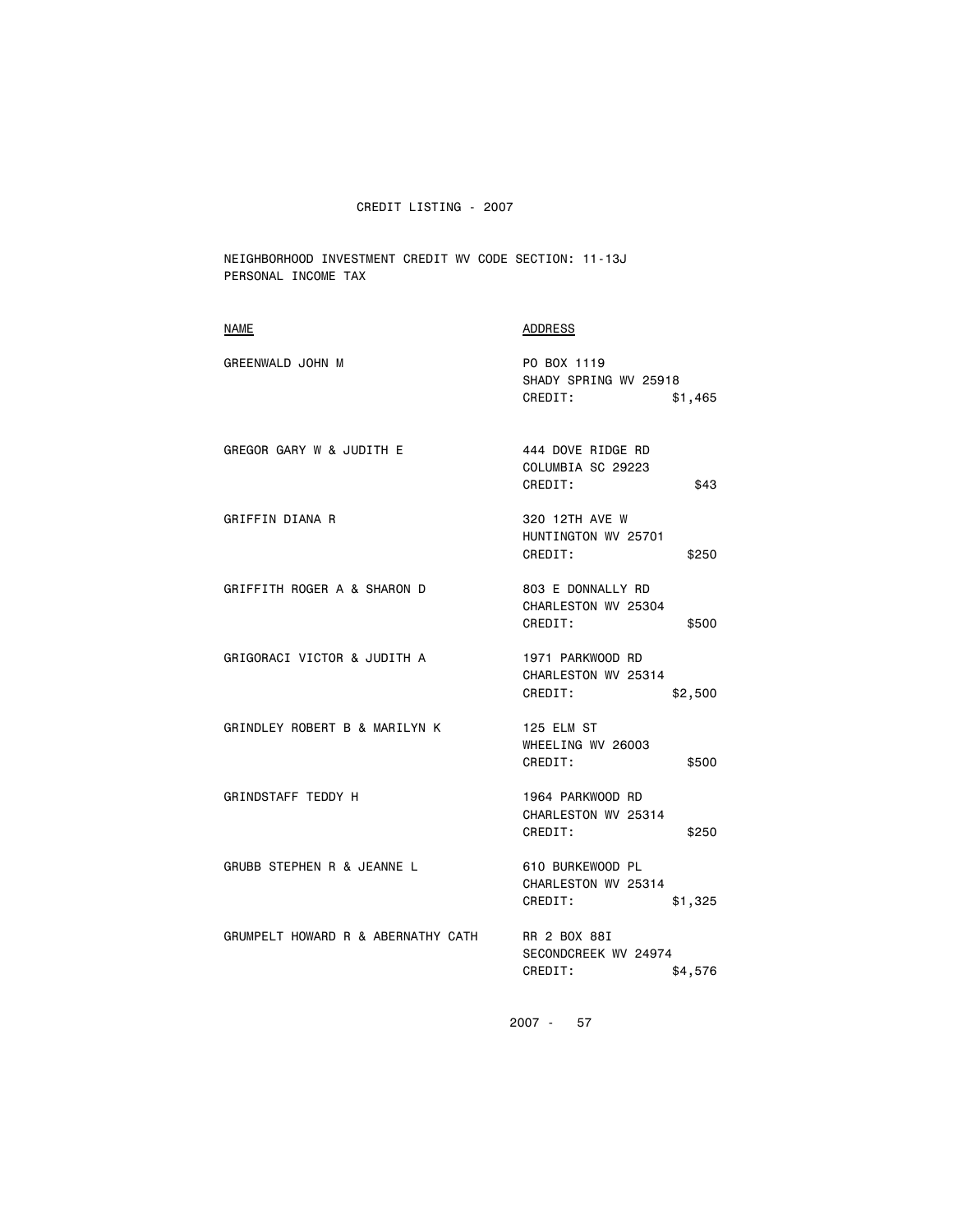NEIGHBORHOOD INVESTMENT CREDIT WV CODE SECTION: 11-13J PERSONAL INCOME TAX

| <b>NAME</b>                        | ADDRESS                                                       |
|------------------------------------|---------------------------------------------------------------|
| <b>GREENWALD JOHN M</b>            | PO BOX 1119<br>SHADY SPRING WV 25918<br>CREDIT:<br>\$1,465    |
| GREGOR GARY W & JUDITH E           | 444 DOVE RIDGE RD<br>COLUMBIA SC 29223<br>CREDIT:<br>\$43     |
| GRIFFIN DIANA R                    | 320 12TH AVE W<br>HUNTINGTON WV 25701<br>CREDIT:<br>\$250     |
| GRIFFITH ROGER A & SHARON D        | 803 E DONNALLY RD<br>CHARLESTON WV 25304<br>CREDIT:<br>\$500  |
| GRIGORACI VICTOR & JUDITH A        | 1971 PARKWOOD RD<br>CHARLESTON WV 25314<br>CREDIT:<br>\$2,500 |
| GRINDLEY ROBERT B & MARILYN K      | 125 ELM ST<br>WHEELING WV 26003<br>CREDIT:<br>\$500           |
| GRINDSTAFF TEDDY H                 | 1964 PARKWOOD RD<br>CHARLESTON WV 25314<br>CREDIT:<br>\$250   |
| GRUBB STEPHEN R & JEANNE L         | 610 BURKEWOOD PL<br>CHARLESTON WV 25314<br>CREDIT:<br>\$1,325 |
| GRUMPELT HOWARD R & ABERNATHY CATH | RR 2 BOX 88I<br>SECONDCREEK WV 24974<br>CREDIT:<br>\$4,576    |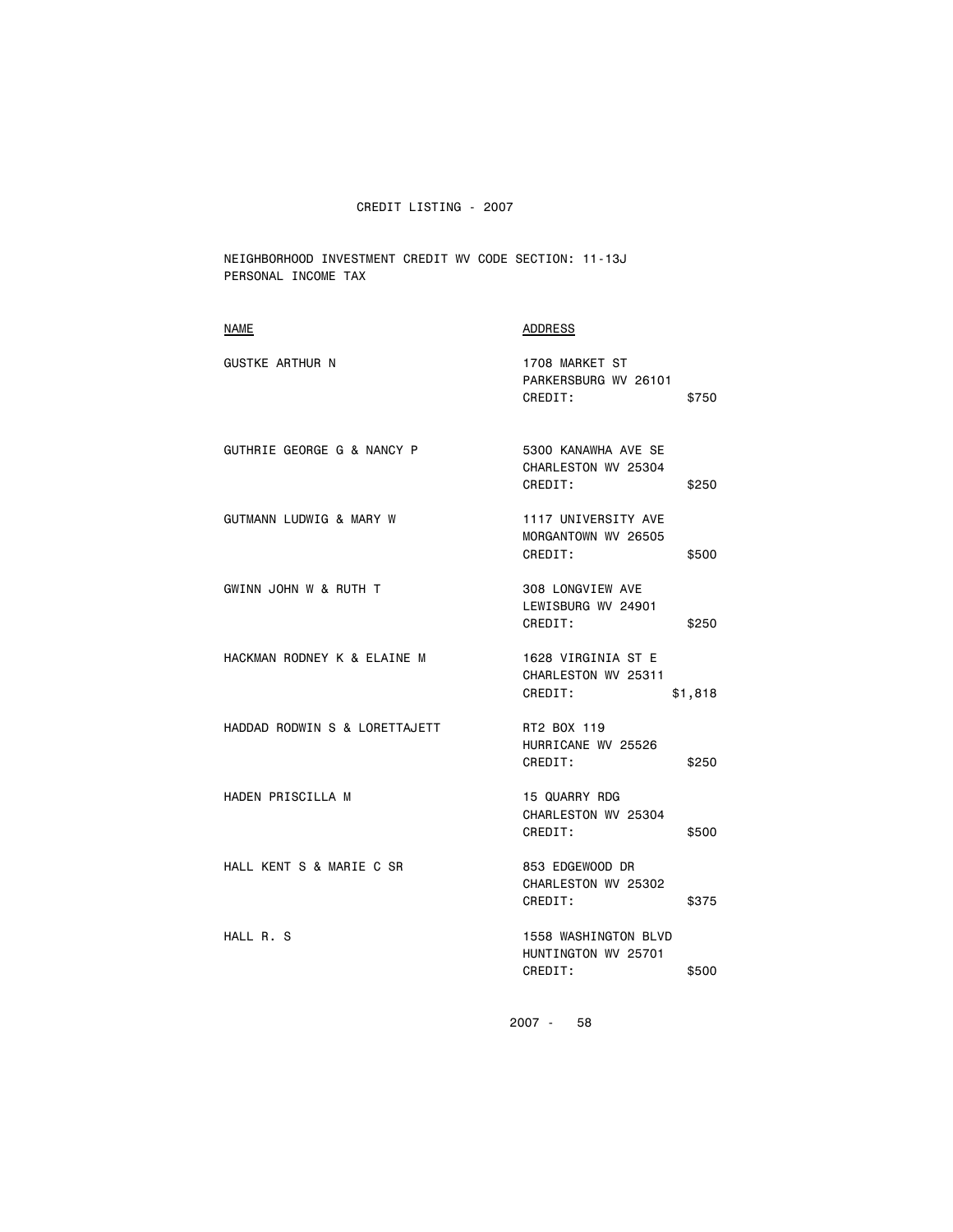NEIGHBORHOOD INVESTMENT CREDIT WV CODE SECTION: 11-13J PERSONAL INCOME TAX

| <b>NAME</b>                   | ADDRESS                                                         |
|-------------------------------|-----------------------------------------------------------------|
| <b>GUSTKE ARTHUR N</b>        | 1708 MARKET ST<br>PARKERSBURG WV 26101<br>CREDIT:<br>\$750      |
| GUTHRIE GEORGE G & NANCY P    | 5300 KANAWHA AVE SE<br>CHARLESTON WV 25304<br>CREDIT:<br>\$250  |
| GUTMANN LUDWIG & MARY W       | 1117 UNIVERSITY AVE<br>MORGANTOWN WV 26505<br>CREDIT:<br>\$500  |
| GWINN JOHN W & RUTH T         | 308 LONGVIEW AVE<br>LEWISBURG WV 24901<br>CREDIT:<br>\$250      |
| HACKMAN RODNEY K & ELAINE M   | 1628 VIRGINIA ST E<br>CHARLESTON WV 25311<br>CREDIT:<br>\$1,818 |
| HADDAD RODWIN S & LORETTAJETT | RT2 BOX 119<br>HURRICANE WV 25526<br>CREDIT:<br>\$250           |
| HADEN PRISCILLA M             | 15 QUARRY RDG<br>CHARLESTON WV 25304<br>CREDIT:<br>\$500        |
| HALL KENT S & MARIE C SR      | 853 EDGEWOOD DR<br>CHARLESTON WV 25302<br>CREDIT:<br>\$375      |
| HALL R. S                     | 1558 WASHINGTON BLVD<br>HUNTINGTON WV 25701<br>CREDIT:<br>\$500 |
|                               |                                                                 |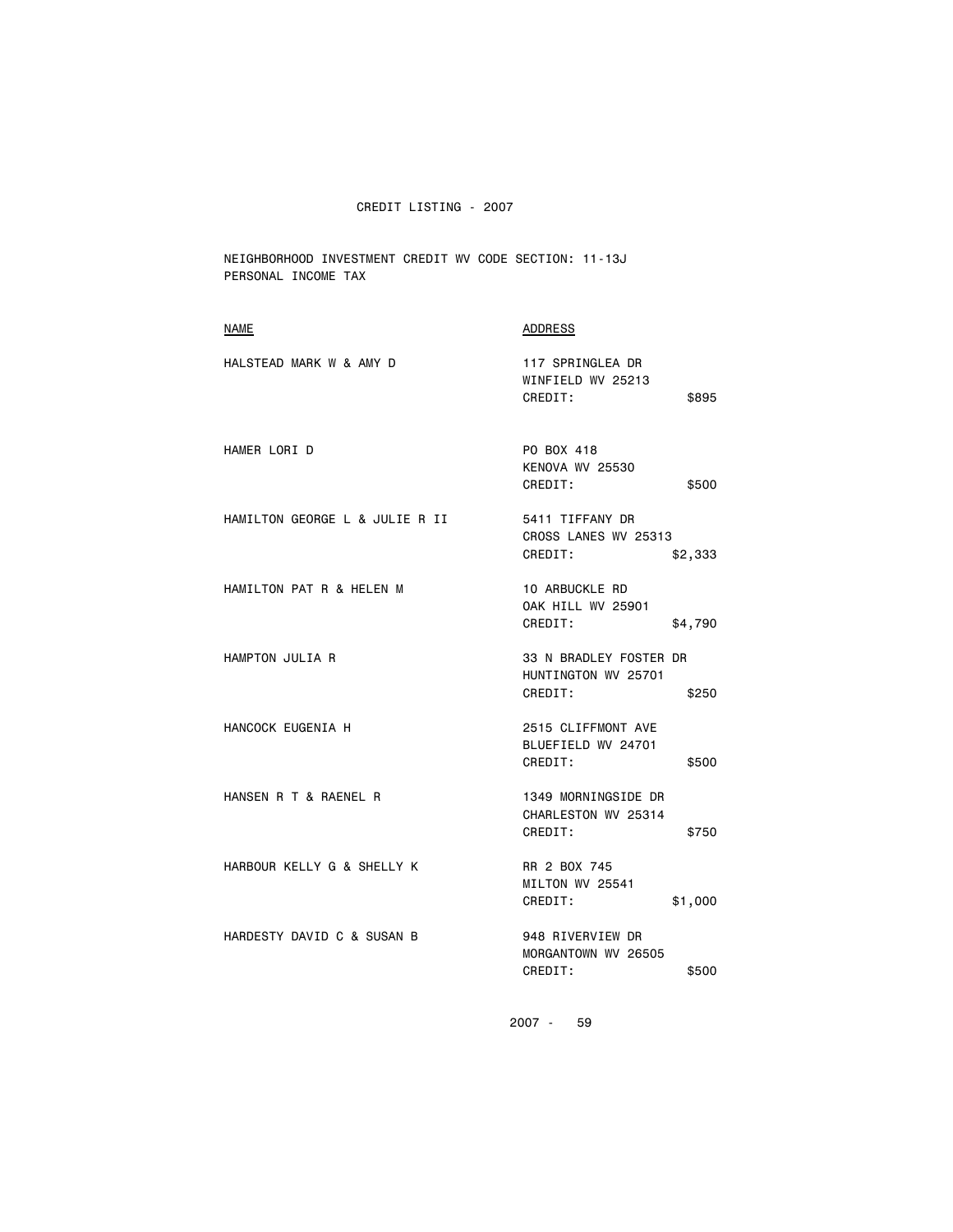NEIGHBORHOOD INVESTMENT CREDIT WV CODE SECTION: 11-13J PERSONAL INCOME TAX

| <b>NAME</b>                    | <b>ADDRESS</b>                                                    |
|--------------------------------|-------------------------------------------------------------------|
| HALSTEAD MARK W & AMY D        | 117 SPRINGLEA DR<br>WINFIELD WV 25213<br>CREDIT:<br>\$895         |
| HAMER LORI D                   | PO BOX 418<br>KENOVA WV 25530<br>CREDIT:<br>\$500                 |
| HAMILTON GEORGE L & JULIE R II | 5411 TIFFANY DR<br>CROSS LANES WV 25313<br>CREDIT:<br>\$2,333     |
| HAMILTON PAT R & HELEN M       | 10 ARBUCKLE RD<br><b>OAK HILL WV 25901</b><br>CREDIT:<br>\$4,790  |
| HAMPTON JULIA R                | 33 N BRADLEY FOSTER DR<br>HUNTINGTON WV 25701<br>CREDIT:<br>\$250 |
| HANCOCK EUGENIA H              | 2515 CLIFFMONT AVE<br>BLUEFIELD WV 24701<br>CREDIT:<br>\$500      |
| HANSEN R T & RAENEL R          | 1349 MORNINGSIDE DR<br>CHARLESTON WV 25314<br>CREDIT:<br>\$750    |
| HARBOUR KELLY G & SHELLY K     | RR 2 BOX 745<br>MILTON WV 25541<br>CREDIT:<br>\$1,000             |
| HARDESTY DAVID C & SUSAN B     | 948 RIVERVIEW DR<br>MORGANTOWN WV 26505<br>CREDIT:<br>\$500       |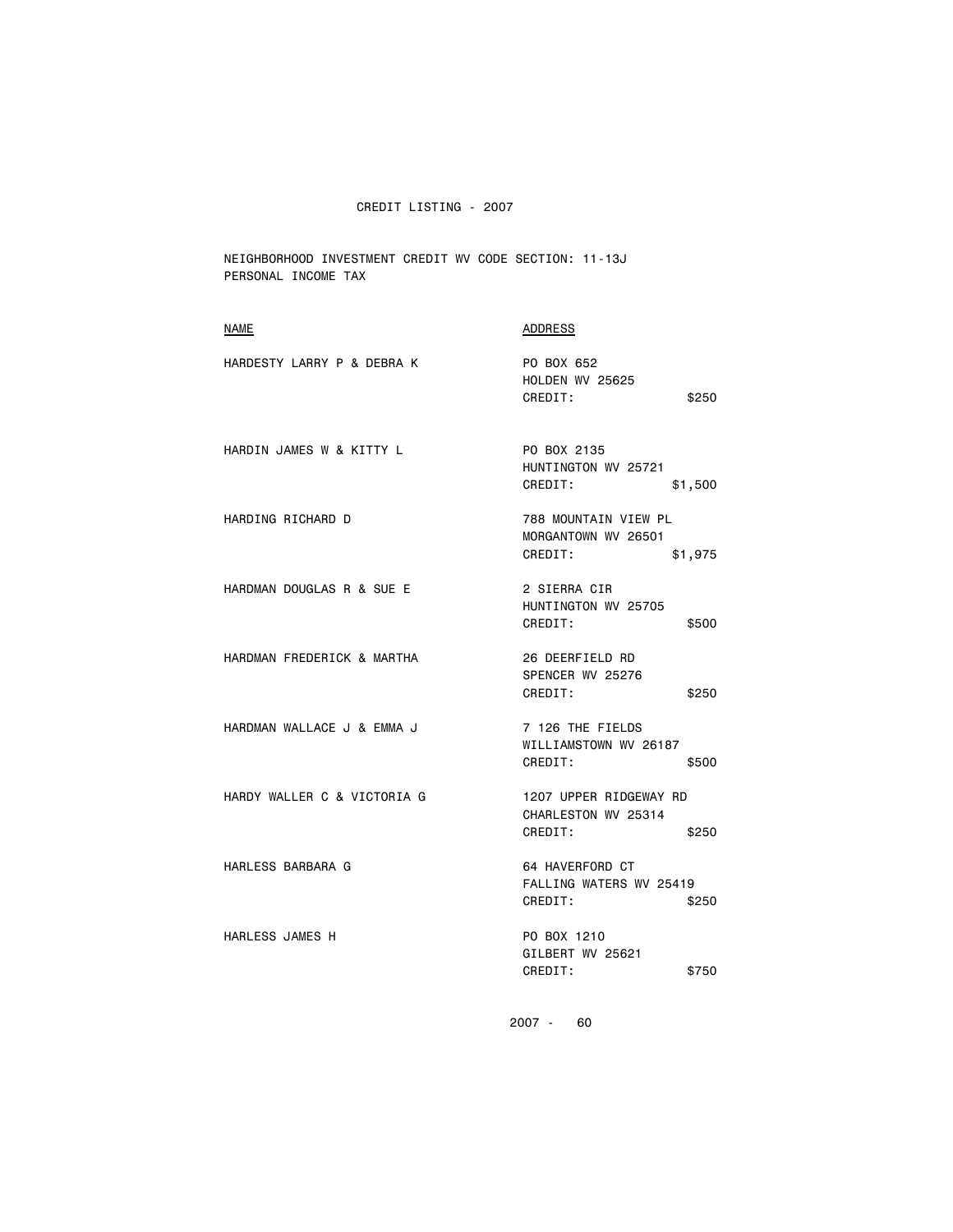NEIGHBORHOOD INVESTMENT CREDIT WV CODE SECTION: 11-13J PERSONAL INCOME TAX

| <b>NAME</b>                 | ADDRESS                                                           |
|-----------------------------|-------------------------------------------------------------------|
| HARDESTY LARRY P & DEBRA K  | PO BOX 652<br><b>HOLDEN WV 25625</b><br>CREDIT:<br>\$250          |
| HARDIN JAMES W & KITTY L    | PO BOX 2135<br>HUNTINGTON WV 25721<br>CREDIT:<br>\$1,500          |
| HARDING RICHARD D           | 788 MOUNTAIN VIEW PL<br>MORGANTOWN WV 26501<br>CREDIT:<br>\$1,975 |
| HARDMAN DOUGLAS R & SUE E   | 2 SIERRA CIR<br>HUNTINGTON WV 25705<br>CREDIT:<br>\$500           |
| HARDMAN FREDERICK & MARTHA  | 26 DEERFIELD RD<br>SPENCER WV 25276<br>CREDIT:<br>\$250           |
| HARDMAN WALLACE J & EMMA J  | 7 126 THE FIELDS<br>WILLIAMSTOWN WV 26187<br>CREDIT:<br>\$500     |
| HARDY WALLER C & VICTORIA G | 1207 UPPER RIDGEWAY RD<br>CHARLESTON WV 25314<br>CREDIT:<br>\$250 |
| HARLESS BARBARA G           | 64 HAVERFORD CT<br>FALLING WATERS WV 25419<br>CREDIT:<br>\$250    |
| HARLESS JAMES H             | PO BOX 1210<br>GILBERT WV 25621<br>CREDIT:<br>\$750               |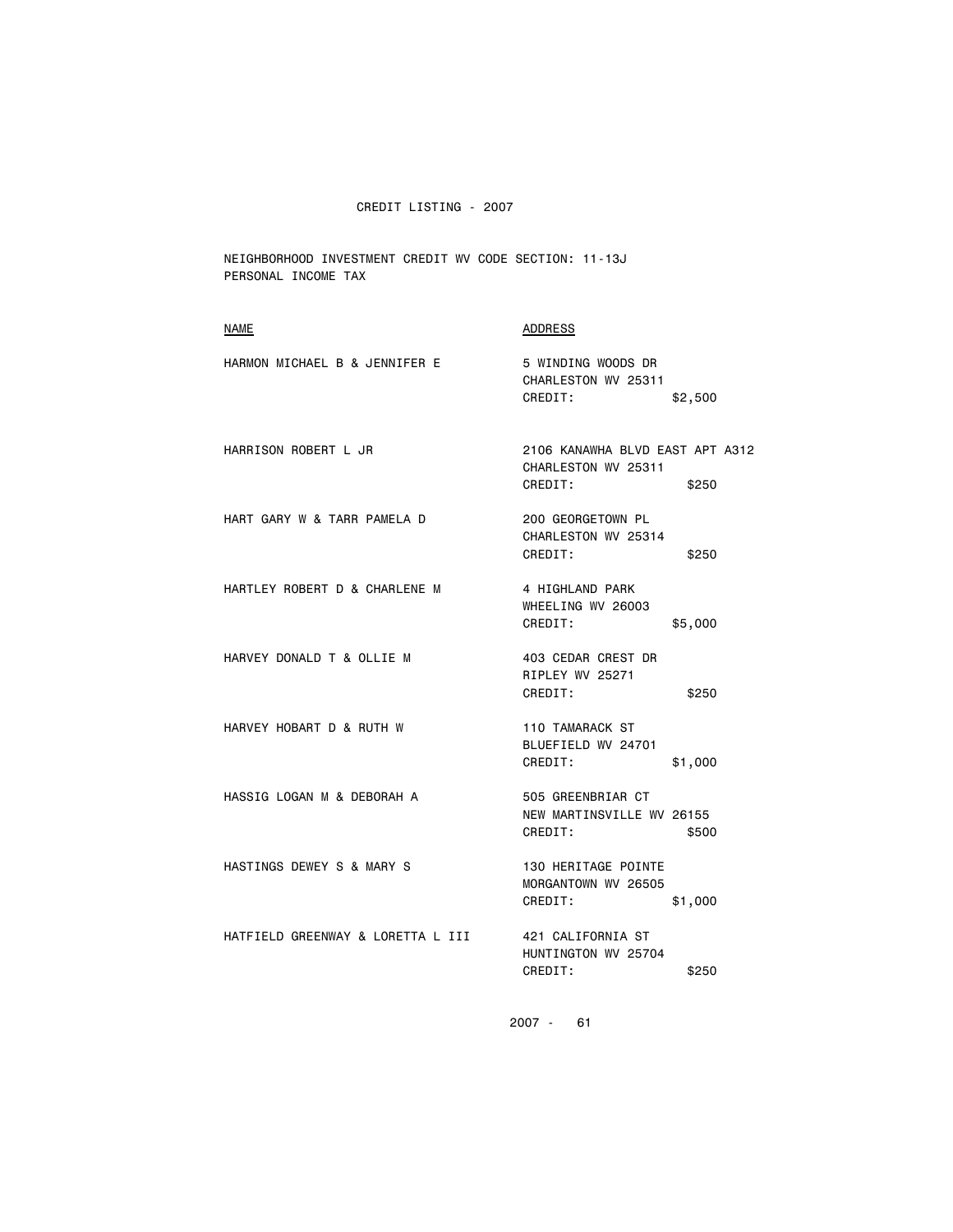NEIGHBORHOOD INVESTMENT CREDIT WV CODE SECTION: 11-13J PERSONAL INCOME TAX

| <b>NAME</b>                       | ADDRESS                                                                    |
|-----------------------------------|----------------------------------------------------------------------------|
| HARMON MICHAEL B & JENNIFER E     | 5 WINDING WOODS DR<br>CHARLESTON WV 25311<br>CREDIT:<br>\$2,500            |
| HARRISON ROBERT L JR              | 2106 KANAWHA BLVD EAST APT A312<br>CHARLESTON WV 25311<br>CREDIT:<br>\$250 |
| HART GARY W & TARR PAMELA D       | 200 GEORGETOWN PL<br>CHARLESTON WV 25314<br>CREDIT:<br>\$250               |
| HARTLEY ROBERT D & CHARLENE M     | 4 HIGHLAND PARK<br>WHEELING WV 26003<br>CREDIT:<br>\$5,000                 |
| HARVEY DONALD T & OLLIE M         | 403 CEDAR CREST DR<br>RIPLEY WV 25271<br>CREDIT:<br>\$250                  |
| HARVEY HOBART D & RUTH W          | 110 TAMARACK ST<br>BLUEFIELD WV 24701<br>CREDIT:<br>\$1,000                |
| HASSIG LOGAN M & DEBORAH A        | 505 GREENBRIAR CT<br>NEW MARTINSVILLE WV 26155<br>CREDIT:<br>\$500         |
| HASTINGS DEWEY S & MARY S         | 130 HERITAGE POINTE<br>MORGANTOWN WV 26505<br>CREDIT:<br>\$1,000           |
| HATFIELD GREENWAY & LORETTA L III | 421 CALIFORNIA ST<br>HUNTINGTON WV 25704<br>CREDIT:<br>\$250               |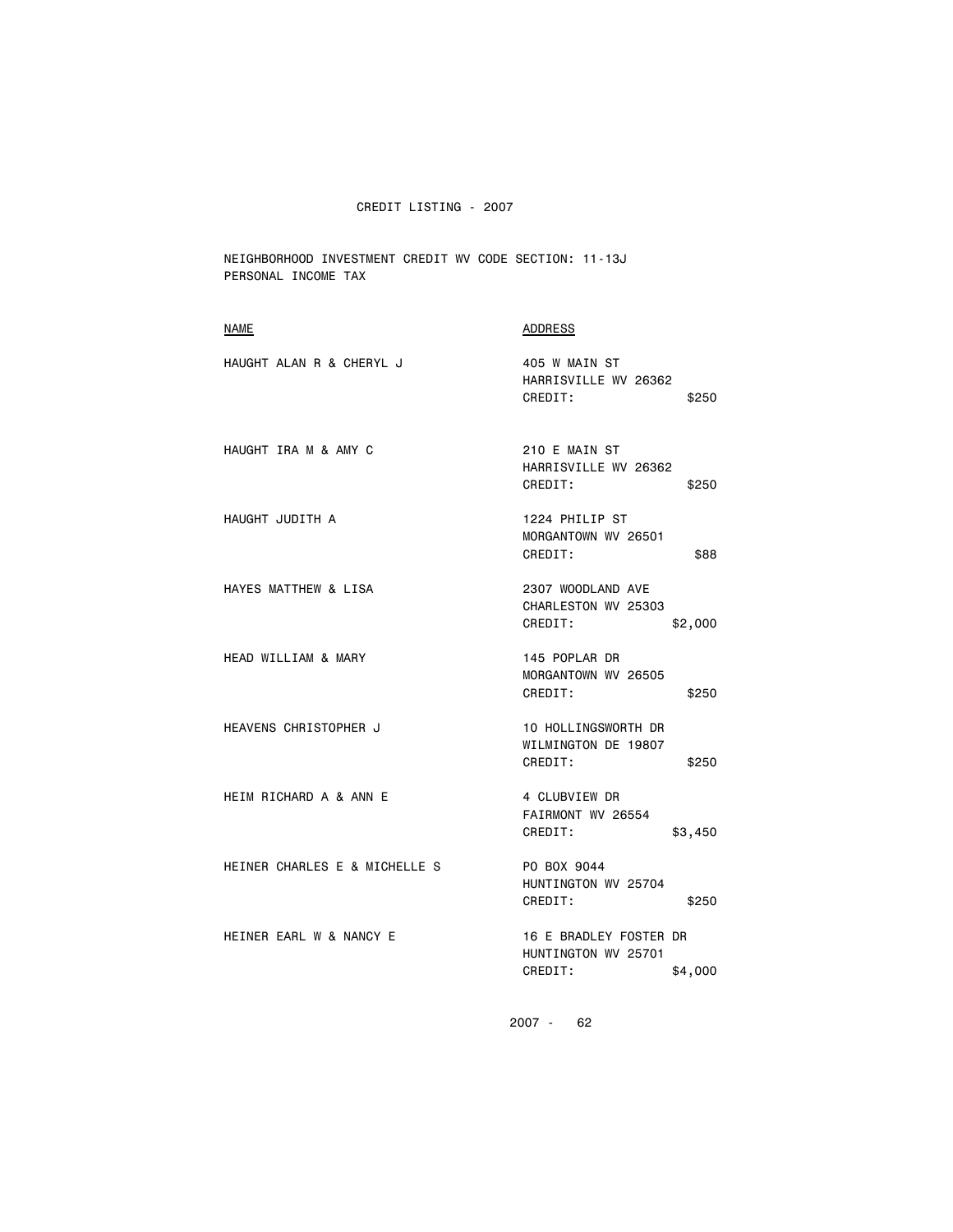NEIGHBORHOOD INVESTMENT CREDIT WV CODE SECTION: 11-13J PERSONAL INCOME TAX

| <b>ADDRESS</b>                                                      |
|---------------------------------------------------------------------|
| 405 W MAIN ST<br>HARRISVILLE WV 26362<br>CREDIT:<br>\$250           |
| 210 E MAIN ST<br>HARRISVILLE WV 26362<br>CREDIT:<br>\$250           |
| 1224 PHILIP ST<br>MORGANTOWN WV 26501<br>CREDIT:<br>\$88            |
| 2307 WOODLAND AVE<br>CHARLESTON WV 25303<br>CREDIT:<br>\$2,000      |
| 145 POPLAR DR<br>MORGANTOWN WV 26505<br>CREDIT:<br>\$250            |
| 10 HOLLINGSWORTH DR<br>WILMINGTON DE 19807<br>CREDIT:<br>\$250      |
| 4 CLUBVIEW DR<br>FAIRMONT WV 26554<br>CREDIT:<br>\$3,450            |
| PO BOX 9044<br>HUNTINGTON WV 25704<br>CREDIT:<br>\$250              |
| 16 E BRADLEY FOSTER DR<br>HUNTINGTON WV 25701<br>CREDIT:<br>\$4,000 |
|                                                                     |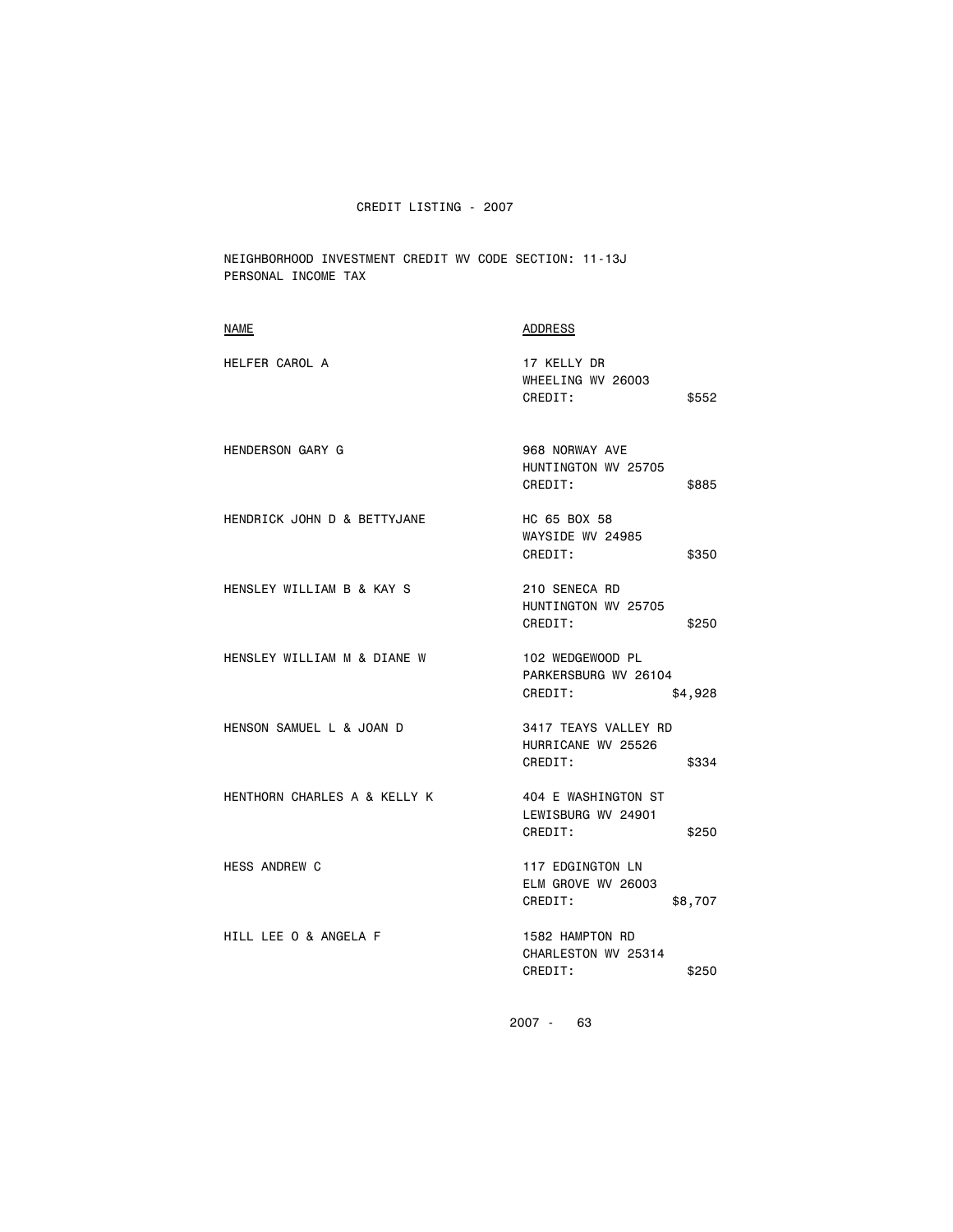NEIGHBORHOOD INVESTMENT CREDIT WV CODE SECTION: 11-13J PERSONAL INCOME TAX

| <b>NAME</b>                  | <b>ADDRESS</b>                                                 |
|------------------------------|----------------------------------------------------------------|
| HELFER CAROL A               | 17 KELLY DR<br>WHEELING WV 26003<br>CREDIT:<br>\$552           |
| <b>HENDERSON GARY G</b>      | 968 NORWAY AVE<br>HUNTINGTON WV 25705<br>CREDIT:<br>\$885      |
| HENDRICK JOHN D & BETTYJANE  | HC 65 BOX 58<br>WAYSIDE WV 24985<br>CREDIT:<br>\$350           |
| HENSLEY WILLIAM B & KAY S    | 210 SENECA RD<br>HUNTINGTON WV 25705<br>CREDIT:<br>\$250       |
| HENSLEY WILLIAM M & DIANE W  | 102 WEDGEWOOD PL<br>PARKERSBURG WV 26104<br>CREDIT:<br>\$4,928 |
| HENSON SAMUEL L & JOAN D     | 3417 TEAYS VALLEY RD<br>HURRICANE WV 25526<br>CREDIT:<br>\$334 |
| HENTHORN CHARLES A & KELLY K | 404 E WASHINGTON ST<br>LEWISBURG WV 24901<br>CREDIT:<br>\$250  |
| <b>HESS ANDREW C</b>         | 117 EDGINGTON LN<br>ELM GROVE WV 26003<br>CREDIT:<br>\$8,707   |
| HILL LEE 0 & ANGELA F        | 1582 HAMPTON RD<br>CHARLESTON WV 25314<br>CREDIT:<br>\$250     |
|                              |                                                                |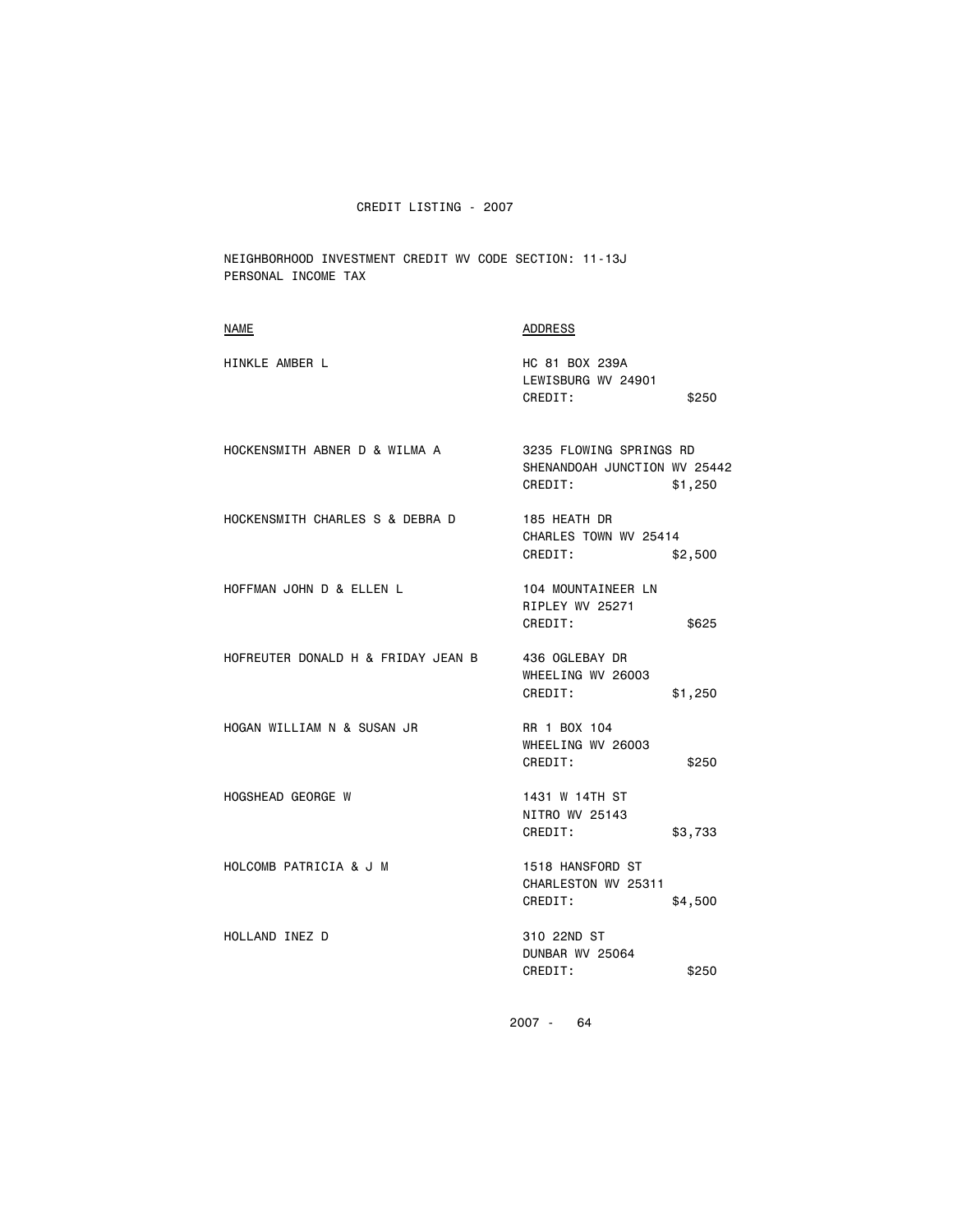NEIGHBORHOOD INVESTMENT CREDIT WV CODE SECTION: 11-13J PERSONAL INCOME TAX

| NAME                               | ADDRESS                                                                       |
|------------------------------------|-------------------------------------------------------------------------------|
| HINKLE AMBER L                     | HC 81 BOX 239A<br>LEWISBURG WV 24901<br>CREDIT:<br>\$250                      |
| HOCKENSMITH ABNER D & WILMA A      | 3235 FLOWING SPRINGS RD<br>SHENANDOAH JUNCTION WV 25442<br>CREDIT:<br>\$1,250 |
| HOCKENSMITH CHARLES S & DEBRA D    | 185 HEATH DR<br>CHARLES TOWN WV 25414<br>CREDIT:<br>\$2,500                   |
| HOFFMAN JOHN D & ELLEN L           | 104 MOUNTAINEER LN<br>RIPLEY WV 25271<br>CREDIT:<br>\$625                     |
| HOFREUTER DONALD H & FRIDAY JEAN B | 436 OGLEBAY DR<br>WHEELING WV 26003<br>CREDIT:<br>\$1,250                     |
| HOGAN WILLIAM N & SUSAN JR         | RR 1 BOX 104<br>WHEELING WV 26003<br>CREDIT:<br>\$250                         |
| <b>HOGSHEAD GEORGE W</b>           | 1431 W 14TH ST<br>NITRO WV 25143<br>CREDIT:<br>\$3,733                        |
| HOLCOMB PATRICIA & J M             | 1518 HANSFORD ST<br>CHARLESTON WV 25311<br>CREDIT:<br>\$4,500                 |
| HOLLAND INEZ D                     | 310 22ND ST<br>DUNBAR WV 25064<br>CREDIT:<br>\$250                            |
|                                    |                                                                               |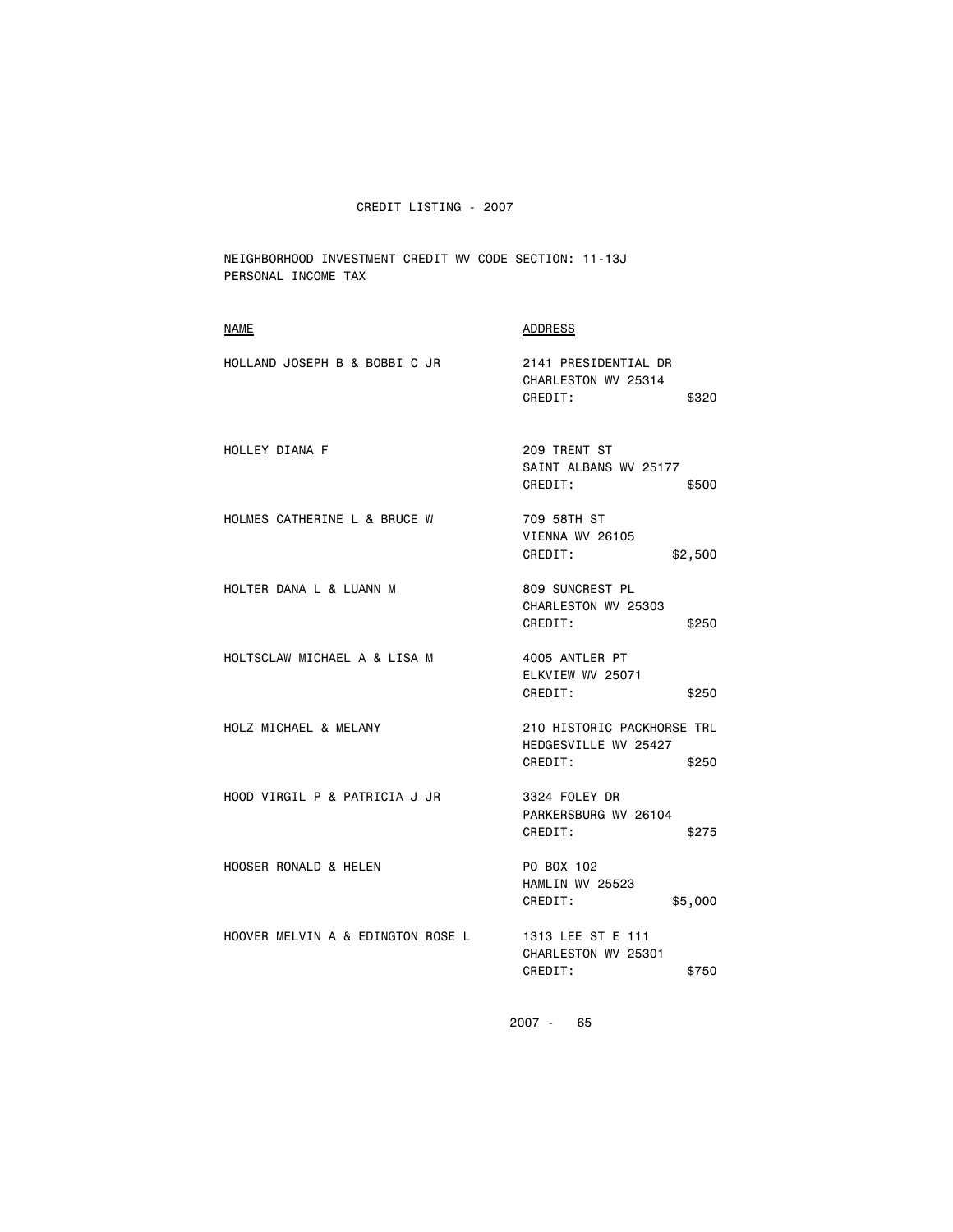NEIGHBORHOOD INVESTMENT CREDIT WV CODE SECTION: 11-13J PERSONAL INCOME TAX

| <b>ADDRESS</b>                                                         |
|------------------------------------------------------------------------|
| 2141 PRESIDENTIAL DR<br>CHARLESTON WV 25314<br>CREDIT:<br>\$320        |
| 209 TRENT ST<br>SAINT ALBANS WV 25177<br>CREDIT:<br>\$500              |
| 709 58TH ST<br>VIENNA WV 26105<br>CREDIT:<br>\$2,500                   |
| 809 SUNCREST PL<br>CHARLESTON WV 25303<br>CREDIT:<br>\$250             |
| 4005 ANTLER PT<br>ELKVIEW WV 25071<br>CREDIT:<br>\$250                 |
| 210 HISTORIC PACKHORSE TRL<br>HEDGESVILLE WV 25427<br>CREDIT:<br>\$250 |
| 3324 FOLEY DR<br>PARKERSBURG WV 26104<br>CREDIT:<br>\$275              |
| PO BOX 102<br>HAMLIN WV 25523<br>CREDIT:<br>\$5,000                    |
| 1313 LEE ST E 111<br>CHARLESTON WV 25301<br>CREDIT:<br>\$750           |
|                                                                        |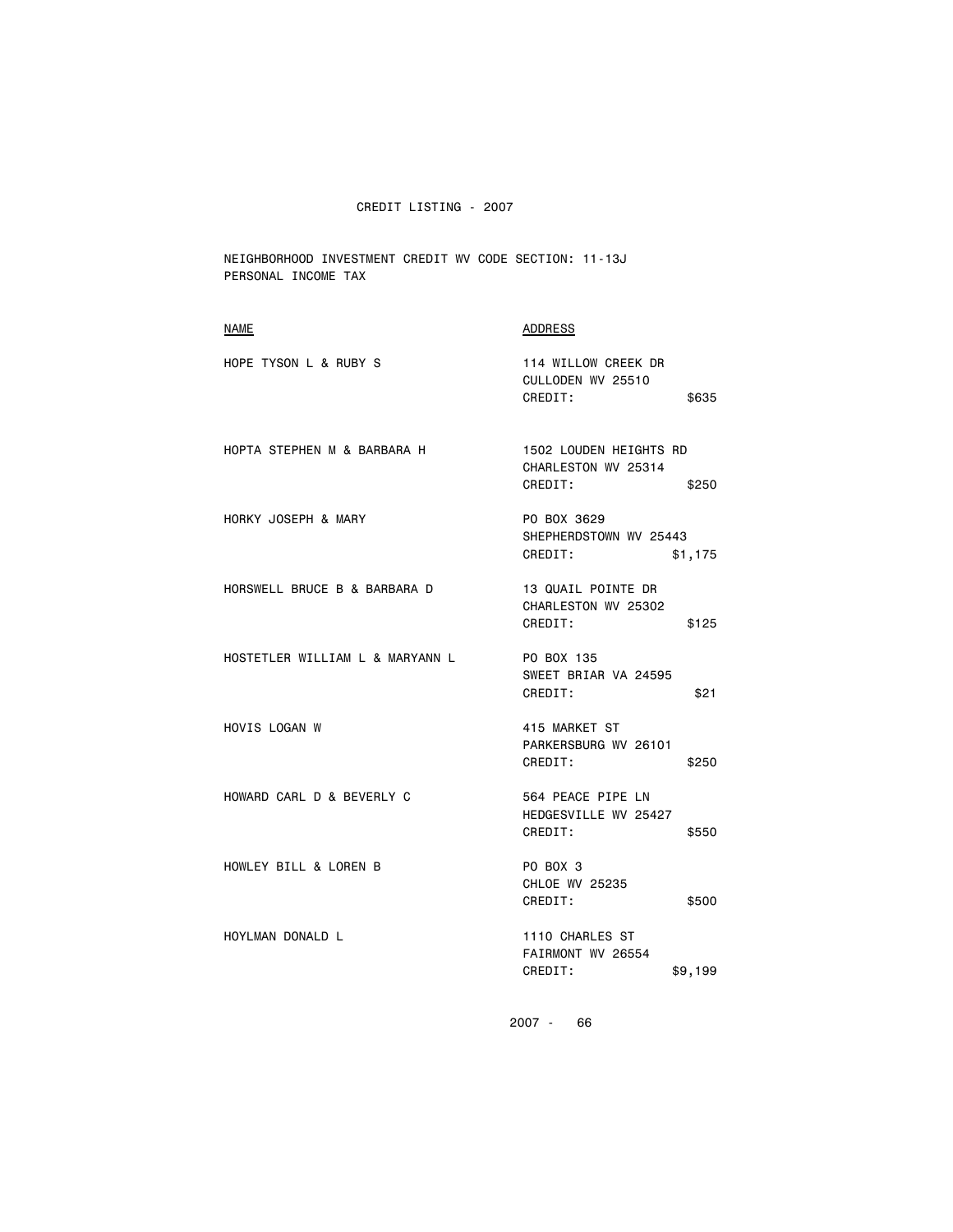NEIGHBORHOOD INVESTMENT CREDIT WV CODE SECTION: 11-13J PERSONAL INCOME TAX

| <b>NAME</b>                     | <b>ADDRESS</b>                                                    |
|---------------------------------|-------------------------------------------------------------------|
| HOPE TYSON L & RUBY S           | 114 WILLOW CREEK DR<br>CULLODEN WV 25510<br>CREDIT:<br>\$635      |
| HOPTA STEPHEN M & BARBARA H     | 1502 LOUDEN HEIGHTS RD<br>CHARLESTON WV 25314<br>CREDIT:<br>\$250 |
| HORKY JOSEPH & MARY             | PO BOX 3629<br>SHEPHERDSTOWN WV 25443<br>CREDIT:<br>\$1,175       |
| HORSWELL BRUCE B & BARBARA D    | 13 QUAIL POINTE DR<br>CHARLESTON WV 25302<br>CREDIT:<br>\$125     |
| HOSTETLER WILLIAM L & MARYANN L | PO BOX 135<br>SWEET BRIAR VA 24595<br>CREDIT:<br>\$21             |
| HOVIS LOGAN W                   | 415 MARKET ST<br>PARKERSBURG WV 26101<br>CREDIT:<br>\$250         |
| HOWARD CARL D & BEVERLY C       | 564 PEACE PIPE LN<br>HEDGESVILLE WV 25427<br>CREDIT:<br>\$550     |
| HOWLEY BILL & LOREN B           | PO BOX 3<br><b>CHLOE WV 25235</b><br>CREDIT:<br>\$500             |
| HOYLMAN DONALD L                | 1110 CHARLES ST<br>FAIRMONT WV 26554<br>CREDIT:<br>\$9,199        |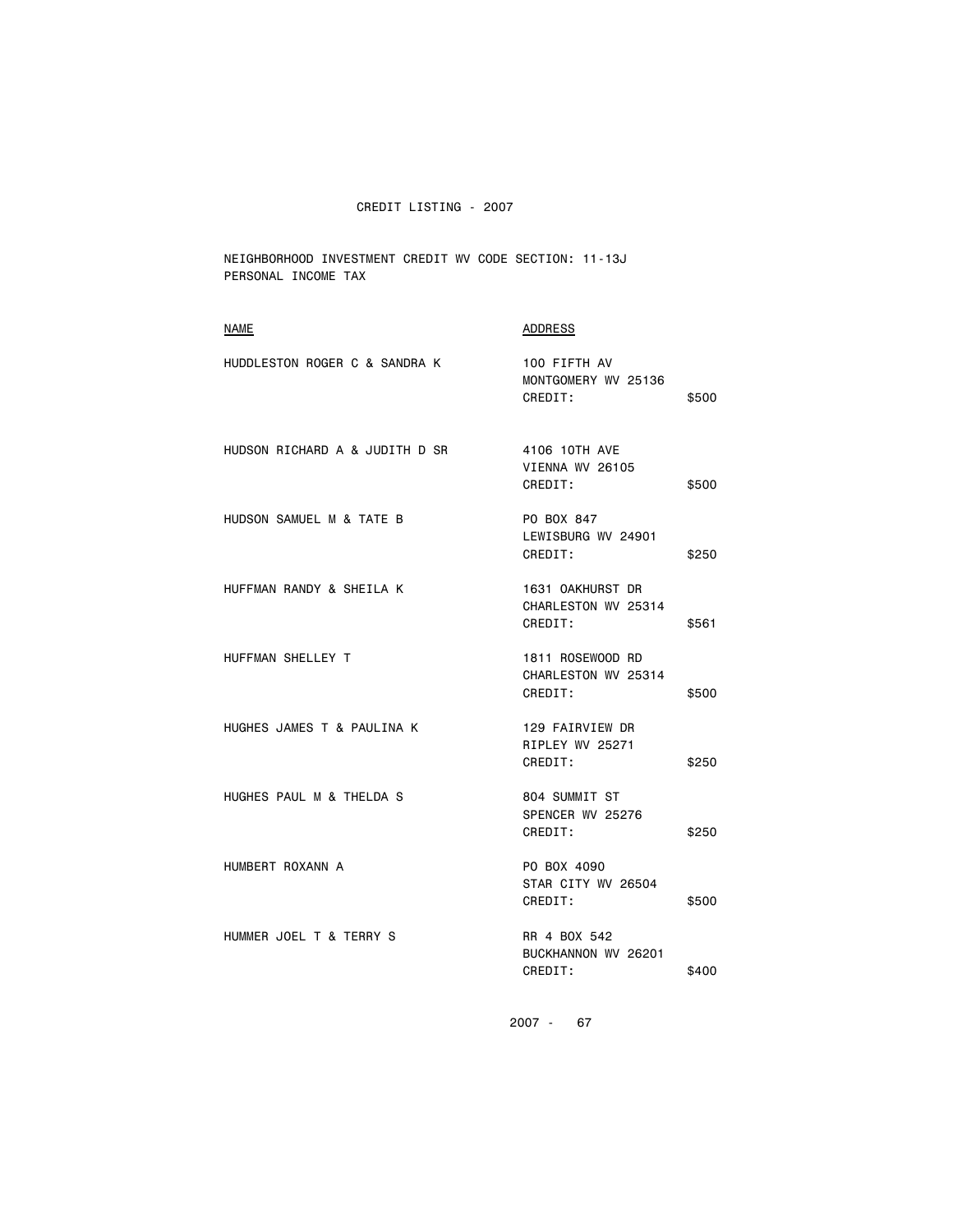NEIGHBORHOOD INVESTMENT CREDIT WV CODE SECTION: 11-13J PERSONAL INCOME TAX

| <b>NAME</b>                    | ADDRESS                                            |       |
|--------------------------------|----------------------------------------------------|-------|
| HUDDLESTON ROGER C & SANDRA K  | 100 FIFTH AV<br>MONTGOMERY WV 25136<br>CREDIT:     | \$500 |
| HUDSON RICHARD A & JUDITH D SR | 4106 10TH AVE<br>VIENNA WV 26105<br>CREDIT:        | \$500 |
| HUDSON SAMUEL M & TATE B       | PO BOX 847<br>LEWISBURG WV 24901<br>CREDIT:        | \$250 |
| HUFFMAN RANDY & SHEILA K       | 1631 OAKHURST DR<br>CHARLESTON WV 25314<br>CREDIT: | \$561 |
| HUFFMAN SHELLEY T              | 1811 ROSEWOOD RD<br>CHARLESTON WV 25314<br>CREDIT: | \$500 |
| HUGHES JAMES T & PAULINA K     | 129 FAIRVIEW DR<br>RIPLEY WV 25271<br>CREDIT:      | \$250 |
| HUGHES PAUL M & THELDA S       | 804 SUMMIT ST<br>SPENCER WV 25276<br>CREDIT:       | \$250 |
| HUMBERT ROXANN A               | PO BOX 4090<br>STAR CITY WV 26504<br>CREDIT:       | \$500 |
| HUMMER JOEL T & TERRY S        | RR 4 BOX 542<br>BUCKHANNON WV 26201<br>CREDIT:     | \$400 |
|                                |                                                    |       |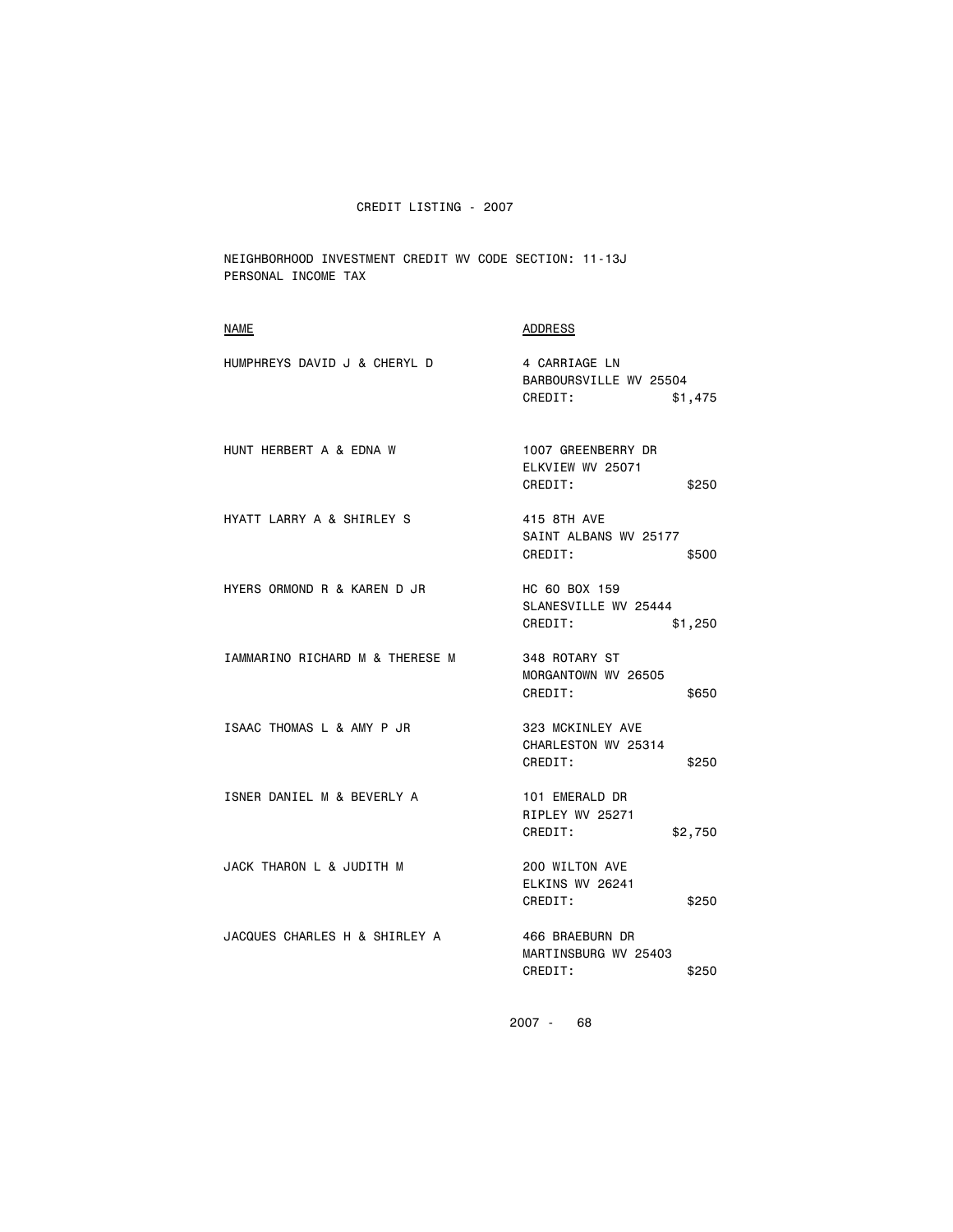NEIGHBORHOOD INVESTMENT CREDIT WV CODE SECTION: 11-13J PERSONAL INCOME TAX

| <b>NAME</b>                     | <b>ADDRESS</b>                                                |
|---------------------------------|---------------------------------------------------------------|
| HUMPHREYS DAVID J & CHERYL D    | 4 CARRIAGE LN<br>BARBOURSVILLE WV 25504<br>CREDIT:<br>\$1,475 |
| HUNT HERBERT A & EDNA W         | 1007 GREENBERRY DR<br>ELKVIEW WV 25071<br>CREDIT:<br>\$250    |
| HYATT LARRY A & SHIRLEY S       | 415 8TH AVE<br>SAINT ALBANS WV 25177<br>CREDIT:<br>\$500      |
| HYERS ORMOND R & KAREN D JR     | HC 60 BOX 159<br>SLANESVILLE WV 25444<br>CREDIT:<br>\$1,250   |
| IAMMARINO RICHARD M & THERESE M | 348 ROTARY ST<br>MORGANTOWN WV 26505<br>CREDIT:<br>\$650      |
| ISAAC THOMAS L & AMY P JR       | 323 MCKINLEY AVE<br>CHARLESTON WV 25314<br>CREDIT:<br>\$250   |
| ISNER DANIEL M & BEVERLY A      | 101 EMERALD DR<br>RIPLEY WV 25271<br>CREDIT:<br>\$2,750       |
| JACK THARON L & JUDITH M        | 200 WILTON AVE<br>ELKINS WV 26241<br>CREDIT:<br>\$250         |
| JACQUES CHARLES H & SHIRLEY A   | 466 BRAEBURN DR<br>MARTINSBURG WV 25403<br>CREDIT:<br>\$250   |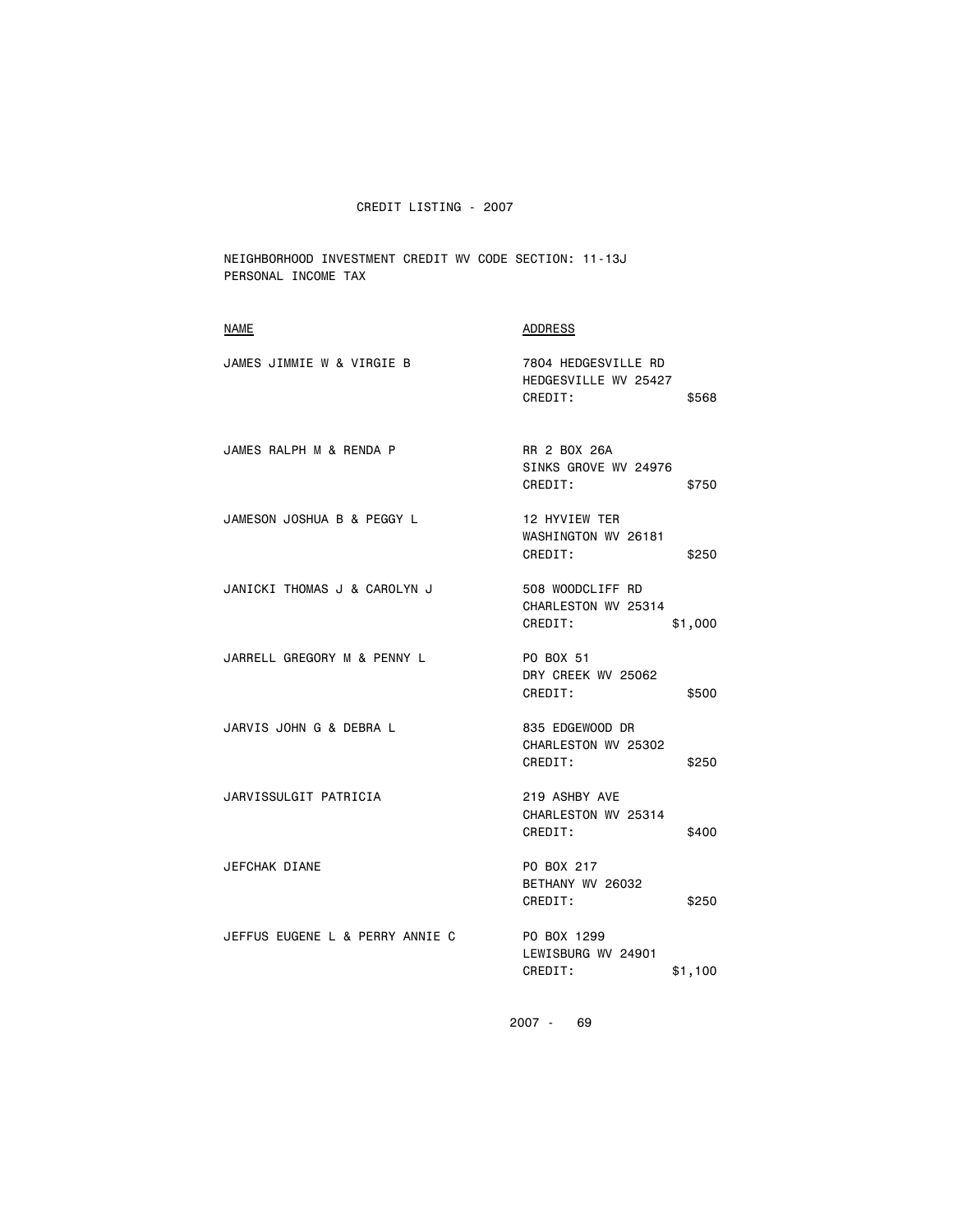NEIGHBORHOOD INVESTMENT CREDIT WV CODE SECTION: 11-13J PERSONAL INCOME TAX

| <b>NAME</b>                     | ADDRESS                                                         |
|---------------------------------|-----------------------------------------------------------------|
| JAMES JIMMIE W & VIRGIE B       | 7804 HEDGESVILLE RD<br>HEDGESVILLE WV 25427<br>CREDIT:<br>\$568 |
| JAMES RALPH M & RENDA P         | RR 2 BOX 26A<br>SINKS GROVE WV 24976<br>CREDIT:<br>\$750        |
| JAMESON JOSHUA B & PEGGY L      | 12 HYVIEW TER<br>WASHINGTON WV 26181<br>CREDIT:<br>\$250        |
| JANICKI THOMAS J & CAROLYN J    | 508 WOODCLIFF RD<br>CHARLESTON WV 25314<br>CREDIT:<br>\$1,000   |
| JARRELL GREGORY M & PENNY L     | PO BOX 51<br>DRY CREEK WV 25062<br>CREDIT:<br>\$500             |
| JARVIS JOHN G & DEBRA L         | 835 EDGEWOOD DR<br>CHARLESTON WV 25302<br>CREDIT:<br>\$250      |
| JARVISSULGIT PATRICIA           | 219 ASHBY AVE<br>CHARLESTON WV 25314<br>CREDIT:<br>\$400        |
| JEFCHAK DIANE                   | PO BOX 217<br>BETHANY WV 26032<br>CREDIT:<br>\$250              |
| JEFFUS EUGENE L & PERRY ANNIE C | PO BOX 1299<br>LEWISBURG WV 24901<br>CREDIT:<br>\$1,100         |
|                                 |                                                                 |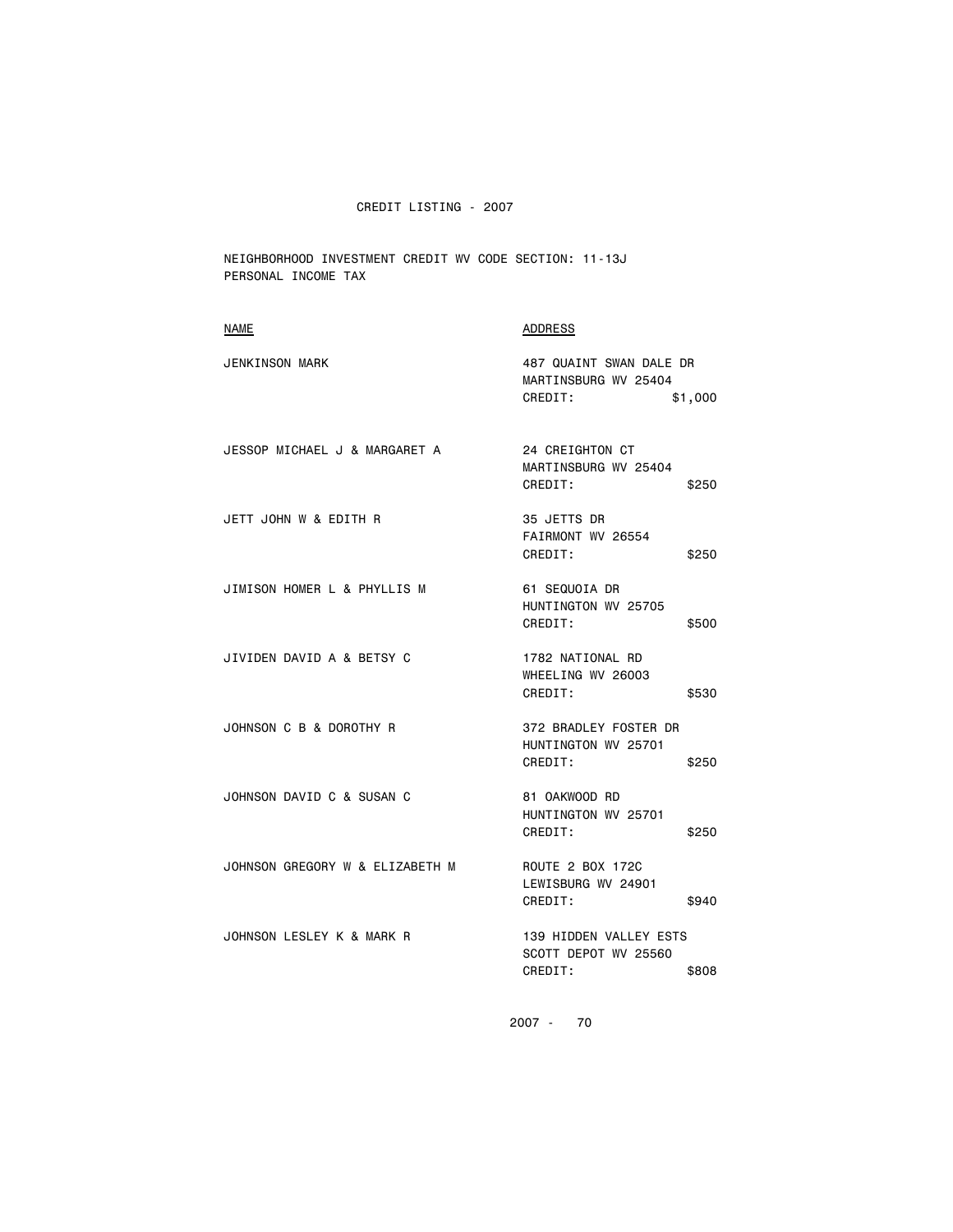NEIGHBORHOOD INVESTMENT CREDIT WV CODE SECTION: 11-13J PERSONAL INCOME TAX

| NAME                            | ADDRESS                                                               |
|---------------------------------|-----------------------------------------------------------------------|
| <b>JENKINSON MARK</b>           | 487 QUAINT SWAN DALE DR<br>MARTINSBURG WV 25404<br>CREDIT:<br>\$1,000 |
| JESSOP MICHAEL J & MARGARET A   | <b>24 CREIGHTON CT</b><br>MARTINSBURG WV 25404<br>CREDIT:<br>\$250    |
| JETT JOHN W & EDITH R           | 35 JETTS DR<br>FAIRMONT WV 26554<br>CREDIT:<br>\$250                  |
| JIMISON HOMER L & PHYLLIS M     | 61 SEQUOIA DR<br>HUNTINGTON WV 25705<br>CREDIT:<br>\$500              |
| JIVIDEN DAVID A & BETSY C       | 1782 NATIONAL RD<br>WHEELING WV 26003<br>CREDIT:<br>\$530             |
| JOHNSON C B & DOROTHY R         | 372 BRADLEY FOSTER DR<br>HUNTINGTON WV 25701<br>CREDIT:<br>\$250      |
| JOHNSON DAVID C & SUSAN C       | 81 OAKWOOD RD<br>HUNTINGTON WV 25701<br>CREDIT:<br>\$250              |
| JOHNSON GREGORY W & ELIZABETH M | ROUTE 2 BOX 172C<br>LEWISBURG WV 24901<br>CREDIT:<br>\$940            |
| JOHNSON LESLEY K & MARK R       | 139 HIDDEN VALLEY ESTS<br>SCOTT DEPOT WV 25560<br>CREDIT:<br>\$808    |
|                                 |                                                                       |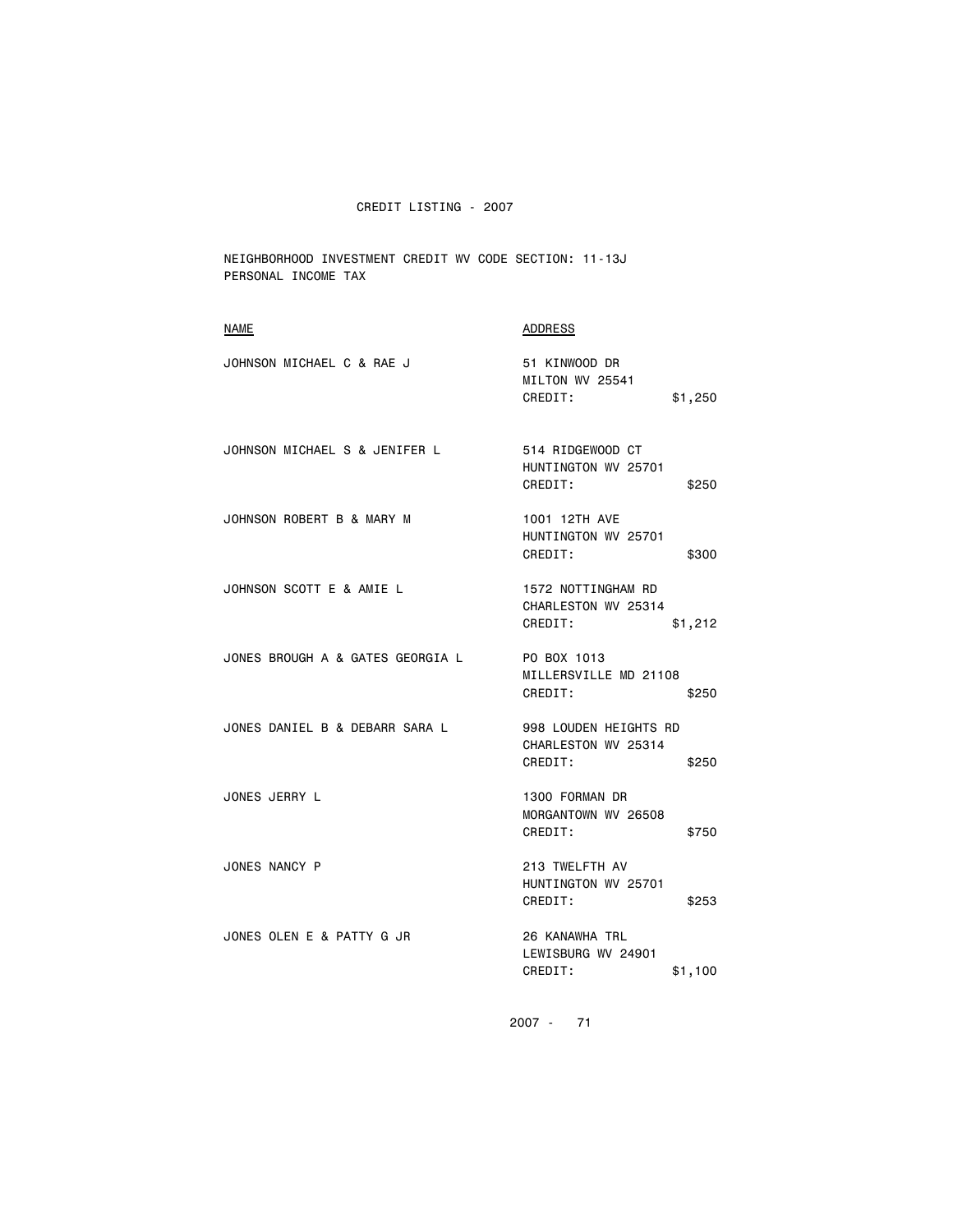NEIGHBORHOOD INVESTMENT CREDIT WV CODE SECTION: 11-13J PERSONAL INCOME TAX

| <b>NAME</b>                      | ADDRESS                                                          |
|----------------------------------|------------------------------------------------------------------|
| JOHNSON MICHAEL C & RAE J        | 51 KINWOOD DR<br>MILTON WV 25541<br>CREDIT:<br>\$1,250           |
| JOHNSON MICHAEL S & JENIFER L    | 514 RIDGEWOOD CT<br>HUNTINGTON WV 25701<br>CREDIT:<br>\$250      |
| JOHNSON ROBERT B & MARY M        | 1001 12TH AVE<br>HUNTINGTON WV 25701<br>CREDIT:<br>\$300         |
| JOHNSON SCOTT E & AMIE L         | 1572 NOTTINGHAM RD<br>CHARLESTON WV 25314<br>CREDIT:<br>\$1,212  |
| JONES BROUGH A & GATES GEORGIA L | PO BOX 1013<br>MILLERSVILLE MD 21108<br>CREDIT:<br>\$250         |
| JONES DANIEL B & DEBARR SARA L   | 998 LOUDEN HEIGHTS RD<br>CHARLESTON WV 25314<br>CREDIT:<br>\$250 |
| JONES JERRY L                    | 1300 FORMAN DR<br>MORGANTOWN WV 26508<br>CREDIT:<br>\$750        |
| JONES NANCY P                    | 213 TWELFTH AV<br>HUNTINGTON WV 25701<br>CREDIT:<br>\$253        |
| JONES OLEN E & PATTY G JR        | 26 KANAWHA TRL<br>LEWISBURG WV 24901<br>CREDIT:<br>\$1,100       |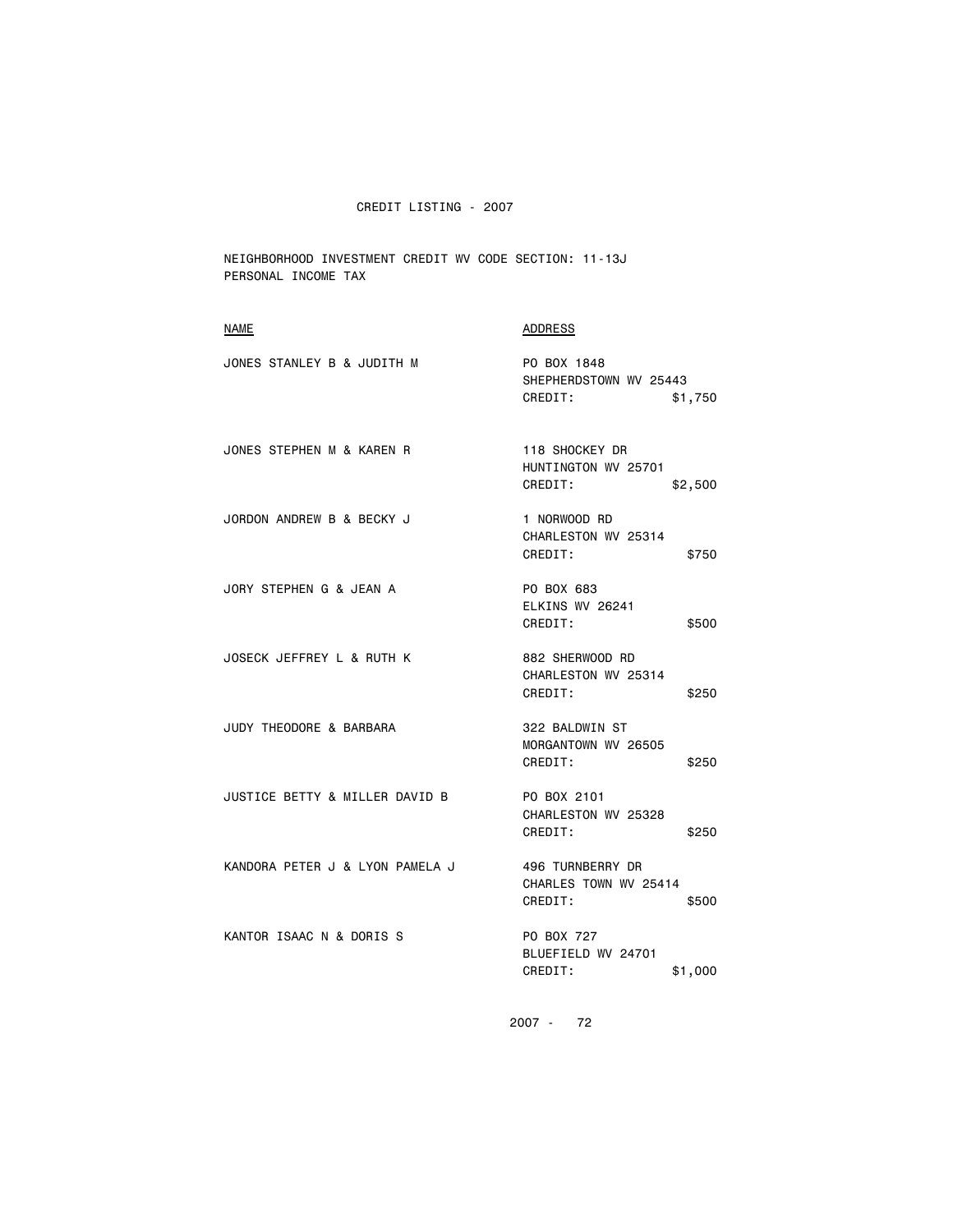NEIGHBORHOOD INVESTMENT CREDIT WV CODE SECTION: 11-13J PERSONAL INCOME TAX

| NAME                            | <b>ADDRESS</b>                                                |
|---------------------------------|---------------------------------------------------------------|
| JONES STANLEY B & JUDITH M      | PO BOX 1848<br>SHEPHERDSTOWN WV 25443<br>CREDIT:<br>\$1,750   |
| JONES STEPHEN M & KAREN R       | 118 SHOCKEY DR<br>HUNTINGTON WV 25701<br>CREDIT:<br>\$2,500   |
| JORDON ANDREW B & BECKY J       | 1 NORWOOD RD<br>CHARLESTON WV 25314<br>CREDIT:<br>\$750       |
| JORY STEPHEN G & JEAN A         | PO BOX 683<br>ELKINS WV 26241<br>CREDIT:<br>\$500             |
| JOSECK JEFFREY L & RUTH K       | 882 SHERWOOD RD<br>CHARLESTON WV 25314<br>CREDIT:<br>\$250    |
| JUDY THEODORE & BARBARA         | 322 BALDWIN ST<br>MORGANTOWN WV 26505<br>CREDIT:<br>\$250     |
| JUSTICE BETTY & MILLER DAVID B  | PO BOX 2101<br>CHARLESTON WV 25328<br>CREDIT:<br>\$250        |
| KANDORA PETER J & LYON PAMELA J | 496 TURNBERRY DR<br>CHARLES TOWN WV 25414<br>CREDIT:<br>\$500 |
| KANTOR ISAAC N & DORIS S        | PO BOX 727<br>BLUEFIELD WV 24701<br>CREDIT:<br>\$1,000        |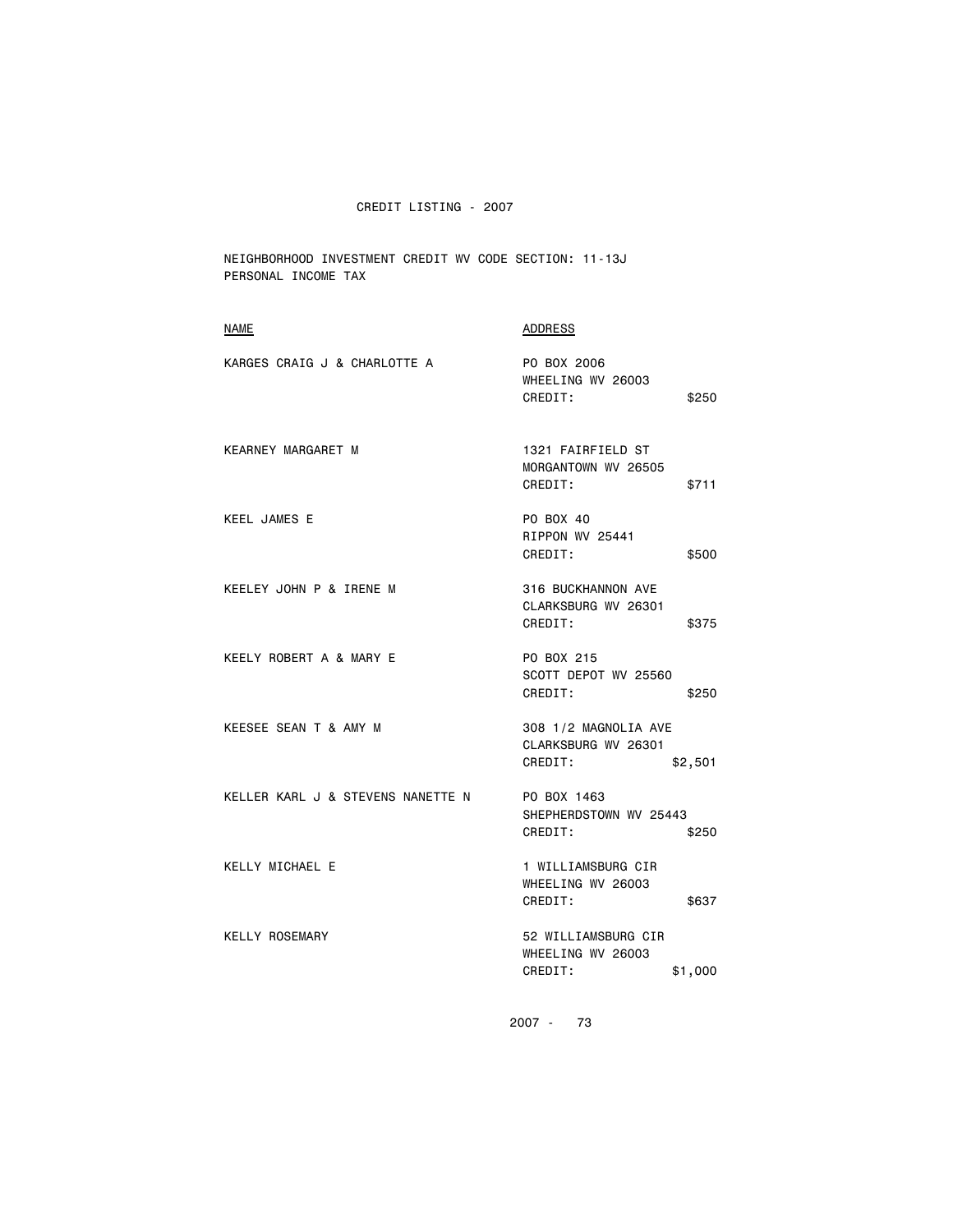NEIGHBORHOOD INVESTMENT CREDIT WV CODE SECTION: 11-13J PERSONAL INCOME TAX

| <b>NAME</b>                       | <b>ADDRESS</b>                                                    |
|-----------------------------------|-------------------------------------------------------------------|
| KARGES CRAIG J & CHARLOTTE A      | PO BOX 2006<br>WHEELING WV 26003<br>CREDIT:<br>\$250              |
| KEARNEY MARGARET M                | 1321 FAIRFIELD ST<br>MORGANTOWN WV 26505<br>CREDIT:<br>\$711      |
| <b>KEEL JAMES E</b>               | PO BOX 40<br>RIPPON WV 25441<br>CREDIT:<br>\$500                  |
| KEELEY JOHN P & IRENE M           | 316 BUCKHANNON AVE<br>CLARKSBURG WV 26301<br>CREDIT:<br>\$375     |
| KEELY ROBERT A & MARY E           | PO BOX 215<br>SCOTT DEPOT WV 25560<br>CREDIT:<br>\$250            |
| KEESEE SEAN T & AMY M             | 308 1/2 MAGNOLIA AVE<br>CLARKSBURG WV 26301<br>CREDIT:<br>\$2,501 |
| KELLER KARL J & STEVENS NANETTE N | PO BOX 1463<br>SHEPHERDSTOWN WV 25443<br>CREDIT:<br>\$250         |
| KELLY MICHAEL E                   | 1 WILLIAMSBURG CIR<br>WHEELING WV 26003<br>CREDIT:<br>\$637       |
| <b>KELLY ROSEMARY</b>             | 52 WILLIAMSBURG CIR<br>WHEELING WV 26003<br>CREDIT:<br>\$1,000    |
|                                   |                                                                   |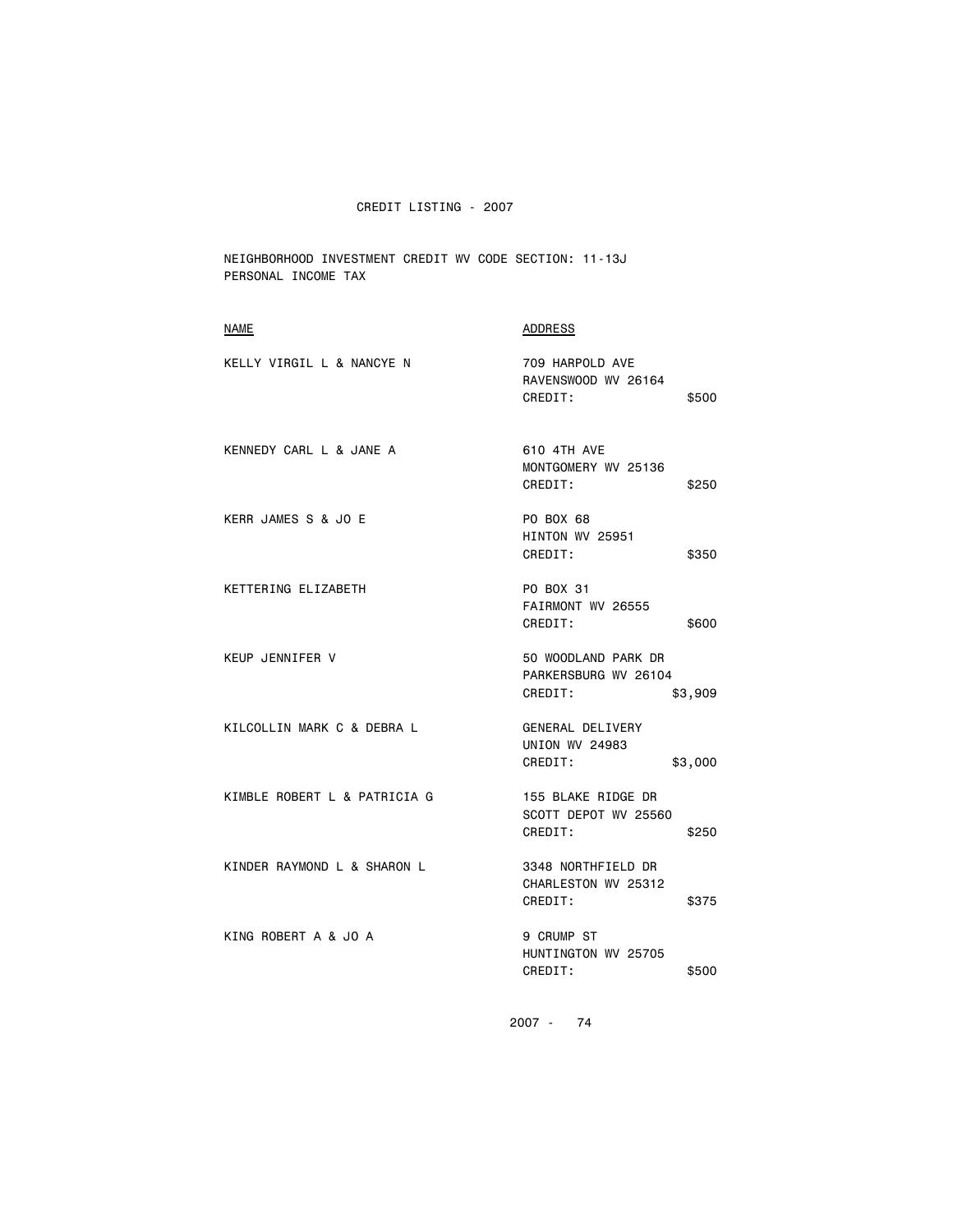NEIGHBORHOOD INVESTMENT CREDIT WV CODE SECTION: 11-13J PERSONAL INCOME TAX

| <b>NAME</b>                  | <b>ADDRESS</b>                                                    |
|------------------------------|-------------------------------------------------------------------|
| KELLY VIRGIL L & NANCYE N    | 709 HARPOLD AVE<br>RAVENSWOOD WV 26164<br>CREDIT:<br>\$500        |
| KENNEDY CARL L & JANE A      | 610 4TH AVE<br>MONTGOMERY WV 25136<br>CREDIT:<br>\$250            |
| KERR JAMES S & JO E          | PO BOX 68<br>HINTON WV 25951<br>CREDIT:<br>\$350                  |
| KETTERING ELIZABETH          | PO BOX 31<br>FAIRMONT WV 26555<br>CREDIT:<br>\$600                |
| <b>KEUP JENNIFER V</b>       | 50 WOODLAND PARK DR<br>PARKERSBURG WV 26104<br>CREDIT:<br>\$3,909 |
| KILCOLLIN MARK C & DEBRA L   | GENERAL DELIVERY<br><b>UNION WV 24983</b><br>CREDIT:<br>\$3,000   |
| KIMBLE ROBERT L & PATRICIA G | 155 BLAKE RIDGE DR<br>SCOTT DEPOT WV 25560<br>CREDIT:<br>\$250    |
| KINDER RAYMOND L & SHARON L  | 3348 NORTHFIELD DR<br>CHARLESTON WV 25312<br>CREDIT:<br>\$375     |
| KING ROBERT A & JO A         | 9 CRUMP ST<br>HUNTINGTON WV 25705<br>CREDIT:<br>\$500             |
|                              |                                                                   |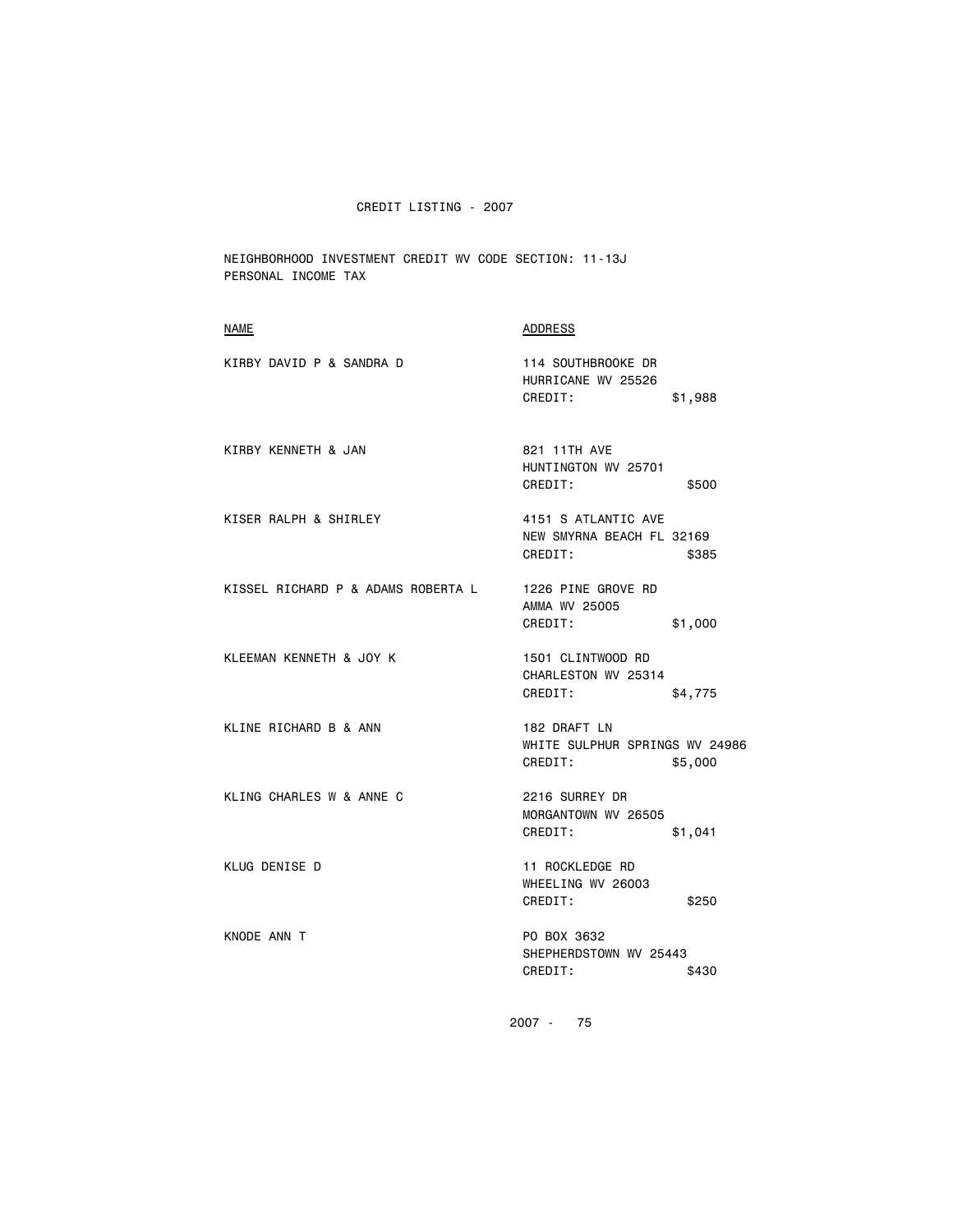NEIGHBORHOOD INVESTMENT CREDIT WV CODE SECTION: 11-13J PERSONAL INCOME TAX

| <b>NAME</b>                        | <b>ADDRESS</b>                                              |         |
|------------------------------------|-------------------------------------------------------------|---------|
| KIRBY DAVID P & SANDRA D           | 114 SOUTHBROOKE DR<br>HURRICANE WV 25526<br>CREDIT:         | \$1,988 |
| KIRBY KENNETH & JAN                | 821 11TH AVE<br>HUNTINGTON WV 25701<br>CREDIT:              | \$500   |
| KISER RALPH & SHIRLEY              | 4151 S ATLANTIC AVE<br>NEW SMYRNA BEACH FL 32169<br>CREDIT: | \$385   |
| KISSEL RICHARD P & ADAMS ROBERTA L | 1226 PINE GROVE RD<br>AMMA WV 25005<br>CREDIT:              | \$1,000 |
| KLEEMAN KENNETH & JOY K            | 1501 CLINTWOOD RD<br>CHARLESTON WV 25314<br>CREDIT:         | \$4,775 |
| KLINE RICHARD B & ANN              | 182 DRAFT LN<br>WHITE SULPHUR SPRINGS WV 24986<br>CREDIT:   | \$5,000 |
| KLING CHARLES W & ANNE C           | 2216 SURREY DR<br>MORGANTOWN WV 26505<br>CREDIT:            | \$1,041 |
| KLUG DENISE D                      | 11 ROCKLEDGE RD<br>WHEELING WV 26003<br>CREDIT:             | \$250   |
| KNODE ANN T                        | PO BOX 3632<br>SHEPHERDSTOWN WV 25443<br>CREDIT:            | \$430   |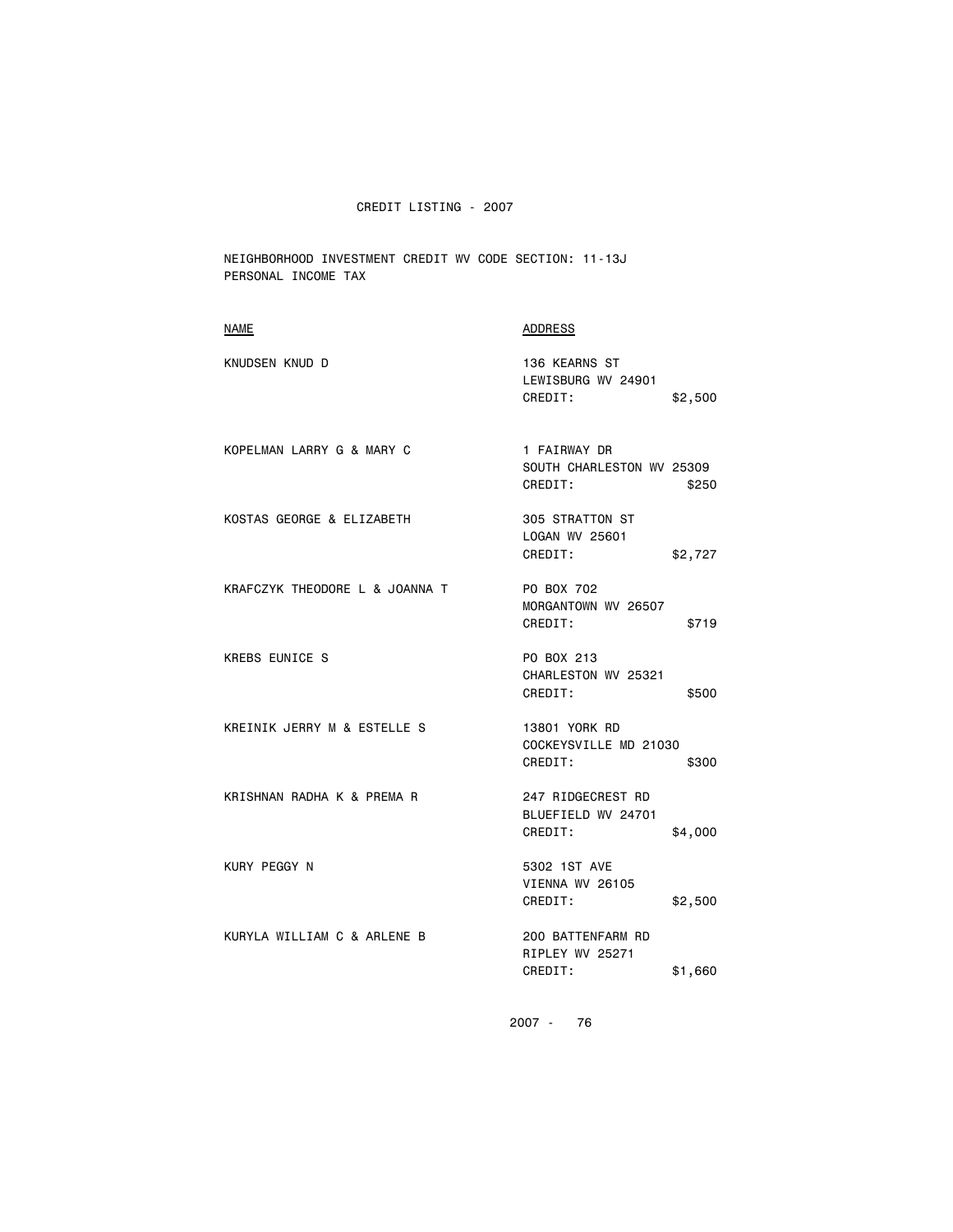NEIGHBORHOOD INVESTMENT CREDIT WV CODE SECTION: 11-13J PERSONAL INCOME TAX

| <b>NAME</b>                    | <b>ADDRESS</b>                                                |
|--------------------------------|---------------------------------------------------------------|
| KNUDSEN KNUD D                 | 136 KEARNS ST<br>LEWISBURG WV 24901<br>CREDIT:<br>\$2,500     |
| KOPELMAN LARRY G & MARY C      | 1 FAIRWAY DR<br>SOUTH CHARLESTON WV 25309<br>CREDIT:<br>\$250 |
| KOSTAS GEORGE & ELIZABETH      | 305 STRATTON ST<br>LOGAN WV 25601<br>CREDIT:<br>\$2,727       |
| KRAFCZYK THEODORE L & JOANNA T | PO BOX 702<br>MORGANTOWN WV 26507<br>CREDIT:<br>\$719         |
| <b>KREBS EUNICE S</b>          | PO BOX 213<br>CHARLESTON WV 25321<br>CREDIT:<br>\$500         |
| KREINIK JERRY M & ESTELLE S    | 13801 YORK RD<br>COCKEYSVILLE MD 21030<br>CREDIT:<br>\$300    |
| KRISHNAN RADHA K & PREMA R     | 247 RIDGECREST RD<br>BLUEFIELD WV 24701<br>CREDIT:<br>\$4,000 |
| KURY PEGGY N                   | 5302 1ST AVE<br>VIENNA WV 26105<br>CREDIT:<br>\$2,500         |
| KURYLA WILLIAM C & ARLENE B    | 200 BATTENFARM RD<br>RIPLEY WV 25271<br>CREDIT:<br>\$1,660    |
|                                |                                                               |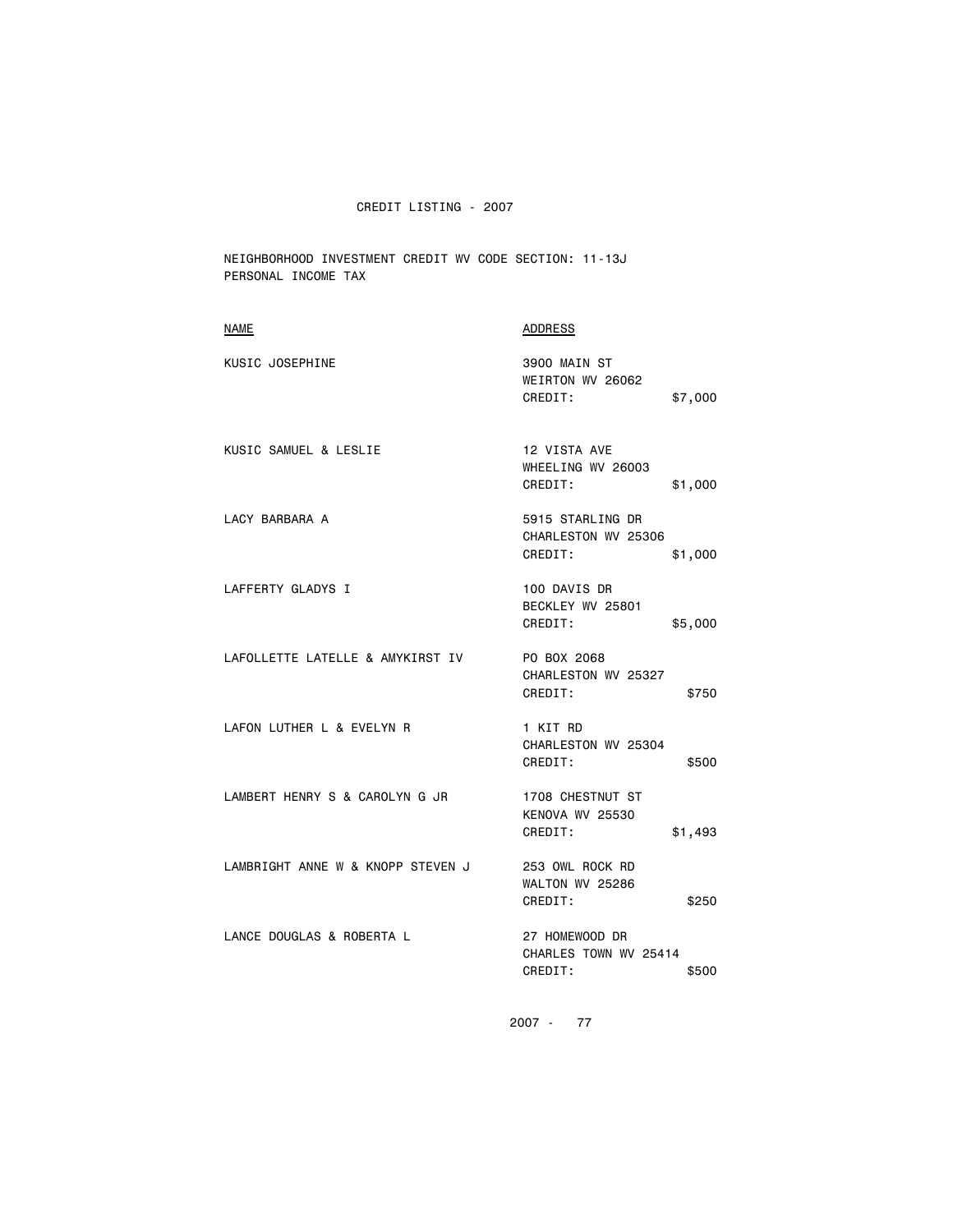NEIGHBORHOOD INVESTMENT CREDIT WV CODE SECTION: 11-13J PERSONAL INCOME TAX

| <b>NAME</b>                       | <b>ADDRESS</b>                                                |
|-----------------------------------|---------------------------------------------------------------|
| KUSIC JOSEPHINE                   | 3900 MAIN ST<br>WEIRTON WV 26062<br>CREDIT:<br>\$7,000        |
| KUSIC SAMUEL & LESLIE             | 12 VISTA AVE<br>WHEELING WV 26003<br>CREDIT:<br>\$1,000       |
| LACY BARBARA A                    | 5915 STARLING DR<br>CHARLESTON WV 25306<br>CREDIT:<br>\$1,000 |
| LAFFERTY GLADYS I                 | 100 DAVIS DR<br>BECKLEY WV 25801<br>CREDIT:<br>\$5,000        |
| LAFOLLETTE LATELLE & AMYKIRST IV  | PO BOX 2068<br>CHARLESTON WV 25327<br>CREDIT:<br>\$750        |
| LAFON LUTHER L & EVELYN R         | 1 KIT RD<br>CHARLESTON WV 25304<br>CREDIT:<br>\$500           |
| LAMBERT HENRY S & CAROLYN G JR    | 1708 CHESTNUT ST<br>KENOVA WV 25530<br>CREDIT:<br>\$1,493     |
| LAMBRIGHT ANNE W & KNOPP STEVEN J | 253 OWL ROCK RD<br>WALTON WV 25286<br>CREDIT:<br>\$250        |
| LANCE DOUGLAS & ROBERTA L         | 27 HOMEWOOD DR<br>CHARLES TOWN WV 25414<br>CREDIT:<br>\$500   |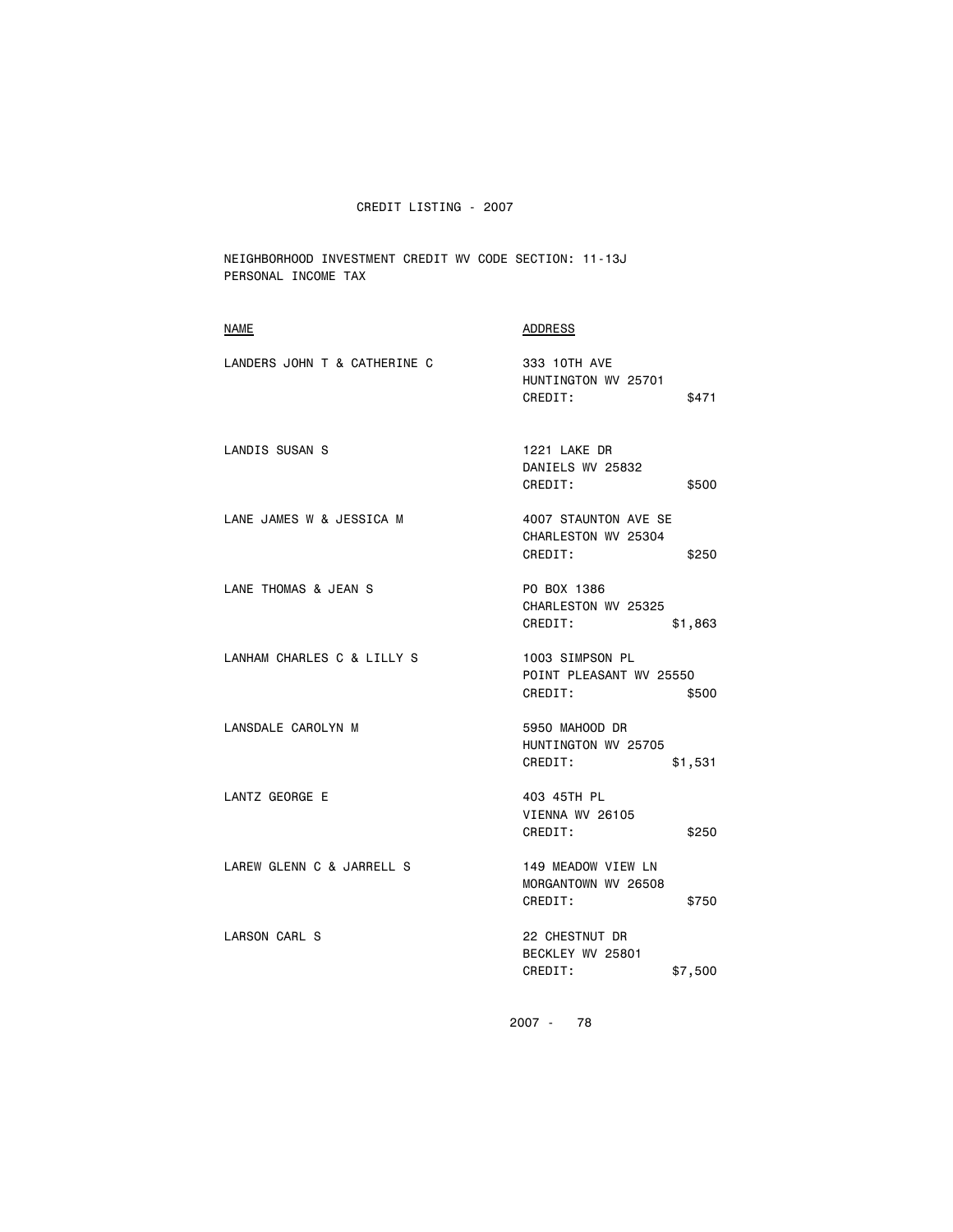NEIGHBORHOOD INVESTMENT CREDIT WV CODE SECTION: 11-13J PERSONAL INCOME TAX

| <b>NAME</b>                  | <b>ADDRESS</b>                                                  |
|------------------------------|-----------------------------------------------------------------|
| LANDERS JOHN T & CATHERINE C | 333 10TH AVE<br>HUNTINGTON WV 25701<br>CREDIT:<br>\$471         |
| LANDIS SUSAN S               | 1221 LAKE DR<br>DANIELS WV 25832<br>CREDIT:<br>\$500            |
| LANE JAMES W & JESSICA M     | 4007 STAUNTON AVE SE<br>CHARLESTON WV 25304<br>CREDIT:<br>\$250 |
| LANE THOMAS & JEAN S         | PO BOX 1386<br>CHARLESTON WV 25325<br>CREDIT:<br>\$1,863        |
| LANHAM CHARLES C & LILLY S   | 1003 SIMPSON PL<br>POINT PLEASANT WV 25550<br>CREDIT:<br>\$500  |
| LANSDALE CAROLYN M           | 5950 MAHOOD DR<br>HUNTINGTON WV 25705<br>CREDIT:<br>\$1,531     |
| LANTZ GEORGE E               | 403 45TH PL<br>VIENNA WV 26105<br>CREDIT:<br>\$250              |
| LAREW GLENN C & JARRELL S    | 149 MEADOW VIEW LN<br>MORGANTOWN WV 26508<br>CREDIT:<br>\$750   |
| LARSON CARL S                | 22 CHESTNUT DR<br>BECKLEY WV 25801<br>CREDIT:<br>\$7,500        |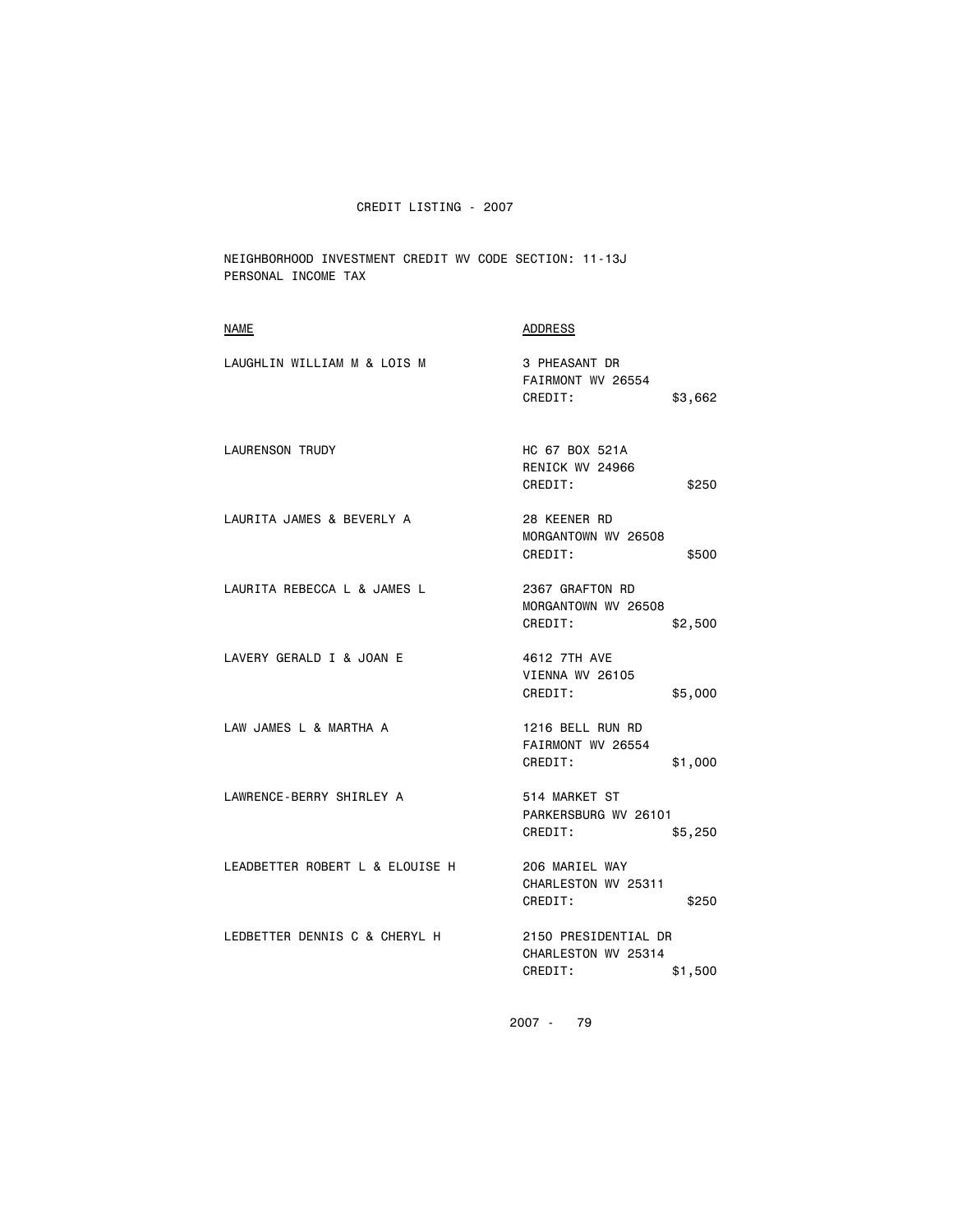NEIGHBORHOOD INVESTMENT CREDIT WV CODE SECTION: 11-13J PERSONAL INCOME TAX

| <b>NAME</b>                     | <b>ADDRESS</b>                                                    |
|---------------------------------|-------------------------------------------------------------------|
| LAUGHLIN WILLIAM M & LOIS M     | 3 PHEASANT DR<br>FAIRMONT WV 26554<br>CREDIT:<br>\$3,662          |
| <b>LAURENSON TRUDY</b>          | HC 67 BOX 521A<br>RENICK WV 24966<br>CREDIT:<br>\$250             |
| LAURITA JAMES & BEVERLY A       | 28 KEENER RD<br>MORGANTOWN WV 26508<br>CREDIT:<br>\$500           |
| LAURITA REBECCA L & JAMES L     | 2367 GRAFTON RD<br>MORGANTOWN WV 26508<br>CREDIT:<br>\$2,500      |
| LAVERY GERALD I & JOAN E        | 4612 7TH AVE<br>VIENNA WV 26105<br>CREDIT:<br>\$5,000             |
| LAW JAMES L & MARTHA A          | 1216 BELL RUN RD<br>FAIRMONT WV 26554<br>CREDIT:<br>\$1,000       |
| LAWRENCE-BERRY SHIRLEY A        | 514 MARKET ST<br>PARKERSBURG WV 26101<br>CREDIT:<br>\$5,250       |
| LEADBETTER ROBERT L & ELOUISE H | 206 MARIEL WAY<br>CHARLESTON WV 25311<br>CREDIT:<br>\$250         |
| LEDBETTER DENNIS C & CHERYL H   | 2150 PRESIDENTIAL DR<br>CHARLESTON WV 25314<br>CREDIT:<br>\$1,500 |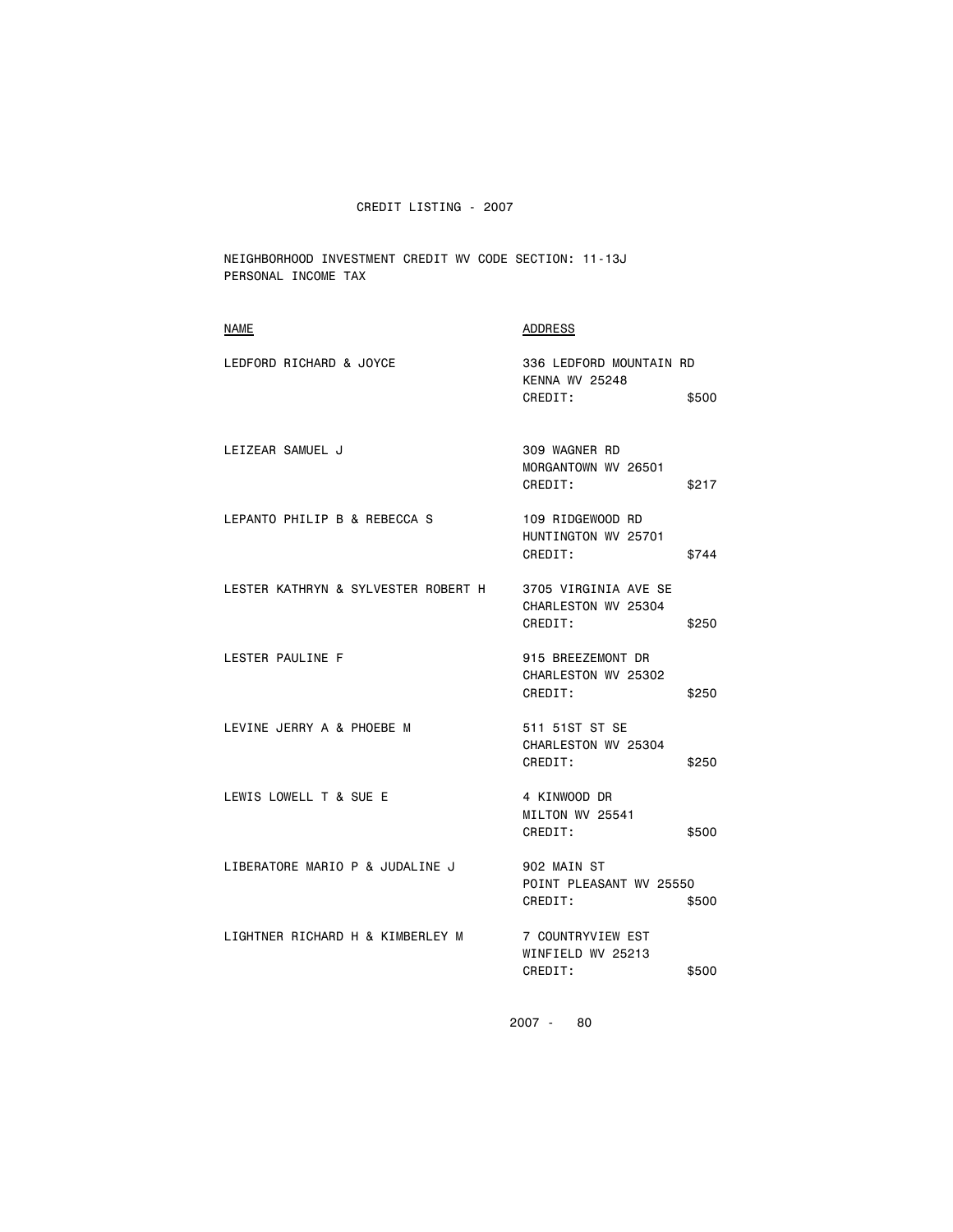NEIGHBORHOOD INVESTMENT CREDIT WV CODE SECTION: 11-13J PERSONAL INCOME TAX

| <b>NAME</b>                         | <b>ADDRESS</b>                                                  |
|-------------------------------------|-----------------------------------------------------------------|
| LEDFORD RICHARD & JOYCE             | 336 LEDFORD MOUNTAIN RD<br><b>KENNA WV 25248</b>                |
|                                     | CREDIT:<br>\$500                                                |
| LEIZEAR SAMUEL J                    | 309 WAGNER RD<br>MORGANTOWN WV 26501<br>CREDIT:<br>\$217        |
| LEPANTO PHILIP B & REBECCA S        | 109 RIDGEWOOD RD<br>HUNTINGTON WV 25701<br>CREDIT:<br>\$744     |
| LESTER KATHRYN & SYLVESTER ROBERT H | 3705 VIRGINIA AVE SE<br>CHARLESTON WV 25304<br>CREDIT:<br>\$250 |
| LESTER PAULINE F                    | 915 BREEZEMONT DR<br>CHARLESTON WV 25302<br>CREDIT:<br>\$250    |
| LEVINE JERRY A & PHOEBE M           | 511 51ST ST SE<br>CHARLESTON WV 25304<br>CREDIT:<br>\$250       |
| LEWIS LOWELL T & SUE E              | 4 KINWOOD DR<br>MILTON WV 25541<br>CREDIT:<br>\$500             |
| LIBERATORE MARIO P & JUDALINE J     | 902 MAIN ST<br>POINT PLEASANT WV 25550<br>CREDIT:<br>\$500      |
| LIGHTNER RICHARD H & KIMBERLEY M    | 7 COUNTRYVIEW EST<br>WINFIELD WV 25213<br>CREDIT:<br>\$500      |
|                                     |                                                                 |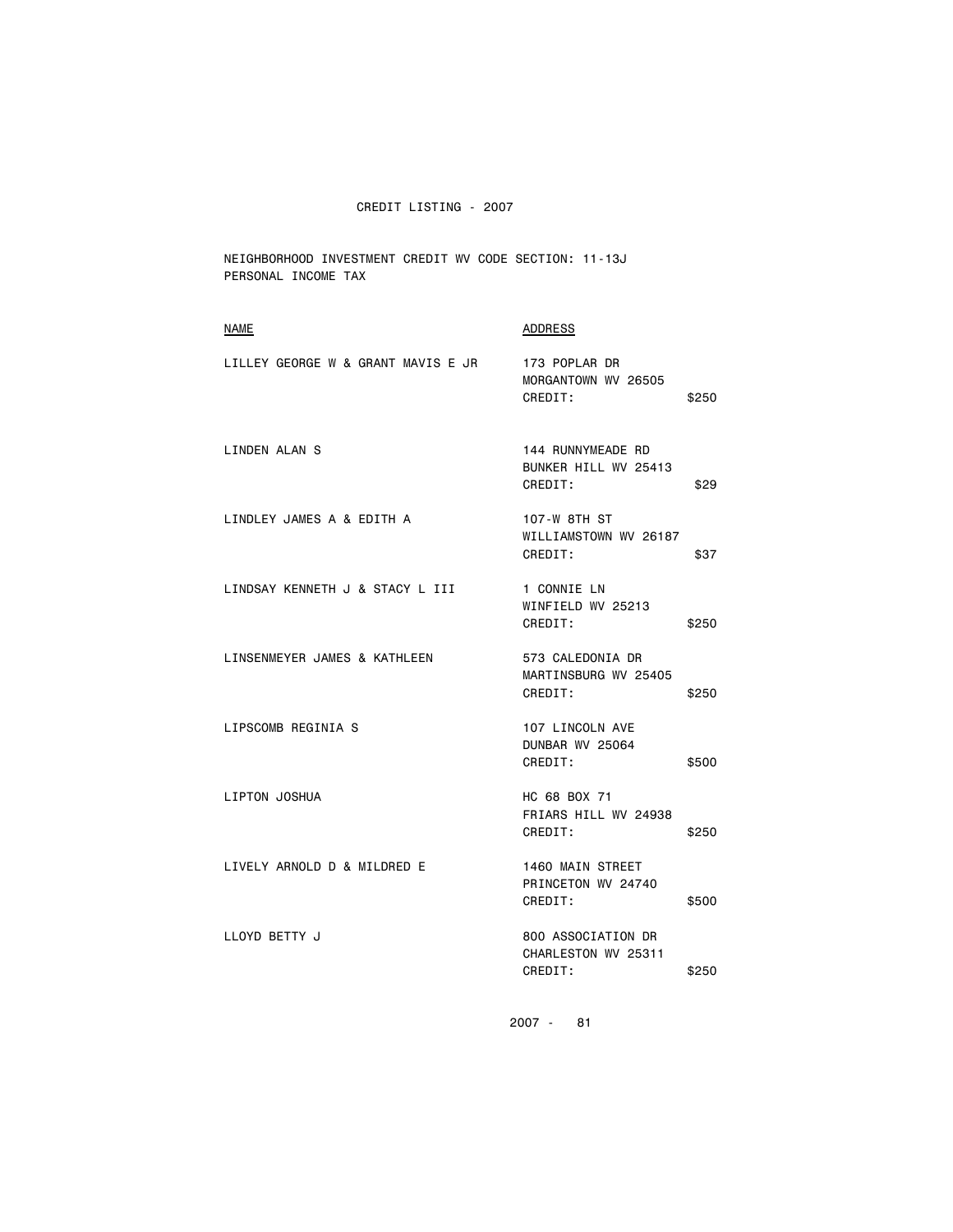NEIGHBORHOOD INVESTMENT CREDIT WV CODE SECTION: 11-13J PERSONAL INCOME TAX

| <b>NAME</b>                        | <b>ADDRESS</b>                                       |       |
|------------------------------------|------------------------------------------------------|-------|
| LILLEY GEORGE W & GRANT MAVIS E JR | 173 POPLAR DR<br>MORGANTOWN WV 26505<br>CREDIT:      | \$250 |
| LINDEN ALAN S                      | 144 RUNNYMEADE RD<br>BUNKER HILL WV 25413<br>CREDIT: | \$29  |
| LINDLEY JAMES A & EDITH A          | 107-W 8TH ST<br>WILLIAMSTOWN WV 26187<br>CREDIT:     | \$37  |
| LINDSAY KENNETH J & STACY L III    | 1 CONNIE LN<br>WINFIELD WV 25213<br>CREDIT:          | \$250 |
| LINSENMEYER JAMES & KATHLEEN       | 573 CALEDONIA DR<br>MARTINSBURG WV 25405<br>CREDIT:  | \$250 |
| LIPSCOMB REGINIA S                 | 107 LINCOLN AVE<br>DUNBAR WV 25064<br>CREDIT:        | \$500 |
| LIPTON JOSHUA                      | HC 68 BOX 71<br>FRIARS HILL WV 24938<br>CREDIT:      | \$250 |
| LIVELY ARNOLD D & MILDRED E        | 1460 MAIN STREET<br>PRINCETON WV 24740<br>CREDIT:    | \$500 |
| LLOYD BETTY J                      | 800 ASSOCIATION DR<br>CHARLESTON WV 25311<br>CREDIT: | \$250 |
|                                    |                                                      |       |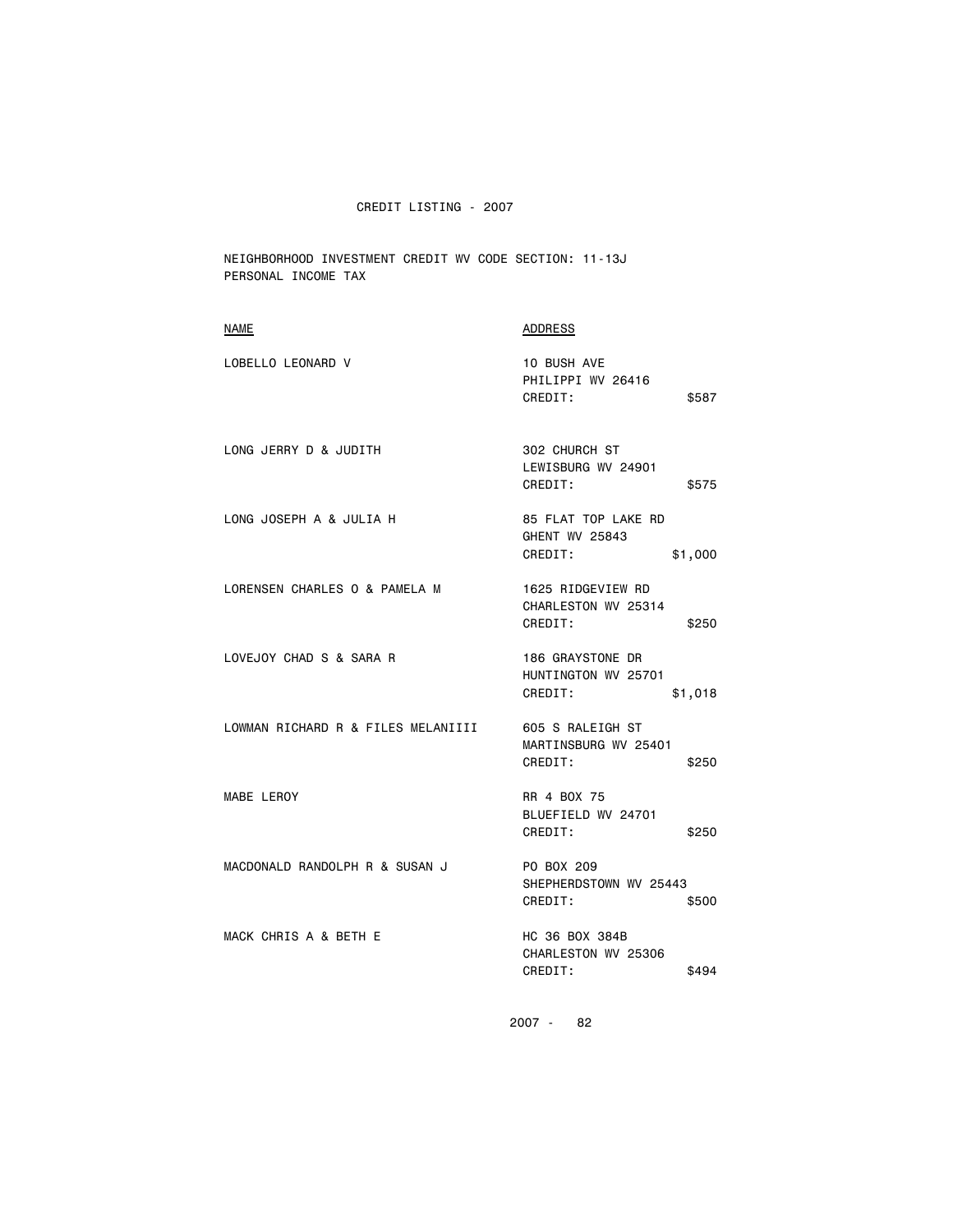NEIGHBORHOOD INVESTMENT CREDIT WV CODE SECTION: 11-13J PERSONAL INCOME TAX

| <b>NAME</b>                                         | ADDRESS                                                            |
|-----------------------------------------------------|--------------------------------------------------------------------|
| LOBELLO LEONARD V                                   | 10 BUSH AVE<br>PHILIPPI WV 26416<br>CREDIT:<br>\$587               |
| LONG JERRY D & JUDITH                               | 302 CHURCH ST<br>LEWISBURG WV 24901<br>CREDIT:<br>\$575            |
| LONG JOSEPH A & JULIA H                             | 85 FLAT TOP LAKE RD<br><b>GHENT WV 25843</b><br>CREDIT:<br>\$1,000 |
| LORENSEN CHARLES O & PAMELA M                       | 1625 RIDGEVIEW RD<br>CHARLESTON WV 25314<br>CREDIT:<br>\$250       |
| LOVEJOY CHAD S & SARA R                             | 186 GRAYSTONE DR<br>HUNTINGTON WV 25701<br>CREDIT:<br>\$1,018      |
| LOWMAN RICHARD R & FILES MELANIIII 605 S RALEIGH ST | MARTINSBURG WV 25401<br>CREDIT:<br>\$250                           |
| MABE LEROY                                          | RR 4 BOX 75<br>BLUEFIELD WV 24701<br>CREDIT:<br>\$250              |
| MACDONALD RANDOLPH R & SUSAN J                      | PO BOX 209<br>SHEPHERDSTOWN WV 25443<br>CREDIT:<br>\$500           |
| MACK CHRIS A & BETH E                               | HC 36 BOX 384B<br>CHARLESTON WV 25306<br>CREDIT:<br>\$494          |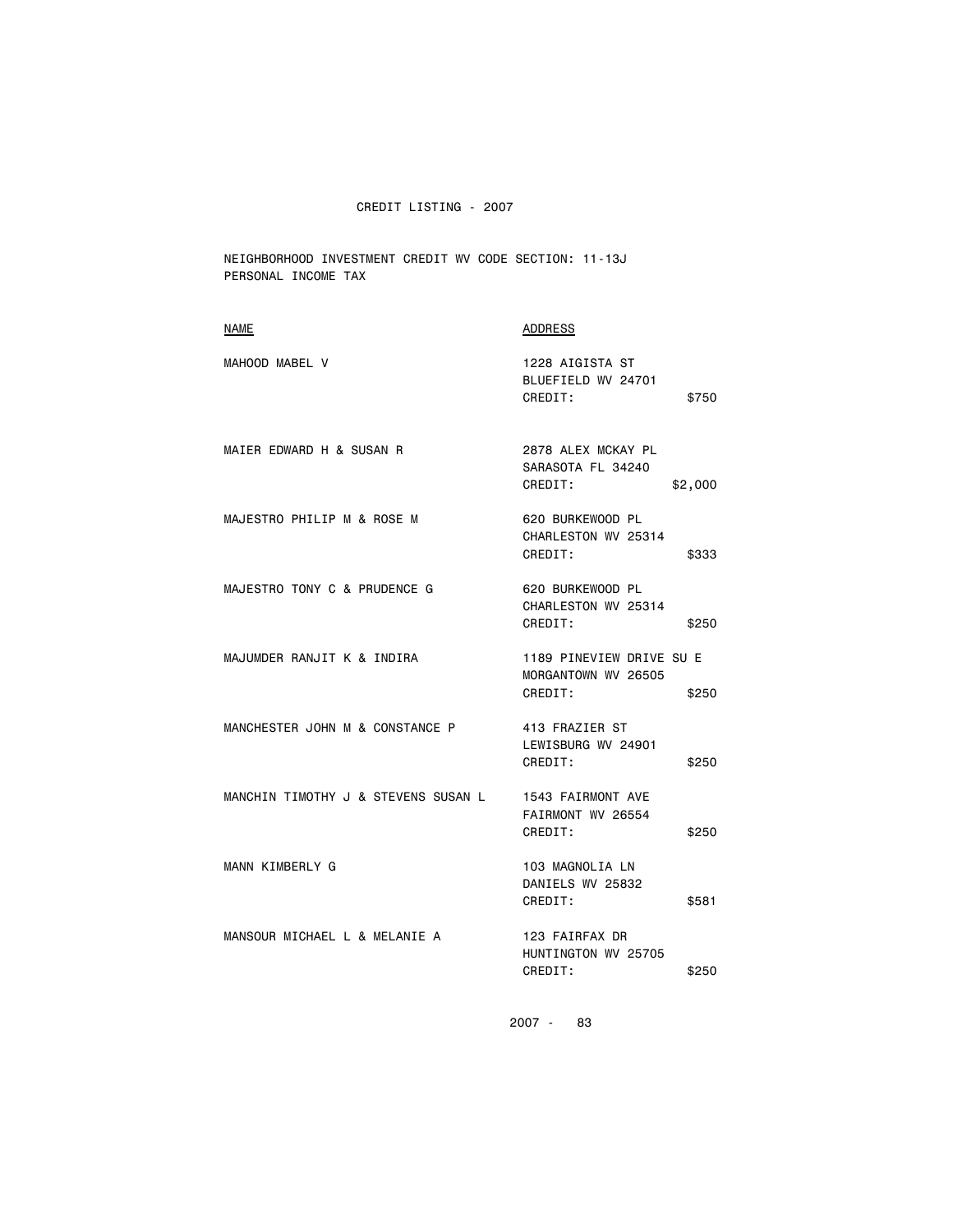NEIGHBORHOOD INVESTMENT CREDIT WV CODE SECTION: 11-13J PERSONAL INCOME TAX

| <b>NAME</b>                         | <b>ADDRESS</b>                                                      |
|-------------------------------------|---------------------------------------------------------------------|
| MAHOOD MABEL V                      | 1228 AIGISTA ST<br>BLUEFIELD WV 24701<br>CREDIT:<br>\$750           |
| MAIER EDWARD H & SUSAN R            | 2878 ALEX MCKAY PL<br>SARASOTA FL 34240<br>CREDIT:<br>\$2,000       |
| MAJESTRO PHILIP M & ROSE M          | 620 BURKEWOOD PL<br>CHARLESTON WV 25314<br>CREDIT:<br>\$333         |
| MAJESTRO TONY C & PRUDENCE G        | 620 BURKEWOOD PL<br>CHARLESTON WV 25314<br>CREDIT:<br>\$250         |
| MAJUMDER RANJIT K & INDIRA          | 1189 PINEVIEW DRIVE SU E<br>MORGANTOWN WV 26505<br>CREDIT:<br>\$250 |
| MANCHESTER JOHN M & CONSTANCE P     | 413 FRAZIER ST<br>LEWISBURG WV 24901<br>CREDIT:<br>\$250            |
| MANCHIN TIMOTHY J & STEVENS SUSAN L | 1543 FAIRMONT AVE<br>FAIRMONT WV 26554<br>CREDIT:<br>\$250          |
| MANN KIMBERLY G                     | 103 MAGNOLIA LN<br>DANIELS WV 25832<br>CREDIT:<br>\$581             |
| MANSOUR MICHAEL L & MELANIE A       | 123 FAIRFAX DR<br>HUNTINGTON WV 25705<br>CREDIT:<br>\$250           |
|                                     |                                                                     |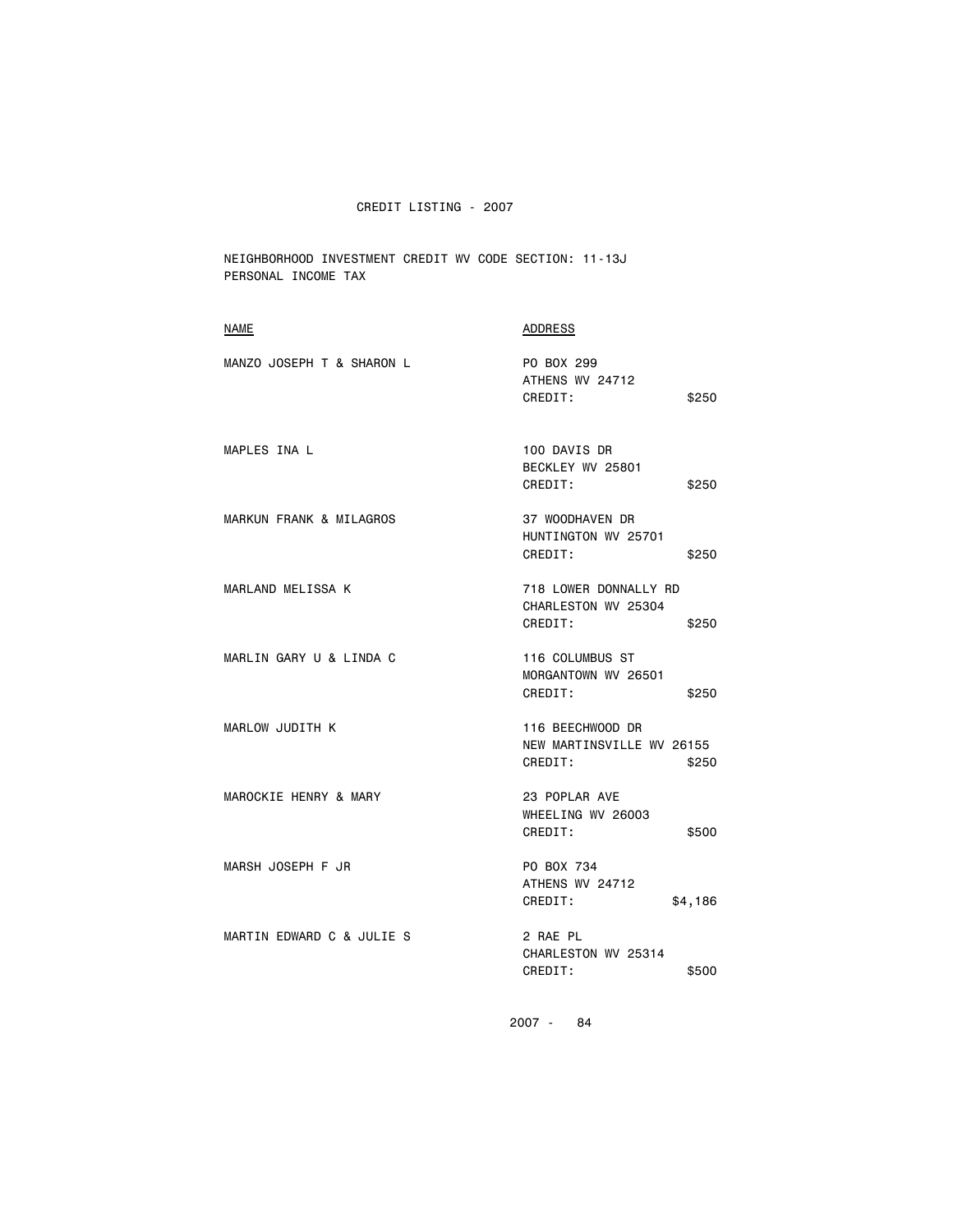NEIGHBORHOOD INVESTMENT CREDIT WV CODE SECTION: 11-13J PERSONAL INCOME TAX

| <b>NAME</b>               | <b>ADDRESS</b>                                                    |
|---------------------------|-------------------------------------------------------------------|
| MANZO JOSEPH T & SHARON L | PO BOX 299<br>ATHENS WV 24712<br>CREDIT:<br>\$250                 |
| MAPLES INA L              | 100 DAVIS DR<br>BECKLEY WV 25801<br>\$250<br>CREDIT:              |
| MARKUN FRANK & MILAGROS   | 37 WOODHAVEN DR<br>HUNTINGTON WV 25701<br>CREDIT:<br>\$250        |
| MARLAND MELISSA K         | 718 LOWER DONNALLY RD<br>CHARLESTON WV 25304<br>CREDIT:<br>\$250  |
| MARLIN GARY U & LINDA C   | 116 COLUMBUS ST<br>MORGANTOWN WV 26501<br>CREDIT:<br>\$250        |
| <b>MARLOW JUDITH K</b>    | 116 BEECHWOOD DR<br>NEW MARTINSVILLE WV 26155<br>CREDIT:<br>\$250 |
| MAROCKIE HENRY & MARY     | 23 POPLAR AVE<br>WHEELING WV 26003<br>CREDIT:<br>\$500            |
| MARSH JOSEPH F JR         | PO BOX 734<br>ATHENS WV 24712<br>CREDIT:<br>\$4,186               |
| MARTIN EDWARD C & JULIE S | 2 RAE PL<br>CHARLESTON WV 25314<br>CREDIT:<br>\$500               |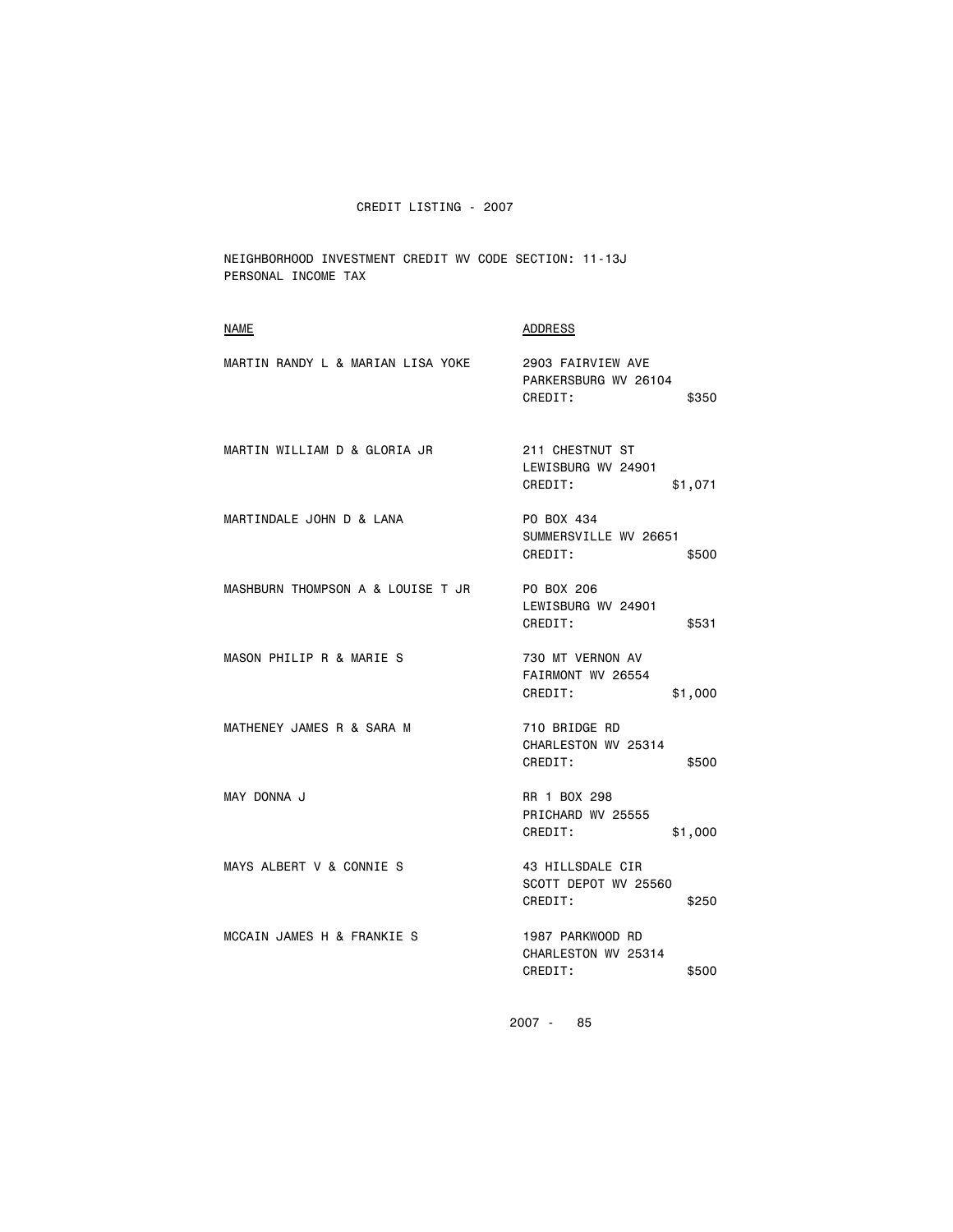NEIGHBORHOOD INVESTMENT CREDIT WV CODE SECTION: 11-13J PERSONAL INCOME TAX

| NAME                              | <b>ADDRESS</b>                                                |
|-----------------------------------|---------------------------------------------------------------|
| MARTIN RANDY L & MARIAN LISA YOKE | 2903 FAIRVIEW AVE<br>PARKERSBURG WV 26104<br>CREDIT:<br>\$350 |
| MARTIN WILLIAM D & GLORIA JR      | 211 CHESTNUT ST<br>LEWISBURG WV 24901<br>CREDIT:<br>\$1,071   |
| MARTINDALE JOHN D & LANA          | PO BOX 434<br>SUMMERSVILLE WV 26651<br>CREDIT:<br>\$500       |
| MASHBURN THOMPSON A & LOUISE T JR | PO BOX 206<br>LEWISBURG WV 24901<br>CREDIT:<br>\$531          |
| MASON PHILIP R & MARIE S          | 730 MT VERNON AV<br>FAIRMONT WV 26554<br>CREDIT:<br>\$1,000   |
| MATHENEY JAMES R & SARA M         | 710 BRIDGE RD<br>CHARLESTON WV 25314<br>CREDIT:<br>\$500      |
| MAY DONNA J                       | RR 1 BOX 298<br>PRICHARD WV 25555<br>CREDIT:<br>\$1,000       |
| MAYS ALBERT V & CONNIE S          | 43 HILLSDALE CIR<br>SCOTT DEPOT WV 25560<br>CREDIT:<br>\$250  |
| MCCAIN JAMES H & FRANKIE S        | 1987 PARKWOOD RD<br>CHARLESTON WV 25314<br>CREDIT:<br>\$500   |
|                                   |                                                               |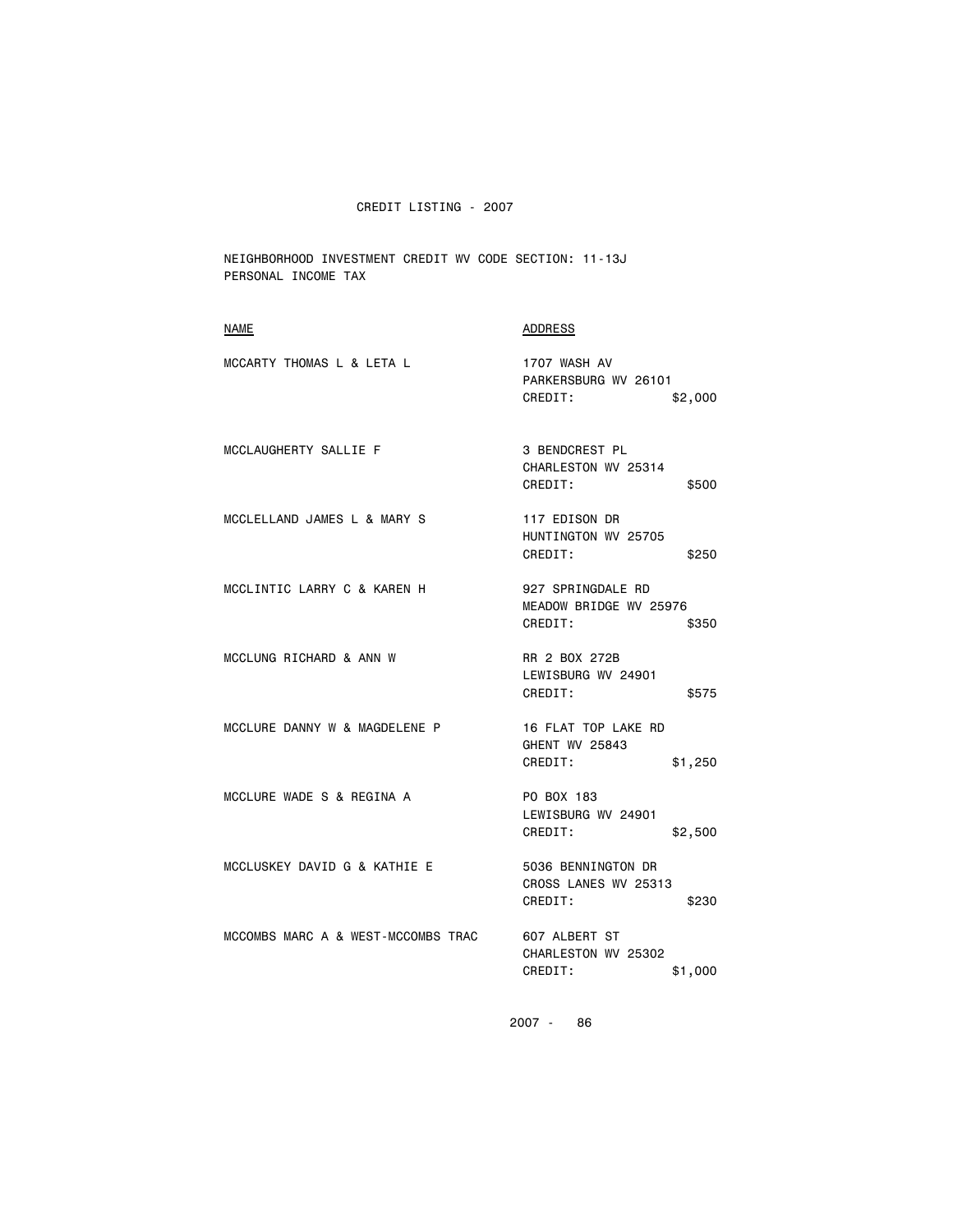NEIGHBORHOOD INVESTMENT CREDIT WV CODE SECTION: 11-13J PERSONAL INCOME TAX

| NAME                               | ADDRESS                                                          |
|------------------------------------|------------------------------------------------------------------|
| MCCARTY THOMAS L & LETA L          | 1707 WASH AV<br>PARKERSBURG WV 26101<br>CREDIT:<br>\$2,000       |
| MCCLAUGHERTY SALLIE F              | <b>3 BENDCREST PL</b><br>CHARLESTON WV 25314<br>CREDIT:<br>\$500 |
| MCCLELLAND JAMES L & MARY S        | 117 EDISON DR<br>HUNTINGTON WV 25705<br>CREDIT:<br>\$250         |
| MCCLINTIC LARRY C & KAREN H        | 927 SPRINGDALE RD<br>MEADOW BRIDGE WV 25976<br>CREDIT:<br>\$350  |
| MCCLUNG RICHARD & ANN W            | RR 2 BOX 272B<br>LEWISBURG WV 24901<br>CREDIT:<br>\$575          |
| MCCLURE DANNY W & MAGDELENE P      | 16 FLAT TOP LAKE RD<br>GHENT WV 25843<br>CREDIT:<br>\$1,250      |
| MCCLURE WADE S & REGINA A          | PO BOX 183<br>LEWISBURG WV 24901<br>CREDIT:<br>\$2,500           |
| MCCLUSKEY DAVID G & KATHIE E       | 5036 BENNINGTON DR<br>CROSS LANES WV 25313<br>CREDIT:<br>\$230   |
| MCCOMBS MARC A & WEST-MCCOMBS TRAC | 607 ALBERT ST<br>CHARLESTON WV 25302<br>CREDIT:<br>\$1,000       |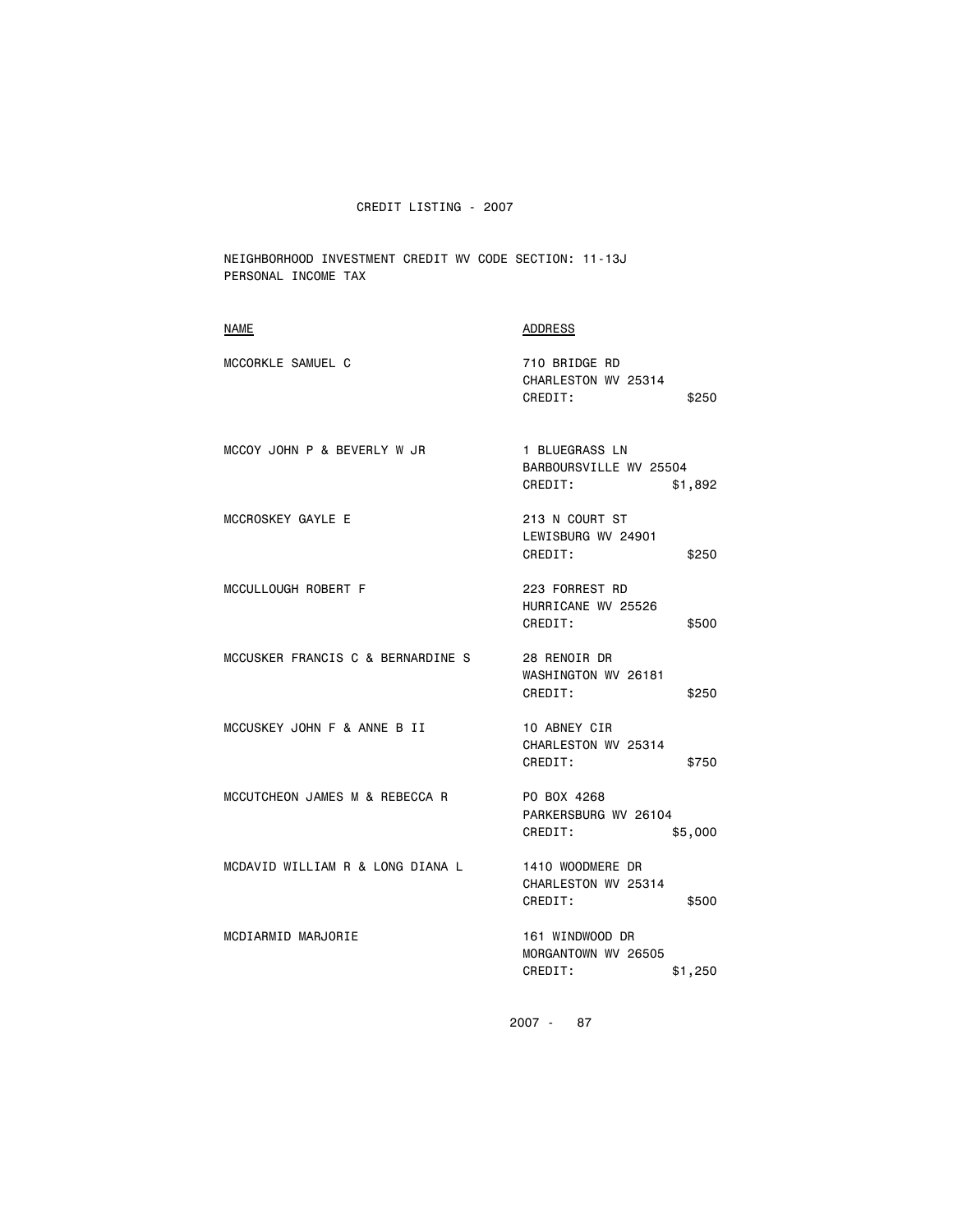NEIGHBORHOOD INVESTMENT CREDIT WV CODE SECTION: 11-13J PERSONAL INCOME TAX

| NAME                              | <b>ADDRESS</b>                                                 |
|-----------------------------------|----------------------------------------------------------------|
| MCCORKLE SAMUEL C                 | 710 BRIDGE RD<br>CHARLESTON WV 25314<br>CREDIT:<br>\$250       |
| MCCOY JOHN P & BEVERLY W JR       | 1 BLUEGRASS LN<br>BARBOURSVILLE WV 25504<br>CREDIT:<br>\$1,892 |
| MCCROSKEY GAYLE E                 | 213 N COURT ST<br>LEWISBURG WV 24901<br>CREDIT:<br>\$250       |
| MCCULLOUGH ROBERT F               | 223 FORREST RD<br>HURRICANE WV 25526<br>CREDIT:<br>\$500       |
| MCCUSKER FRANCIS C & BERNARDINE S | 28 RENOIR DR<br>WASHINGTON WV 26181<br>CREDIT:<br>\$250        |
| MCCUSKEY JOHN F & ANNE B II       | 10 ABNEY CIR<br>CHARLESTON WV 25314<br>CREDIT:<br>\$750        |
| MCCUTCHEON JAMES M & REBECCA R    | PO BOX 4268<br>PARKERSBURG WV 26104<br>CREDIT:<br>\$5,000      |
| MCDAVID WILLIAM R & LONG DIANA L  | 1410 WOODMERE DR<br>CHARLESTON WV 25314<br>CREDIT:<br>\$500    |
| MCDIARMID MARJORIE                | 161 WINDWOOD DR<br>MORGANTOWN WV 26505<br>CREDIT:<br>\$1,250   |
|                                   |                                                                |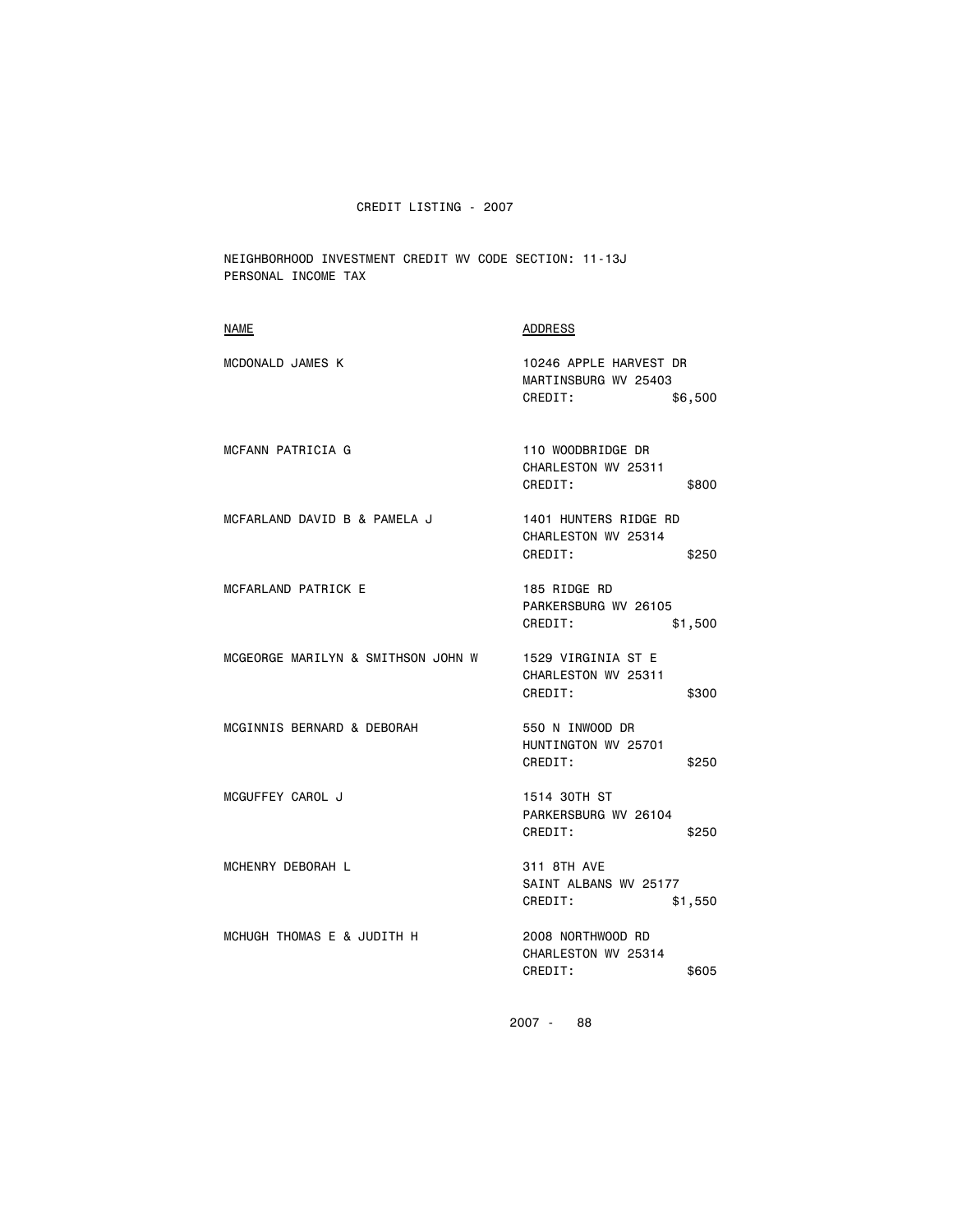NEIGHBORHOOD INVESTMENT CREDIT WV CODE SECTION: 11-13J PERSONAL INCOME TAX

| NAME                               | <b>ADDRESS</b>                                                       |
|------------------------------------|----------------------------------------------------------------------|
| MCDONALD JAMES K                   | 10246 APPLE HARVEST DR<br>MARTINSBURG WV 25403<br>CREDIT:<br>\$6,500 |
| MCFANN PATRICIA G                  | 110 WOODBRIDGE DR<br>CHARLESTON WV 25311<br>CREDIT:<br>\$800         |
| MCFARLAND DAVID B & PAMELA J       | 1401 HUNTERS RIDGE RD<br>CHARLESTON WV 25314<br>CREDIT:<br>\$250     |
| MCFARLAND PATRICK E                | 185 RIDGE RD<br>PARKERSBURG WV 26105<br>CREDIT:<br>\$1,500           |
| MCGEORGE MARILYN & SMITHSON JOHN W | 1529 VIRGINIA ST E<br>CHARLESTON WV 25311<br>CREDIT:<br>\$300        |
| MCGINNIS BERNARD & DEBORAH         | 550 N INWOOD DR<br>HUNTINGTON WV 25701<br>CREDIT:<br>\$250           |
| MCGUFFEY CAROL J                   | 1514 30TH ST<br>PARKERSBURG WV 26104<br>CREDIT:<br>\$250             |
| MCHENRY DEBORAH L                  | 311 8TH AVE<br>SAINT ALBANS WV 25177<br>CREDIT:<br>\$1,550           |
| MCHUGH THOMAS E & JUDITH H         | 2008 NORTHWOOD RD<br>CHARLESTON WV 25314<br>CREDIT:<br>\$605         |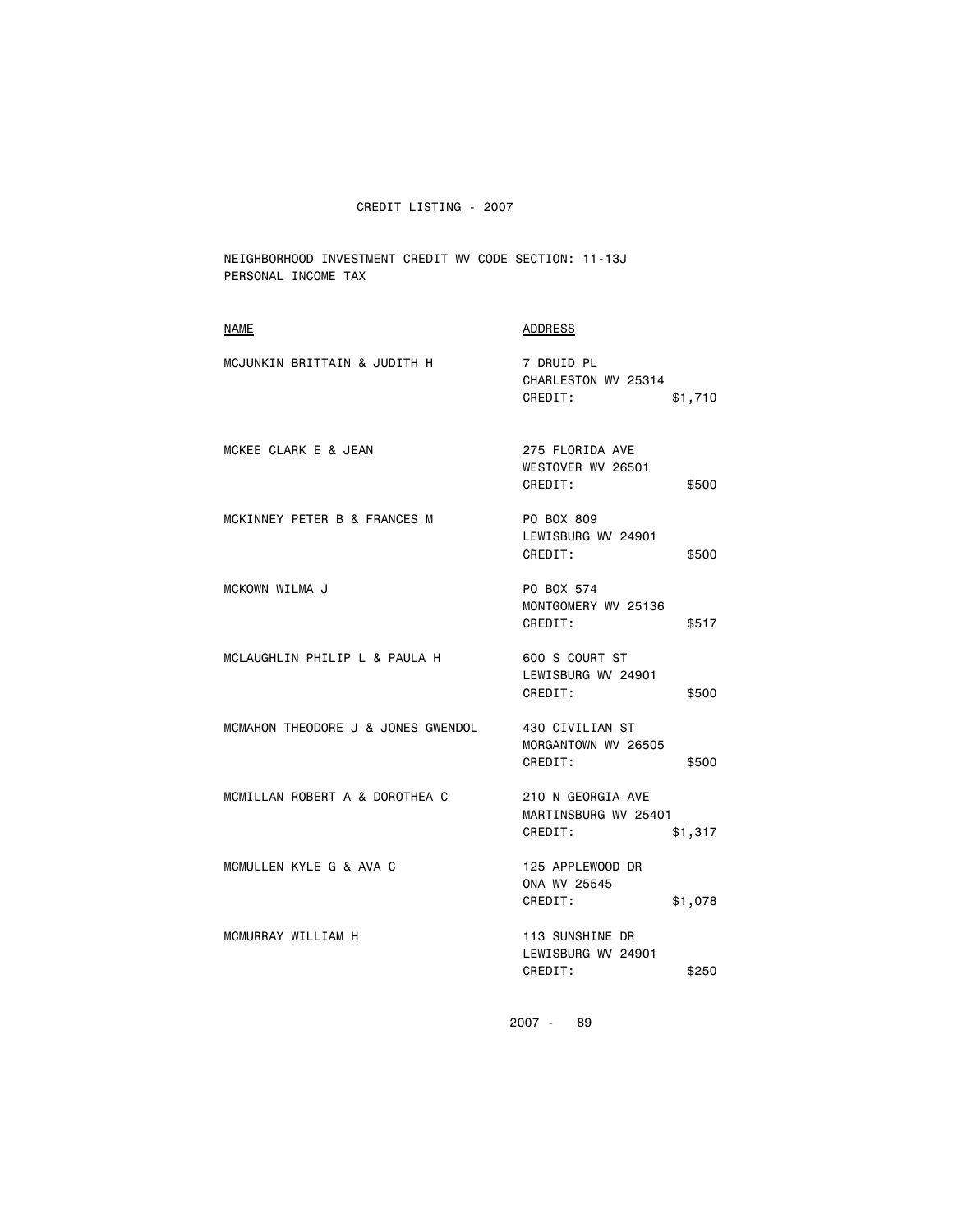NEIGHBORHOOD INVESTMENT CREDIT WV CODE SECTION: 11-13J PERSONAL INCOME TAX

| <b>NAME</b>                        | ADDRESS                                                         |
|------------------------------------|-----------------------------------------------------------------|
| MCJUNKIN BRITTAIN & JUDITH H       | 7 DRUID PL<br>CHARLESTON WV 25314<br>CREDIT:<br>\$1,710         |
| MCKEE CLARK E & JEAN               | 275 FLORIDA AVE<br>WESTOVER WV 26501<br>CREDIT:<br>\$500        |
| MCKINNEY PETER B & FRANCES M       | PO BOX 809<br>LEWISBURG WV 24901<br>CREDIT:<br>\$500            |
| MCKOWN WILMA J                     | PO BOX 574<br>MONTGOMERY WV 25136<br>CREDIT:<br>\$517           |
| MCLAUGHLIN PHILIP L & PAULA H      | 600 S COURT ST<br>LEWISBURG WV 24901<br>CREDIT:<br>\$500        |
| MCMAHON THEODORE J & JONES GWENDOL | 430 CIVILIAN ST<br>MORGANTOWN WV 26505<br>CREDIT:<br>\$500      |
| MCMILLAN ROBERT A & DOROTHEA C     | 210 N GEORGIA AVE<br>MARTINSBURG WV 25401<br>CREDIT:<br>\$1,317 |
| MCMULLEN KYLE G & AVA C            | 125 APPLEWOOD DR<br>ONA WV 25545<br>CREDIT:<br>\$1,078          |
| MCMURRAY WILLIAM H                 | 113 SUNSHINE DR<br>LEWISBURG WV 24901<br>CREDIT:<br>\$250       |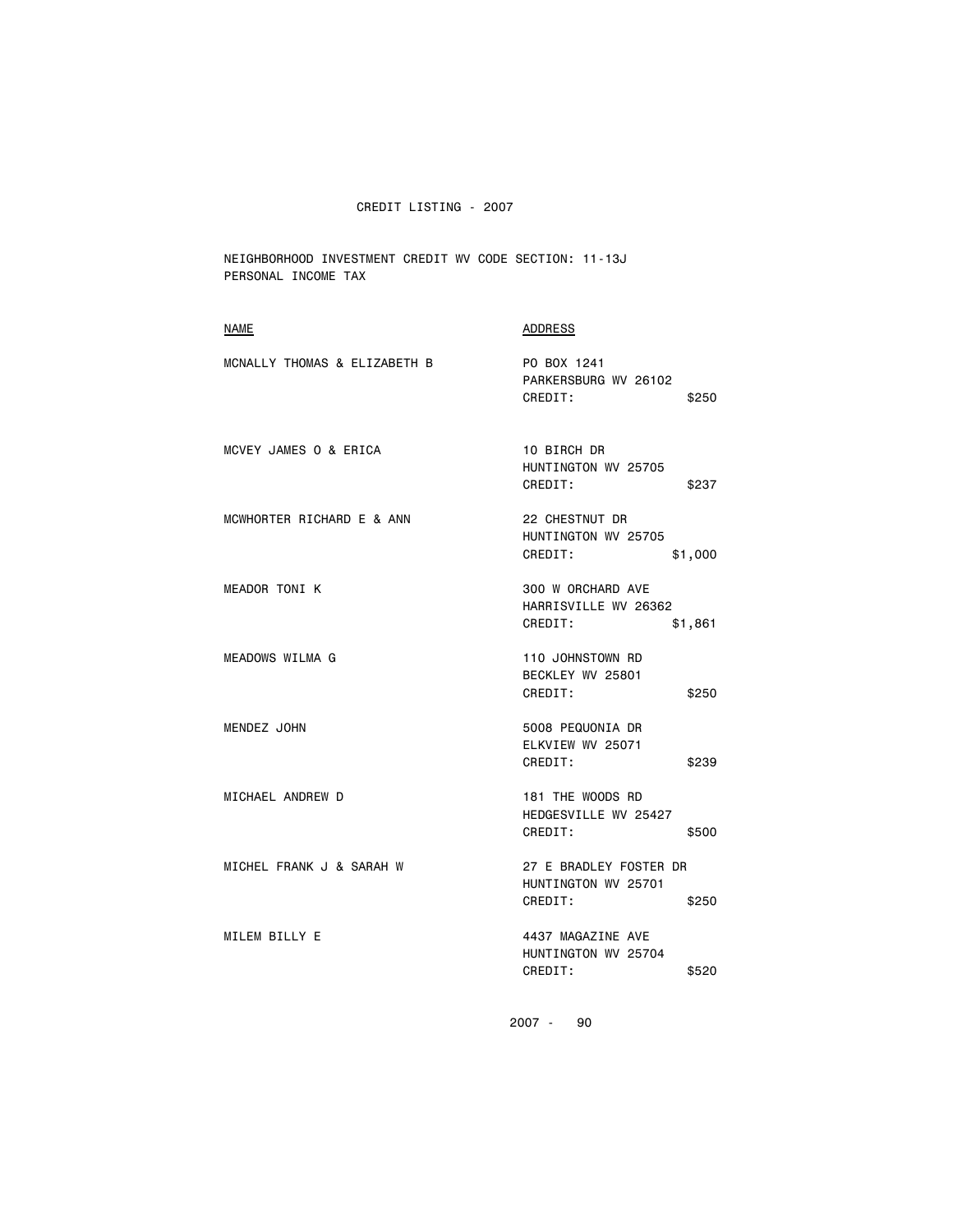NEIGHBORHOOD INVESTMENT CREDIT WV CODE SECTION: 11-13J PERSONAL INCOME TAX

| <b>NAME</b>                  | ADDRESS                                                           |
|------------------------------|-------------------------------------------------------------------|
| MCNALLY THOMAS & ELIZABETH B | PO BOX 1241<br>PARKERSBURG WV 26102<br>CREDIT:<br>\$250           |
| MCVEY JAMES 0 & ERICA        | 10 BIRCH DR<br>HUNTINGTON WV 25705<br>CREDIT:<br>\$237            |
| MCWHORTER RICHARD E & ANN    | 22 CHESTNUT DR<br>HUNTINGTON WV 25705<br>CREDIT:<br>\$1,000       |
| <b>MEADOR TONI K</b>         | 300 W ORCHARD AVE<br>HARRISVILLE WV 26362<br>CREDIT:<br>\$1,861   |
| <b>MEADOWS WILMA G</b>       | 110 JOHNSTOWN RD<br>BECKLEY WV 25801<br>CREDIT:<br>\$250          |
| MENDEZ JOHN                  | 5008 PEQUONIA DR<br>ELKVIEW WV 25071<br>CREDIT:<br>\$239          |
| MICHAEL ANDREW D             | 181 THE WOODS RD<br>HEDGESVILLE WV 25427<br>CREDIT:<br>\$500      |
| MICHEL FRANK J & SARAH W     | 27 E BRADLEY FOSTER DR<br>HUNTINGTON WV 25701<br>CREDIT:<br>\$250 |
| MILEM BILLY E                | 4437 MAGAZINE AVE<br>HUNTINGTON WV 25704<br>CREDIT:<br>\$520      |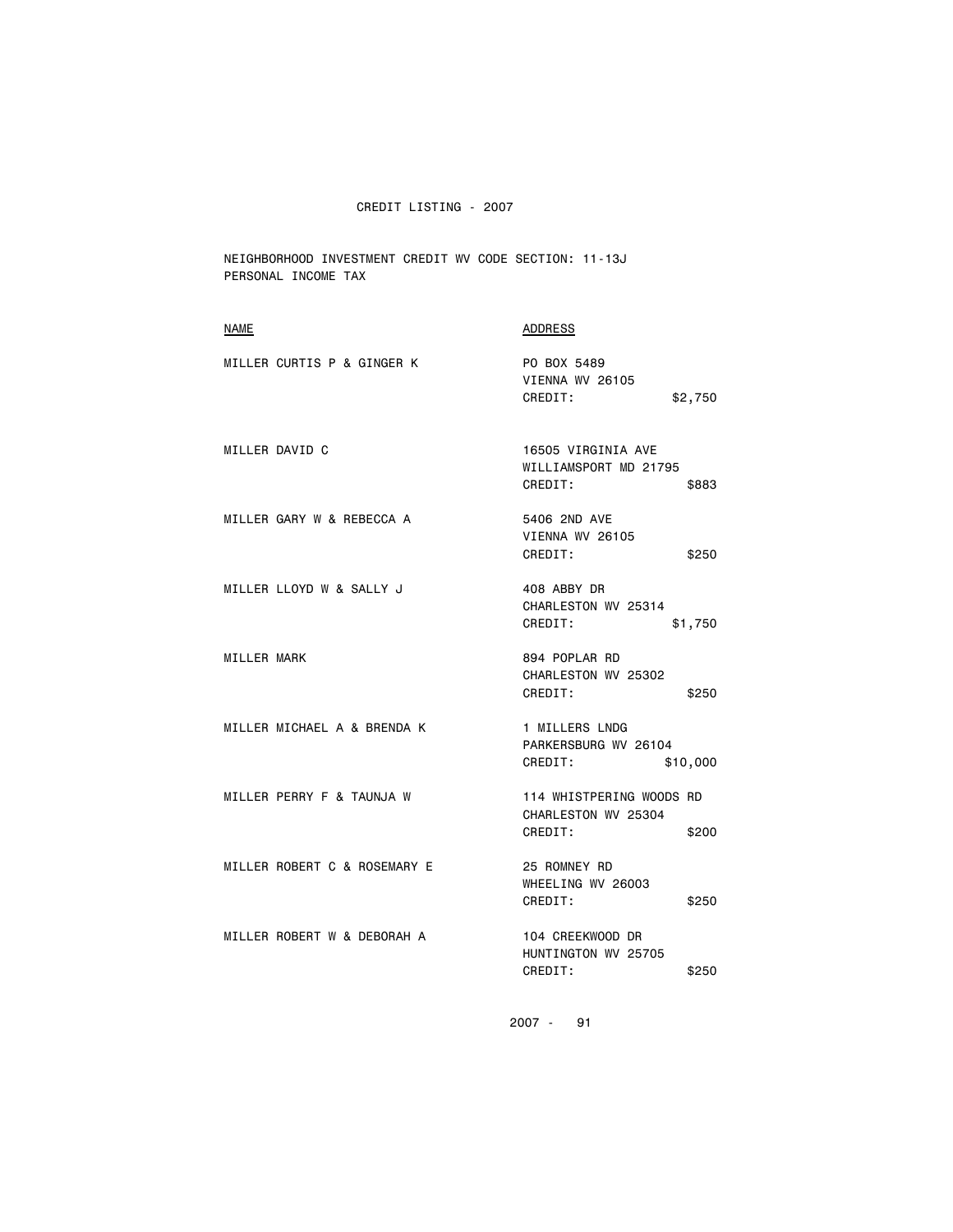NEIGHBORHOOD INVESTMENT CREDIT WV CODE SECTION: 11-13J PERSONAL INCOME TAX

| <b>NAME</b>                  | ADDRESS                                                             |
|------------------------------|---------------------------------------------------------------------|
| MILLER CURTIS P & GINGER K   | PO BOX 5489<br>VIENNA WV 26105<br>CREDIT:<br>\$2,750                |
| MILLER DAVID C               | 16505 VIRGINIA AVE<br>WILLIAMSPORT MD 21795<br>CREDIT:<br>\$883     |
| MILLER GARY W & REBECCA A    | 5406 2ND AVE<br>VIENNA WV 26105<br>CREDIT:<br>\$250                 |
| MILLER LLOYD W & SALLY J     | 408 ABBY DR<br>CHARLESTON WV 25314<br>CREDIT:<br>\$1,750            |
| MILLER MARK                  | 894 POPLAR RD<br>CHARLESTON WV 25302<br>CREDIT:<br>\$250            |
| MILLER MICHAEL A & BRENDA K  | 1 MILLERS LNDG<br>PARKERSBURG WV 26104<br>CREDIT:<br>\$10,000       |
| MILLER PERRY F & TAUNJA W    | 114 WHISTPERING WOODS RD<br>CHARLESTON WV 25304<br>CREDIT:<br>\$200 |
| MILLER ROBERT C & ROSEMARY E | 25 ROMNEY RD<br>WHEELING WV 26003<br>CREDIT:<br>\$250               |
| MILLER ROBERT W & DEBORAH A  | 104 CREEKWOOD DR<br>HUNTINGTON WV 25705<br>CREDIT:<br>\$250         |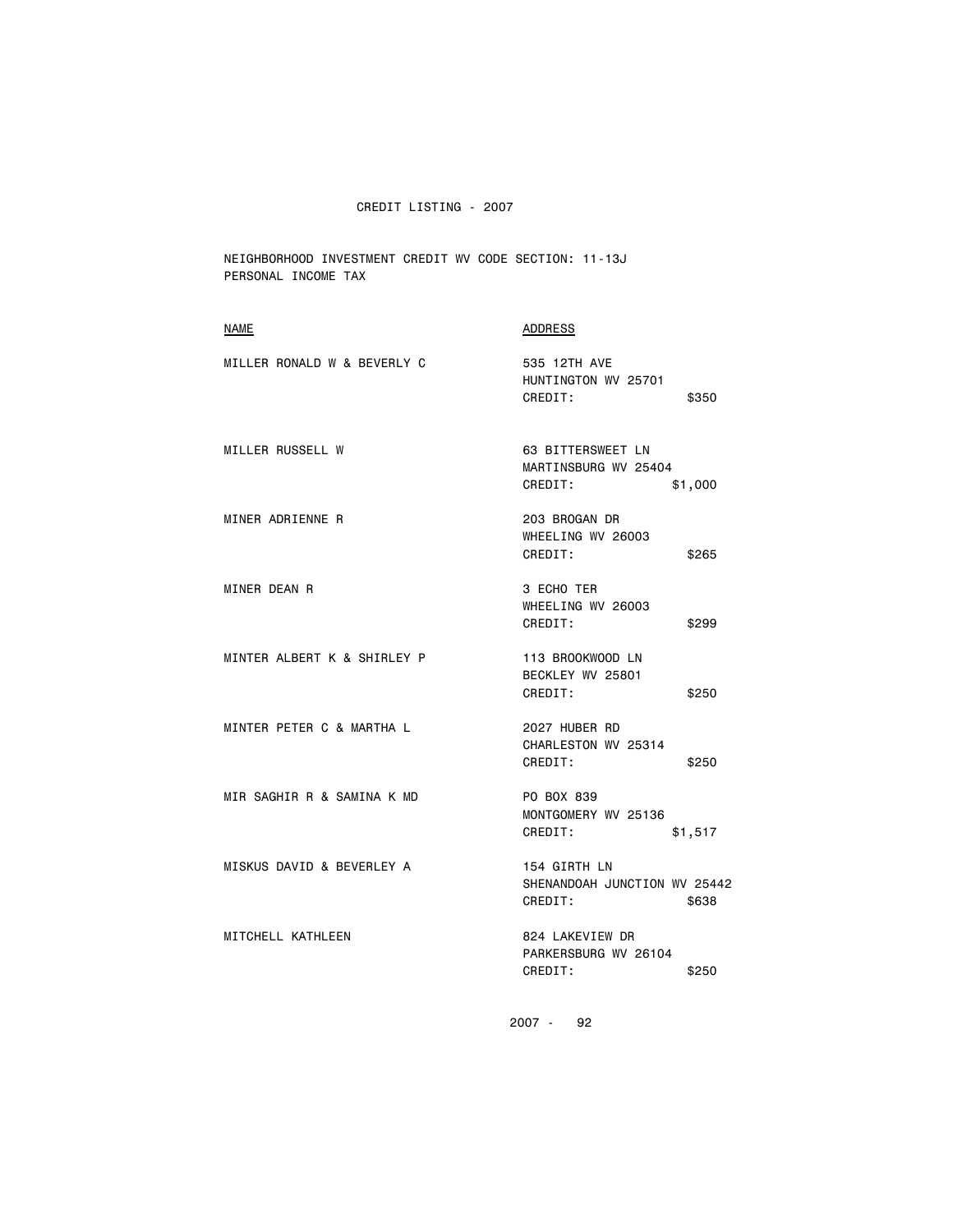NEIGHBORHOOD INVESTMENT CREDIT WV CODE SECTION: 11-13J PERSONAL INCOME TAX

| <b>NAME</b>                 | ADDRESS                                                          |
|-----------------------------|------------------------------------------------------------------|
| MILLER RONALD W & BEVERLY C | 535 12TH AVE<br>HUNTINGTON WV 25701<br>CREDIT:<br>\$350          |
| MILLER RUSSELL W            | 63 BITTERSWEET LN<br>MARTINSBURG WV 25404<br>CREDIT:<br>\$1,000  |
| MINER ADRIENNE R            | 203 BROGAN DR<br>WHEELING WV 26003<br>CREDIT:<br>\$265           |
| MINER DEAN R                | 3 ECHO TER<br>WHEELING WV 26003<br>CREDIT:<br>\$299              |
| MINTER ALBERT K & SHIRLEY P | 113 BROOKWOOD LN<br>BECKLEY WV 25801<br>CREDIT:<br>\$250         |
| MINTER PETER C & MARTHA L   | 2027 HUBER RD<br>CHARLESTON WV 25314<br>CREDIT:<br>\$250         |
| MIR SAGHIR R & SAMINA K MD  | PO BOX 839<br>MONTGOMERY WV 25136<br>CREDIT:<br>\$1,517          |
| MISKUS DAVID & BEVERLEY A   | 154 GIRTH LN<br>SHENANDOAH JUNCTION WV 25442<br>CREDIT:<br>\$638 |
| MITCHELL KATHLEEN           | 824 LAKEVIEW DR<br>PARKERSBURG WV 26104<br>CREDIT:<br>\$250      |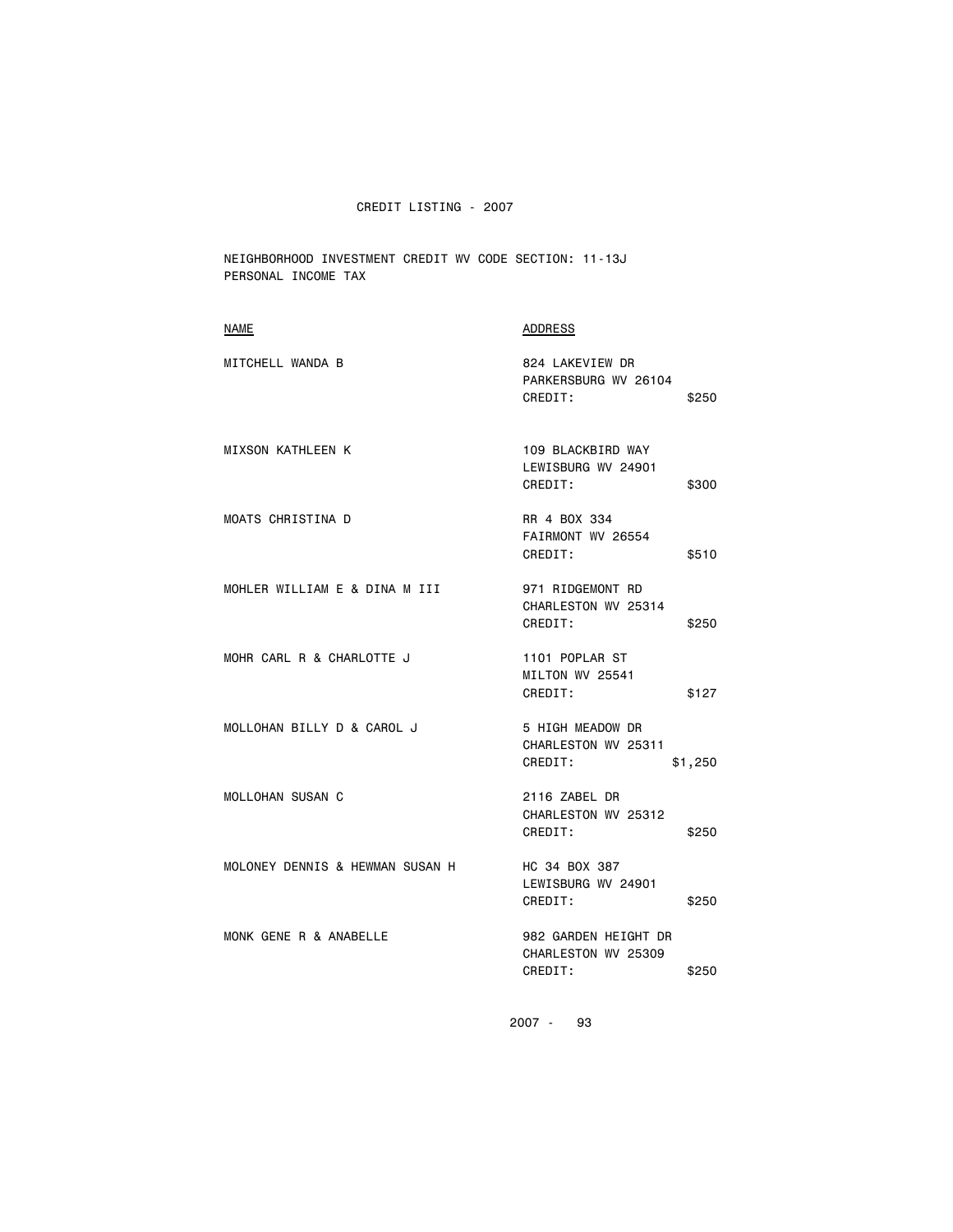NEIGHBORHOOD INVESTMENT CREDIT WV CODE SECTION: 11-13J PERSONAL INCOME TAX

| <b>NAME</b>                     | ADDRESS                                                         |
|---------------------------------|-----------------------------------------------------------------|
| MITCHELL WANDA B                | 824 LAKEVIEW DR<br>PARKERSBURG WV 26104<br>CREDIT:<br>\$250     |
| <b>MIXSON KATHLEEN K</b>        | 109 BLACKBIRD WAY<br>LEWISBURG WV 24901<br>CREDIT:<br>\$300     |
| MOATS CHRISTINA D               | RR 4 BOX 334<br>FAIRMONT WV 26554<br>CREDIT:<br>\$510           |
| MOHLER WILLIAM E & DINA M III   | 971 RIDGEMONT RD<br>CHARLESTON WV 25314<br>CREDIT:<br>\$250     |
| MOHR CARL R & CHARLOTTE J       | 1101 POPLAR ST<br>MILTON WV 25541<br>CREDIT:<br>\$127           |
| MOLLOHAN BILLY D & CAROL J      | 5 HIGH MEADOW DR<br>CHARLESTON WV 25311<br>CREDIT:<br>\$1,250   |
| <b>MOLLOHAN SUSAN C</b>         | 2116 ZABEL DR<br>CHARLESTON WV 25312<br>CREDIT:<br>\$250        |
| MOLONEY DENNIS & HEWMAN SUSAN H | HC 34 BOX 387<br>LEWISBURG WV 24901<br>CREDIT:<br>\$250         |
| MONK GENE R & ANABELLE          | 982 GARDEN HEIGHT DR<br>CHARLESTON WV 25309<br>CREDIT:<br>\$250 |
|                                 |                                                                 |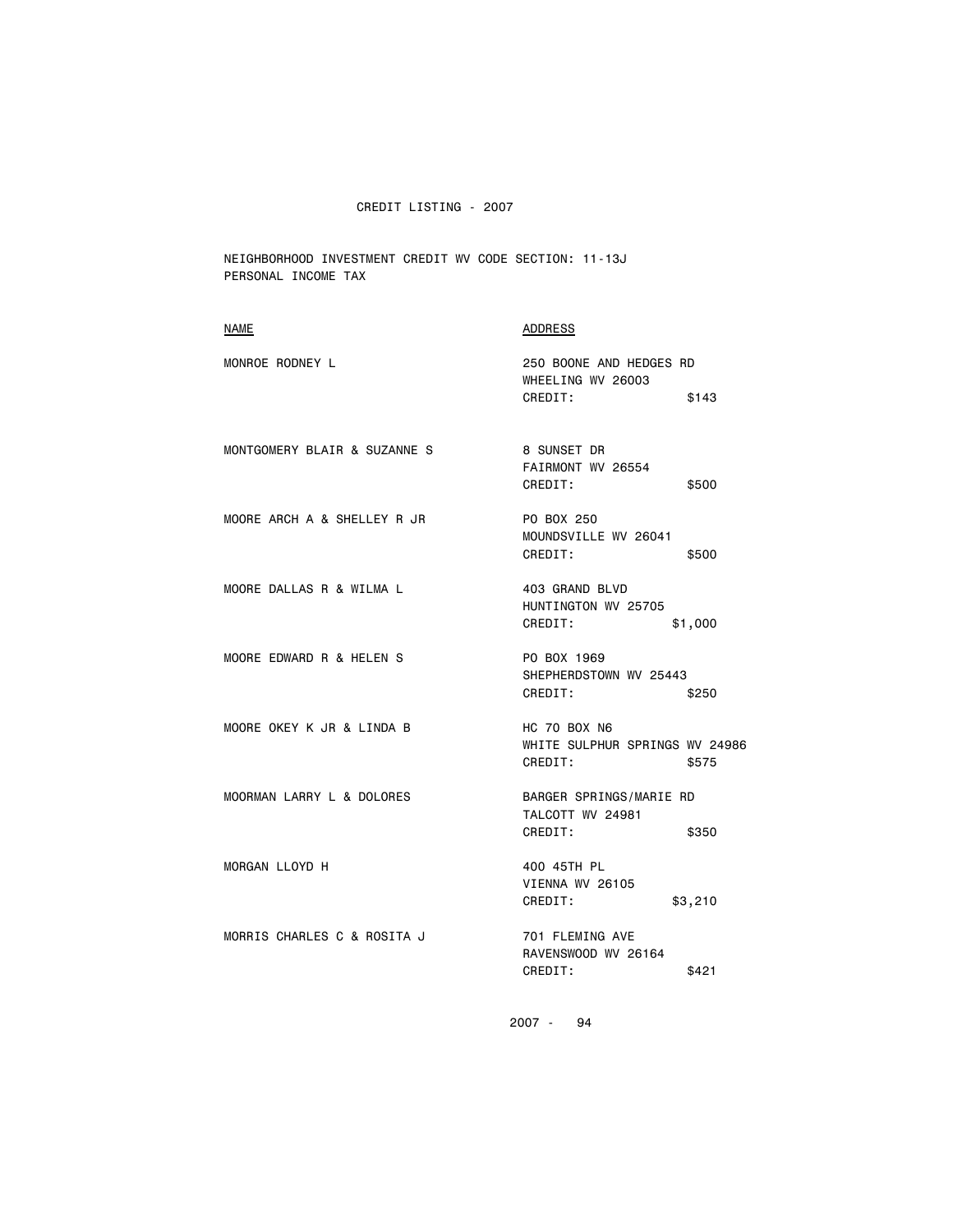NEIGHBORHOOD INVESTMENT CREDIT WV CODE SECTION: 11-13J PERSONAL INCOME TAX

| <b>NAME</b>                  | <b>ADDRESS</b>                                                     |
|------------------------------|--------------------------------------------------------------------|
| MONROE RODNEY L              | 250 BOONE AND HEDGES RD<br>WHEELING WV 26003<br>CREDIT:<br>\$143   |
|                              |                                                                    |
| MONTGOMERY BLAIR & SUZANNE S | 8 SUNSET DR<br>FAIRMONT WV 26554<br>CREDIT:<br>\$500               |
| MOORE ARCH A & SHELLEY R JR  | PO BOX 250<br>MOUNDSVILLE WV 26041<br>CREDIT:<br>\$500             |
| MOORE DALLAS R & WILMA L     | 403 GRAND BLVD<br>HUNTINGTON WV 25705<br>CREDIT:<br>\$1,000        |
| MOORE EDWARD R & HELEN S     | PO BOX 1969<br>SHEPHERDSTOWN WV 25443<br>CREDIT:<br>\$250          |
| MOORE OKEY K JR & LINDA B    | HC 70 BOX N6<br>WHITE SULPHUR SPRINGS WV 24986<br>CREDIT:<br>\$575 |
| MOORMAN LARRY L & DOLORES    | BARGER SPRINGS/MARIE RD<br>TALCOTT WV 24981<br>CREDIT:<br>\$350    |
| MORGAN LLOYD H               | 400 45TH PL<br>VIENNA WV 26105<br>CREDIT:<br>\$3,210               |
| MORRIS CHARLES C & ROSITA J  | 701 FLEMING AVE<br>RAVENSWOOD WV 26164<br>CREDIT:<br>\$421         |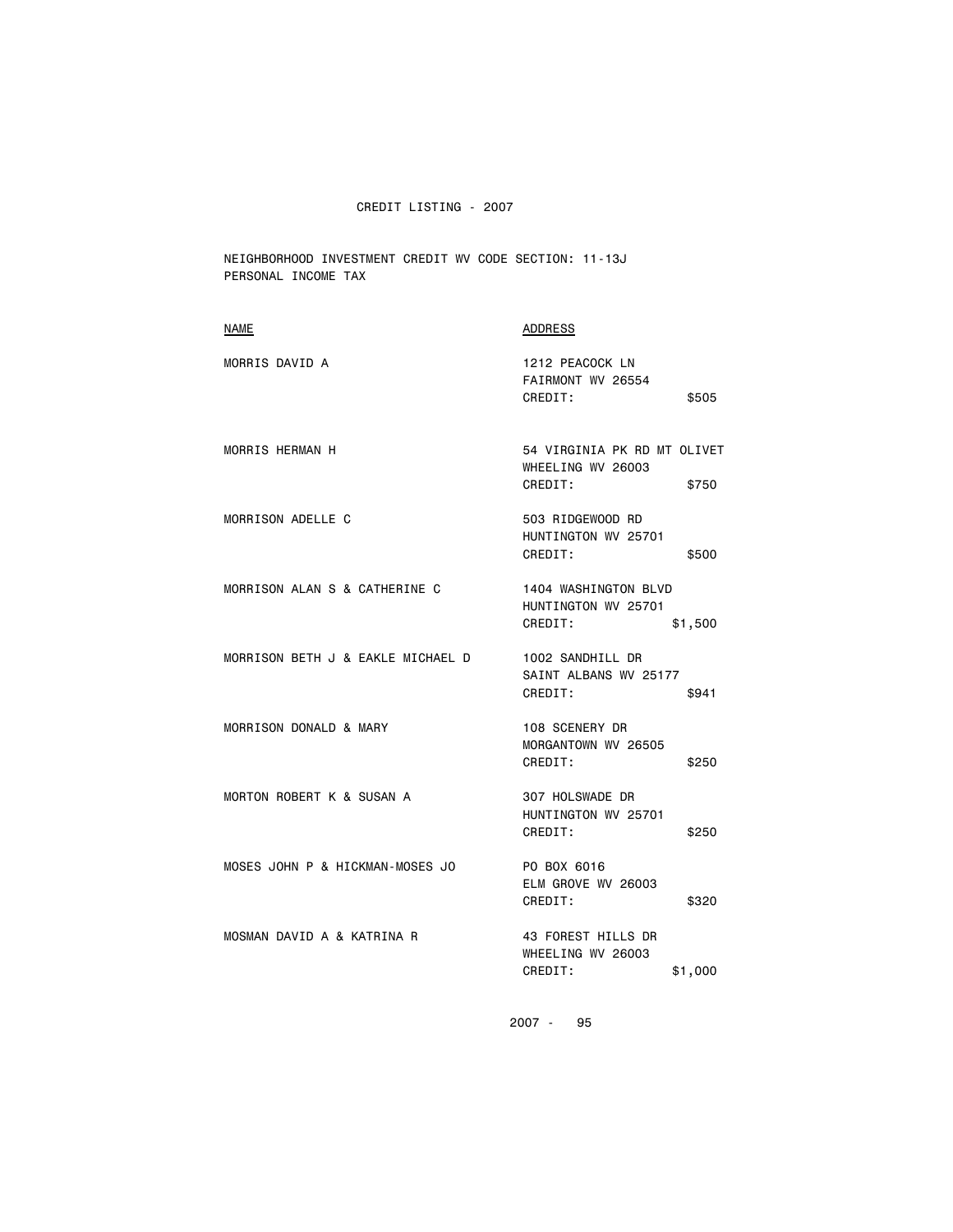NEIGHBORHOOD INVESTMENT CREDIT WV CODE SECTION: 11-13J PERSONAL INCOME TAX

| NAME                              | <b>ADDRESS</b>                                                       |
|-----------------------------------|----------------------------------------------------------------------|
| MORRIS DAVID A                    | 1212 PEACOCK LN<br>FAIRMONT WV 26554<br>CREDIT:<br>\$505             |
| <b>MORRIS HERMAN H</b>            | 54 VIRGINIA PK RD MT OLIVET<br>WHEELING WV 26003<br>CREDIT:<br>\$750 |
| MORRISON ADELLE C                 | 503 RIDGEWOOD RD<br>HUNTINGTON WV 25701<br>CREDIT:<br>\$500          |
| MORRISON ALAN S & CATHERINE C     | 1404 WASHINGTON BLVD<br>HUNTINGTON WV 25701<br>CREDIT:<br>\$1,500    |
| MORRISON BETH J & EAKLE MICHAEL D | 1002 SANDHILL DR<br>SAINT ALBANS WV 25177<br>CREDIT:<br>\$941        |
| MORRISON DONALD & MARY            | 108 SCENERY DR<br>MORGANTOWN WV 26505<br>CREDIT:<br>\$250            |
| MORTON ROBERT K & SUSAN A         | 307 HOLSWADE DR<br>HUNTINGTON WV 25701<br>CREDIT:<br>\$250           |
| MOSES JOHN P & HICKMAN-MOSES JO   | PO BOX 6016<br>ELM GROVE WV 26003<br>CREDIT:<br>\$320                |
| MOSMAN DAVID A & KATRINA R        | 43 FOREST HILLS DR<br>WHEELING WV 26003<br>CREDIT:<br>\$1,000        |
|                                   |                                                                      |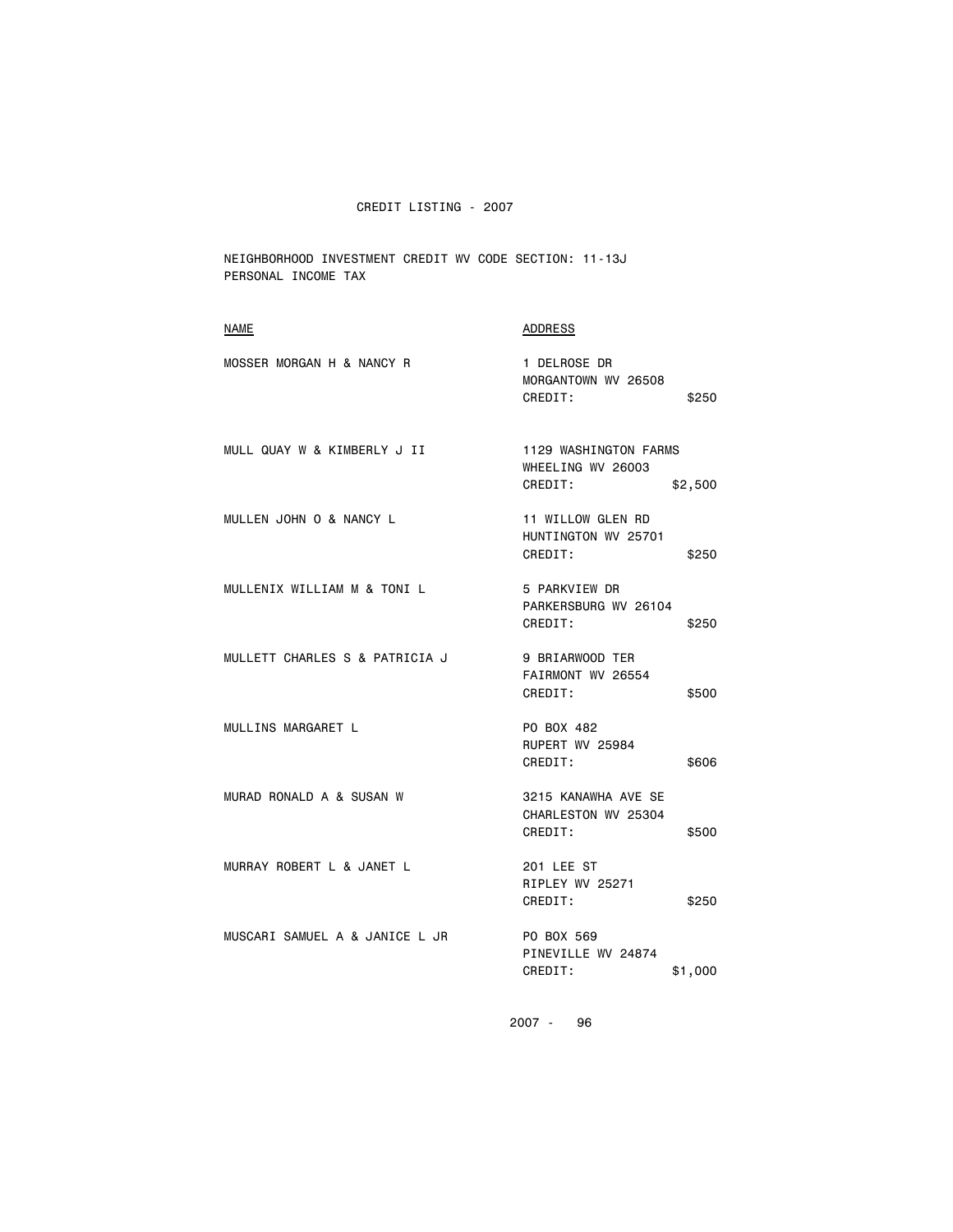NEIGHBORHOOD INVESTMENT CREDIT WV CODE SECTION: 11-13J PERSONAL INCOME TAX

| NAME                           | <b>ADDRESS</b>                                                   |
|--------------------------------|------------------------------------------------------------------|
| MOSSER MORGAN H & NANCY R      | 1 DELROSE DR<br>MORGANTOWN WV 26508<br>CREDIT:<br>\$250          |
| MULL QUAY W & KIMBERLY J II    | 1129 WASHINGTON FARMS<br>WHEELING WV 26003<br>CREDIT:<br>\$2,500 |
| MULLEN JOHN O & NANCY L        | 11 WILLOW GLEN RD<br>HUNTINGTON WV 25701<br>CREDIT:<br>\$250     |
| MULLENIX WILLIAM M & TONI L    | 5 PARKVIEW DR<br>PARKERSBURG WV 26104<br>CREDIT:<br>\$250        |
| MULLETT CHARLES S & PATRICIA J | 9 BRIARWOOD TER<br>FAIRMONT WV 26554<br>CREDIT:<br>\$500         |
| MULLINS MARGARET L             | PO BOX 482<br>RUPERT WV 25984<br>CREDIT:<br>\$606                |
| MURAD RONALD A & SUSAN W       | 3215 KANAWHA AVE SE<br>CHARLESTON WV 25304<br>CREDIT:<br>\$500   |
| MURRAY ROBERT L & JANET L      | 201 LEE ST<br>RIPLEY WV 25271<br>CREDIT:<br>\$250                |
| MUSCARI SAMUEL A & JANICE L JR | PO BOX 569<br>PINEVILLE WV 24874<br>CREDIT:<br>\$1,000           |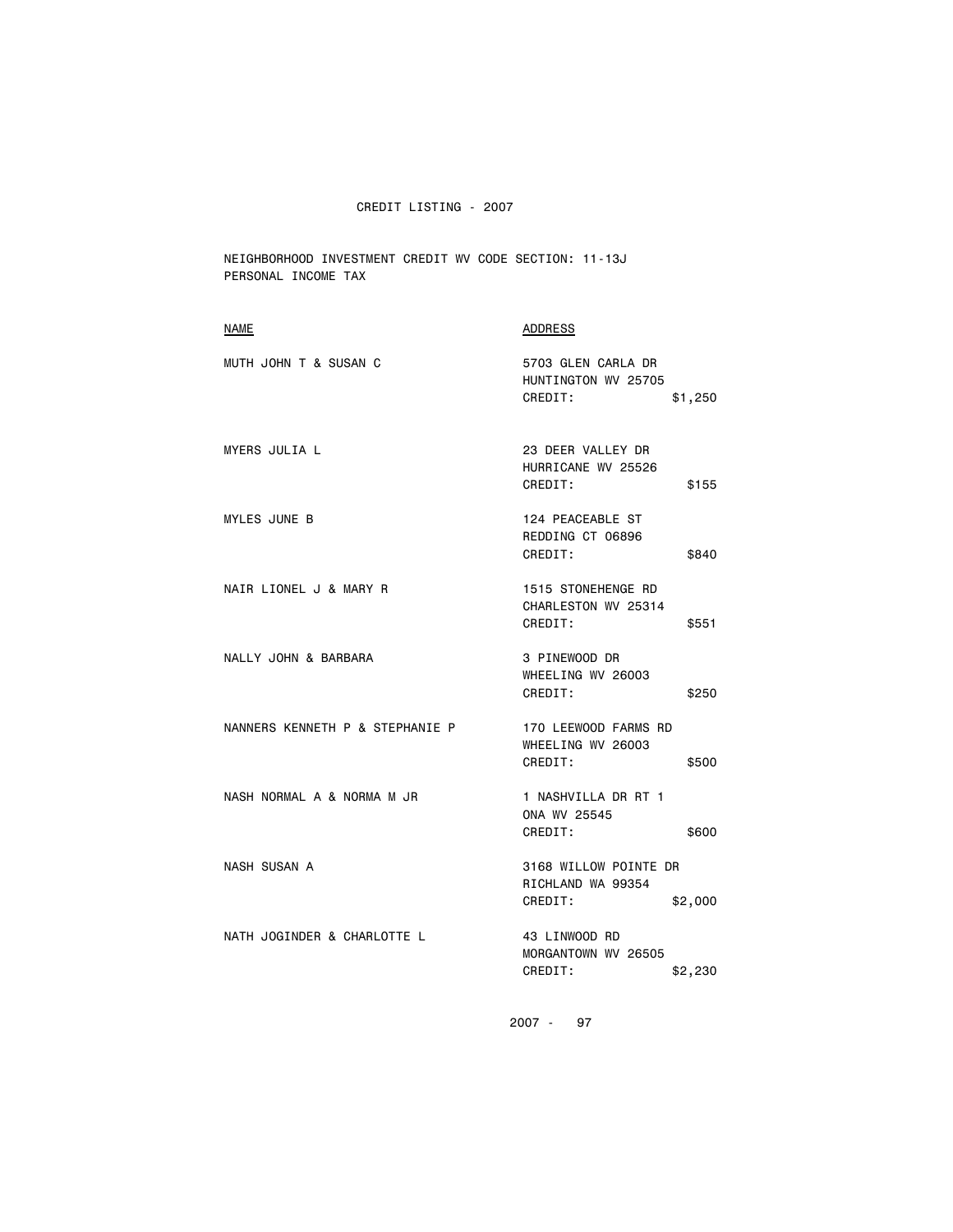NEIGHBORHOOD INVESTMENT CREDIT WV CODE SECTION: 11-13J PERSONAL INCOME TAX

| <b>ADDRESS</b>                                                   |
|------------------------------------------------------------------|
| 5703 GLEN CARLA DR<br>HUNTINGTON WV 25705<br>CREDIT:<br>\$1,250  |
| 23 DEER VALLEY DR<br>HURRICANE WV 25526<br>CREDIT:<br>\$155      |
| 124 PEACEABLE ST<br>REDDING CT 06896<br>CREDIT:<br>\$840         |
| 1515 STONEHENGE RD<br>CHARLESTON WV 25314<br>CREDIT:<br>\$551    |
| 3 PINEWOOD DR<br>WHEELING WV 26003<br>CREDIT:<br>\$250           |
| 170 LEEWOOD FARMS RD<br>WHEELING WV 26003<br>CREDIT:<br>\$500    |
| 1 NASHVILLA DR RT 1<br>ONA WV 25545<br>CREDIT:<br>\$600          |
| 3168 WILLOW POINTE DR<br>RICHLAND WA 99354<br>CREDIT:<br>\$2,000 |
| 43 LINWOOD RD<br>MORGANTOWN WV 26505<br>CREDIT:<br>\$2,230       |
|                                                                  |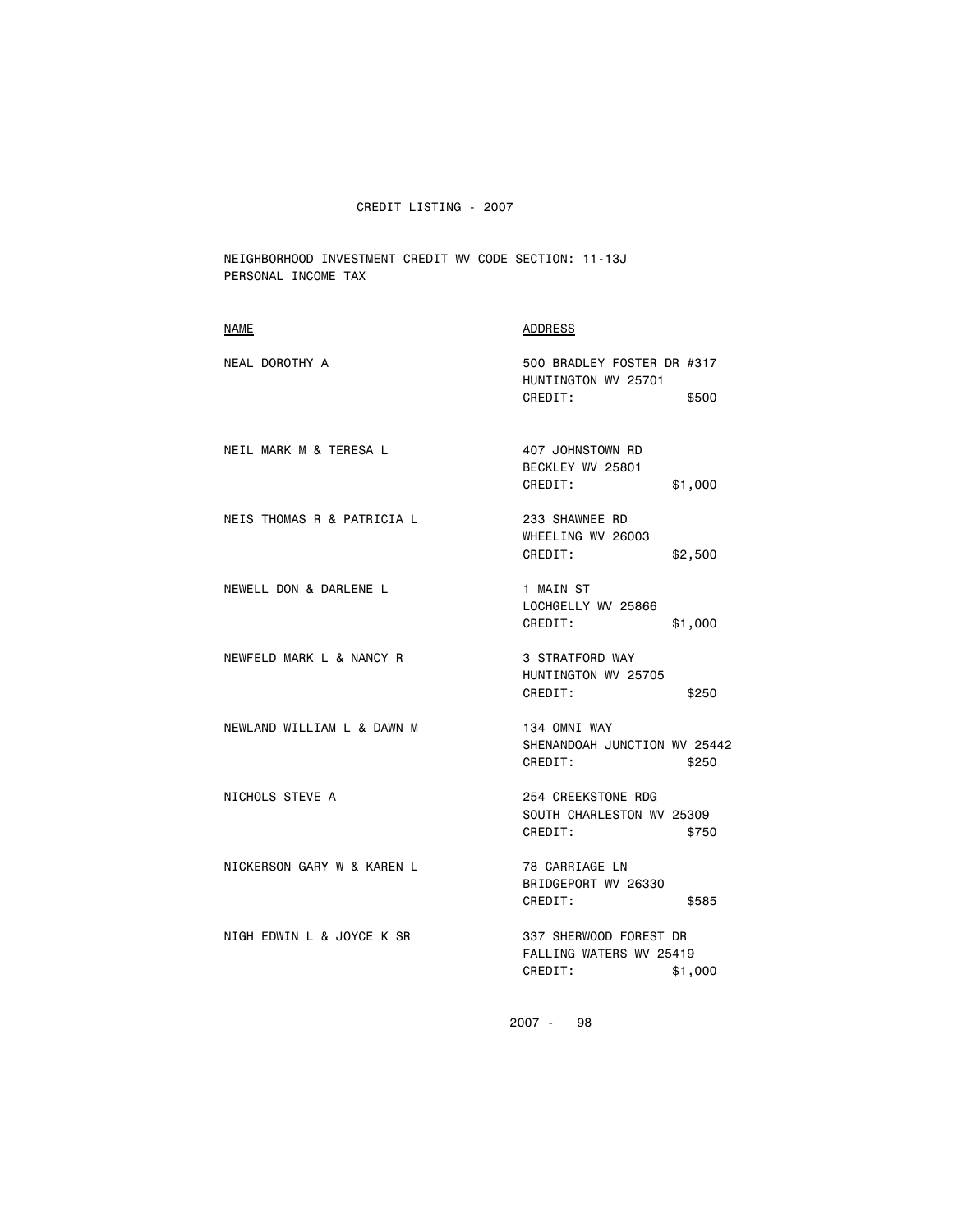NEIGHBORHOOD INVESTMENT CREDIT WV CODE SECTION: 11-13J PERSONAL INCOME TAX

| 500 BRADLEY FOSTER DR #317<br>HUNTINGTON WV 25701<br>CREDIT:<br>\$500   |                              |
|-------------------------------------------------------------------------|------------------------------|
| 407 JOHNSTOWN RD<br>BECKLEY WV 25801<br>CREDIT:<br>\$1,000              |                              |
| 233 SHAWNEE RD<br>WHEELING WV 26003<br>CREDIT:<br>\$2,500               |                              |
| 1 MAIN ST<br>LOCHGELLY WV 25866<br>CREDIT:<br>\$1,000                   |                              |
| 3 STRATFORD WAY<br>HUNTINGTON WV 25705<br>CREDIT:<br>\$250              |                              |
| 134 OMNI WAY<br>CREDIT:<br>\$250                                        |                              |
| 254 CREEKSTONE RDG<br>SOUTH CHARLESTON WV 25309<br>CREDIT:<br>\$750     |                              |
| 78 CARRIAGE LN<br>BRIDGEPORT WV 26330<br>CREDIT:<br>\$585               |                              |
| 337 SHERWOOD FOREST DR<br>FALLING WATERS WV 25419<br>CREDIT:<br>\$1,000 |                              |
|                                                                         | SHENANDOAH JUNCTION WV 25442 |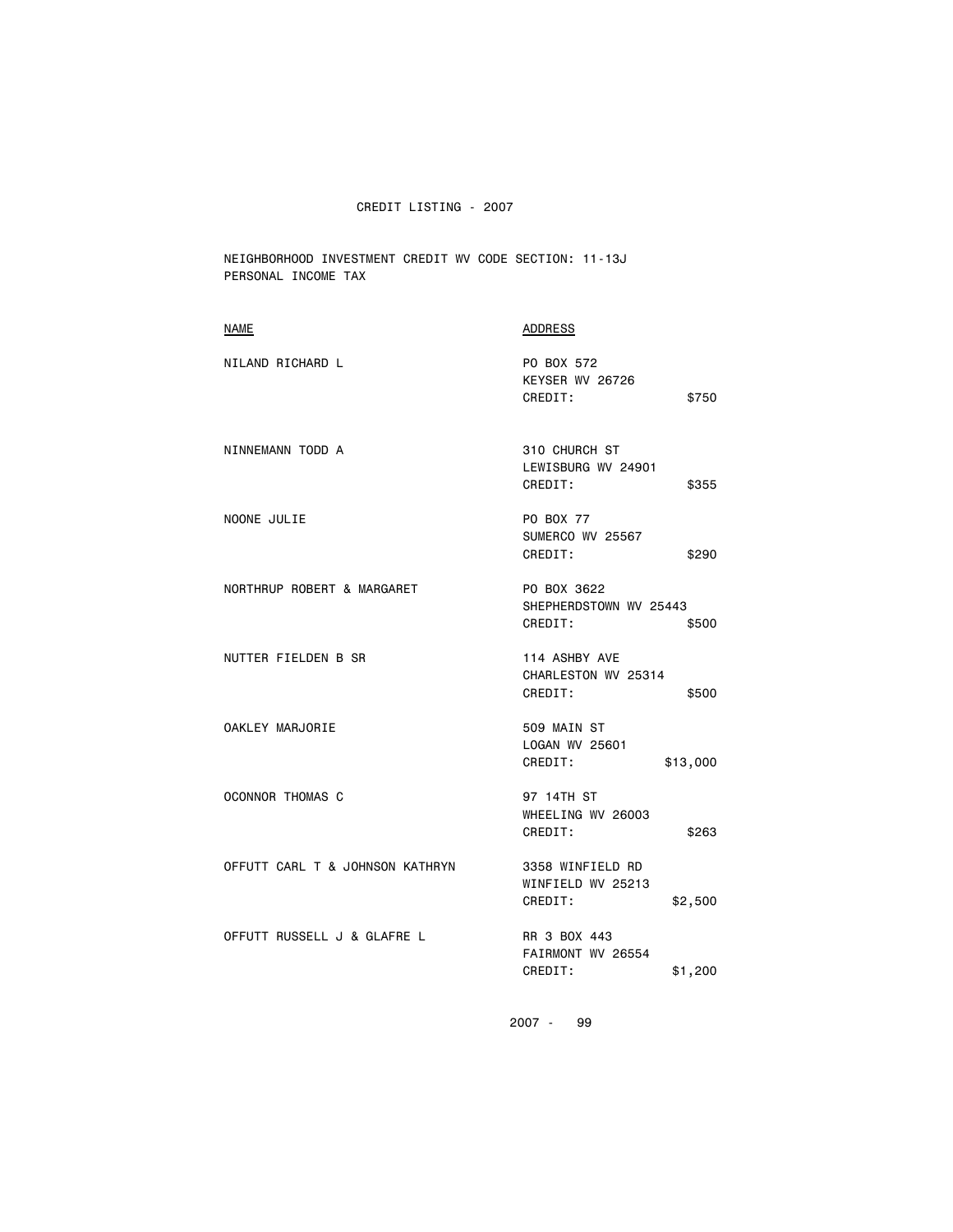NEIGHBORHOOD INVESTMENT CREDIT WV CODE SECTION: 11-13J PERSONAL INCOME TAX

| <b>NAME</b>                     | <b>ADDRESS</b>                                              |
|---------------------------------|-------------------------------------------------------------|
| NILAND RICHARD L                | PO BOX 572<br>KEYSER WV 26726<br>CREDIT:<br>\$750           |
| NINNEMANN TODD A                | 310 CHURCH ST<br>LEWISBURG WV 24901<br>CREDIT:<br>\$355     |
| NOONE JULIE                     | PO BOX 77<br>SUMERCO WV 25567<br>CREDIT:<br>\$290           |
| NORTHRUP ROBERT & MARGARET      | PO BOX 3622<br>SHEPHERDSTOWN WV 25443<br>CREDIT:<br>\$500   |
| NUTTER FIELDEN B SR             | 114 ASHBY AVE<br>CHARLESTON WV 25314<br>CREDIT:<br>\$500    |
| OAKLEY MARJORIE                 | 509 MAIN ST<br>LOGAN WV 25601<br>CREDIT:<br>\$13,000        |
| <b>OCONNOR THOMAS C</b>         | 97 14TH ST<br>WHEELING WV 26003<br>CREDIT:<br>\$263         |
| OFFUTT CARL T & JOHNSON KATHRYN | 3358 WINFIELD RD<br>WINFIELD WV 25213<br>CREDIT:<br>\$2,500 |
| OFFUTT RUSSELL J & GLAFRE L     | RR 3 BOX 443<br>FAIRMONT WV 26554<br>CREDIT:<br>\$1,200     |
|                                 |                                                             |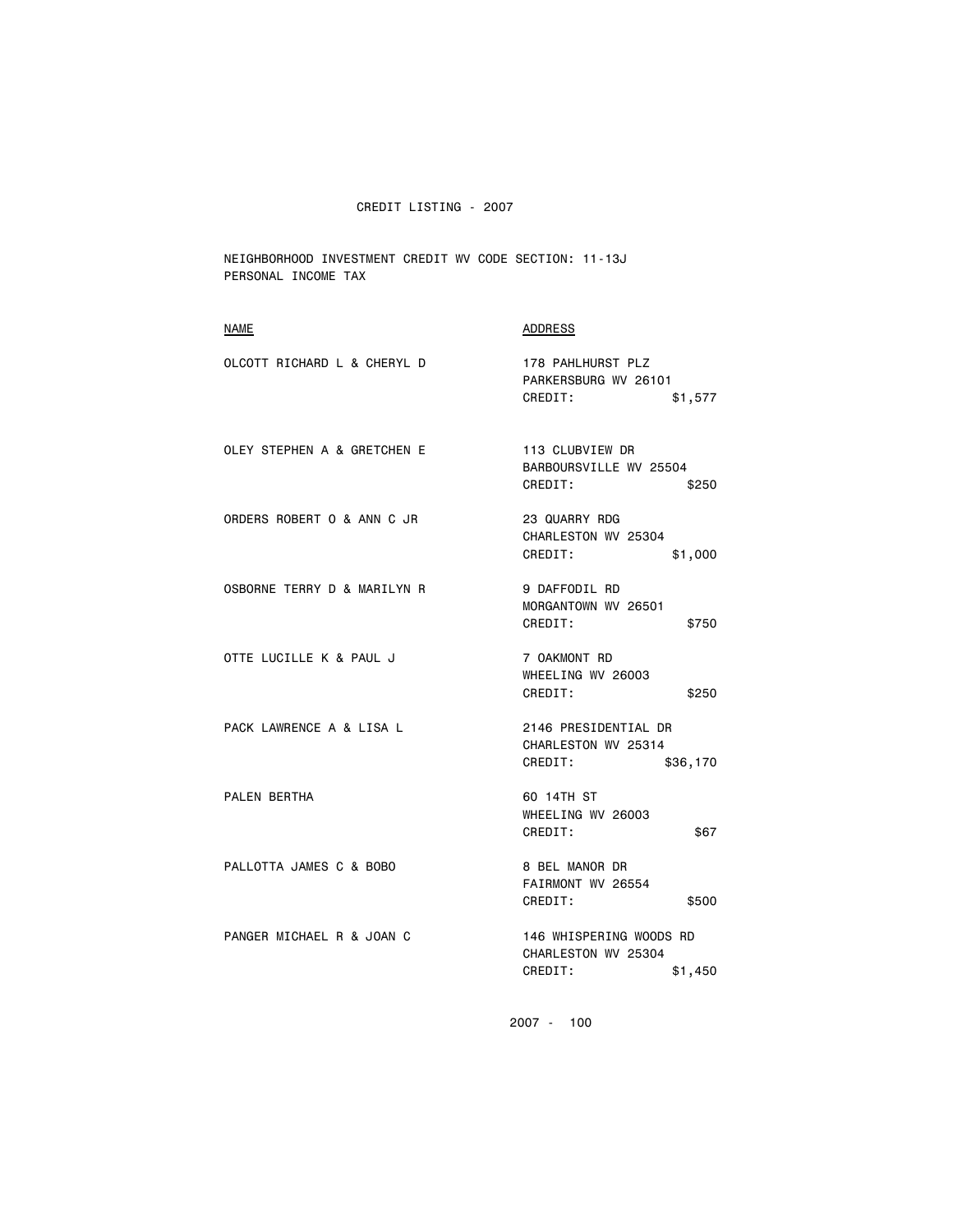NEIGHBORHOOD INVESTMENT CREDIT WV CODE SECTION: 11-13J PERSONAL INCOME TAX

| <b>NAME</b>                 | <b>ADDRESS</b>                                                       |
|-----------------------------|----------------------------------------------------------------------|
| OLCOTT RICHARD L & CHERYL D | 178 PAHLHURST PLZ<br>PARKERSBURG WV 26101<br>CREDIT:<br>\$1,577      |
| OLEY STEPHEN A & GRETCHEN E | 113 CLUBVIEW DR<br>BARBOURSVILLE WV 25504<br>CREDIT:<br>\$250        |
| ORDERS ROBERT O & ANN C JR  | 23 QUARRY RDG<br>CHARLESTON WV 25304<br>CREDIT:<br>\$1,000           |
| OSBORNE TERRY D & MARILYN R | 9 DAFFODIL RD<br>MORGANTOWN WV 26501<br>CREDIT:<br>\$750             |
| OTTE LUCILLE K & PAUL J     | 7 OAKMONT RD<br>WHEELING WV 26003<br>CREDIT:<br>\$250                |
| PACK LAWRENCE A & LISA L    | 2146 PRESIDENTIAL DR<br>CHARLESTON WV 25314<br>CREDIT:<br>\$36,170   |
| PALEN BERTHA                | 60 14TH ST<br>WHEELING WV 26003<br>CREDIT:<br>\$67                   |
| PALLOTTA JAMES C & BOBO     | 8 BEL MANOR DR<br>FAIRMONT WV 26554<br>CREDIT:<br>\$500              |
| PANGER MICHAEL R & JOAN C   | 146 WHISPERING WOODS RD<br>CHARLESTON WV 25304<br>CREDIT:<br>\$1,450 |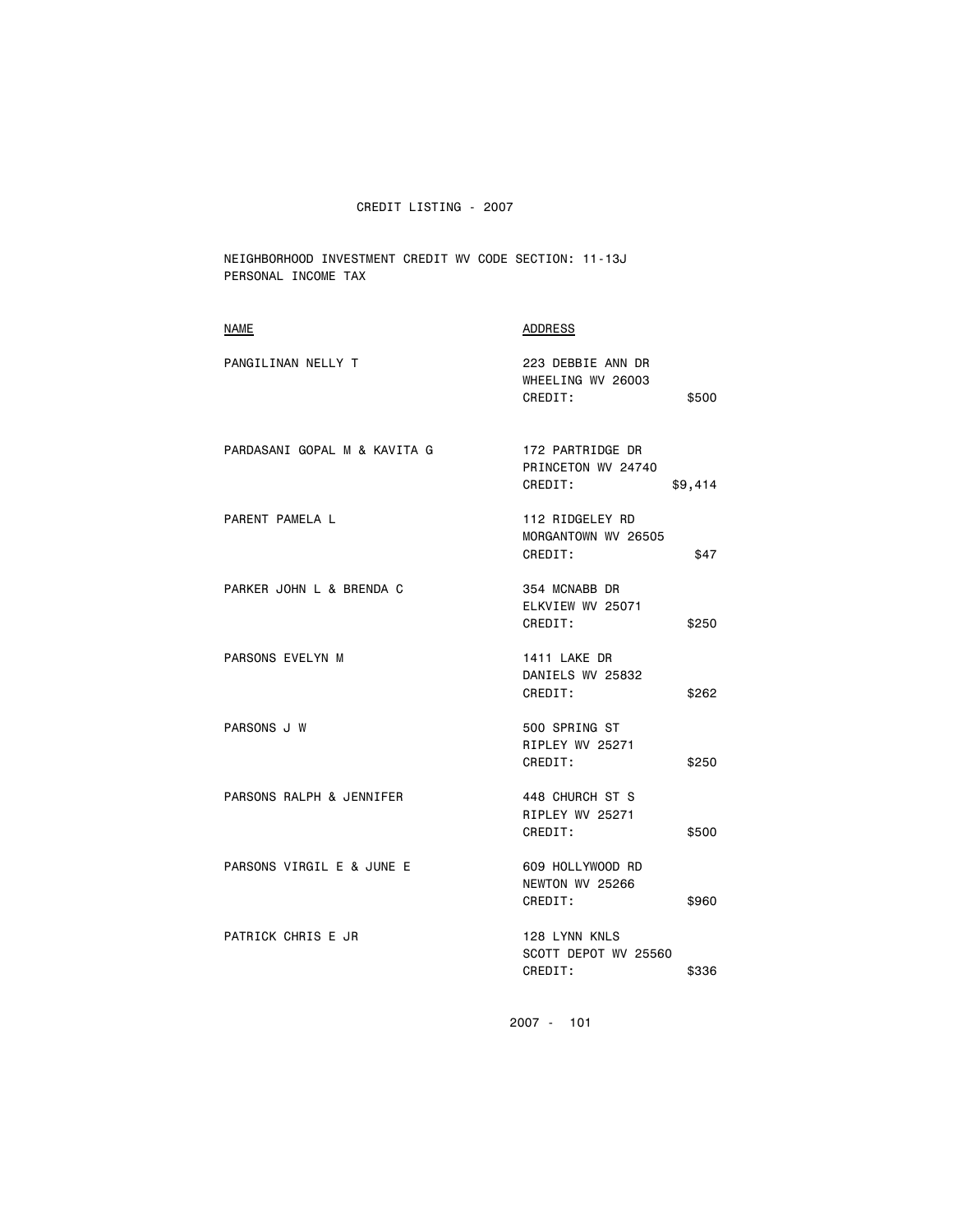NEIGHBORHOOD INVESTMENT CREDIT WV CODE SECTION: 11-13J PERSONAL INCOME TAX

| NAME                         | ADDRESS                                            |         |
|------------------------------|----------------------------------------------------|---------|
| PANGILINAN NELLY T           | 223 DEBBIE ANN DR<br>WHEELING WV 26003<br>CREDIT:  | \$500   |
| PARDASANI GOPAL M & KAVITA G | 172 PARTRIDGE DR<br>PRINCETON WV 24740<br>CREDIT:  | \$9,414 |
| PARENT PAMELA L              | 112 RIDGELEY RD<br>MORGANTOWN WV 26505<br>CREDIT:  | \$47    |
| PARKER JOHN L & BRENDA C     | 354 MCNABB DR<br>ELKVIEW WV 25071<br>CREDIT:       | \$250   |
| PARSONS EVELYN M             | <b>1411 LAKE DR</b><br>DANIELS WV 25832<br>CREDIT: | \$262   |
| PARSONS J W                  | 500 SPRING ST<br>RIPLEY WV 25271<br>CREDIT:        | \$250   |
| PARSONS RALPH & JENNIFER     | 448 CHURCH ST S<br>RIPLEY WV 25271<br>CREDIT:      | \$500   |
| PARSONS VIRGIL E & JUNE E    | 609 HOLLYWOOD RD<br>NEWTON WV 25266<br>CREDIT:     | \$960   |
| PATRICK CHRIS E JR           | 128 LYNN KNLS<br>SCOTT DEPOT WV 25560<br>CREDIT:   | \$336   |
|                              |                                                    |         |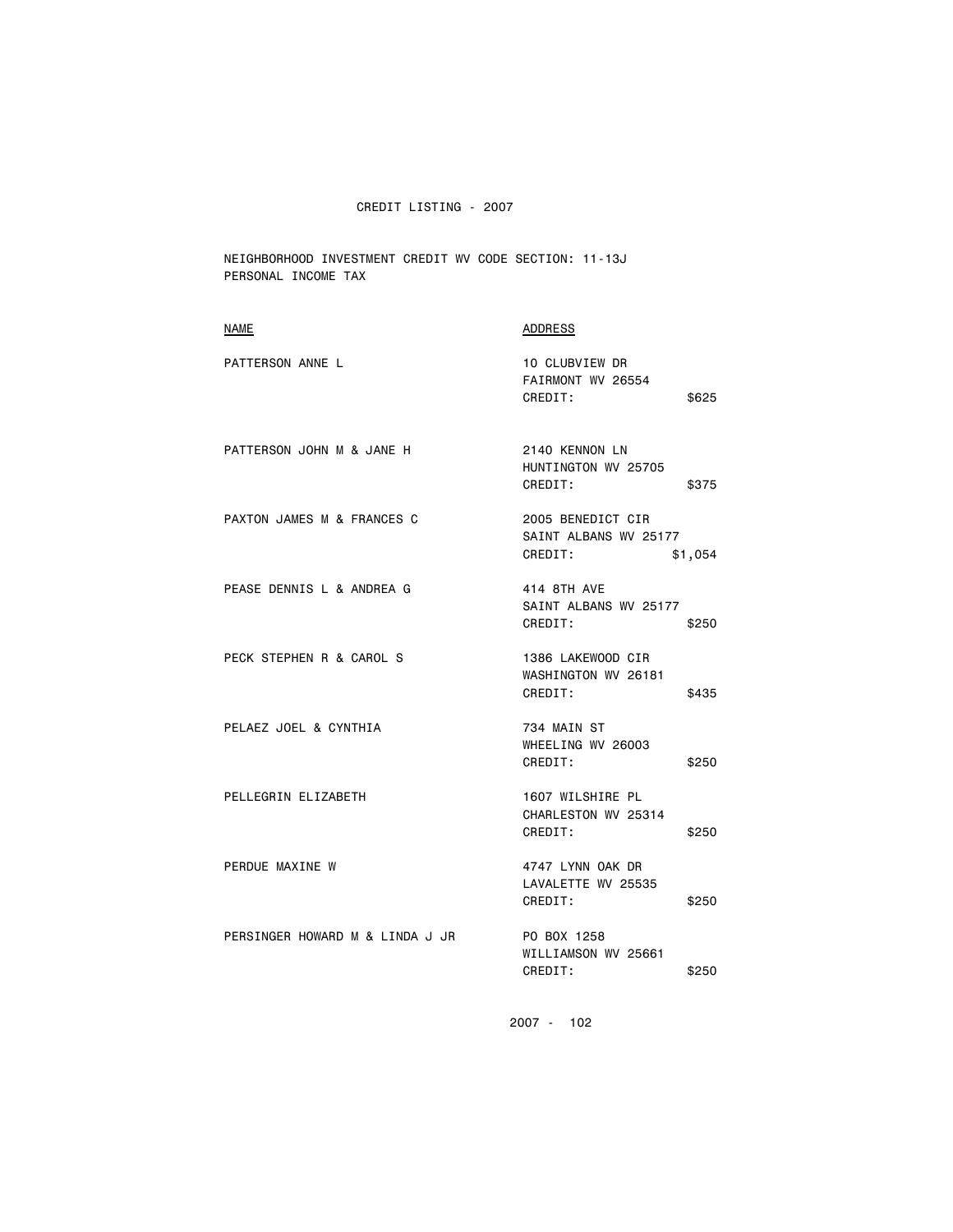NEIGHBORHOOD INVESTMENT CREDIT WV CODE SECTION: 11-13J PERSONAL INCOME TAX

| <b>NAME</b>                     | ADDRESS                                                          |
|---------------------------------|------------------------------------------------------------------|
| PATTERSON ANNE L                | 10 CLUBVIEW DR<br>FAIRMONT WV 26554<br>CREDIT:<br>\$625          |
| PATTERSON JOHN M & JANE H       | 2140 KENNON LN<br>HUNTINGTON WV 25705<br>CREDIT:<br>\$375        |
| PAXTON JAMES M & FRANCES C      | 2005 BENEDICT CIR<br>SAINT ALBANS WV 25177<br>CREDIT:<br>\$1,054 |
| PEASE DENNIS L & ANDREA G       | 414 8TH AVE<br>SAINT ALBANS WV 25177<br>CREDIT:<br>\$250         |
| PECK STEPHEN R & CAROL S        | 1386 LAKEWOOD CIR<br>WASHINGTON WV 26181<br>CREDIT:<br>\$435     |
| PELAEZ JOEL & CYNTHIA           | 734 MAIN ST<br>WHEELING WV 26003<br>CREDIT:<br>\$250             |
| PELLEGRIN ELIZABETH             | 1607 WILSHIRE PL<br>CHARLESTON WV 25314<br>CREDIT:<br>\$250      |
| PERDUE MAXINE W                 | 4747 LYNN OAK DR<br>LAVALETTE WV 25535<br>CREDIT:<br>\$250       |
| PERSINGER HOWARD M & LINDA J JR | PO BOX 1258<br>WILLIAMSON WV 25661<br>CREDIT:<br>\$250           |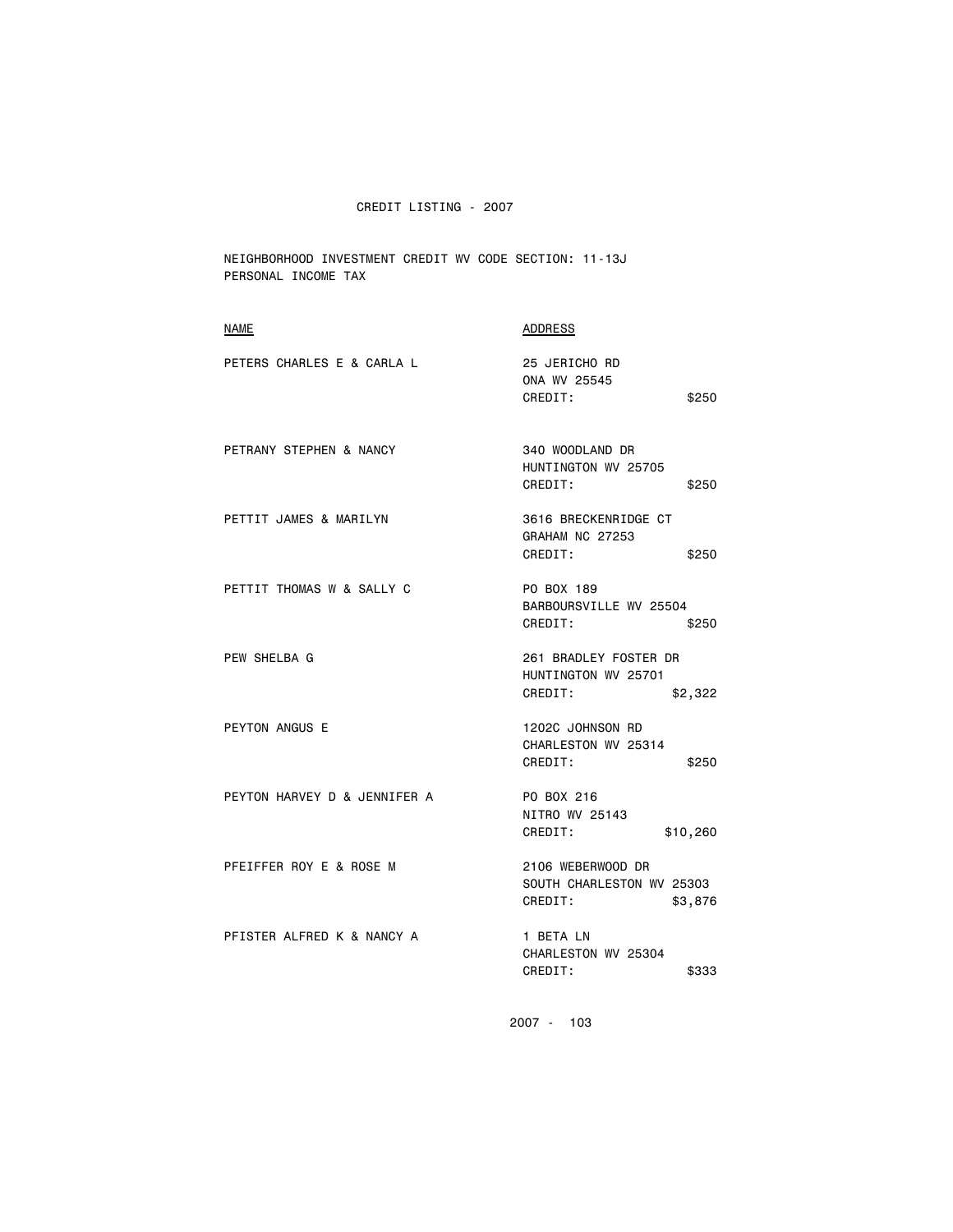NEIGHBORHOOD INVESTMENT CREDIT WV CODE SECTION: 11-13J PERSONAL INCOME TAX

| NAME                         | ADDRESS                                                              |
|------------------------------|----------------------------------------------------------------------|
| PETERS CHARLES E & CARLA L   | 25 JERICHO RD<br>ONA WV 25545<br>CREDIT:<br>\$250                    |
| PETRANY STEPHEN & NANCY      | 340 WOODLAND DR<br>HUNTINGTON WV 25705<br>CREDIT:<br>\$250           |
| PETTIT JAMES & MARILYN       | 3616 BRECKENRIDGE CT<br>GRAHAM NC 27253<br>CREDIT:<br>\$250          |
| PETTIT THOMAS W & SALLY C    | PO BOX 189<br>BARBOURSVILLE WV 25504<br>CREDIT:<br>\$250             |
| PEW SHELBA G                 | 261 BRADLEY FOSTER DR<br>HUNTINGTON WV 25701<br>CREDIT:<br>\$2,322   |
| PEYTON ANGUS E               | 1202C JOHNSON RD<br>CHARLESTON WV 25314<br>CREDIT:<br>\$250          |
| PEYTON HARVEY D & JENNIFER A | PO BOX 216<br>NITRO WV 25143<br>CREDIT:<br>\$10,260                  |
| PFEIFFER ROY E & ROSE M      | 2106 WEBERWOOD DR<br>SOUTH CHARLESTON WV 25303<br>CREDIT:<br>\$3,876 |
| PFISTER ALFRED K & NANCY A   | 1 BETA LN<br>CHARLESTON WV 25304<br>CREDIT:<br>\$333                 |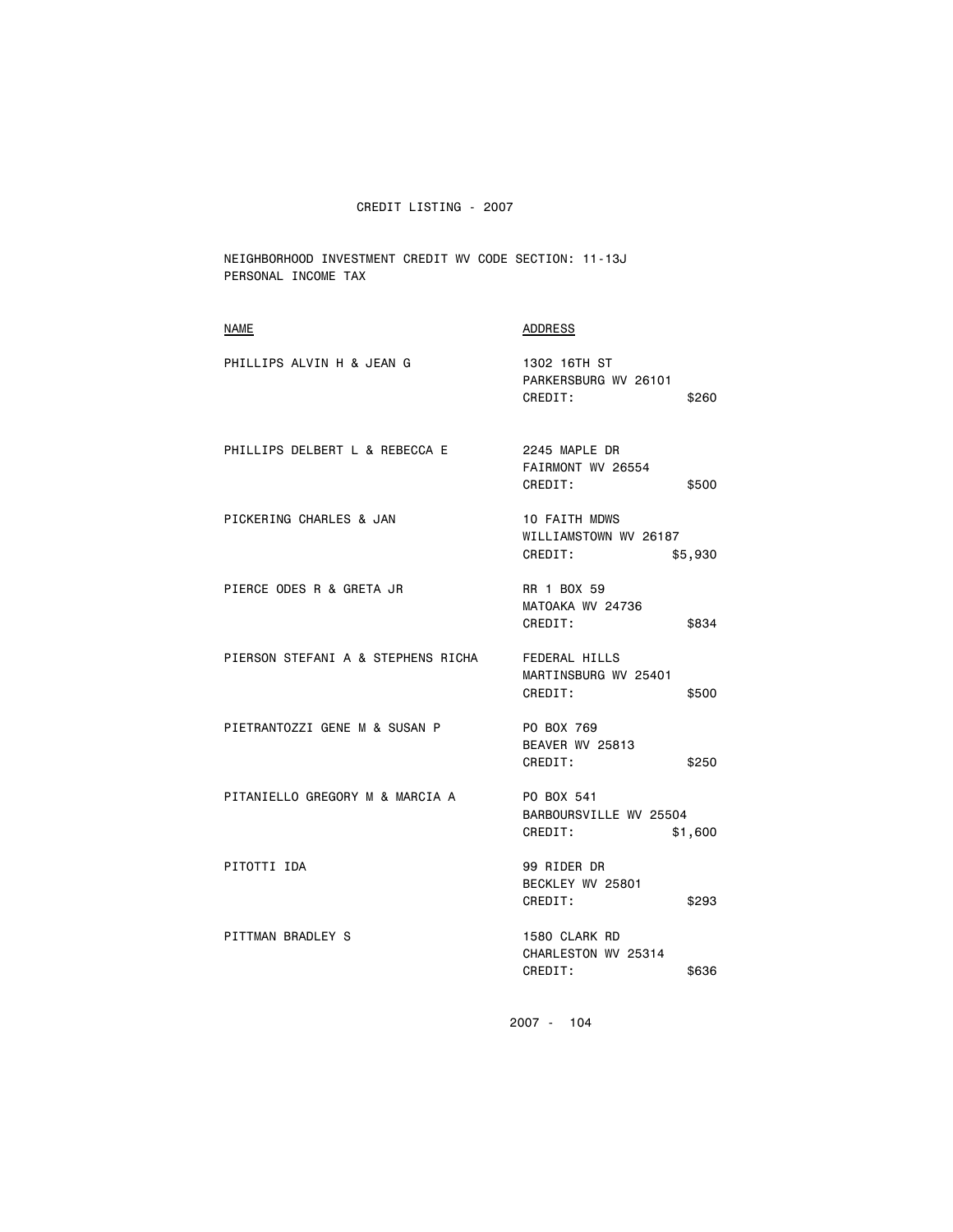NEIGHBORHOOD INVESTMENT CREDIT WV CODE SECTION: 11-13J PERSONAL INCOME TAX

| <b>ADDRESS</b>                                                      |
|---------------------------------------------------------------------|
| 1302 16TH ST<br>PARKERSBURG WV 26101<br>CREDIT:<br>\$260            |
| 2245 MAPLE DR<br>FAIRMONT WV 26554<br>CREDIT:<br>\$500              |
| <b>10 FAITH MDWS</b><br>WILLIAMSTOWN WV 26187<br>CREDIT:<br>\$5,930 |
| RR 1 BOX 59<br>MATOAKA WV 24736<br>CREDIT:<br>\$834                 |
| <b>FEDERAL HILLS</b><br>MARTINSBURG WV 25401<br>CREDIT:<br>\$500    |
| PO BOX 769<br>BEAVER WV 25813<br>CREDIT:<br>\$250                   |
| PO BOX 541<br>BARBOURSVILLE WV 25504<br>CREDIT:<br>\$1,600          |
| 99 RIDER DR<br>BECKLEY WV 25801<br>CREDIT:<br>\$293                 |
| 1580 CLARK RD<br>CHARLESTON WV 25314<br>CREDIT:<br>\$636            |
|                                                                     |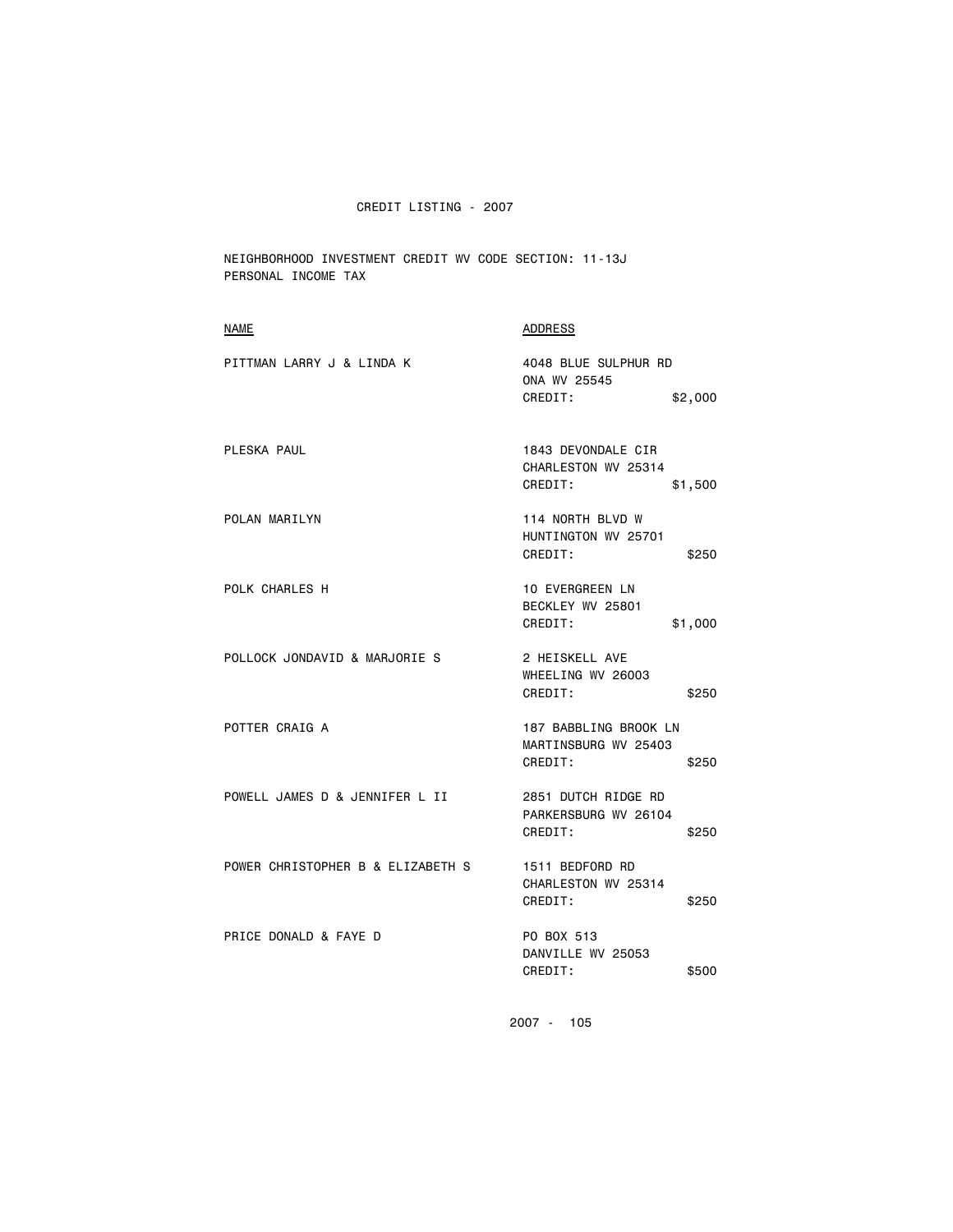NEIGHBORHOOD INVESTMENT CREDIT WV CODE SECTION: 11-13J PERSONAL INCOME TAX

| <b>NAME</b>                       | <b>ADDRESS</b>                                                    |
|-----------------------------------|-------------------------------------------------------------------|
| PITTMAN LARRY J & LINDA K         | 4048 BLUE SULPHUR RD<br>ONA WV 25545<br>CREDIT:<br>\$2,000        |
| PLESKA PAUL                       | 1843 DEVONDALE CIR<br>CHARLESTON WV 25314<br>CREDIT:<br>\$1,500   |
| POLAN MARILYN                     | 114 NORTH BLVD W<br>HUNTINGTON WV 25701<br>CREDIT:<br>\$250       |
| POLK CHARLES H                    | <b>10 EVERGREEN LN</b><br>BECKLEY WV 25801<br>CREDIT:<br>\$1,000  |
| POLLOCK JONDAVID & MARJORIE S     | 2 HEISKELL AVE<br>WHEELING WV 26003<br>CREDIT:<br>\$250           |
| POTTER CRAIG A                    | 187 BABBLING BROOK LN<br>MARTINSBURG WV 25403<br>CREDIT:<br>\$250 |
| POWELL JAMES D & JENNIFER L II    | 2851 DUTCH RIDGE RD<br>PARKERSBURG WV 26104<br>CREDIT:<br>\$250   |
| POWER CHRISTOPHER B & ELIZABETH S | 1511 BEDFORD RD<br>CHARLESTON WV 25314<br>CREDIT:<br>\$250        |
| PRICE DONALD & FAYE D             | PO BOX 513<br>DANVILLE WV 25053<br>CREDIT:<br>\$500               |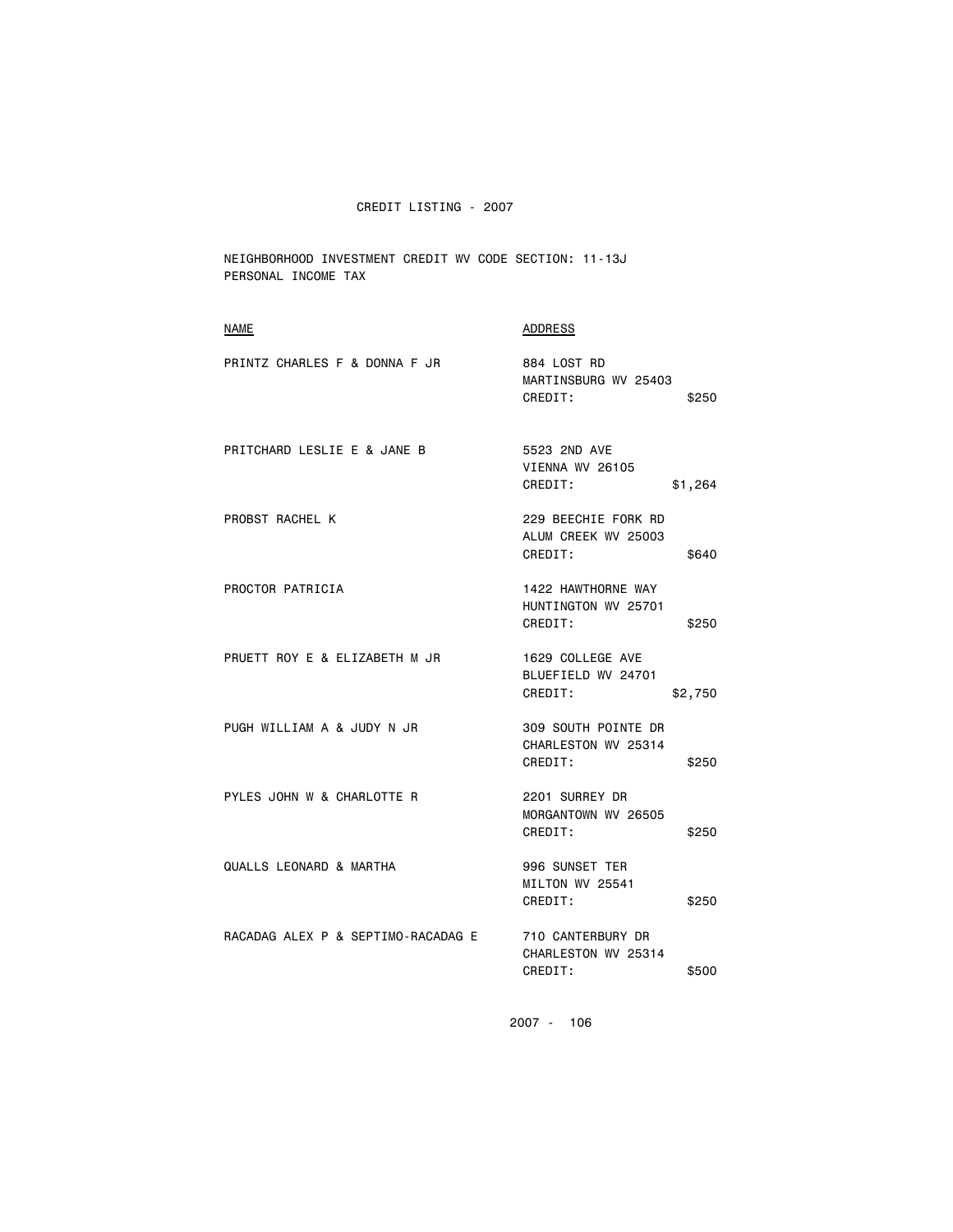NEIGHBORHOOD INVESTMENT CREDIT WV CODE SECTION: 11-13J PERSONAL INCOME TAX

| <b>NAME</b>                        | ADDRESS                                                        |
|------------------------------------|----------------------------------------------------------------|
| PRINTZ CHARLES F & DONNA F JR      | 884 LOST RD<br>MARTINSBURG WV 25403<br>CREDIT:<br>\$250        |
| PRITCHARD LESLIE E & JANE B        | 5523 2ND AVE<br>VIENNA WV 26105<br>CREDIT:<br>\$1,264          |
| PROBST RACHEL K                    | 229 BEECHIE FORK RD<br>ALUM CREEK WV 25003<br>CREDIT:<br>\$640 |
| PROCTOR PATRICIA                   | 1422 HAWTHORNE WAY<br>HUNTINGTON WV 25701<br>CREDIT:<br>\$250  |
| PRUETT ROY E & ELIZABETH M JR      | 1629 COLLEGE AVE<br>BLUEFIELD WV 24701<br>CREDIT:<br>\$2,750   |
| PUGH WILLIAM A & JUDY N JR         | 309 SOUTH POINTE DR<br>CHARLESTON WV 25314<br>CREDIT:<br>\$250 |
| PYLES JOHN W & CHARLOTTE R         | 2201 SURREY DR<br>MORGANTOWN WV 26505<br>CREDIT:<br>\$250      |
| QUALLS LEONARD & MARTHA            | 996 SUNSET TER<br>MILTON WV 25541<br>CREDIT:<br>\$250          |
| RACADAG ALEX P & SEPTIMO-RACADAG E | 710 CANTERBURY DR<br>CHARLESTON WV 25314<br>CREDIT:<br>\$500   |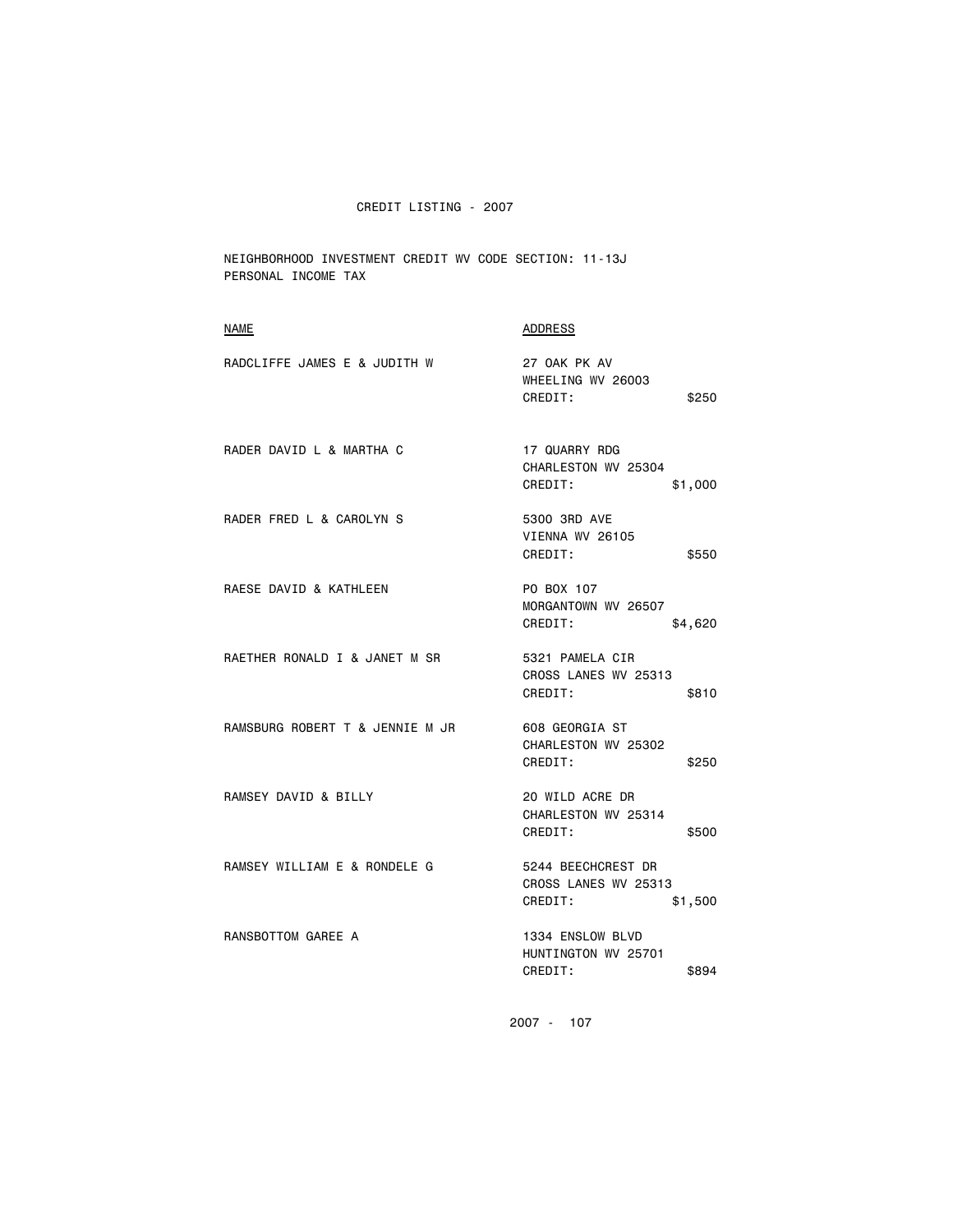NEIGHBORHOOD INVESTMENT CREDIT WV CODE SECTION: 11-13J PERSONAL INCOME TAX

| <b>NAME</b>                     | <b>ADDRESS</b>                                                   |
|---------------------------------|------------------------------------------------------------------|
| RADCLIFFE JAMES E & JUDITH W    | 27 OAK PK AV<br>WHEELING WV 26003<br>CREDIT:<br>\$250            |
| RADER DAVID L & MARTHA C        | 17 QUARRY RDG<br>CHARLESTON WV 25304<br>CREDIT:<br>\$1,000       |
| RADER FRED L & CAROLYN S        | 5300 3RD AVE<br><b>VIENNA WV 26105</b><br>CREDIT:<br>\$550       |
| RAESE DAVID & KATHLEEN          | PO BOX 107<br>MORGANTOWN WV 26507<br>CREDIT:<br>\$4,620          |
| RAETHER RONALD I & JANET M SR   | 5321 PAMELA CIR<br>CROSS LANES WV 25313<br>CREDIT:<br>\$810      |
| RAMSBURG ROBERT T & JENNIE M JR | 608 GEORGIA ST<br>CHARLESTON WV 25302<br>CREDIT:<br>\$250        |
| RAMSEY DAVID & BILLY            | 20 WILD ACRE DR<br>CHARLESTON WV 25314<br>CREDIT:<br>\$500       |
| RAMSEY WILLIAM E & RONDELE G    | 5244 BEECHCREST DR<br>CROSS LANES WV 25313<br>CREDIT:<br>\$1,500 |
| RANSBOTTOM GAREE A              | 1334 ENSLOW BLVD<br>HUNTINGTON WV 25701<br>CREDIT:<br>\$894      |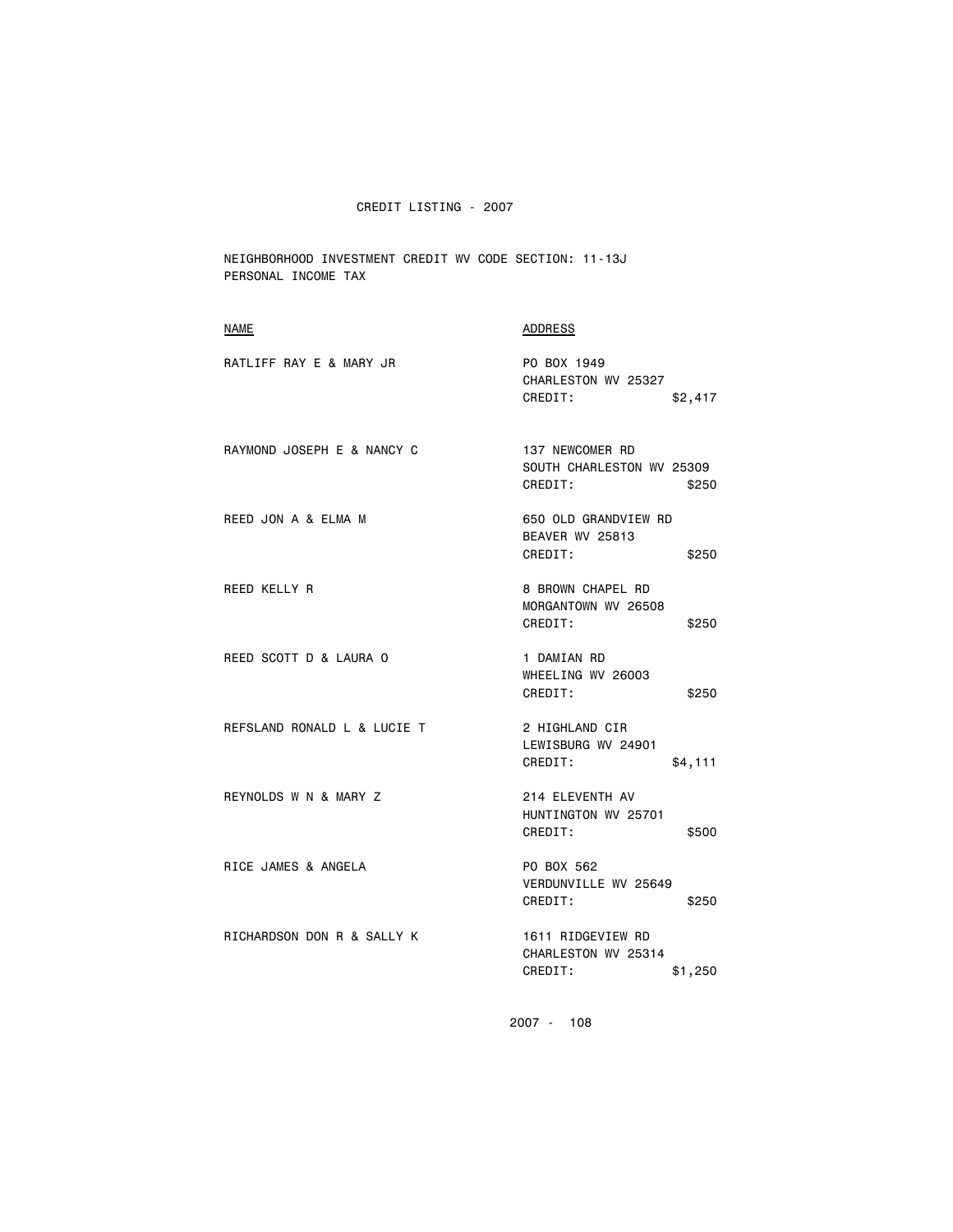NEIGHBORHOOD INVESTMENT CREDIT WV CODE SECTION: 11-13J PERSONAL INCOME TAX

| NAME                        | ADDRESS                                                          |
|-----------------------------|------------------------------------------------------------------|
| RATLIFF RAY E & MARY JR     | PO BOX 1949<br>CHARLESTON WV 25327<br>CREDIT:<br>\$2,417         |
| RAYMOND JOSEPH E & NANCY C  | 137 NEWCOMER RD<br>SOUTH CHARLESTON WV 25309<br>CREDIT:<br>\$250 |
| REED JON A & ELMA M         | 650 OLD GRANDVIEW RD<br>BEAVER WV 25813<br>CREDIT:<br>\$250      |
| REED KELLY R                | 8 BROWN CHAPEL RD<br>MORGANTOWN WV 26508<br>CREDIT:<br>\$250     |
| REED SCOTT D & LAURA O      | 1 DAMIAN RD<br>WHEELING WV 26003<br>CREDIT:<br>\$250             |
| REFSLAND RONALD L & LUCIE T | 2 HIGHLAND CIR<br>LEWISBURG WV 24901<br>CREDIT:<br>\$4,111       |
| REYNOLDS W N & MARY Z       | 214 ELEVENTH AV<br>HUNTINGTON WV 25701<br>CREDIT:<br>\$500       |
| RICE JAMES & ANGELA         | PO BOX 562<br>VERDUNVILLE WV 25649<br>CREDIT:<br>\$250           |
| RICHARDSON DON R & SALLY K  | 1611 RIDGEVIEW RD<br>CHARLESTON WV 25314<br>CREDIT:<br>\$1,250   |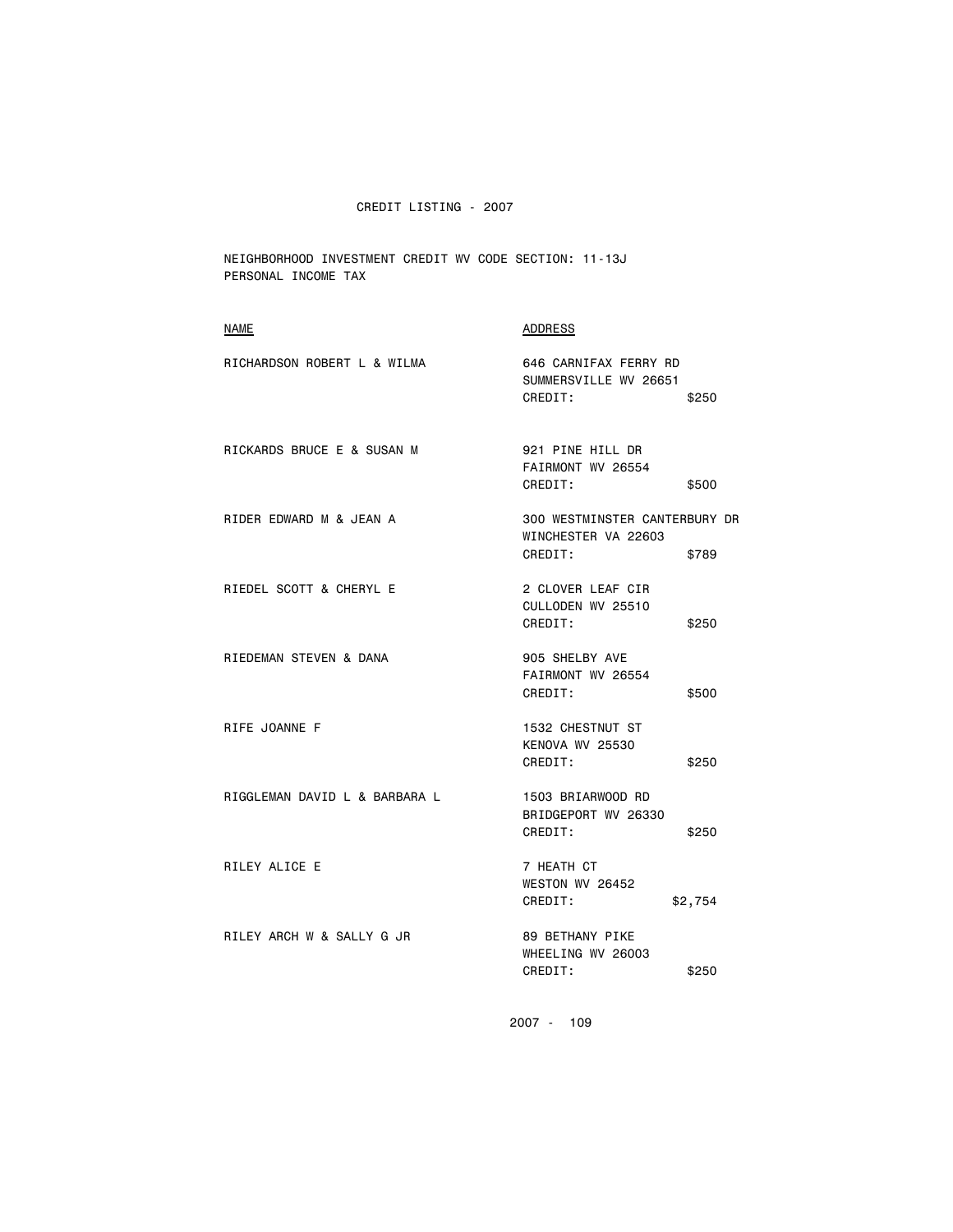NEIGHBORHOOD INVESTMENT CREDIT WV CODE SECTION: 11-13J PERSONAL INCOME TAX

| RICHARDSON ROBERT L & WILMA<br>646 CARNIFAX FERRY RD<br>SUMMERSVILLE WV 26651                       |  |
|-----------------------------------------------------------------------------------------------------|--|
| CREDIT:<br>\$250                                                                                    |  |
| RICKARDS BRUCE E & SUSAN M<br>921 PINE HILL DR<br>FAIRMONT WV 26554<br>CREDIT:<br>\$500             |  |
| RIDER EDWARD M & JEAN A<br>300 WESTMINSTER CANTERBURY DR<br>WINCHESTER VA 22603<br>CREDIT:<br>\$789 |  |
| RIEDEL SCOTT & CHERYL E<br>2 CLOVER LEAF CIR<br>CULLODEN WV 25510<br>CREDIT:<br>\$250               |  |
| RIEDEMAN STEVEN & DANA<br>905 SHELBY AVE<br>FAIRMONT WV 26554<br>CREDIT:<br>\$500                   |  |
| RIFE JOANNE F<br>1532 CHESTNUT ST<br>KENOVA WV 25530<br>CREDIT:<br>\$250                            |  |
| RIGGLEMAN DAVID L & BARBARA L<br>1503 BRIARWOOD RD<br>BRIDGEPORT WV 26330<br>CREDIT:<br>\$250       |  |
| RILEY ALICE E<br>7 HEATH CT<br>WESTON WV 26452<br>CREDIT:<br>\$2,754                                |  |
| RILEY ARCH W & SALLY G JR<br>89 BETHANY PIKE<br>WHEELING WV 26003<br>CREDIT:<br>\$250               |  |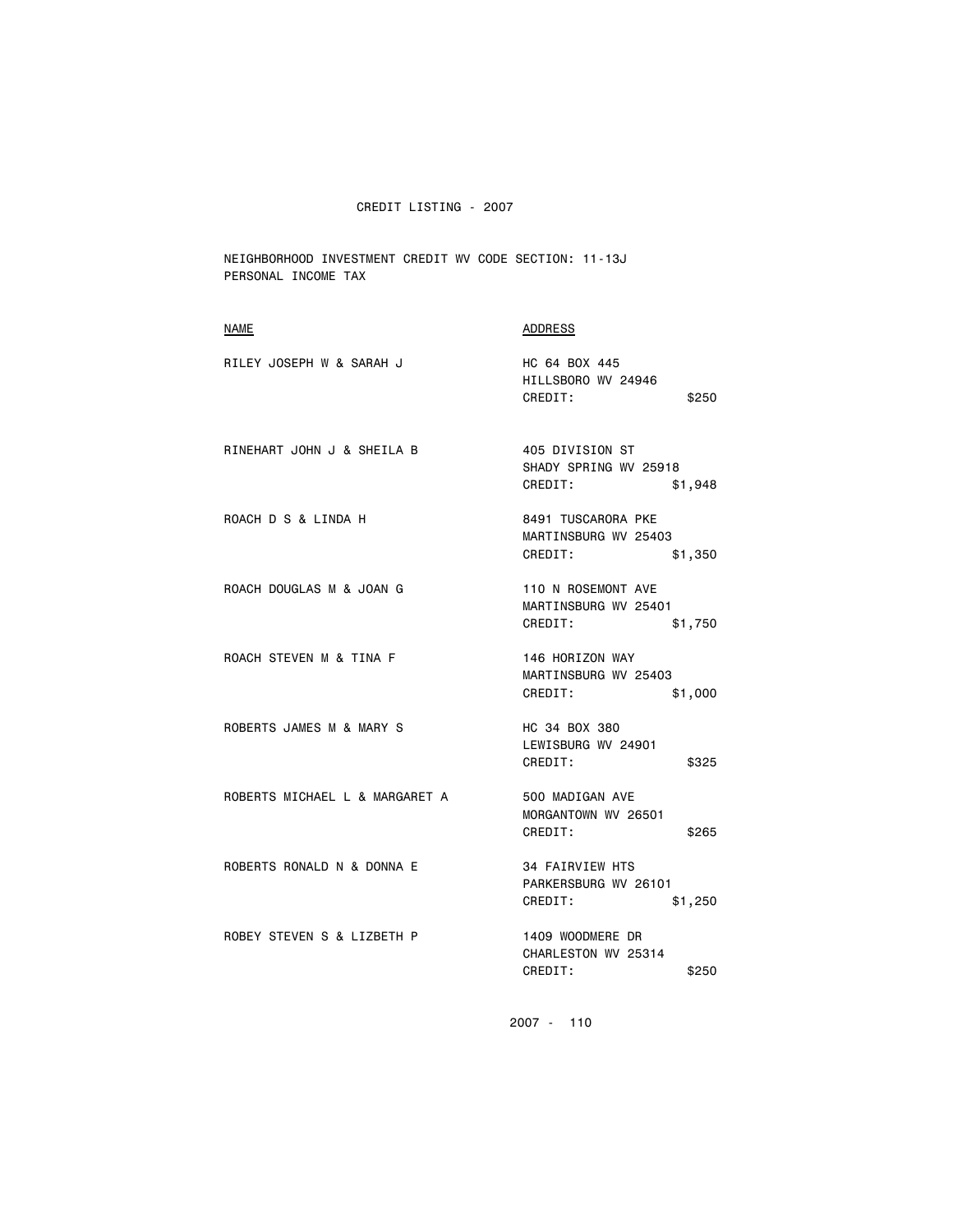NEIGHBORHOOD INVESTMENT CREDIT WV CODE SECTION: 11-13J PERSONAL INCOME TAX

| <b>NAME</b>                    | ADDRESS                                                              |
|--------------------------------|----------------------------------------------------------------------|
| RILEY JOSEPH W & SARAH J       | HC 64 BOX 445<br>HILLSBORO WV 24946<br>CREDIT:<br>\$250              |
| RINEHART JOHN J & SHEILA B     | 405 DIVISION ST<br>SHADY SPRING WV 25918<br>CREDIT:<br>\$1,948       |
| ROACH D S & LINDA H            | 8491 TUSCARORA PKE<br>MARTINSBURG WV 25403<br>CREDIT:<br>\$1,350     |
| ROACH DOUGLAS M & JOAN G       | 110 N ROSEMONT AVE<br>MARTINSBURG WV 25401<br>CREDIT:<br>\$1,750     |
| ROACH STEVEN M & TINA F        | 146 HORIZON WAY<br>MARTINSBURG WV 25403<br>CREDIT:<br>\$1,000        |
| ROBERTS JAMES M & MARY S       | HC 34 BOX 380<br>LEWISBURG WV 24901<br>CREDIT:<br>\$325              |
| ROBERTS MICHAEL L & MARGARET A | 500 MADIGAN AVE<br>MORGANTOWN WV 26501<br>CREDIT:<br>\$265           |
| ROBERTS RONALD N & DONNA E     | <b>34 FAIRVIEW HTS</b><br>PARKERSBURG WV 26101<br>CREDIT:<br>\$1,250 |
| ROBEY STEVEN S & LIZBETH P     | 1409 WOODMERE DR<br>CHARLESTON WV 25314<br>CREDIT:<br>\$250          |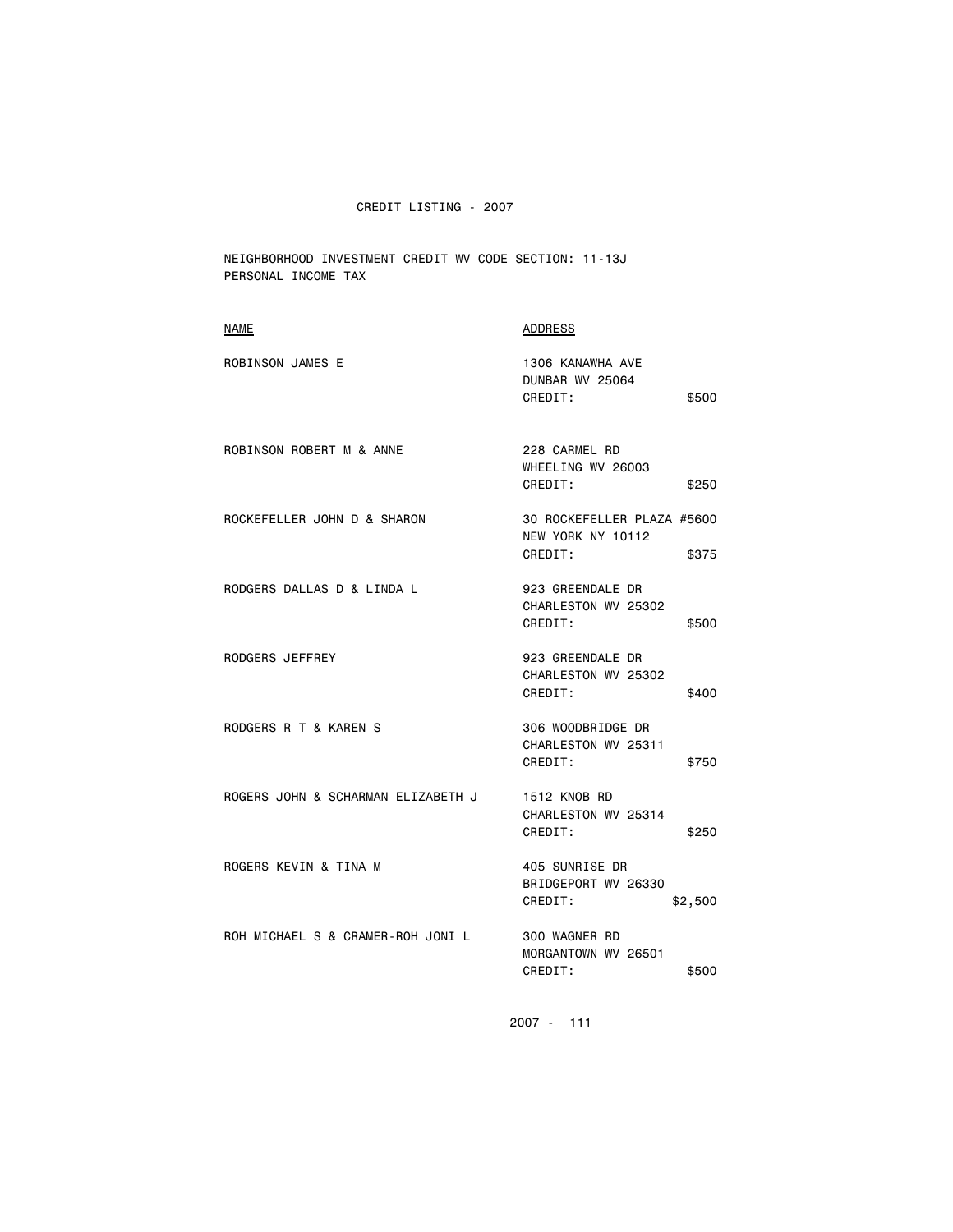NEIGHBORHOOD INVESTMENT CREDIT WV CODE SECTION: 11-13J PERSONAL INCOME TAX

| <b>NAME</b>                        | <b>ADDRESS</b>                                                      |
|------------------------------------|---------------------------------------------------------------------|
| <b>ROBINSON JAMES E</b>            | 1306 KANAWHA AVE<br>DUNBAR WV 25064<br>CREDIT:<br>\$500             |
| ROBINSON ROBERT M & ANNE           | 228 CARMEL RD<br>WHEELING WV 26003<br>CREDIT:<br>\$250              |
| ROCKEFELLER JOHN D & SHARON        | 30 ROCKEFELLER PLAZA #5600<br>NEW YORK NY 10112<br>CREDIT:<br>\$375 |
| RODGERS DALLAS D & LINDA L         | 923 GREENDALE DR<br>CHARLESTON WV 25302<br>CREDIT:<br>\$500         |
| RODGERS JEFFREY                    | 923 GREENDALE DR<br>CHARLESTON WV 25302<br>CREDIT:<br>\$400         |
| RODGERS R T & KAREN S              | 306 WOODBRIDGE DR<br>CHARLESTON WV 25311<br>CREDIT:<br>\$750        |
| ROGERS JOHN & SCHARMAN ELIZABETH J | <b>1512 KNOB RD</b><br>CHARLESTON WV 25314<br>CREDIT:<br>\$250      |
| ROGERS KEVIN & TINA M              | 405 SUNRISE DR<br>BRIDGEPORT WV 26330<br>CREDIT:<br>\$2,500         |
| ROH MICHAEL S & CRAMER-ROH JONI L  | 300 WAGNER RD<br>MORGANTOWN WV 26501<br>CREDIT:<br>\$500            |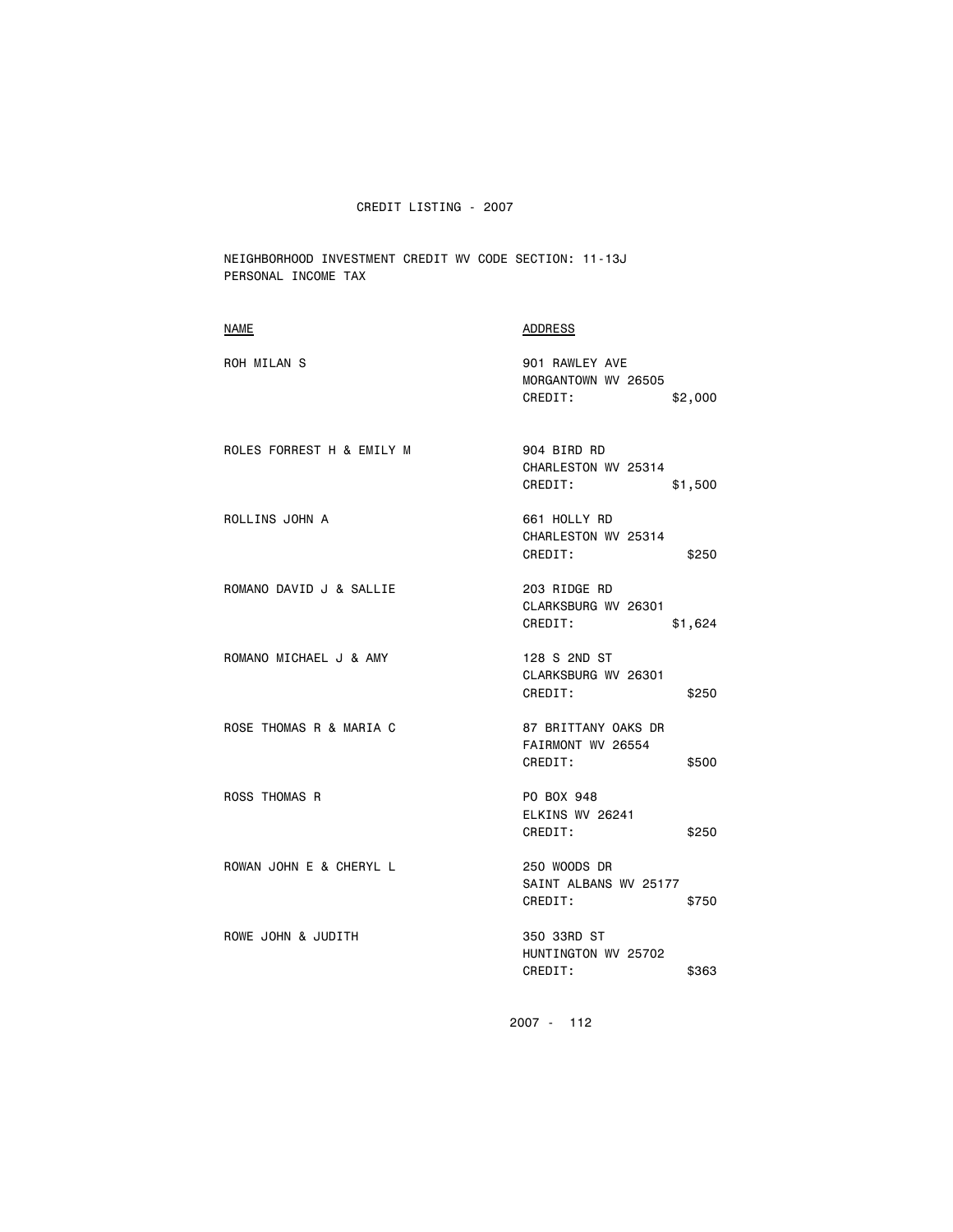NEIGHBORHOOD INVESTMENT CREDIT WV CODE SECTION: 11-13J PERSONAL INCOME TAX

| <b>NAME</b>               | <b>ADDRESS</b>                                               |
|---------------------------|--------------------------------------------------------------|
| ROH MILAN S               | 901 RAWLEY AVE<br>MORGANTOWN WV 26505<br>CREDIT:<br>\$2,000  |
| ROLES FORREST H & EMILY M | 904 BIRD RD<br>CHARLESTON WV 25314<br>CREDIT:<br>\$1,500     |
| ROLLINS JOHN A            | 661 HOLLY RD<br>CHARLESTON WV 25314<br>CREDIT:<br>\$250      |
| ROMANO DAVID J & SALLIE   | 203 RIDGE RD<br>CLARKSBURG WV 26301<br>CREDIT:<br>\$1,624    |
| ROMANO MICHAEL J & AMY    | 128 S 2ND ST<br>CLARKSBURG WV 26301<br>CREDIT:<br>\$250      |
| ROSE THOMAS R & MARIA C   | 87 BRITTANY OAKS DR<br>FAIRMONT WV 26554<br>CREDIT:<br>\$500 |
| <b>ROSS THOMAS R</b>      | PO BOX 948<br>ELKINS WV 26241<br>CREDIT:<br>\$250            |
| ROWAN JOHN E & CHERYL L   | 250 WOODS DR<br>SAINT ALBANS WV 25177<br>CREDIT:<br>\$750    |
| ROWE JOHN & JUDITH        | 350 33RD ST<br>HUNTINGTON WV 25702<br>CREDIT:<br>\$363       |
|                           |                                                              |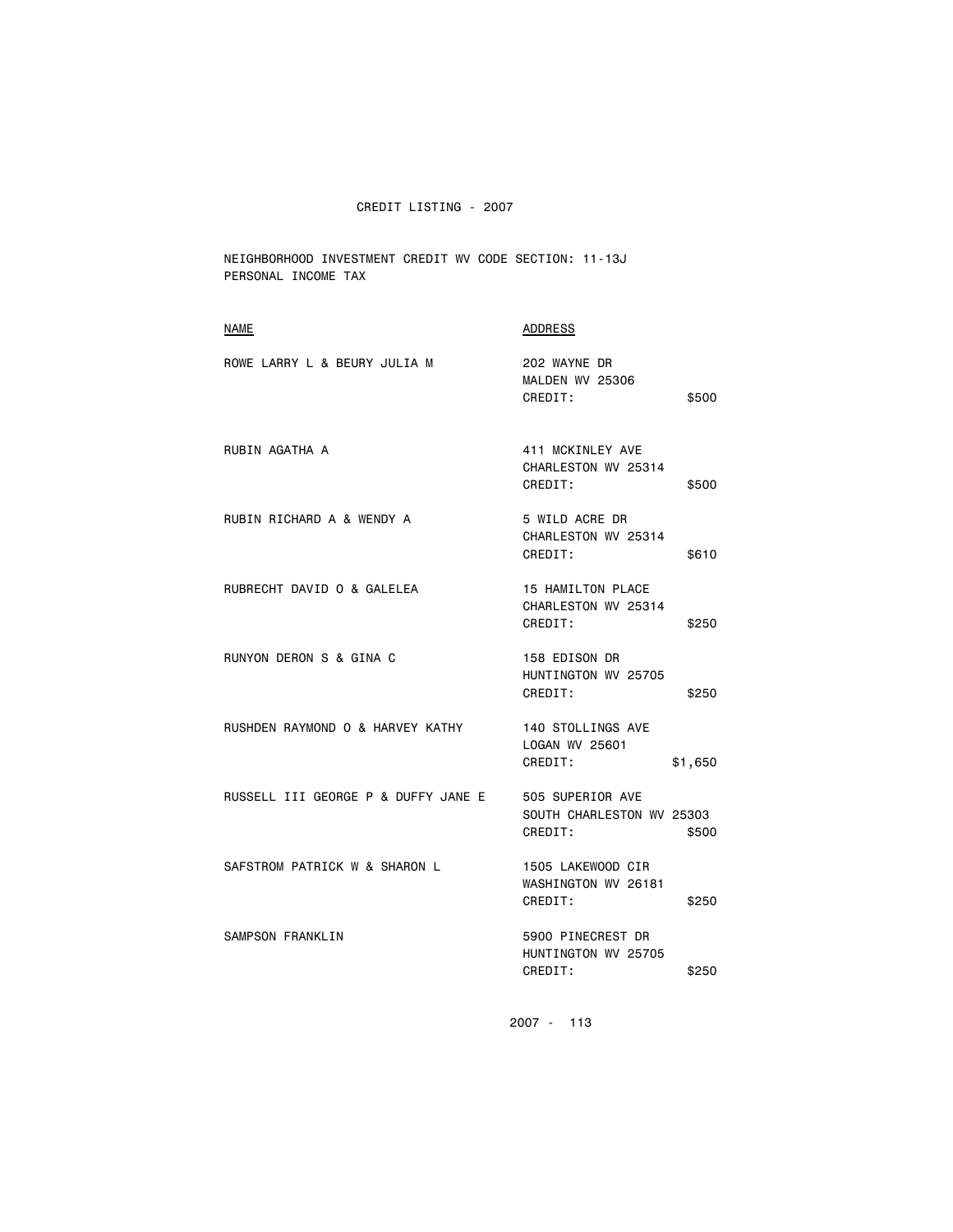NEIGHBORHOOD INVESTMENT CREDIT WV CODE SECTION: 11-13J PERSONAL INCOME TAX

| NAME                                | ADDRESS                                                           |
|-------------------------------------|-------------------------------------------------------------------|
| ROWE LARRY L & BEURY JULIA M        | 202 WAYNE DR<br>MALDEN WV 25306<br>CREDIT:<br>\$500               |
| RUBIN AGATHA A                      | 411 MCKINLEY AVE<br>CHARLESTON WV 25314<br>CREDIT:<br>\$500       |
| RUBIN RICHARD A & WENDY A           | 5 WILD ACRE DR<br>CHARLESTON WV 25314<br>CREDIT:<br>\$610         |
| RUBRECHT DAVID 0 & GALELEA          | 15 HAMILTON PLACE<br>CHARLESTON WV 25314<br>CREDIT:<br>\$250      |
| RUNYON DERON S & GINA C             | 158 EDISON DR<br>HUNTINGTON WV 25705<br>CREDIT:<br>\$250          |
| RUSHDEN RAYMOND O & HARVEY KATHY    | 140 STOLLINGS AVE<br>LOGAN WV 25601<br>CREDIT:<br>\$1,650         |
| RUSSELL III GEORGE P & DUFFY JANE E | 505 SUPERIOR AVE<br>SOUTH CHARLESTON WV 25303<br>CREDIT:<br>\$500 |
| SAFSTROM PATRICK W & SHARON L       | 1505 LAKEWOOD CIR<br>WASHINGTON WV 26181<br>CREDIT:<br>\$250      |
| SAMPSON FRANKLIN                    | 5900 PINECREST DR<br>HUNTINGTON WV 25705<br>CREDIT:<br>\$250      |
|                                     |                                                                   |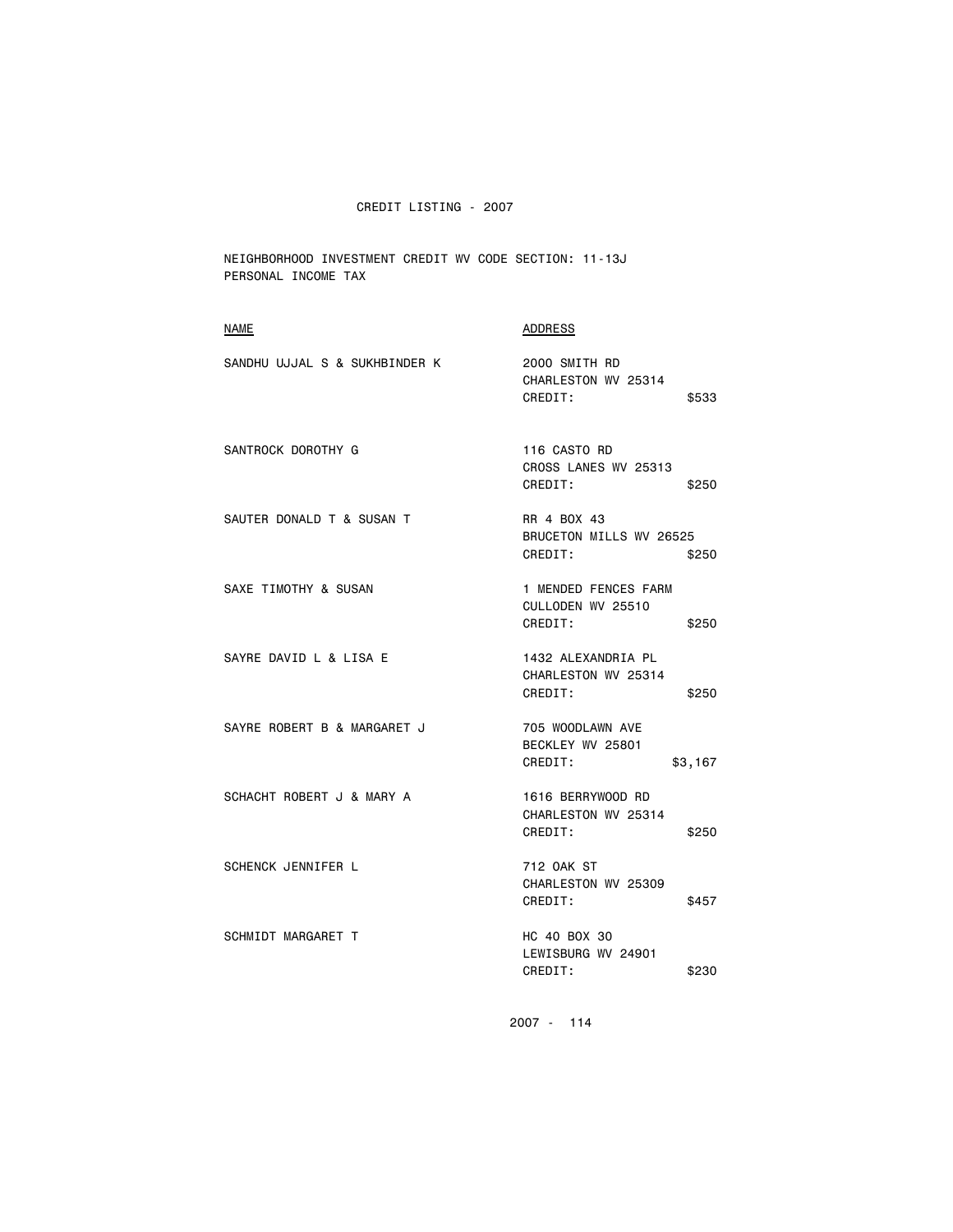NEIGHBORHOOD INVESTMENT CREDIT WV CODE SECTION: 11-13J PERSONAL INCOME TAX

| <b>NAME</b>                   | <b>ADDRESS</b>                                                |
|-------------------------------|---------------------------------------------------------------|
| SANDHU UJJAL S & SUKHBINDER K | 2000 SMITH RD<br>CHARLESTON WV 25314<br>CREDIT:<br>\$533      |
| SANTROCK DOROTHY G            | 116 CASTO RD<br>CROSS LANES WV 25313<br>CREDIT:<br>\$250      |
| SAUTER DONALD T & SUSAN T     | RR 4 BOX 43<br>BRUCETON MILLS WV 26525<br>CREDIT:<br>\$250    |
| SAXE TIMOTHY & SUSAN          | 1 MENDED FENCES FARM<br>CULLODEN WV 25510<br>CREDIT:<br>\$250 |
| SAYRE DAVID L & LISA E        | 1432 ALEXANDRIA PL<br>CHARLESTON WV 25314<br>CREDIT:<br>\$250 |
| SAYRE ROBERT B & MARGARET J   | 705 WOODLAWN AVE<br>BECKLEY WV 25801<br>CREDIT:<br>\$3,167    |
| SCHACHT ROBERT J & MARY A     | 1616 BERRYWOOD RD<br>CHARLESTON WV 25314<br>CREDIT:<br>\$250  |
| <b>SCHENCK JENNIFER L</b>     | 712 OAK ST<br>CHARLESTON WV 25309<br>CREDIT:<br>\$457         |
| SCHMIDT MARGARET T            | HC 40 BOX 30<br>LEWISBURG WV 24901<br>CREDIT:<br>\$230        |
|                               |                                                               |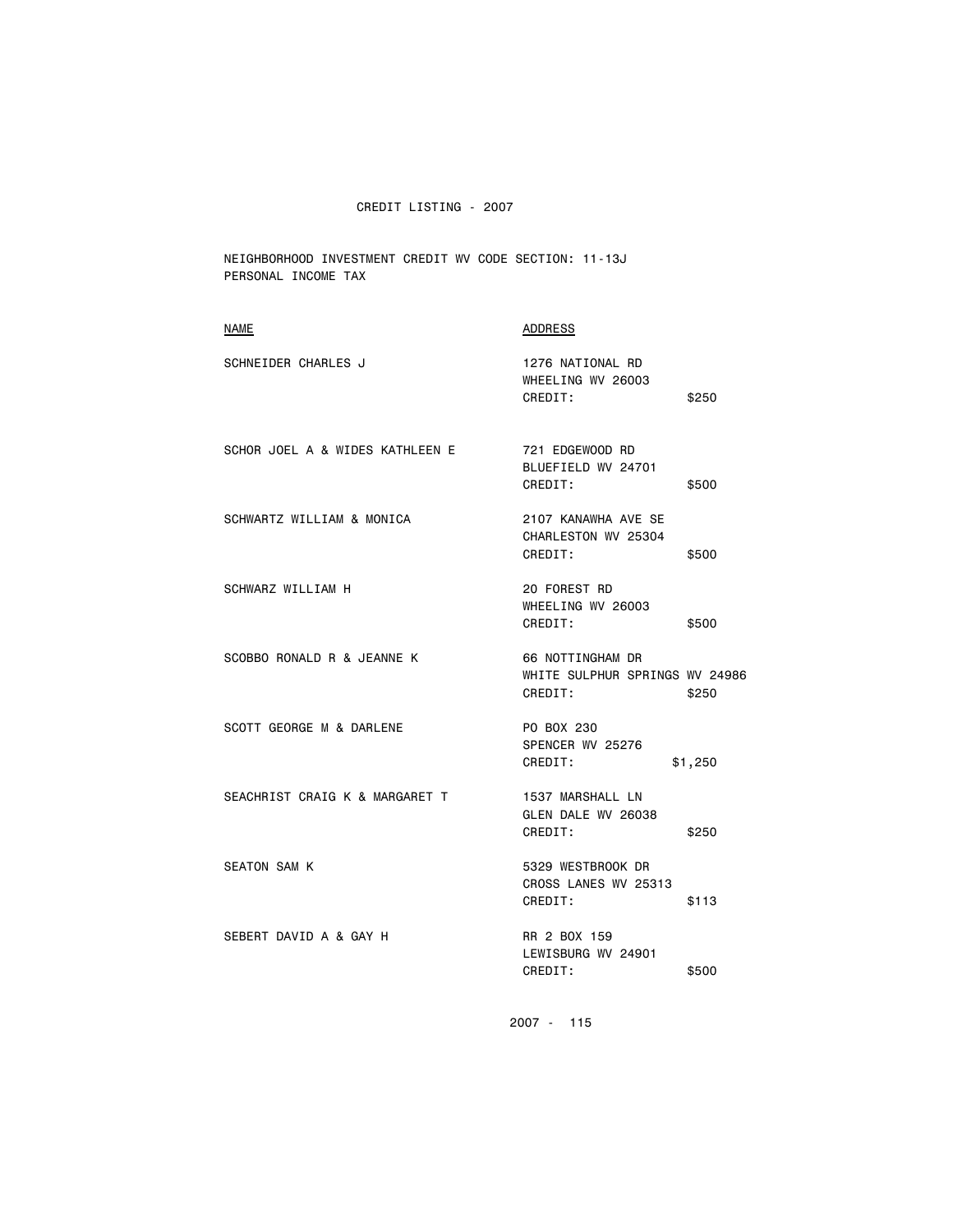NEIGHBORHOOD INVESTMENT CREDIT WV CODE SECTION: 11-13J PERSONAL INCOME TAX

| NAME                            | <b>ADDRESS</b>                                                |         |
|---------------------------------|---------------------------------------------------------------|---------|
| SCHNEIDER CHARLES J             | 1276 NATIONAL RD<br>WHEELING WV 26003<br>CREDIT:              | \$250   |
| SCHOR JOEL A & WIDES KATHLEEN E | 721 EDGEWOOD RD<br>BLUEFIELD WV 24701<br>CREDIT:              | \$500   |
| SCHWARTZ WILLIAM & MONICA       | 2107 KANAWHA AVE SE<br>CHARLESTON WV 25304<br>CREDIT:         | \$500   |
| SCHWARZ WILLIAM H               | 20 FOREST RD<br>WHEELING WV 26003<br>CREDIT:                  | \$500   |
| SCOBBO RONALD R & JEANNE K      | 66 NOTTINGHAM DR<br>WHITE SULPHUR SPRINGS WV 24986<br>CREDIT: | \$250   |
| SCOTT GEORGE M & DARLENE        | PO BOX 230<br>SPENCER WV 25276<br>CREDIT:                     | \$1,250 |
| SEACHRIST CRAIG K & MARGARET T  | 1537 MARSHALL LN<br>GLEN DALE WV 26038<br>CREDIT:             | \$250   |
| <b>SEATON SAM K</b>             | 5329 WESTBROOK DR<br>CROSS LANES WV 25313<br>CREDIT:          | \$113   |
| SEBERT DAVID A & GAY H          | RR 2 BOX 159<br>LEWISBURG WV 24901<br>CREDIT:                 | \$500   |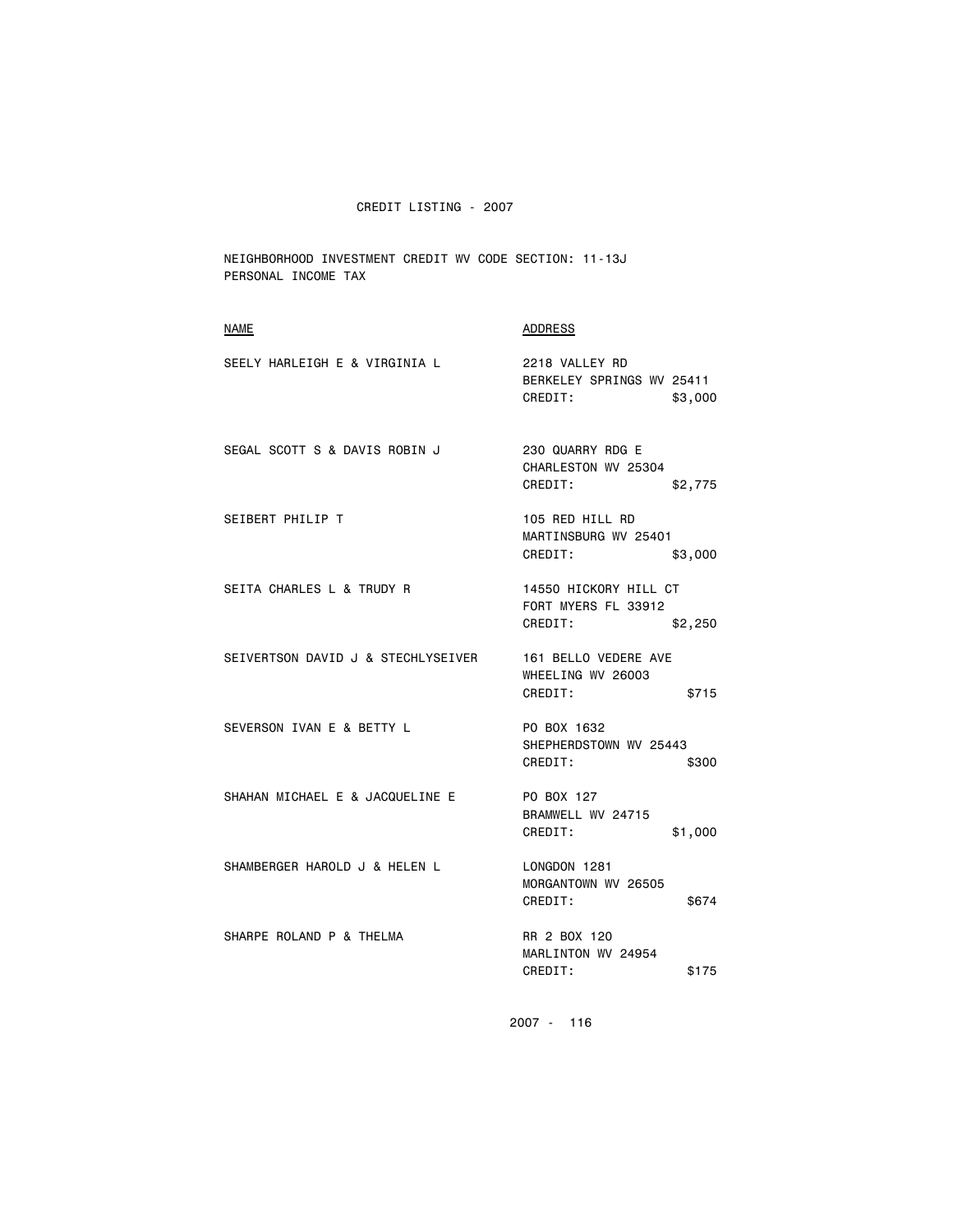NEIGHBORHOOD INVESTMENT CREDIT WV CODE SECTION: 11-13J PERSONAL INCOME TAX

| <b>NAME</b>                        | ADDRESS                                                            |
|------------------------------------|--------------------------------------------------------------------|
| SEELY HARLEIGH E & VIRGINIA L      | 2218 VALLEY RD<br>BERKELEY SPRINGS WV 25411<br>CREDIT:<br>\$3,000  |
| SEGAL SCOTT S & DAVIS ROBIN J      | 230 QUARRY RDG E<br>CHARLESTON WV 25304<br>CREDIT:<br>\$2,775      |
| SEIBERT PHILIP T                   | 105 RED HILL RD<br>MARTINSBURG WV 25401<br>CREDIT:<br>\$3,000      |
| SEITA CHARLES L & TRUDY R          | 14550 HICKORY HILL CT<br>FORT MYERS FL 33912<br>CREDIT:<br>\$2,250 |
| SEIVERTSON DAVID J & STECHLYSEIVER | 161 BELLO VEDERE AVE<br>WHEELING WV 26003<br>CREDIT:<br>\$715      |
| SEVERSON IVAN E & BETTY L          | PO BOX 1632<br>SHEPHERDSTOWN WV 25443<br>CREDIT:<br>\$300          |
| SHAHAN MICHAEL E & JACQUELINE E    | PO BOX 127<br>BRAMWELL WV 24715<br>CREDIT:<br>\$1,000              |
| SHAMBERGER HAROLD J & HELEN L      | LONGDON 1281<br>MORGANTOWN WV 26505<br>CREDIT:<br>\$674            |
| SHARPE ROLAND P & THELMA           | RR 2 BOX 120<br>MARLINTON WV 24954<br>CREDIT:<br>\$175             |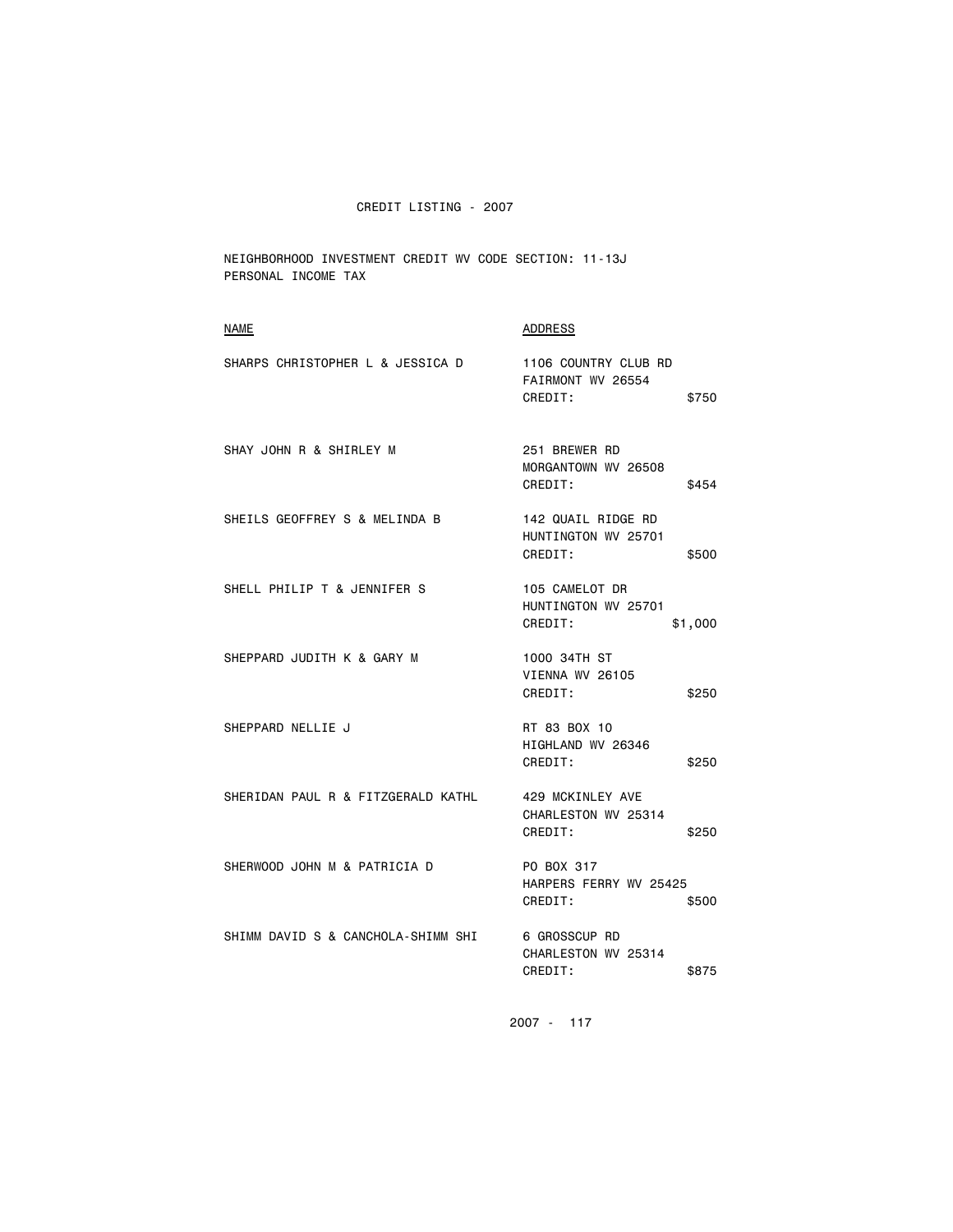NEIGHBORHOOD INVESTMENT CREDIT WV CODE SECTION: 11-13J PERSONAL INCOME TAX

| NAME                               | ADDRESS                                                         |
|------------------------------------|-----------------------------------------------------------------|
| SHARPS CHRISTOPHER L & JESSICA D   | 1106 COUNTRY CLUB RD<br>FAIRMONT WV 26554<br>CREDIT:<br>\$750   |
| SHAY JOHN R & SHIRLEY M            | 251 BREWER RD<br>MORGANTOWN WV 26508<br>CREDIT:<br>\$454        |
| SHEILS GEOFFREY S & MELINDA B      | 142 QUAIL RIDGE RD<br>HUNTINGTON WV 25701<br>CREDIT:<br>\$500   |
| SHELL PHILIP T & JENNIFER S        | 105 CAMELOT DR<br>HUNTINGTON WV 25701<br>CREDIT:<br>\$1,000     |
| SHEPPARD JUDITH K & GARY M         | 1000 34TH ST<br>VIENNA WV 26105<br>CREDIT:<br>\$250             |
| SHEPPARD NELLIE J                  | RT 83 BOX 10<br>HIGHLAND WV 26346<br>CREDIT:<br>\$250           |
| SHERIDAN PAUL R & FITZGERALD KATHL | 429 MCKINLEY AVE<br>CHARLESTON WV 25314<br>CREDIT:<br>\$250     |
| SHERWOOD JOHN M & PATRICIA D       | PO BOX 317<br>HARPERS FERRY WV 25425<br>CREDIT:<br>\$500        |
| SHIMM DAVID S & CANCHOLA-SHIMM SHI | <b>6 GROSSCUP RD</b><br>CHARLESTON WV 25314<br>CREDIT:<br>\$875 |
|                                    |                                                                 |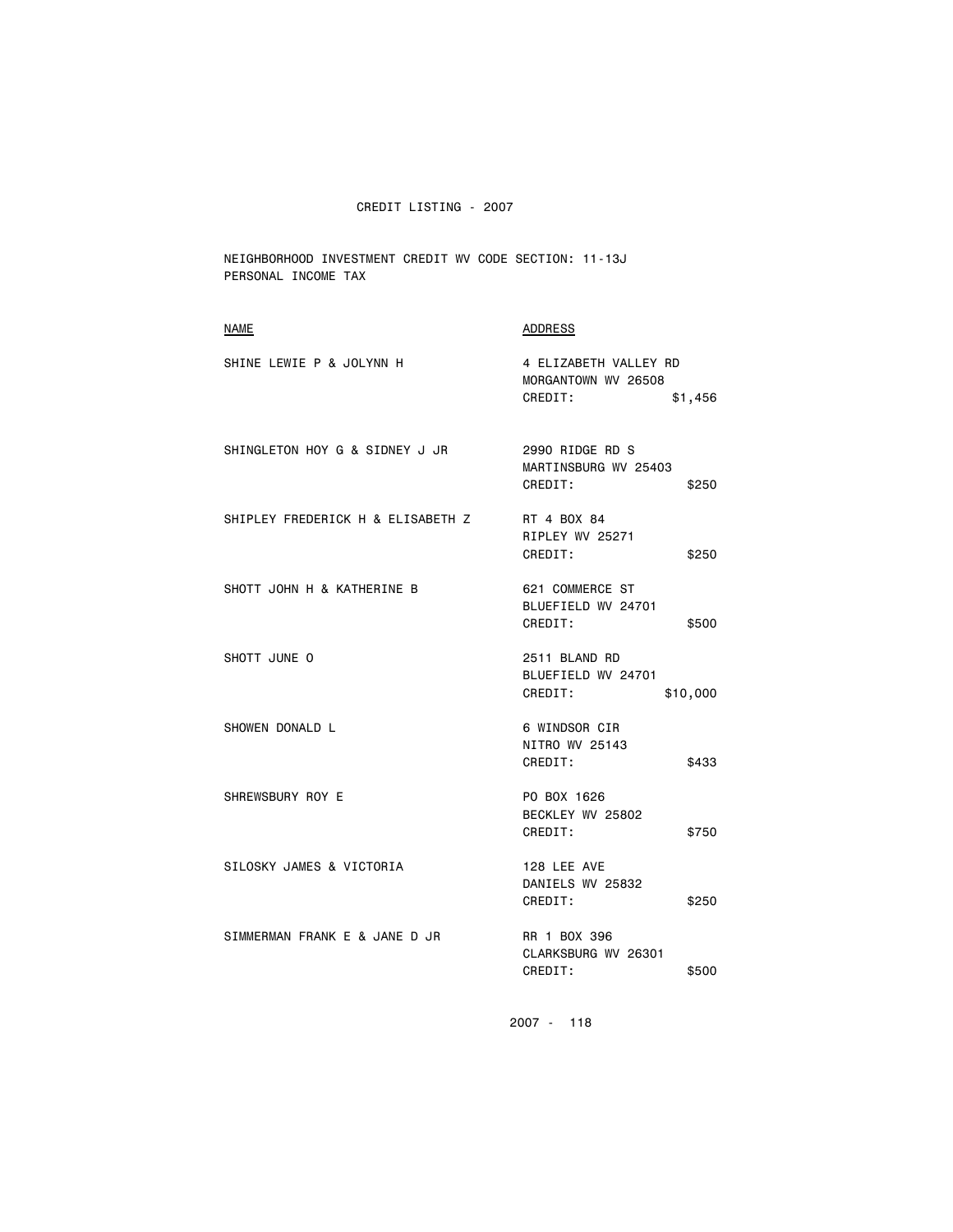NEIGHBORHOOD INVESTMENT CREDIT WV CODE SECTION: 11-13J PERSONAL INCOME TAX

| <b>NAME</b>                       | <b>ADDRESS</b>                                              |
|-----------------------------------|-------------------------------------------------------------|
| SHINE LEWIE P & JOLYNN H          | 4 ELIZABETH VALLEY RD<br>MORGANTOWN WV 26508                |
|                                   | CREDIT:<br>\$1,456                                          |
| SHINGLETON HOY G & SIDNEY J JR    | 2990 RIDGE RD S<br>MARTINSBURG WV 25403<br>CREDIT:<br>\$250 |
| SHIPLEY FREDERICK H & ELISABETH Z | RT 4 BOX 84<br>RIPLEY WV 25271<br>CREDIT:<br>\$250          |
| SHOTT JOHN H & KATHERINE B        | 621 COMMERCE ST<br>BLUEFIELD WV 24701<br>CREDIT:<br>\$500   |
| SHOTT JUNE O                      | 2511 BLAND RD<br>BLUEFIELD WV 24701<br>CREDIT:<br>\$10,000  |
| SHOWEN DONALD L                   | 6 WINDSOR CIR<br>NITRO WV 25143<br>CREDIT:<br>\$433         |
| SHREWSBURY ROY E                  | PO BOX 1626<br>BECKLEY WV 25802<br>CREDIT:<br>\$750         |
| SILOSKY JAMES & VICTORIA          | 128 LEE AVE<br>DANIELS WV 25832<br>CREDIT:<br>\$250         |
| SIMMERMAN FRANK E & JANE D JR     | RR 1 BOX 396<br>CLARKSBURG WV 26301<br>CREDIT:<br>\$500     |
|                                   |                                                             |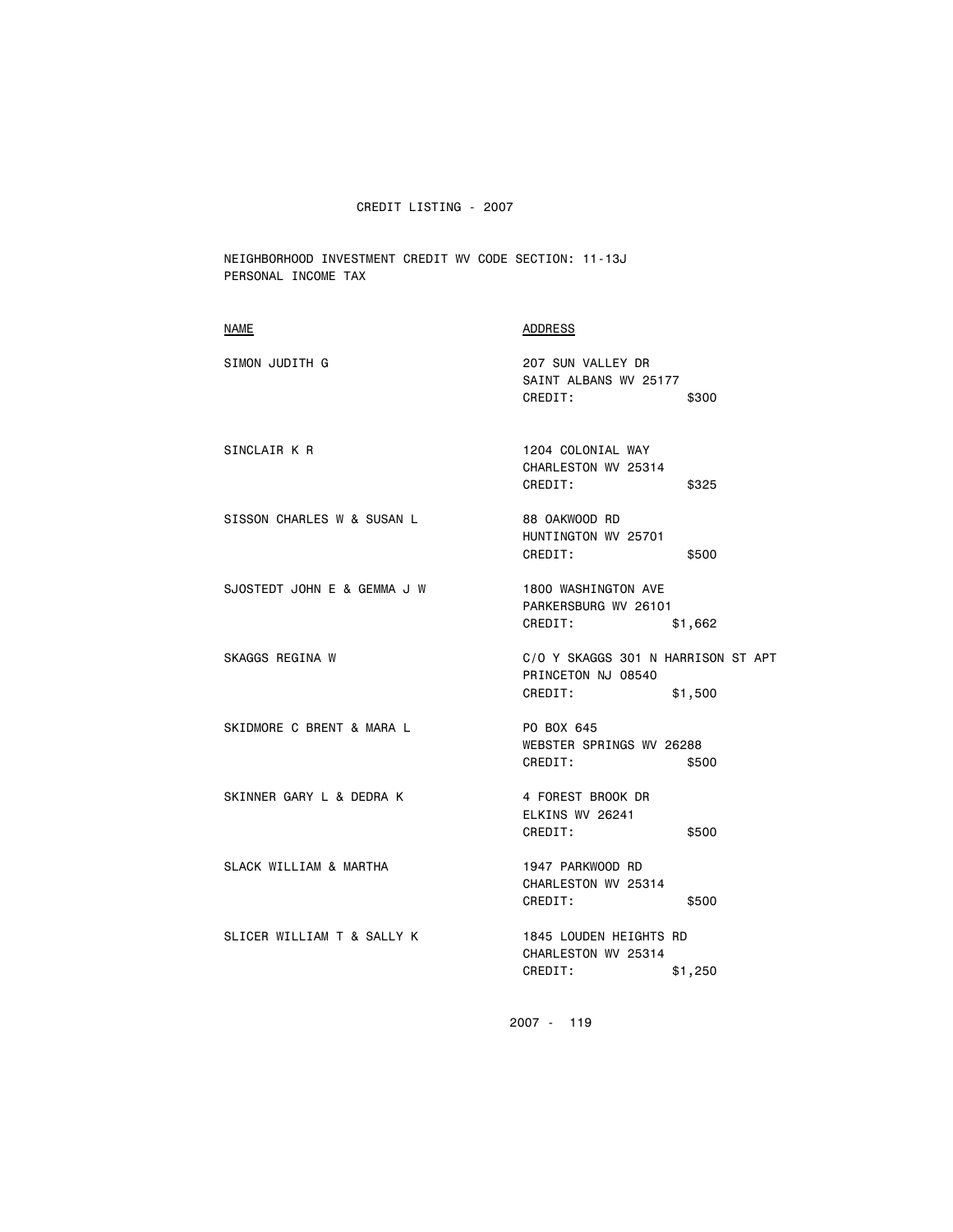NEIGHBORHOOD INVESTMENT CREDIT WV CODE SECTION: 11-13J PERSONAL INCOME TAX

| <b>NAME</b>                 | <b>ADDRESS</b>                                                                 |
|-----------------------------|--------------------------------------------------------------------------------|
| SIMON JUDITH G              | 207 SUN VALLEY DR<br>SAINT ALBANS WV 25177<br>CREDIT:<br>\$300                 |
| SINCLAIR K R                | 1204 COLONIAL WAY<br>CHARLESTON WV 25314<br>CREDIT:<br>\$325                   |
| SISSON CHARLES W & SUSAN L  | 88 OAKWOOD RD<br>HUNTINGTON WV 25701<br>CREDIT:<br>\$500                       |
| SJOSTEDT JOHN E & GEMMA J W | 1800 WASHINGTON AVE<br>PARKERSBURG WV 26101<br>CREDIT:<br>\$1,662              |
| SKAGGS REGINA W             | C/O Y SKAGGS 301 N HARRISON ST APT<br>PRINCETON NJ 08540<br>CREDIT:<br>\$1,500 |
| SKIDMORE C BRENT & MARA L   | PO BOX 645<br>WEBSTER SPRINGS WV 26288<br>CREDIT:<br>\$500                     |
| SKINNER GARY L & DEDRA K    | 4 FOREST BROOK DR<br>ELKINS WV 26241<br>CREDIT:<br>\$500                       |
| SLACK WILLIAM & MARTHA      | 1947 PARKWOOD RD<br>CHARLESTON WV 25314<br>CREDIT:<br>\$500                    |
| SLICER WILLIAM T & SALLY K  | 1845 LOUDEN HEIGHTS RD<br>CHARLESTON WV 25314<br>CREDIT:<br>\$1,250            |
|                             |                                                                                |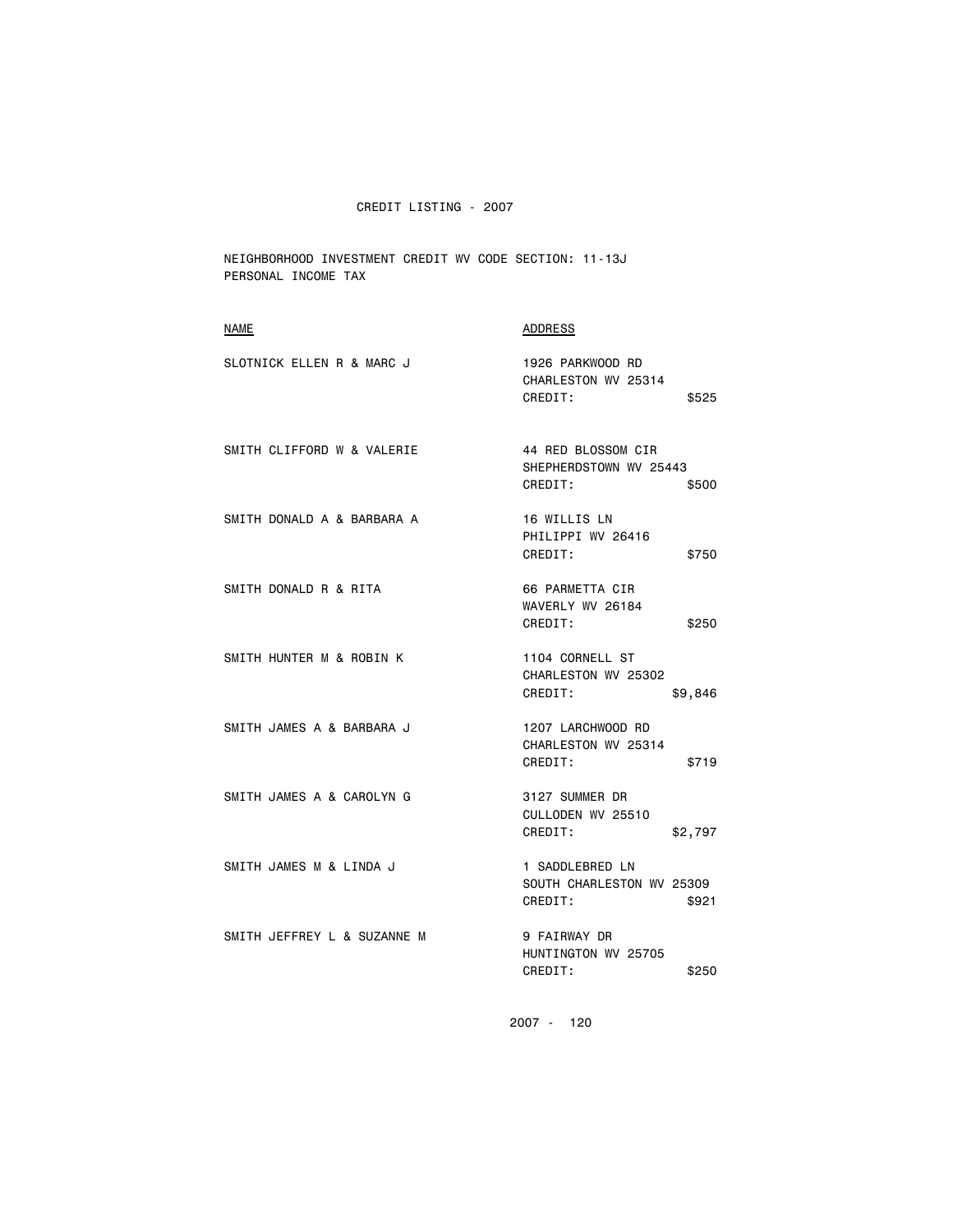NEIGHBORHOOD INVESTMENT CREDIT WV CODE SECTION: 11-13J PERSONAL INCOME TAX

| <b>NAME</b>                 | ADDRESS                                                          |
|-----------------------------|------------------------------------------------------------------|
| SLOTNICK ELLEN R & MARC J   | 1926 PARKWOOD RD<br>CHARLESTON WV 25314<br>CREDIT:<br>\$525      |
| SMITH CLIFFORD W & VALERIE  | 44 RED BLOSSOM CIR<br>SHEPHERDSTOWN WV 25443<br>CREDIT:<br>\$500 |
| SMITH DONALD A & BARBARA A  | 16 WILLIS LN<br>PHILIPPI WV 26416<br>CREDIT:<br>\$750            |
| SMITH DONALD R & RITA       | 66 PARMETTA CIR<br>WAVERLY WV 26184<br>CREDIT:<br>\$250          |
| SMITH HUNTER M & ROBIN K    | 1104 CORNELL ST<br>CHARLESTON WV 25302<br>CREDIT:<br>\$9,846     |
| SMITH JAMES A & BARBARA J   | 1207 LARCHWOOD RD<br>CHARLESTON WV 25314<br>CREDIT:<br>\$719     |
| SMITH JAMES A & CAROLYN G   | 3127 SUMMER DR<br>CULLODEN WV 25510<br>CREDIT:<br>\$2,797        |
| SMITH JAMES M & LINDA J     | 1 SADDLEBRED LN<br>SOUTH CHARLESTON WV 25309<br>CREDIT:<br>\$921 |
| SMITH JEFFREY L & SUZANNE M | <b>9 FAIRWAY DR</b><br>HUNTINGTON WV 25705<br>CREDIT:<br>\$250   |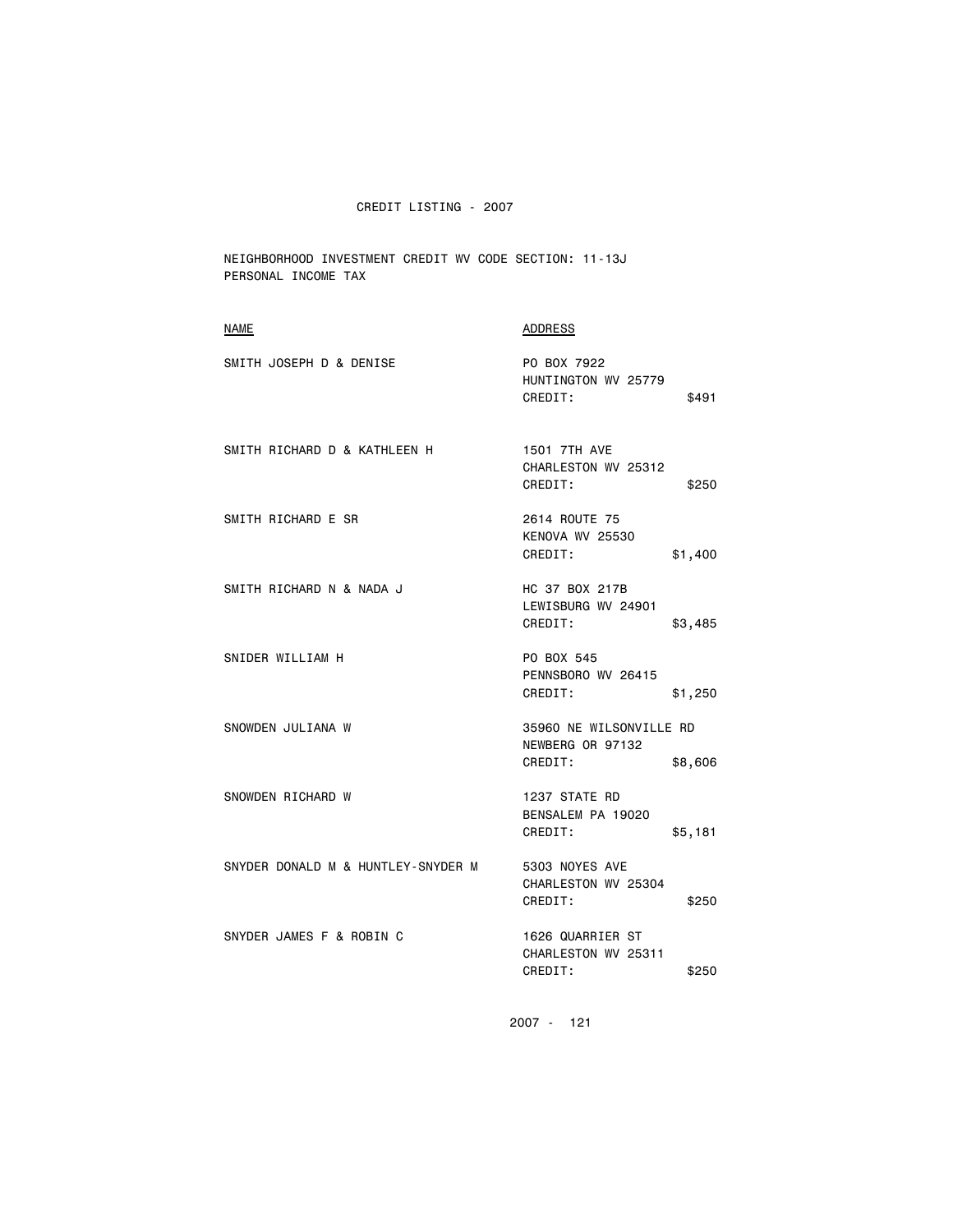NEIGHBORHOOD INVESTMENT CREDIT WV CODE SECTION: 11-13J PERSONAL INCOME TAX

| NAME                               | ADDRESS                                                           |
|------------------------------------|-------------------------------------------------------------------|
| SMITH JOSEPH D & DENISE            | PO BOX 7922<br>HUNTINGTON WV 25779<br>CREDIT:<br>\$491            |
| SMITH RICHARD D & KATHLEEN H       | 1501 7TH AVE<br>CHARLESTON WV 25312<br>CREDIT:<br>\$250           |
| SMITH RICHARD E SR                 | 2614 ROUTE 75<br>KENOVA WV 25530<br>CREDIT:<br>\$1,400            |
| SMITH RICHARD N & NADA J           | HC 37 BOX 217B<br>LEWISBURG WV 24901<br>CREDIT:<br>\$3,485        |
| SNIDER WILLIAM H                   | PO BOX 545<br>PENNSBORO WV 26415<br>CREDIT:<br>\$1,250            |
| SNOWDEN JULIANA W                  | 35960 NE WILSONVILLE RD<br>NEWBERG OR 97132<br>CREDIT:<br>\$8,606 |
| SNOWDEN RICHARD W                  | 1237 STATE RD<br>BENSALEM PA 19020<br>CREDIT:<br>\$5,181          |
| SNYDER DONALD M & HUNTLEY-SNYDER M | 5303 NOYES AVE<br>CHARLESTON WV 25304<br>CREDIT:<br>\$250         |
| SNYDER JAMES F & ROBIN C           | 1626 QUARRIER ST<br>CHARLESTON WV 25311<br>CREDIT:<br>\$250       |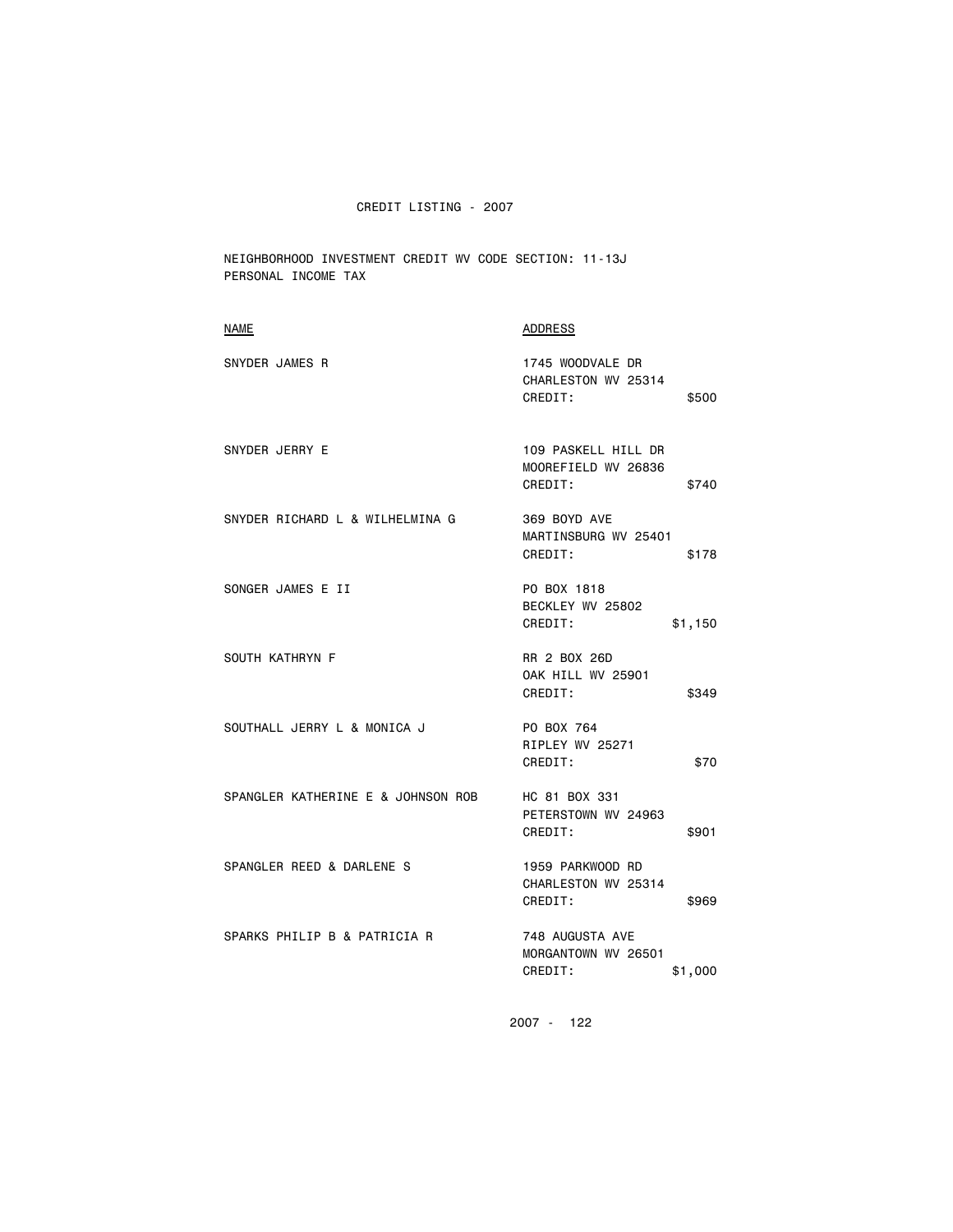NEIGHBORHOOD INVESTMENT CREDIT WV CODE SECTION: 11-13J PERSONAL INCOME TAX

| <b>NAME</b>                        | <b>ADDRESS</b>                                                 |
|------------------------------------|----------------------------------------------------------------|
| SNYDER JAMES R                     | 1745 WOODVALE DR<br>CHARLESTON WV 25314<br>CREDIT:<br>\$500    |
| SNYDER JERRY E                     | 109 PASKELL HILL DR<br>MOOREFIELD WV 26836<br>CREDIT:<br>\$740 |
| SNYDER RICHARD L & WILHELMINA G    | 369 BOYD AVE<br>MARTINSBURG WV 25401<br>CREDIT:<br>\$178       |
| SONGER JAMES E II                  | PO BOX 1818<br>BECKLEY WV 25802<br>CREDIT:<br>\$1,150          |
| SOUTH KATHRYN F                    | RR 2 BOX 26D<br><b>OAK HILL WV 25901</b><br>CREDIT:<br>\$349   |
| SOUTHALL JERRY L & MONICA J        | PO BOX 764<br>RIPLEY WV 25271<br>CREDIT:<br>\$70               |
| SPANGLER KATHERINE E & JOHNSON ROB | HC 81 BOX 331<br>PETERSTOWN WV 24963<br>CREDIT:<br>\$901       |
| SPANGLER REED & DARLENE S          | 1959 PARKWOOD RD<br>CHARLESTON WV 25314<br>CREDIT:<br>\$969    |
| SPARKS PHILIP B & PATRICIA R       | 748 AUGUSTA AVE<br>MORGANTOWN WV 26501<br>CREDIT:<br>\$1,000   |
|                                    |                                                                |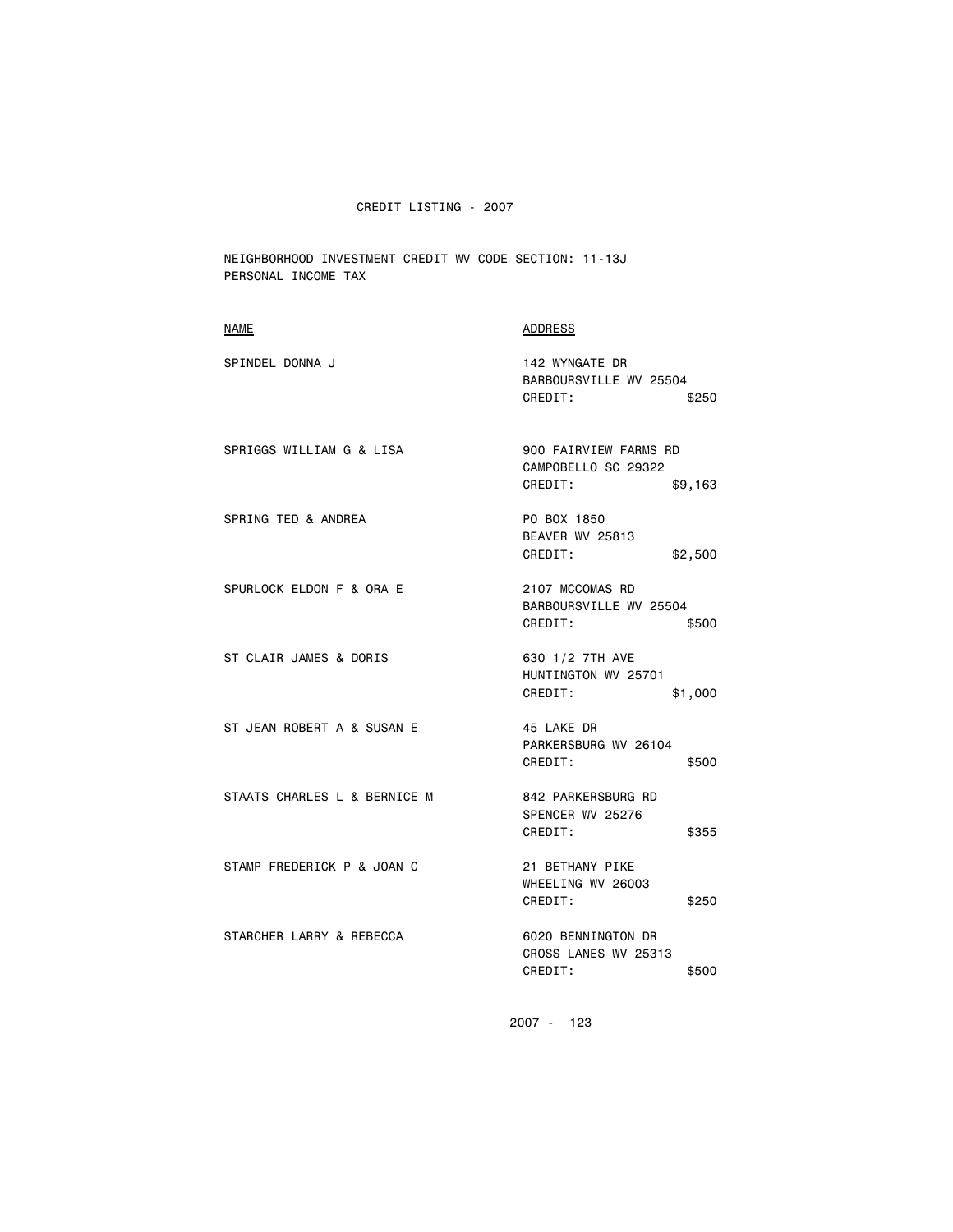NEIGHBORHOOD INVESTMENT CREDIT WV CODE SECTION: 11-13J PERSONAL INCOME TAX

| NAME                         | ADDRESS                                                            |
|------------------------------|--------------------------------------------------------------------|
| SPINDEL DONNA J              | 142 WYNGATE DR<br>BARBOURSVILLE WV 25504<br>CREDIT:<br>\$250       |
| SPRIGGS WILLIAM G & LISA     | 900 FAIRVIEW FARMS RD<br>CAMPOBELLO SC 29322<br>CREDIT:<br>\$9,163 |
| SPRING TED & ANDREA          | PO BOX 1850<br>BEAVER WV 25813<br>CREDIT:<br>\$2,500               |
| SPURLOCK ELDON F & ORA E     | 2107 MCCOMAS RD<br>BARBOURSVILLE WV 25504<br>CREDIT:<br>\$500      |
| ST CLAIR JAMES & DORIS       | 630 1/2 7TH AVE<br>HUNTINGTON WV 25701<br>CREDIT:<br>\$1,000       |
| ST JEAN ROBERT A & SUSAN E   | 45 LAKE DR<br>PARKERSBURG WV 26104<br>CREDIT:<br>\$500             |
| STAATS CHARLES L & BERNICE M | 842 PARKERSBURG RD<br>SPENCER WV 25276<br>CREDIT:<br>\$355         |
| STAMP FREDERICK P & JOAN C   | 21 BETHANY PIKE<br>WHEELING WV 26003<br>CREDIT:<br>\$250           |
| STARCHER LARRY & REBECCA     | 6020 BENNINGTON DR<br>CROSS LANES WV 25313<br>CREDIT:<br>\$500     |
|                              |                                                                    |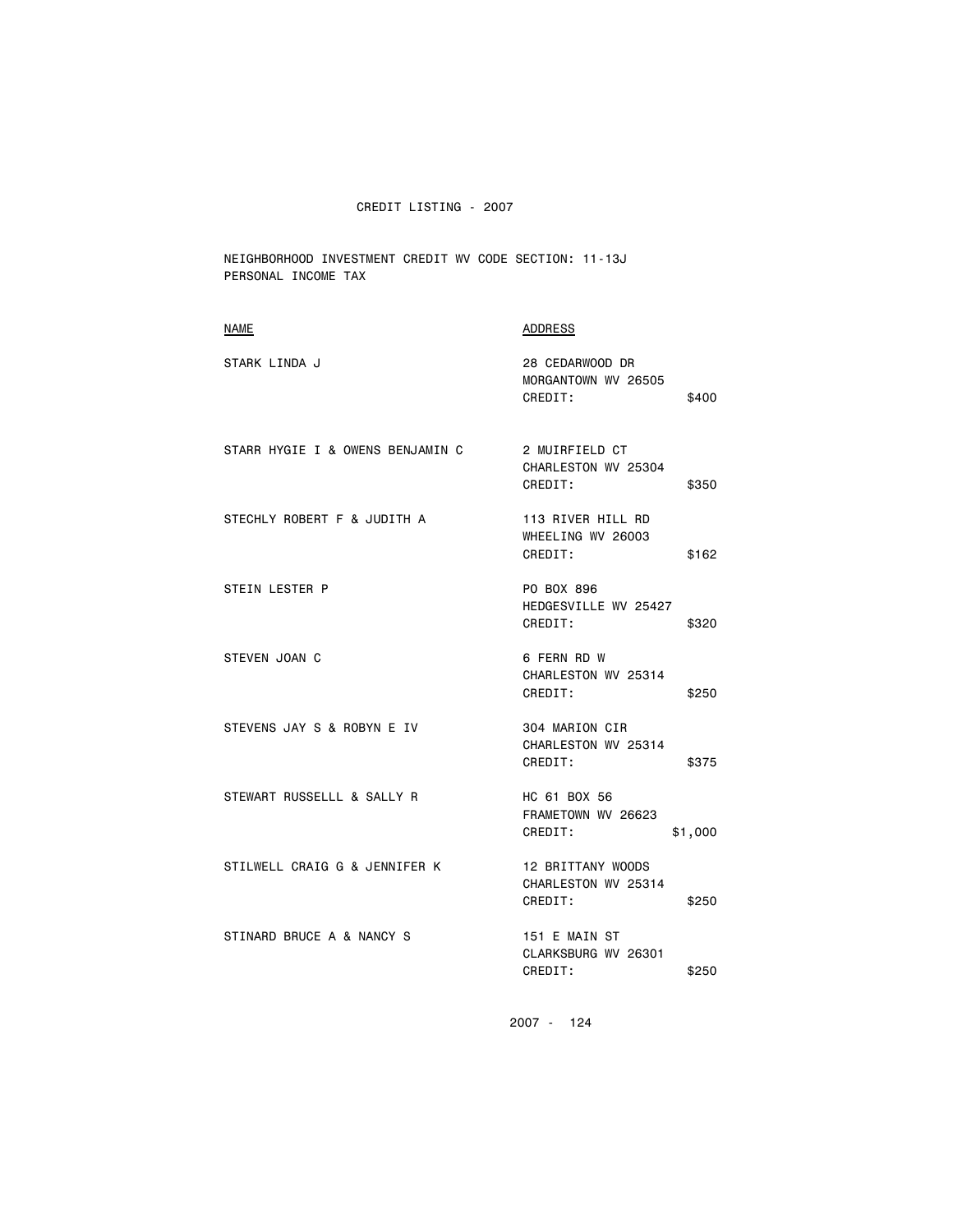NEIGHBORHOOD INVESTMENT CREDIT WV CODE SECTION: 11-13J PERSONAL INCOME TAX

| <b>NAME</b>                      | <b>ADDRESS</b>                                               |
|----------------------------------|--------------------------------------------------------------|
| STARK LINDA J                    | 28 CEDARWOOD DR<br>MORGANTOWN WV 26505<br>CREDIT:<br>\$400   |
| STARR HYGIE I & OWENS BENJAMIN C | 2 MUIRFIELD CT<br>CHARLESTON WV 25304<br>CREDIT:<br>\$350    |
| STECHLY ROBERT F & JUDITH A      | 113 RIVER HILL RD<br>WHEELING WV 26003<br>CREDIT:<br>\$162   |
| STEIN LESTER P                   | PO BOX 896<br>HEDGESVILLE WV 25427<br>CREDIT:<br>\$320       |
| STEVEN JOAN C                    | 6 FERN RD W<br>CHARLESTON WV 25314<br>CREDIT:<br>\$250       |
| STEVENS JAY S & ROBYN E IV       | 304 MARION CIR<br>CHARLESTON WV 25314<br>CREDIT:<br>\$375    |
| STEWART RUSSELLL & SALLY R       | HC 61 BOX 56<br>FRAMETOWN WV 26623<br>CREDIT:<br>\$1,000     |
| STILWELL CRAIG G & JENNIFER K    | 12 BRITTANY WOODS<br>CHARLESTON WV 25314<br>CREDIT:<br>\$250 |
| STINARD BRUCE A & NANCY S        | 151 E MAIN ST<br>CLARKSBURG WV 26301<br>CREDIT:<br>\$250     |
|                                  |                                                              |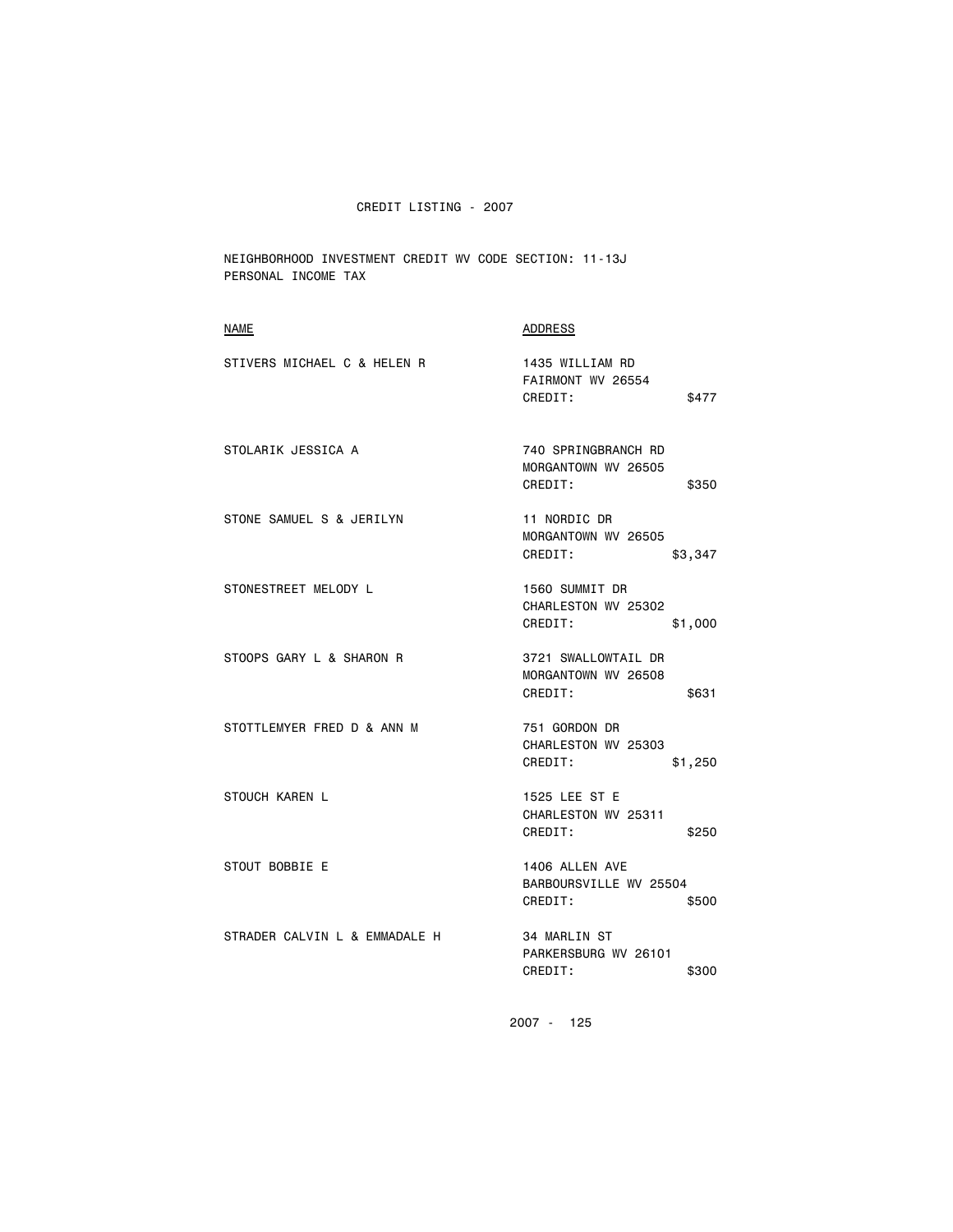NEIGHBORHOOD INVESTMENT CREDIT WV CODE SECTION: 11-13J PERSONAL INCOME TAX

| <b>NAME</b>                   | <b>ADDRESS</b>                                                 |
|-------------------------------|----------------------------------------------------------------|
| STIVERS MICHAEL C & HELEN R   | 1435 WILLIAM RD<br>FAIRMONT WV 26554<br>CREDIT:<br>\$477       |
| STOLARIK JESSICA A            | 740 SPRINGBRANCH RD<br>MORGANTOWN WV 26505<br>CREDIT:<br>\$350 |
| STONE SAMUEL S & JERILYN      | 11 NORDIC DR<br>MORGANTOWN WV 26505<br>CREDIT:<br>\$3,347      |
| STONESTREET MELODY L          | 1560 SUMMIT DR<br>CHARLESTON WV 25302<br>CREDIT:<br>\$1,000    |
| STOOPS GARY L & SHARON R      | 3721 SWALLOWTAIL DR<br>MORGANTOWN WV 26508<br>CREDIT:<br>\$631 |
| STOTTLEMYER FRED D & ANN M    | 751 GORDON DR<br>CHARLESTON WV 25303<br>CREDIT:<br>\$1,250     |
| <b>STOUCH KAREN L</b>         | 1525 LEE ST E<br>CHARLESTON WV 25311<br>CREDIT:<br>\$250       |
| STOUT BOBBIE E                | 1406 ALLEN AVE<br>BARBOURSVILLE WV 25504<br>CREDIT:<br>\$500   |
| STRADER CALVIN L & EMMADALE H | 34 MARLIN ST<br>PARKERSBURG WV 26101<br>CREDIT:<br>\$300       |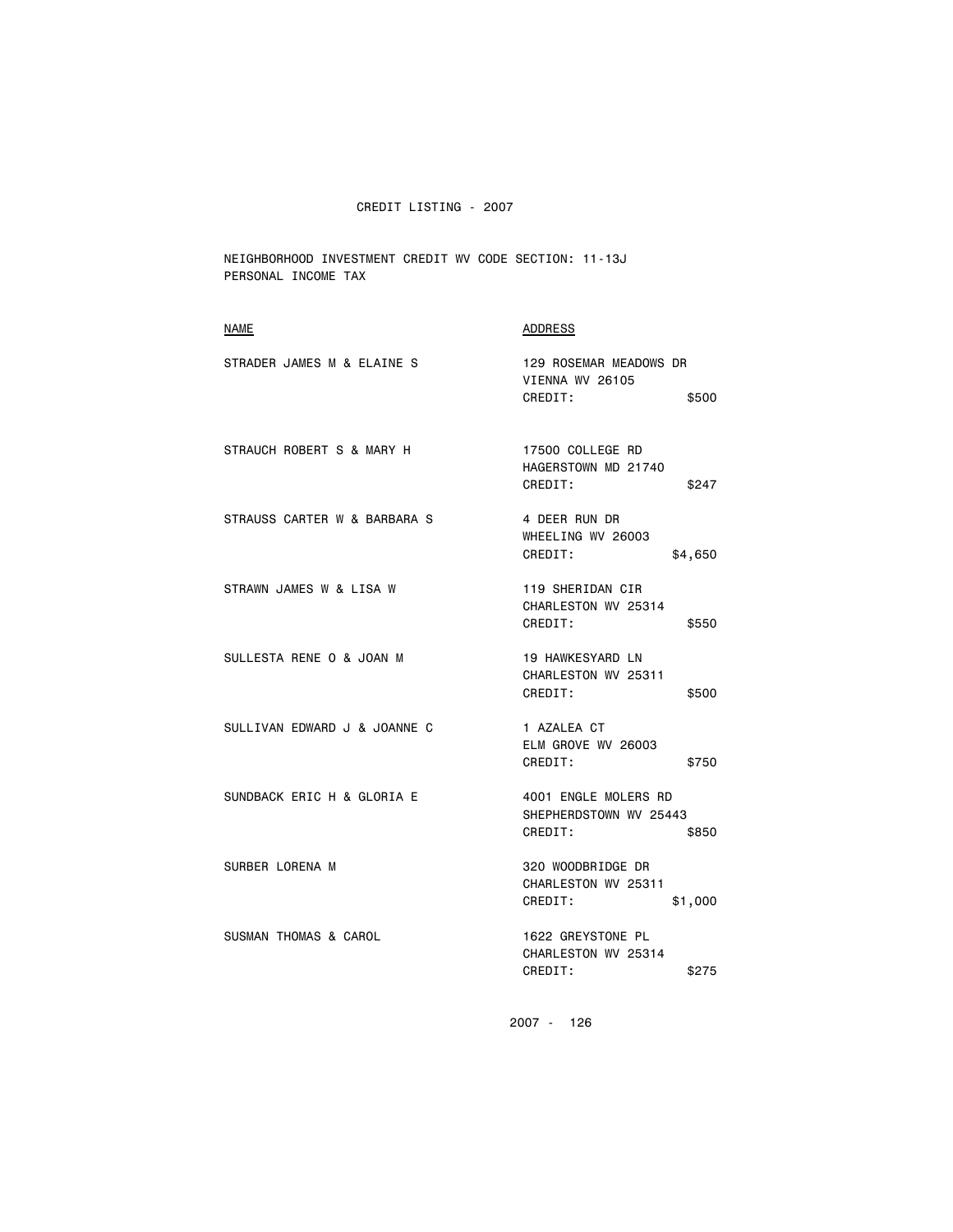NEIGHBORHOOD INVESTMENT CREDIT WV CODE SECTION: 11-13J PERSONAL INCOME TAX

| <b>NAME</b>                  | <b>ADDRESS</b>                                                     |
|------------------------------|--------------------------------------------------------------------|
| STRADER JAMES M & ELAINE S   | 129 ROSEMAR MEADOWS DR<br>VIENNA WV 26105<br>CREDIT:<br>\$500      |
| STRAUCH ROBERT S & MARY H    | 17500 COLLEGE RD<br>HAGERSTOWN MD 21740<br>CREDIT:<br>\$247        |
| STRAUSS CARTER W & BARBARA S | 4 DEER RUN DR<br>WHEELING WV 26003<br>CREDIT:<br>\$4,650           |
| STRAWN JAMES W & LISA W      | 119 SHERIDAN CIR<br>CHARLESTON WV 25314<br>CREDIT:<br>\$550        |
| SULLESTA RENE O & JOAN M     | 19 HAWKESYARD LN<br>CHARLESTON WV 25311<br>CREDIT:<br>\$500        |
| SULLIVAN EDWARD J & JOANNE C | 1 AZALEA CT<br>ELM GROVE WV 26003<br>CREDIT:<br>\$750              |
| SUNDBACK ERIC H & GLORIA E   | 4001 ENGLE MOLERS RD<br>SHEPHERDSTOWN WV 25443<br>CREDIT:<br>\$850 |
| SURBER LORENA M              | 320 WOODBRIDGE DR<br>CHARLESTON WV 25311<br>CREDIT:<br>\$1,000     |
| SUSMAN THOMAS & CAROL        | 1622 GREYSTONE PL<br>CHARLESTON WV 25314<br>CREDIT:<br>\$275       |
|                              |                                                                    |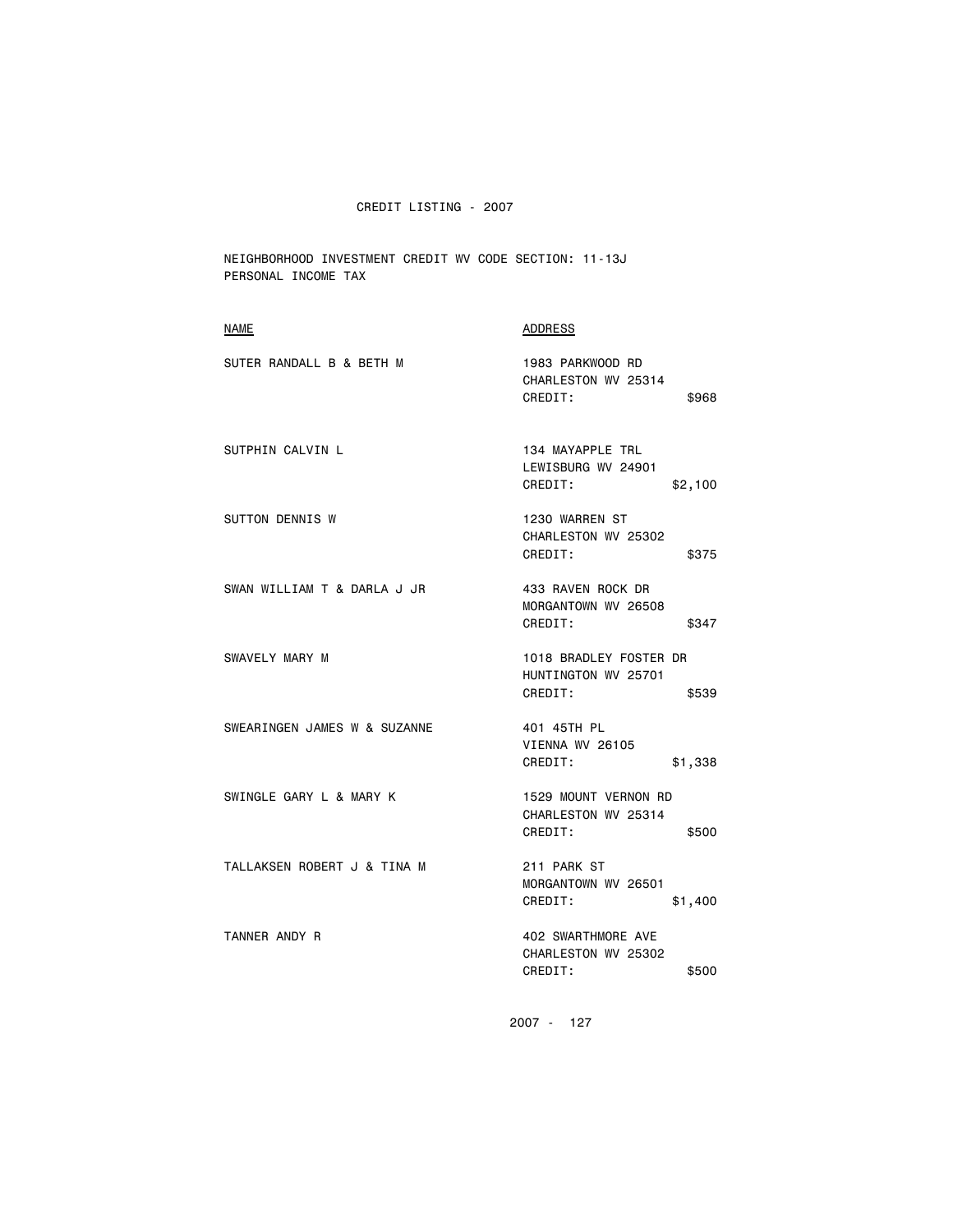NEIGHBORHOOD INVESTMENT CREDIT WV CODE SECTION: 11-13J PERSONAL INCOME TAX

| NAME                         | ADDRESS                                                           |
|------------------------------|-------------------------------------------------------------------|
| SUTER RANDALL B & BETH M     | 1983 PARKWOOD RD<br>CHARLESTON WV 25314<br>CREDIT:<br>\$968       |
| SUTPHIN CALVIN L             | 134 MAYAPPLE TRL<br>LEWISBURG WV 24901<br>CREDIT:<br>\$2,100      |
| <b>SUTTON DENNIS W</b>       | 1230 WARREN ST<br>CHARLESTON WV 25302<br>CREDIT:<br>\$375         |
| SWAN WILLIAM T & DARLA J JR  | 433 RAVEN ROCK DR<br>MORGANTOWN WV 26508<br>CREDIT:<br>\$347      |
| SWAVELY MARY M               | 1018 BRADLEY FOSTER DR<br>HUNTINGTON WV 25701<br>CREDIT:<br>\$539 |
| SWEARINGEN JAMES W & SUZANNE | 401 45TH PL<br>VIENNA WV 26105<br>CREDIT:<br>\$1,338              |
| SWINGLE GARY L & MARY K      | 1529 MOUNT VERNON RD<br>CHARLESTON WV 25314<br>CREDIT:<br>\$500   |
| TALLAKSEN ROBERT J & TINA M  | 211 PARK ST<br>MORGANTOWN WV 26501<br>CREDIT:<br>\$1,400          |
| TANNER ANDY R                | 402 SWARTHMORE AVE<br>CHARLESTON WV 25302<br>CREDIT:<br>\$500     |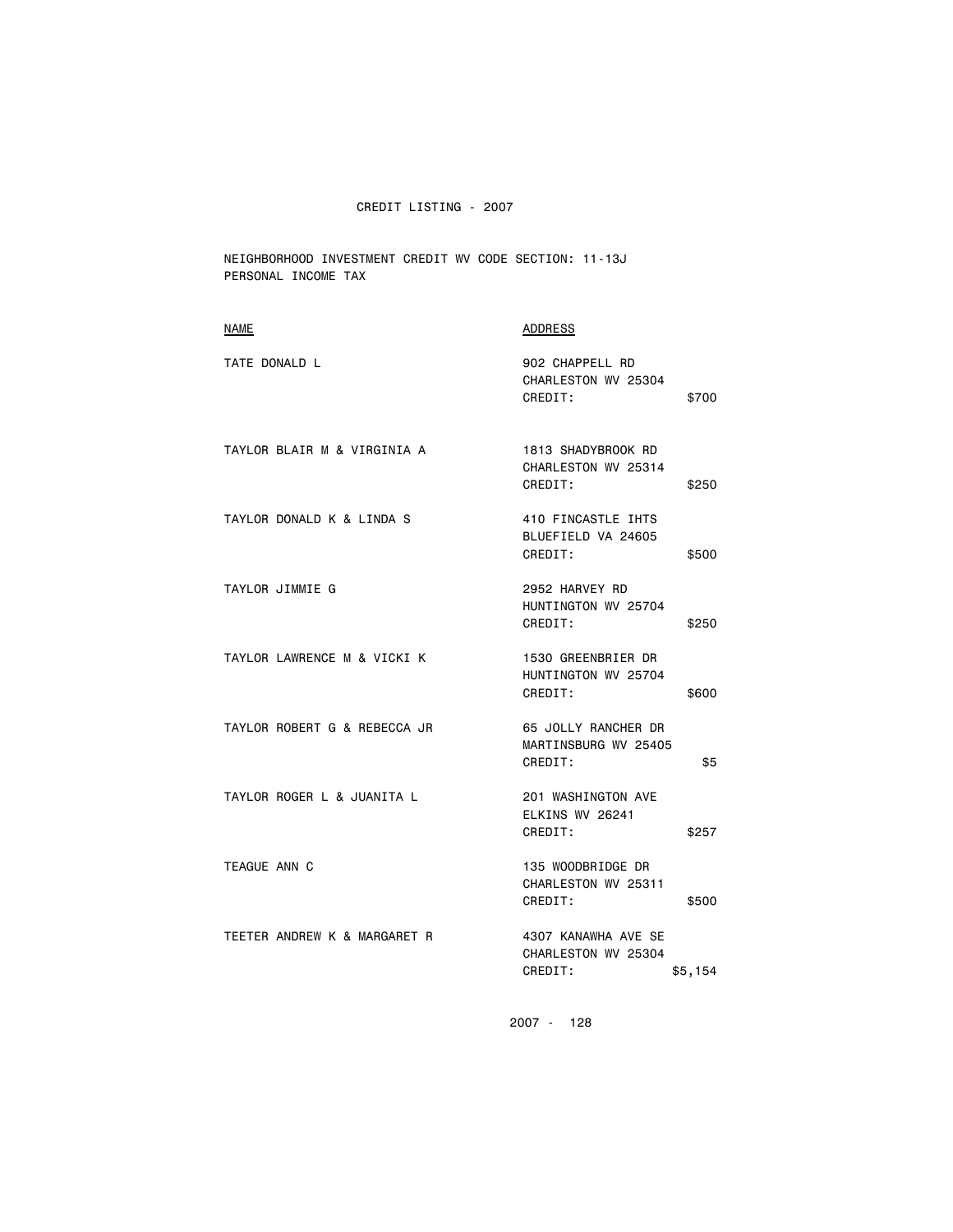NEIGHBORHOOD INVESTMENT CREDIT WV CODE SECTION: 11-13J PERSONAL INCOME TAX

| <b>NAME</b>                  | ADDRESS                                                          |
|------------------------------|------------------------------------------------------------------|
| TATE DONALD L                | 902 CHAPPELL RD<br>CHARLESTON WV 25304<br>CREDIT:<br>\$700       |
| TAYLOR BLAIR M & VIRGINIA A  | 1813 SHADYBROOK RD<br>CHARLESTON WV 25314<br>CREDIT:<br>\$250    |
| TAYLOR DONALD K & LINDA S    | 410 FINCASTLE IHTS<br>BLUEFIELD VA 24605<br>CREDIT:<br>\$500     |
| TAYLOR JIMMIE G              | 2952 HARVEY RD<br>HUNTINGTON WV 25704<br>CREDIT:<br>\$250        |
| TAYLOR LAWRENCE M & VICKI K  | 1530 GREENBRIER DR<br>HUNTINGTON WV 25704<br>CREDIT:<br>\$600    |
| TAYLOR ROBERT G & REBECCA JR | 65 JOLLY RANCHER DR<br>MARTINSBURG WV 25405<br>CREDIT:<br>\$5    |
| TAYLOR ROGER L & JUANITA L   | 201 WASHINGTON AVE<br>ELKINS WV 26241<br>CREDIT:<br>\$257        |
| TEAGUE ANN C                 | 135 WOODBRIDGE DR<br>CHARLESTON WV 25311<br>CREDIT:<br>\$500     |
| TEETER ANDREW K & MARGARET R | 4307 KANAWHA AVE SE<br>CHARLESTON WV 25304<br>CREDIT:<br>\$5,154 |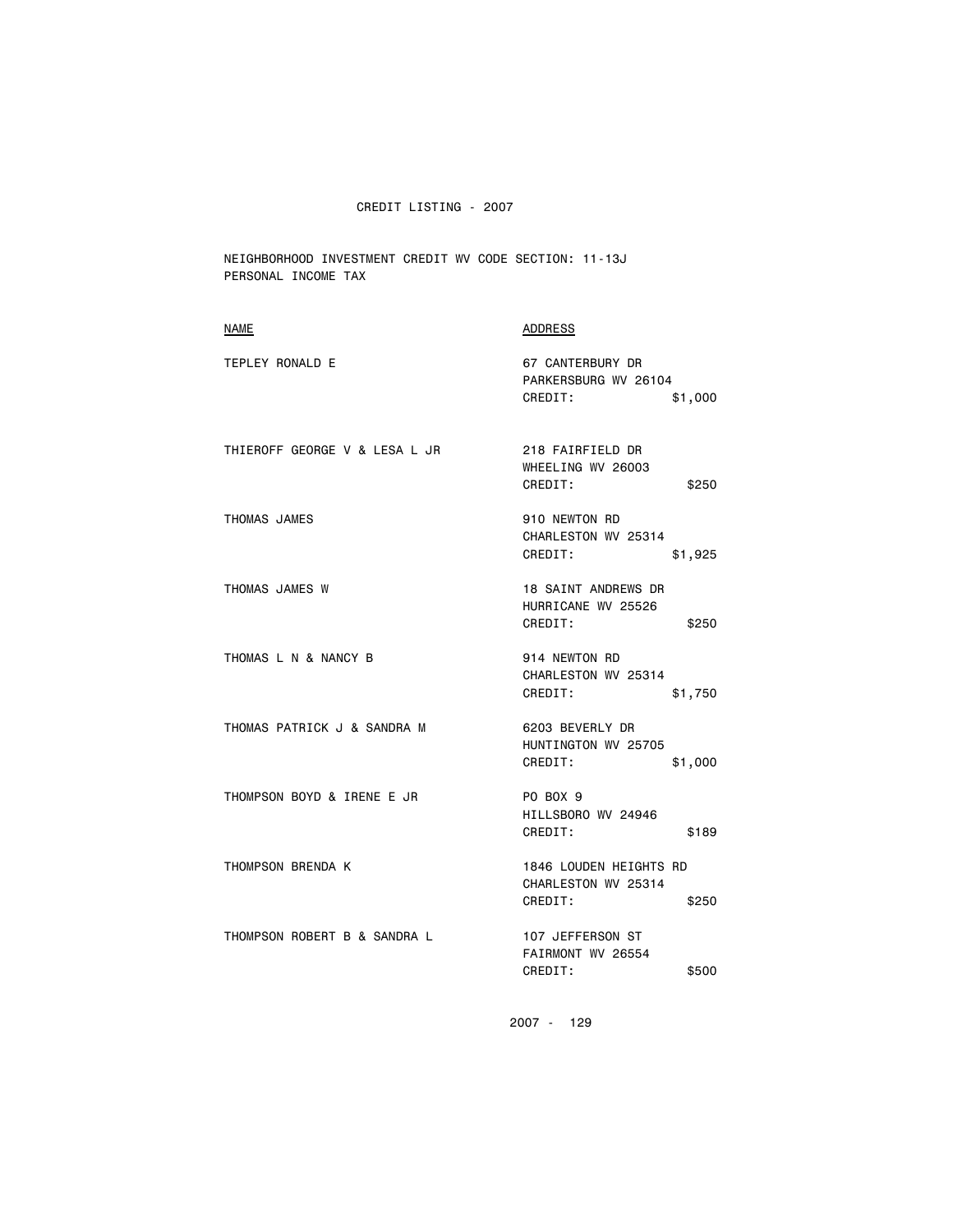NEIGHBORHOOD INVESTMENT CREDIT WV CODE SECTION: 11-13J PERSONAL INCOME TAX

| <b>NAME</b>                   | <b>ADDRESS</b>                                                       |
|-------------------------------|----------------------------------------------------------------------|
| TEPLEY RONALD E               | 67 CANTERBURY DR<br>PARKERSBURG WV 26104<br>CREDIT:<br>\$1,000       |
| THIEROFF GEORGE V & LESA L JR | 218 FAIRFIELD DR<br>WHEELING WV 26003<br>CREDIT:<br>\$250            |
| THOMAS JAMES                  | 910 NEWTON RD<br>CHARLESTON WV 25314<br>CREDIT:<br>\$1,925           |
| THOMAS JAMES W                | <b>18 SAINT ANDREWS DR</b><br>HURRICANE WV 25526<br>CREDIT:<br>\$250 |
| THOMAS L N & NANCY B          | 914 NEWTON RD<br>CHARLESTON WV 25314<br>CREDIT:<br>\$1,750           |
| THOMAS PATRICK J & SANDRA M   | 6203 BEVERLY DR<br>HUNTINGTON WV 25705<br>CREDIT:<br>\$1,000         |
| THOMPSON BOYD & IRENE E JR    | PO BOX 9<br>HILLSBORO WV 24946<br>CREDIT:<br>\$189                   |
| THOMPSON BRENDA K             | 1846 LOUDEN HEIGHTS RD<br>CHARLESTON WV 25314<br>CREDIT:<br>\$250    |
| THOMPSON ROBERT B & SANDRA L  | 107 JEFFERSON ST<br>FAIRMONT WV 26554<br>CREDIT:<br>\$500            |
|                               |                                                                      |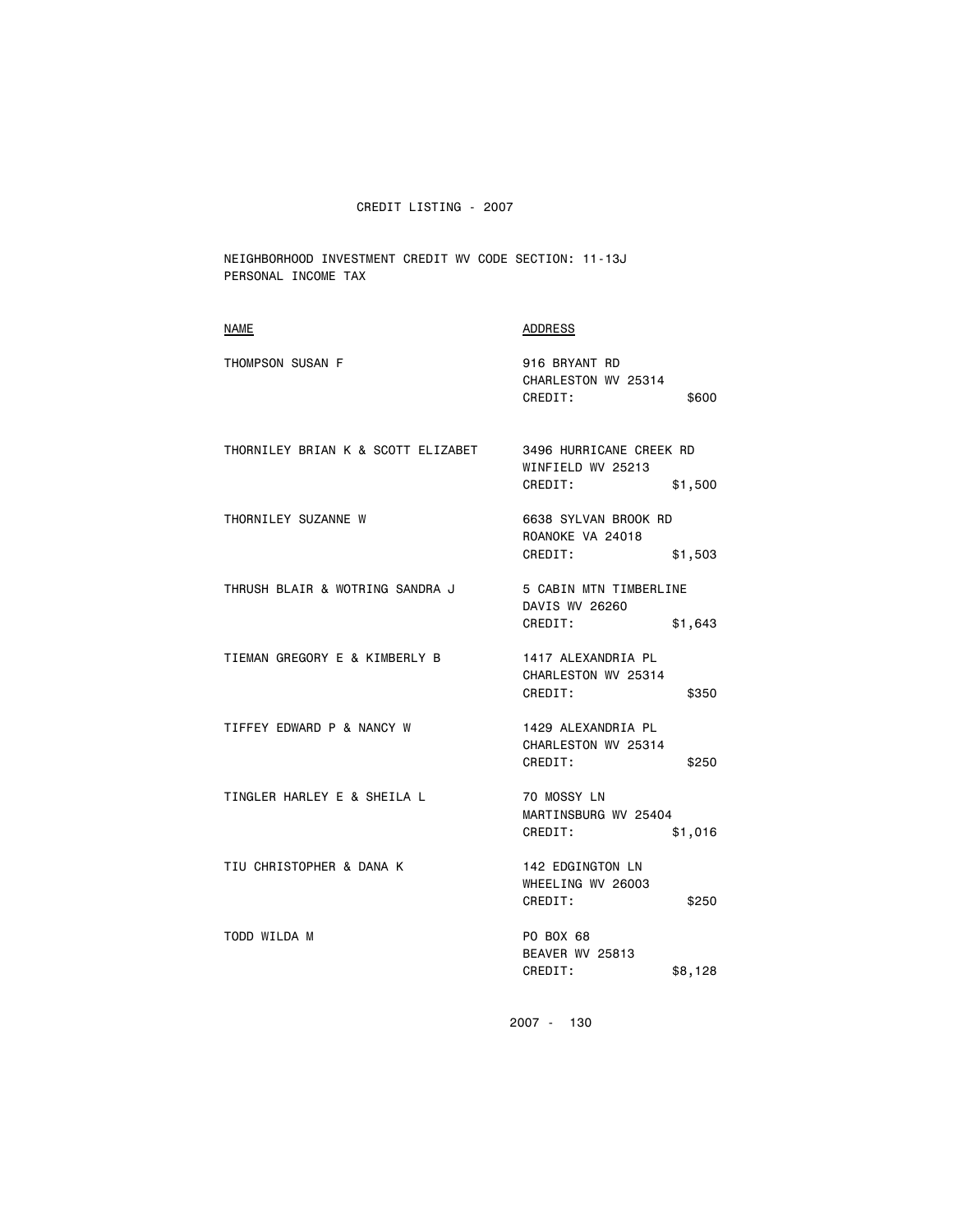NEIGHBORHOOD INVESTMENT CREDIT WV CODE SECTION: 11-13J PERSONAL INCOME TAX

| NAME                               | <b>ADDRESS</b>                                                     |
|------------------------------------|--------------------------------------------------------------------|
| THOMPSON SUSAN F                   | 916 BRYANT RD<br>CHARLESTON WV 25314<br>CREDIT:<br>\$600           |
| THORNILEY BRIAN K & SCOTT ELIZABET | 3496 HURRICANE CREEK RD<br>WINFIELD WV 25213<br>CREDIT:<br>\$1,500 |
| THORNILEY SUZANNE W                | 6638 SYLVAN BROOK RD<br>ROANOKE VA 24018<br>CREDIT:<br>\$1,503     |
| THRUSH BLAIR & WOTRING SANDRA J    | 5 CABIN MTN TIMBERLINE<br>DAVIS WV 26260<br>CREDIT:<br>\$1,643     |
| TIEMAN GREGORY E & KIMBERLY B      | 1417 ALEXANDRIA PL<br>CHARLESTON WV 25314<br>CREDIT:<br>\$350      |
| TIFFEY EDWARD P & NANCY W          | 1429 ALEXANDRIA PL<br>CHARLESTON WV 25314<br>CREDIT:<br>\$250      |
| TINGLER HARLEY E & SHEILA L        | 70 MOSSY LN<br>MARTINSBURG WV 25404<br>CREDIT:<br>\$1,016          |
| TIU CHRISTOPHER & DANA K           | 142 EDGINGTON LN<br>WHEELING WV 26003<br>CREDIT:<br>\$250          |
| TODD WILDA M                       | PO BOX 68<br>BEAVER WV 25813<br>CREDIT:<br>\$8,128                 |
|                                    | 2007 - 130                                                         |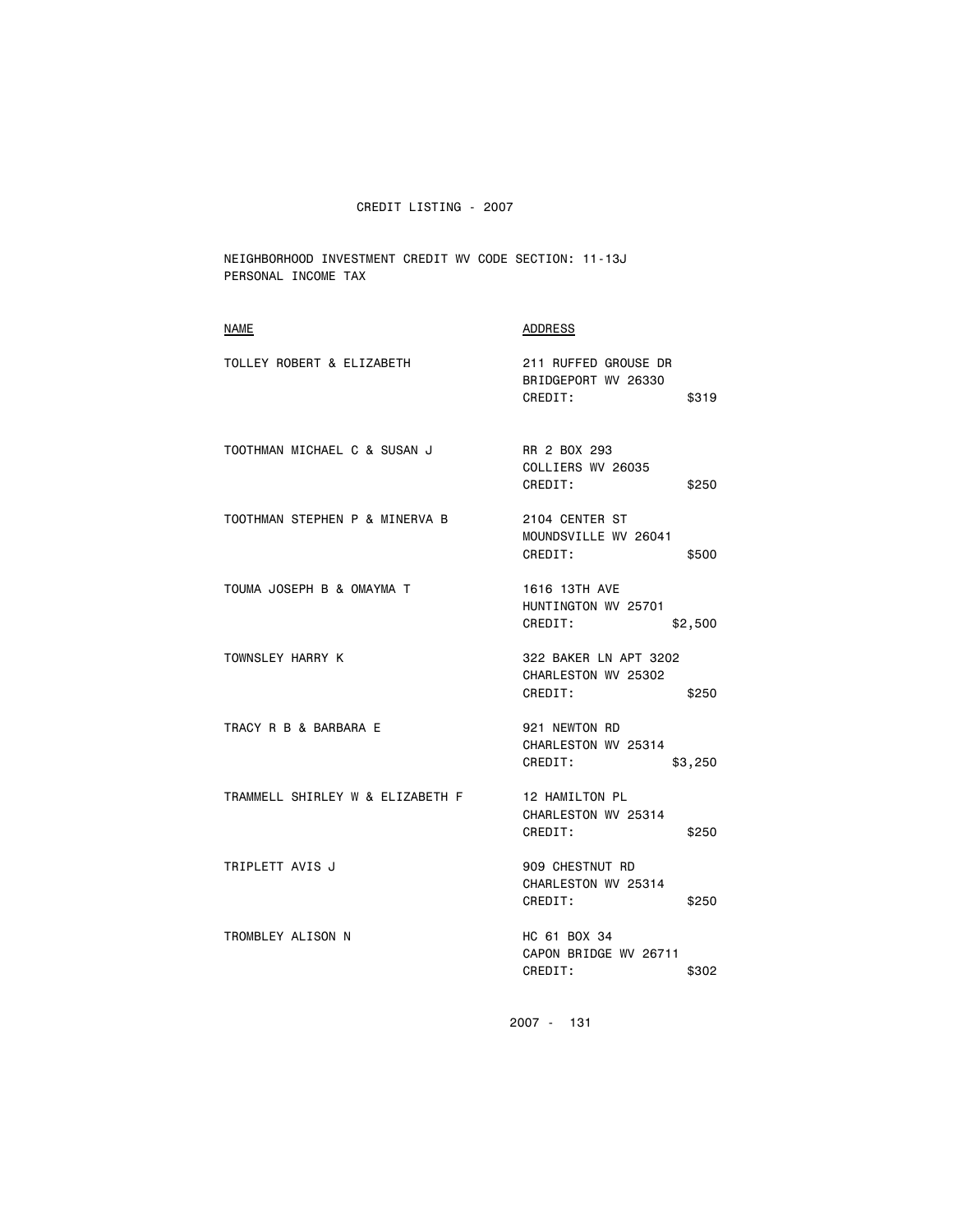NEIGHBORHOOD INVESTMENT CREDIT WV CODE SECTION: 11-13J PERSONAL INCOME TAX

| <b>NAME</b>                      | <b>ADDRESS</b>                                                   |
|----------------------------------|------------------------------------------------------------------|
| TOLLEY ROBERT & ELIZABETH        | 211 RUFFED GROUSE DR<br>BRIDGEPORT WV 26330<br>CREDIT:<br>\$319  |
| TOOTHMAN MICHAEL C & SUSAN J     | RR 2 BOX 293<br>COLLIERS WV 26035<br>CREDIT:<br>\$250            |
| TOOTHMAN STEPHEN P & MINERVA B   | 2104 CENTER ST<br>MOUNDSVILLE WV 26041<br>CREDIT:<br>\$500       |
| TOUMA JOSEPH B & OMAYMA T        | 1616 13TH AVE<br>HUNTINGTON WV 25701<br>CREDIT:<br>\$2,500       |
| TOWNSLEY HARRY K                 | 322 BAKER LN APT 3202<br>CHARLESTON WV 25302<br>CREDIT:<br>\$250 |
| TRACY R B & BARBARA E            | 921 NEWTON RD<br>CHARLESTON WV 25314<br>CREDIT:<br>\$3,250       |
| TRAMMELL SHIRLEY W & ELIZABETH F | 12 HAMILTON PL<br>CHARLESTON WV 25314<br>CREDIT:<br>\$250        |
| TRIPLETT AVIS J                  | 909 CHESTNUT RD<br>CHARLESTON WV 25314<br>CREDIT:<br>\$250       |
| TROMBLEY ALISON N                | HC 61 BOX 34<br>CAPON BRIDGE WV 26711<br>CREDIT:<br>\$302        |
|                                  |                                                                  |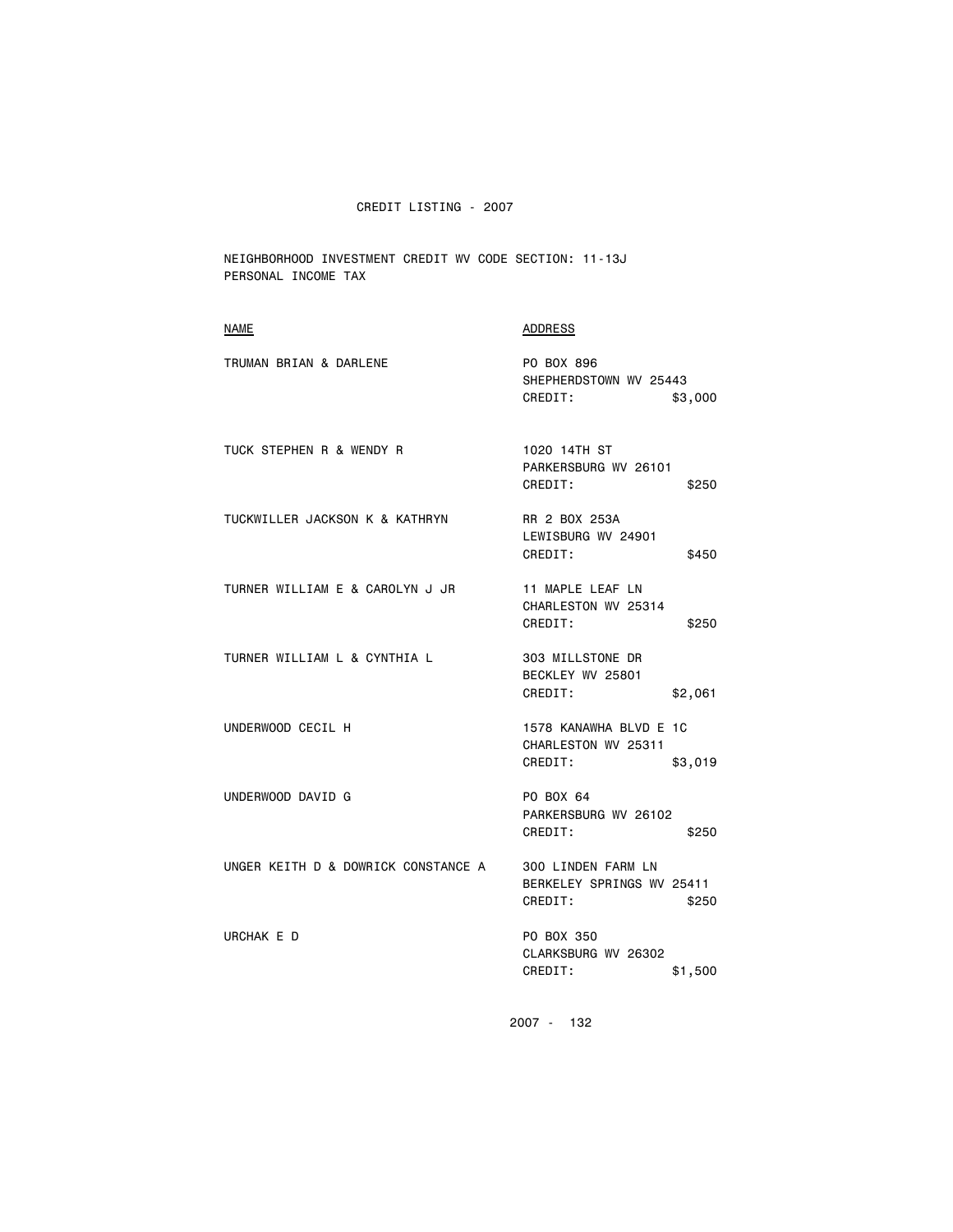NEIGHBORHOOD INVESTMENT CREDIT WV CODE SECTION: 11-13J PERSONAL INCOME TAX

| <b>NAME</b>                         | <b>ADDRESS</b>                                                      |
|-------------------------------------|---------------------------------------------------------------------|
| TRUMAN BRIAN & DARLENE              | PO BOX 896<br>SHEPHERDSTOWN WV 25443<br>CREDIT:<br>\$3,000          |
| TUCK STEPHEN R & WENDY R            | 1020 14TH ST<br>PARKERSBURG WV 26101<br>CREDIT:<br>\$250            |
| TUCKWILLER JACKSON K & KATHRYN      | RR 2 BOX 253A<br>LEWISBURG WV 24901<br>CREDIT:<br>\$450             |
| TURNER WILLIAM E & CAROLYN J JR     | 11 MAPLE LEAF LN<br>CHARLESTON WV 25314<br>CREDIT:<br>\$250         |
| TURNER WILLIAM L & CYNTHIA L        | 303 MILLSTONE DR<br>BECKLEY WV 25801<br>CREDIT:<br>\$2,061          |
| UNDERWOOD CECIL H                   | 1578 KANAWHA BLVD E 1C<br>CHARLESTON WV 25311<br>CREDIT:<br>\$3,019 |
| UNDERWOOD DAVID G                   | PO BOX 64<br>PARKERSBURG WV 26102<br>CREDIT:<br>\$250               |
| UNGER KEITH D & DOWRICK CONSTANCE A | 300 LINDEN FARM LN<br>BERKELEY SPRINGS WV 25411<br>CREDIT:<br>\$250 |
| URCHAK E D                          | PO BOX 350<br>CLARKSBURG WV 26302<br>CREDIT:<br>\$1,500             |
|                                     |                                                                     |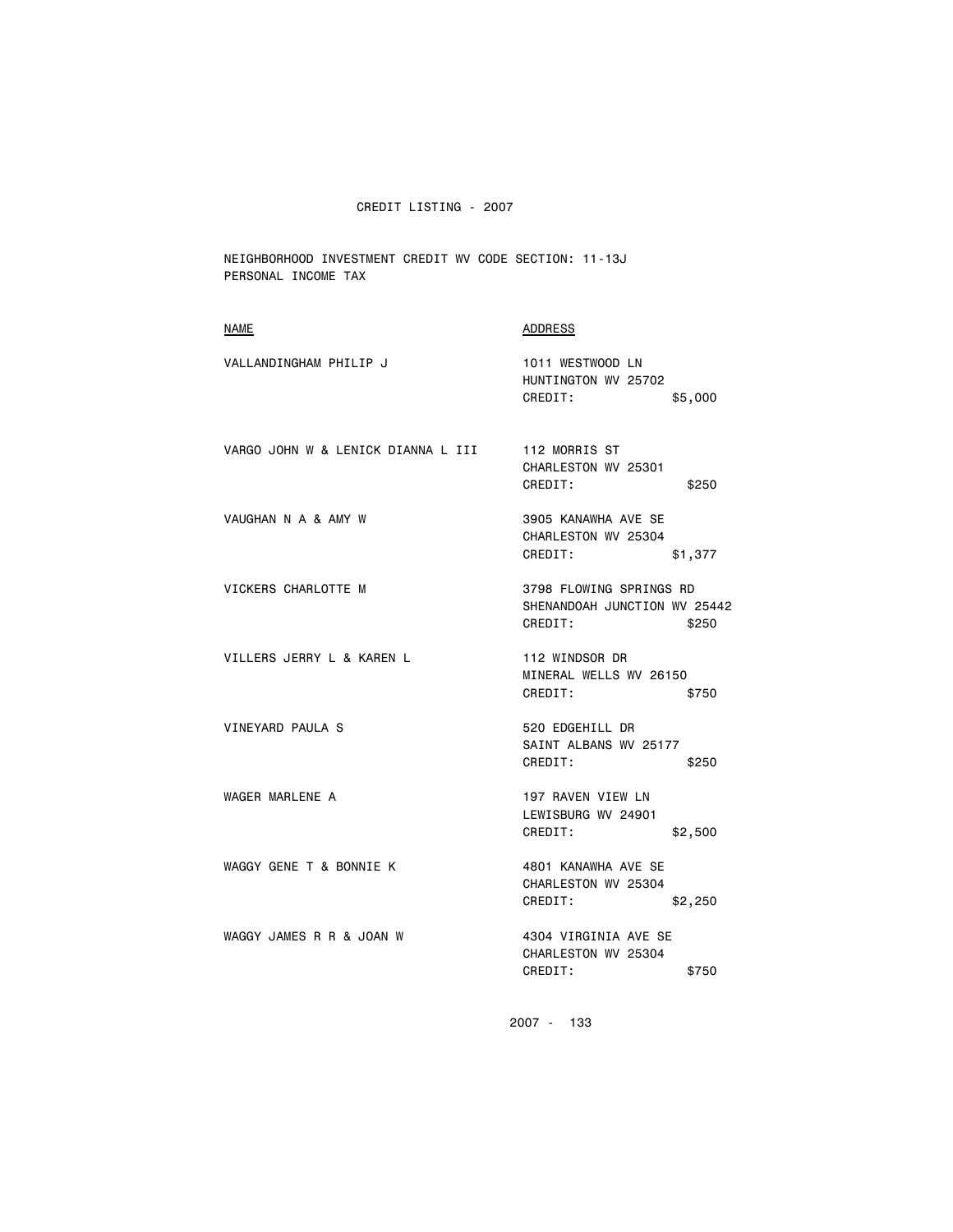NEIGHBORHOOD INVESTMENT CREDIT WV CODE SECTION: 11-13J PERSONAL INCOME TAX

| <b>NAME</b>                        | ADDRESS                                                                     |
|------------------------------------|-----------------------------------------------------------------------------|
| VALLANDINGHAM PHILIP J             | 1011 WESTWOOD LN<br>HUNTINGTON WV 25702<br>CREDIT:<br>\$5,000               |
| VARGO JOHN W & LENICK DIANNA L III | 112 MORRIS ST<br>CHARLESTON WV 25301<br>CREDIT:<br>\$250                    |
| VAUGHAN N A & AMY W                | 3905 KANAWHA AVE SE<br>CHARLESTON WV 25304<br>CREDIT:<br>\$1,377            |
| VICKERS CHARLOTTE M                | 3798 FLOWING SPRINGS RD<br>SHENANDOAH JUNCTION WV 25442<br>CREDIT:<br>\$250 |
| VILLERS JERRY L & KAREN L          | 112 WINDSOR DR<br>MINERAL WELLS WV 26150<br>CREDIT:<br>\$750                |
| VINEYARD PAULA S                   | 520 EDGEHILL DR<br>SAINT ALBANS WV 25177<br>CREDIT:<br>\$250                |
| WAGER MARLENE A                    | 197 RAVEN VIEW LN<br>LEWISBURG WV 24901<br>CREDIT:<br>\$2,500               |
| WAGGY GENE T & BONNIE K            | 4801 KANAWHA AVE SE<br>CHARLESTON WV 25304<br>CREDIT:<br>\$2,250            |
| WAGGY JAMES R R & JOAN W           | 4304 VIRGINIA AVE SE<br>CHARLESTON WV 25304<br>CREDIT:<br>\$750             |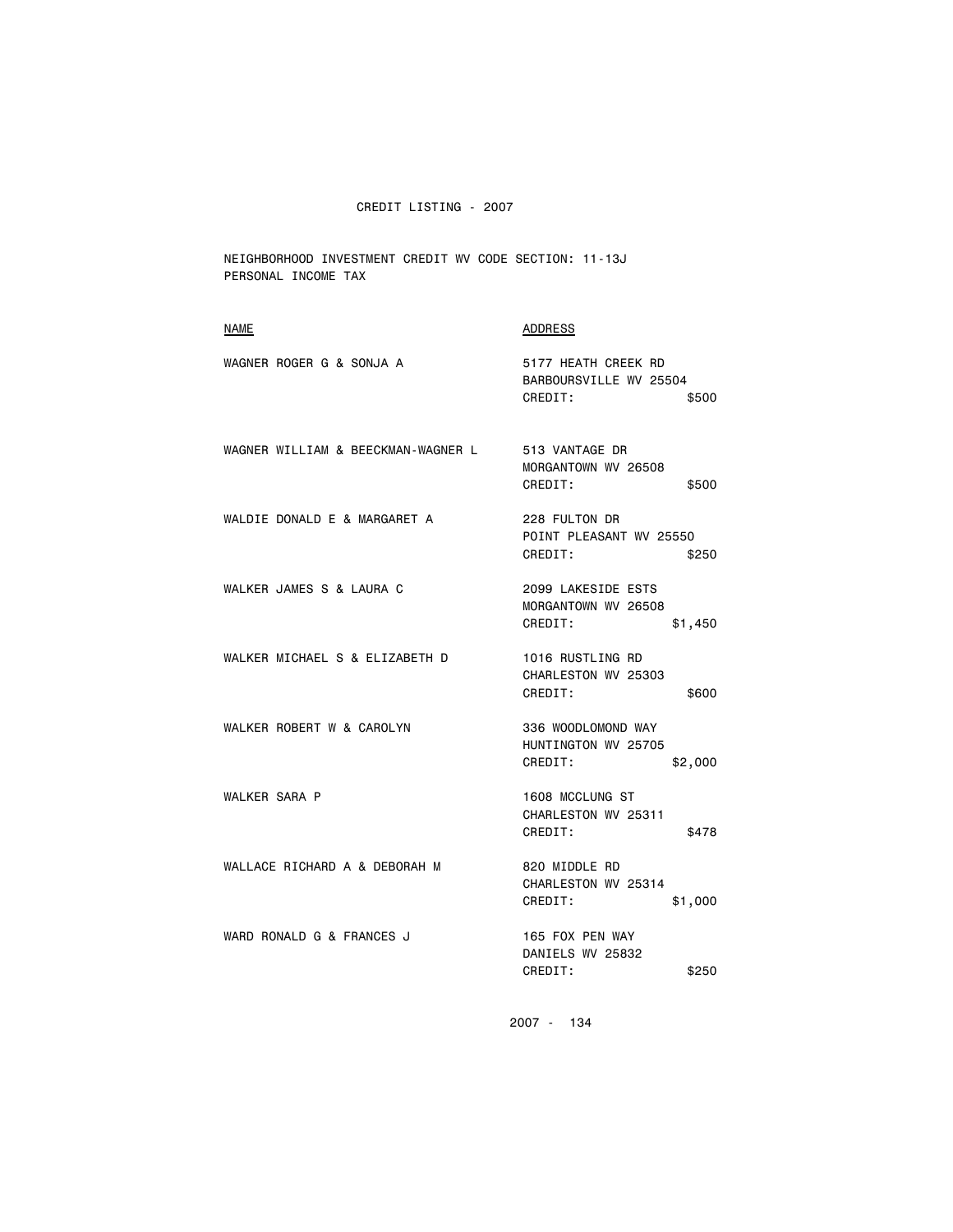NEIGHBORHOOD INVESTMENT CREDIT WV CODE SECTION: 11-13J PERSONAL INCOME TAX

| <b>NAME</b>                        | <b>ADDRESS</b>                                                    |
|------------------------------------|-------------------------------------------------------------------|
| WAGNER ROGER G & SONJA A           | 5177 HEATH CREEK RD<br>BARBOURSVILLE WV 25504<br>CREDIT:<br>\$500 |
| WAGNER WILLIAM & BEECKMAN-WAGNER L | 513 VANTAGE DR<br>MORGANTOWN WV 26508<br>CREDIT:<br>\$500         |
| WALDIE DONALD E & MARGARET A       | 228 FULTON DR<br>POINT PLEASANT WV 25550<br>CREDIT:<br>\$250      |
| WALKER JAMES S & LAURA C           | 2099 LAKESIDE ESTS<br>MORGANTOWN WV 26508<br>CREDIT:<br>\$1,450   |
| WALKER MICHAEL S & ELIZABETH D     | 1016 RUSTLING RD<br>CHARLESTON WV 25303<br>CREDIT:<br>\$600       |
| WALKER ROBERT W & CAROLYN          | 336 WOODLOMOND WAY<br>HUNTINGTON WV 25705<br>CREDIT:<br>\$2,000   |
| <b>WALKER SARA P</b>               | 1608 MCCLUNG ST<br>CHARLESTON WV 25311<br>CREDIT:<br>\$478        |
| WALLACE RICHARD A & DEBORAH M      | 820 MIDDLE RD<br>CHARLESTON WV 25314<br>CREDIT:<br>\$1,000        |
| WARD RONALD G & FRANCES J          | 165 FOX PEN WAY<br>DANIELS WV 25832<br>CREDIT:<br>\$250           |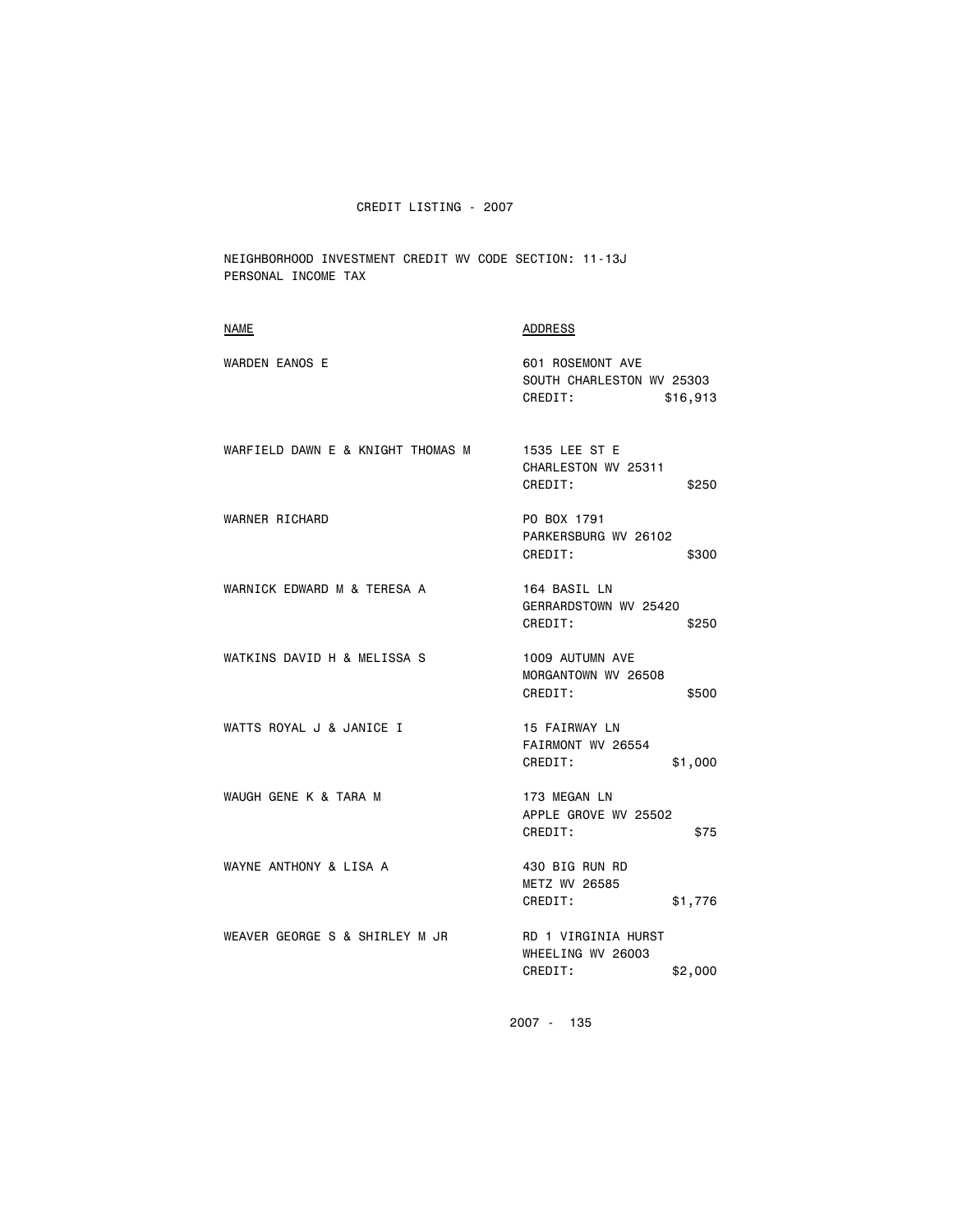NEIGHBORHOOD INVESTMENT CREDIT WV CODE SECTION: 11-13J PERSONAL INCOME TAX

| <b>ADDRESS</b>                                                       |
|----------------------------------------------------------------------|
| 601 ROSEMONT AVE<br>SOUTH CHARLESTON WV 25303<br>CREDIT:<br>\$16,913 |
| 1535 LEE ST E<br>CHARLESTON WV 25311<br>CREDIT:<br>\$250             |
| PO BOX 1791<br>PARKERSBURG WV 26102<br>CREDIT:<br>\$300              |
| 164 BASIL LN<br>GERRARDSTOWN WV 25420<br>CREDIT:<br>\$250            |
| 1009 AUTUMN AVE<br>MORGANTOWN WV 26508<br>CREDIT:<br>\$500           |
| 15 FAIRWAY LN<br>FAIRMONT WV 26554<br>CREDIT:<br>\$1,000             |
| 173 MEGAN LN<br>APPLE GROVE WV 25502<br>CREDIT:<br>\$75              |
| 430 BIG RUN RD<br><b>METZ WV 26585</b><br>CREDIT:<br>\$1,776         |
| RD 1 VIRGINIA HURST<br>WHEELING WV 26003<br>CREDIT:<br>\$2,000       |
|                                                                      |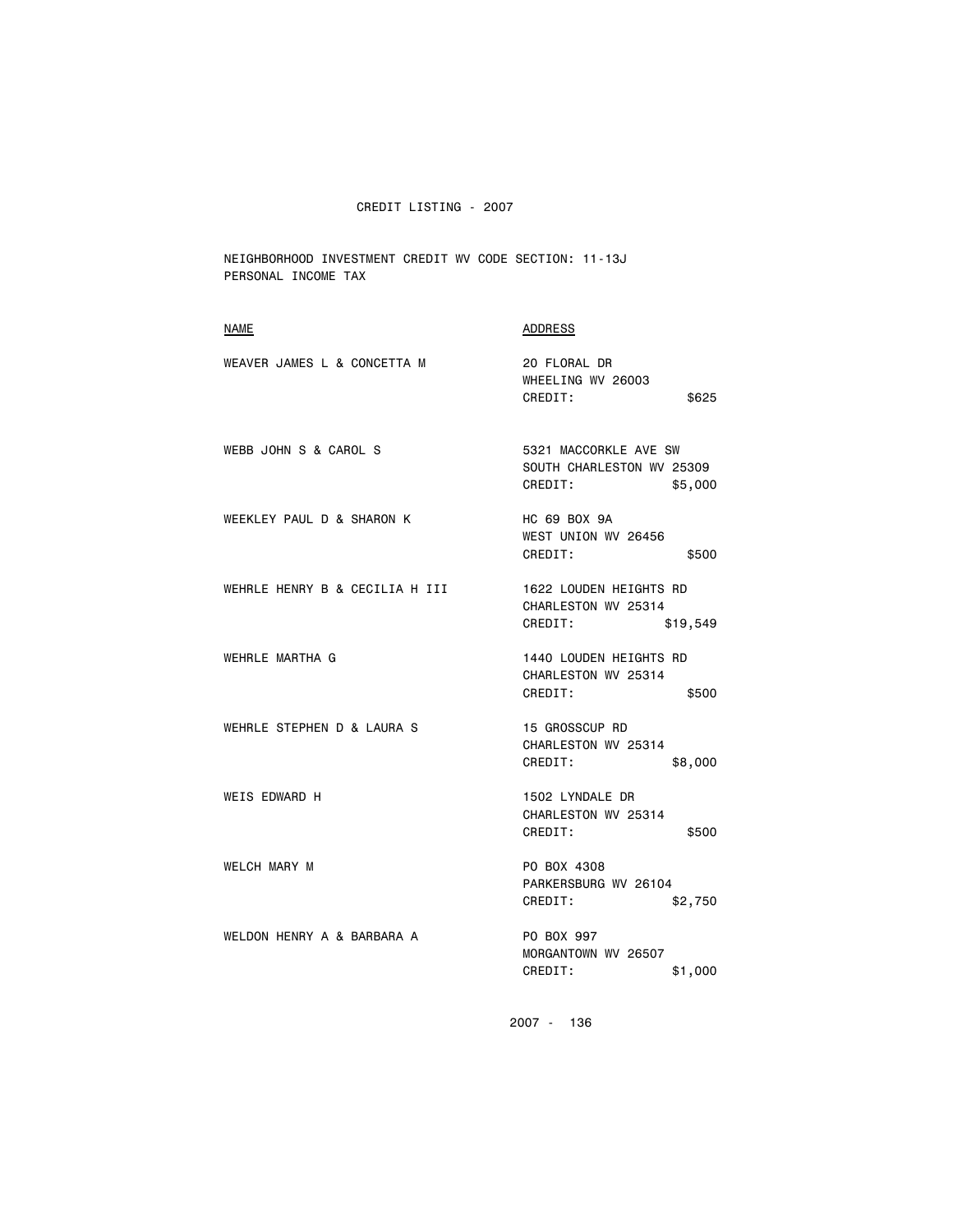NEIGHBORHOOD INVESTMENT CREDIT WV CODE SECTION: 11-13J PERSONAL INCOME TAX

| NAME                           | <b>ADDRESS</b>                                                           |
|--------------------------------|--------------------------------------------------------------------------|
| WEAVER JAMES L & CONCETTA M    | 20 FLORAL DR<br>WHEELING WV 26003<br>CREDIT:<br>\$625                    |
| WEBB JOHN S & CAROL S          | 5321 MACCORKLE AVE SW<br>SOUTH CHARLESTON WV 25309<br>CREDIT:<br>\$5,000 |
| WEEKLEY PAUL D & SHARON K      | HC 69 BOX 9A<br>WEST UNION WV 26456<br>CREDIT:<br>\$500                  |
| WEHRLE HENRY B & CECILIA H III | 1622 LOUDEN HEIGHTS RD<br>CHARLESTON WV 25314<br>CREDIT:<br>\$19,549     |
| WEHRLE MARTHA G                | 1440 LOUDEN HEIGHTS RD<br>CHARLESTON WV 25314<br>CREDIT:<br>\$500        |
| WEHRLE STEPHEN D & LAURA S     | 15 GROSSCUP RD<br>CHARLESTON WV 25314<br>CREDIT:<br>\$8,000              |
| <b>WEIS EDWARD H</b>           | 1502 LYNDALE DR<br>CHARLESTON WV 25314<br>CREDIT:<br>\$500               |
| WELCH MARY M                   | PO BOX 4308<br>PARKERSBURG WV 26104<br>CREDIT:<br>\$2,750                |
| WELDON HENRY A & BARBARA A     | PO BOX 997<br>MORGANTOWN WV 26507<br>CREDIT:<br>\$1,000                  |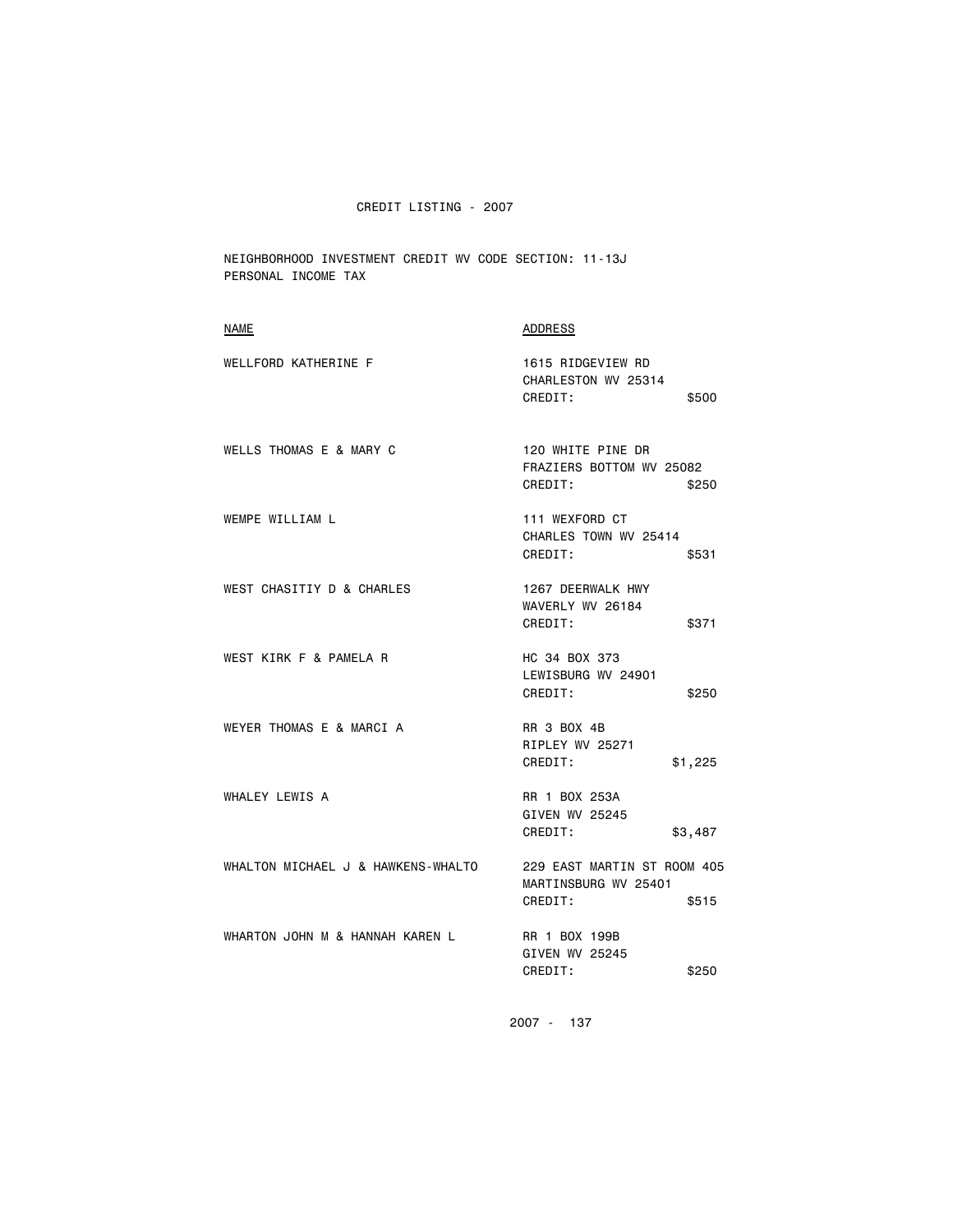NEIGHBORHOOD INVESTMENT CREDIT WV CODE SECTION: 11-13J PERSONAL INCOME TAX

| <b>NAME</b>                        | ADDRESS                                                                 |
|------------------------------------|-------------------------------------------------------------------------|
| WELLFORD KATHERINE F               | 1615 RIDGEVIEW RD<br>CHARLESTON WV 25314<br>CREDIT:<br>\$500            |
| WELLS THOMAS E & MARY C            | 120 WHITE PINE DR<br>FRAZIERS BOTTOM WV 25082<br>CREDIT:<br>\$250       |
| WEMPE WILLIAM L                    | 111 WEXFORD CT<br>CHARLES TOWN WV 25414<br>CREDIT:<br>\$531             |
| WEST CHASITIY D & CHARLES          | 1267 DEERWALK HWY<br>WAVERLY WV 26184<br>CREDIT:<br>\$371               |
| WEST KIRK F & PAMELA R             | HC 34 BOX 373<br>LEWISBURG WV 24901<br>CREDIT:<br>\$250                 |
| WEYER THOMAS E & MARCI A           | <b>RR 3 BOX 4B</b><br>RIPLEY WV 25271<br>CREDIT:<br>\$1,225             |
| WHALEY LEWIS A                     | RR 1 BOX 253A<br>GIVEN WV 25245<br>CREDIT:<br>\$3,487                   |
| WHALTON MICHAEL J & HAWKENS-WHALTO | 229 EAST MARTIN ST ROOM 405<br>MARTINSBURG WV 25401<br>CREDIT:<br>\$515 |
| WHARTON JOHN M & HANNAH KAREN L    | RR 1 BOX 199B<br>GIVEN WV 25245<br>CREDIT:<br>\$250                     |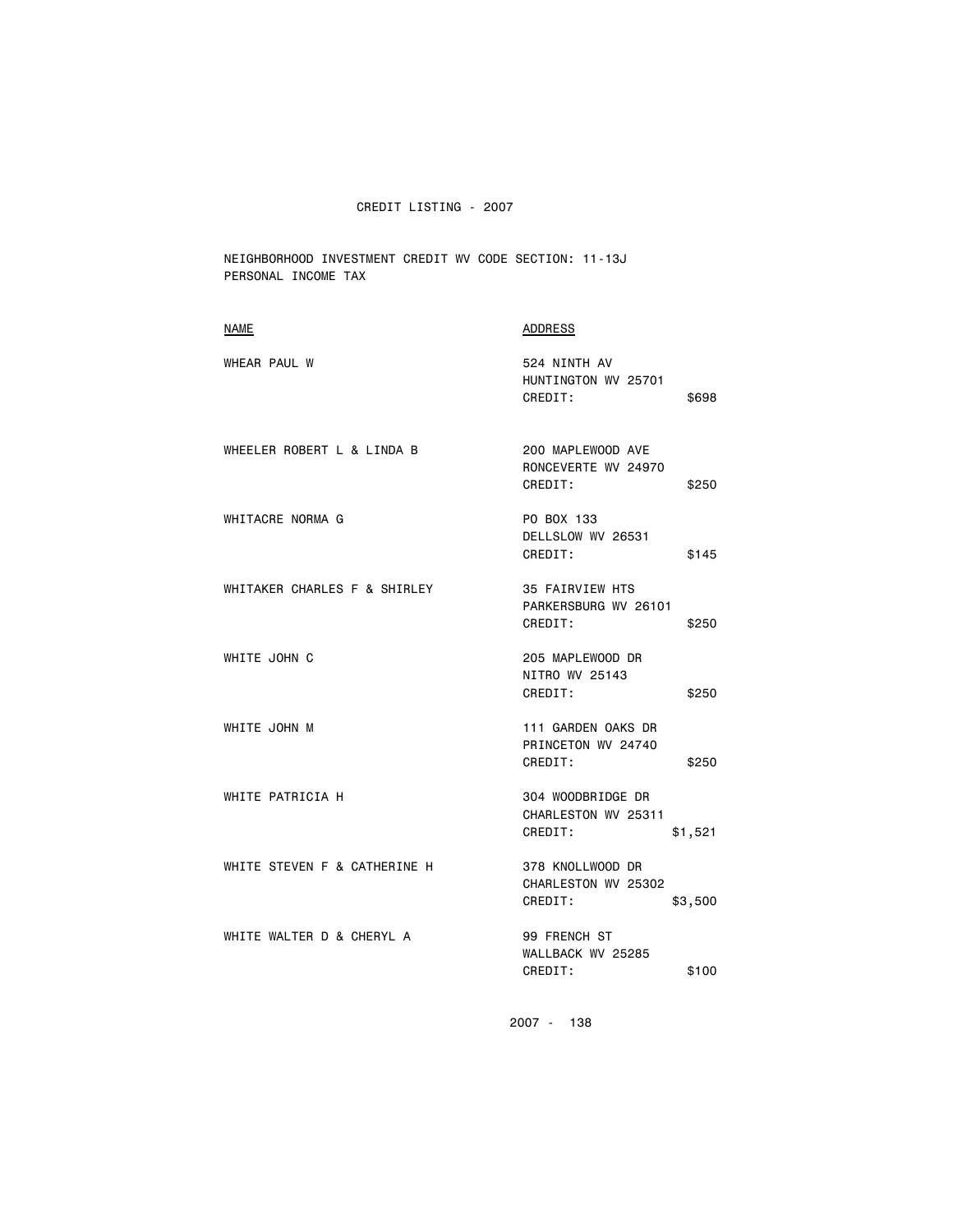NEIGHBORHOOD INVESTMENT CREDIT WV CODE SECTION: 11-13J PERSONAL INCOME TAX

| <b>NAME</b>                  | <b>ADDRESS</b>                                                 |
|------------------------------|----------------------------------------------------------------|
| WHEAR PAUL W                 | 524 NINTH AV<br>HUNTINGTON WV 25701<br>CREDIT:<br>\$698        |
| WHEELER ROBERT L & LINDA B   | 200 MAPLEWOOD AVE<br>RONCEVERTE WV 24970<br>CREDIT:<br>\$250   |
| WHITACRE NORMA G             | PO BOX 133<br>DELLSLOW WV 26531<br>CREDIT:<br>\$145            |
| WHITAKER CHARLES F & SHIRLEY | 35 FAIRVIEW HTS<br>PARKERSBURG WV 26101<br>CREDIT:<br>\$250    |
| WHITE JOHN C                 | 205 MAPLEWOOD DR<br>NITRO WV 25143<br>CREDIT:<br>\$250         |
| WHITE JOHN M                 | 111 GARDEN OAKS DR<br>PRINCETON WV 24740<br>CREDIT:<br>\$250   |
| WHITE PATRICIA H             | 304 WOODBRIDGE DR<br>CHARLESTON WV 25311<br>CREDIT:<br>\$1,521 |
| WHITE STEVEN F & CATHERINE H | 378 KNOLLWOOD DR<br>CHARLESTON WV 25302<br>CREDIT:<br>\$3,500  |
| WHITE WALTER D & CHERYL A    | 99 FRENCH ST<br>WALLBACK WV 25285<br>CREDIT:<br>\$100          |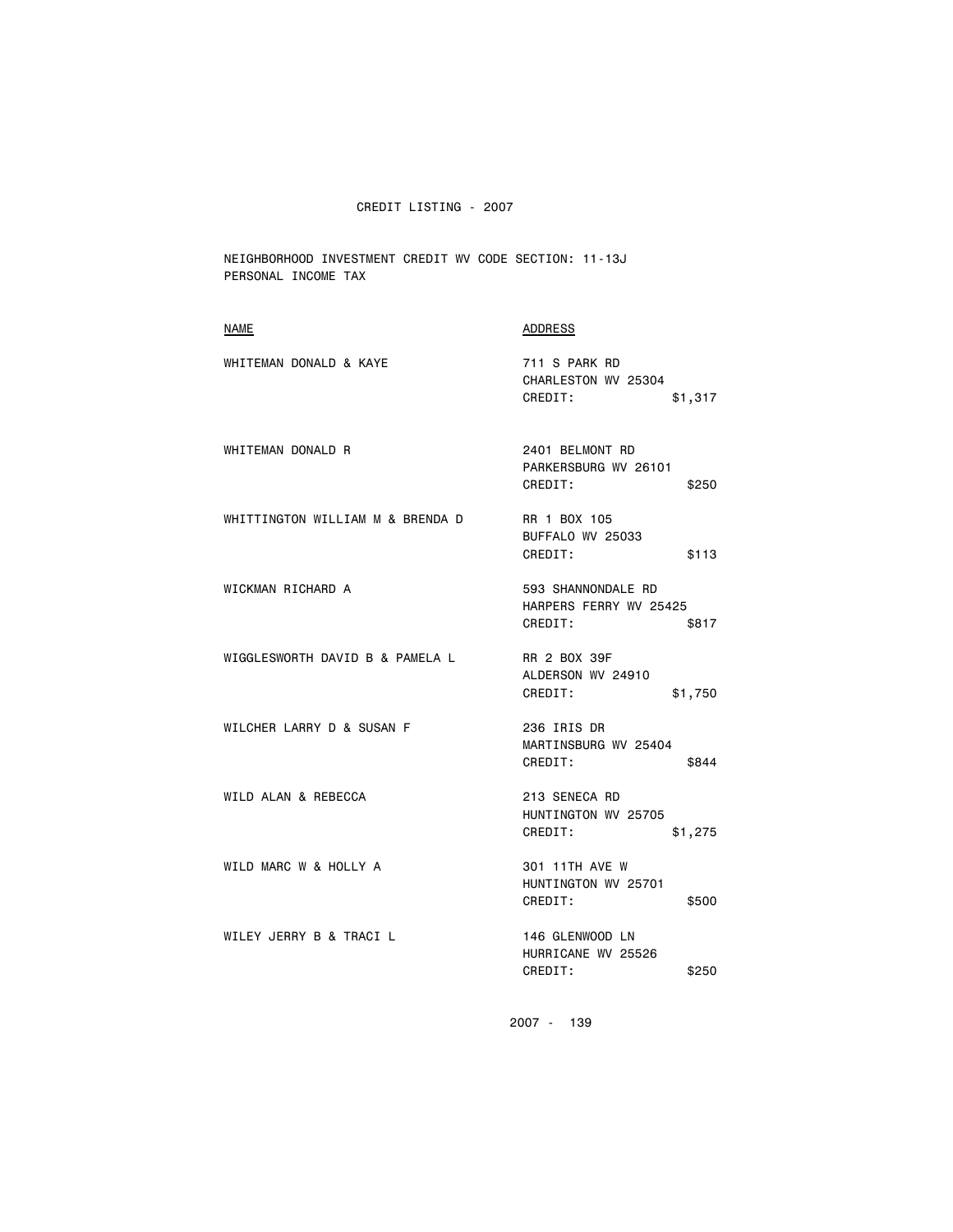NEIGHBORHOOD INVESTMENT CREDIT WV CODE SECTION: 11-13J PERSONAL INCOME TAX

| NAME                             | ADDRESS                                                          |
|----------------------------------|------------------------------------------------------------------|
| WHITEMAN DONALD & KAYE           | 711 S PARK RD<br>CHARLESTON WV 25304<br>CREDIT:<br>\$1,317       |
| WHITEMAN DONALD R                | 2401 BELMONT RD<br>PARKERSBURG WV 26101<br>CREDIT:<br>\$250      |
| WHITTINGTON WILLIAM M & BRENDA D | RR 1 BOX 105<br>BUFFALO WV 25033<br>CREDIT:<br>\$113             |
| WICKMAN RICHARD A                | 593 SHANNONDALE RD<br>HARPERS FERRY WV 25425<br>CREDIT:<br>\$817 |
| WIGGLESWORTH DAVID B & PAMELA L  | RR 2 BOX 39F<br>ALDERSON WV 24910<br>CREDIT:<br>\$1,750          |
| WILCHER LARRY D & SUSAN F        | 236 IRIS DR<br>MARTINSBURG WV 25404<br>CREDIT:<br>\$844          |
| WILD ALAN & REBECCA              | 213 SENECA RD<br>HUNTINGTON WV 25705<br>CREDIT:<br>\$1,275       |
| WILD MARC W & HOLLY A            | 301 11TH AVE W<br>HUNTINGTON WV 25701<br>CREDIT:<br>\$500        |
| WILEY JERRY B & TRACI L          | 146 GLENWOOD LN<br>HURRICANE WV 25526<br>CREDIT:<br>\$250        |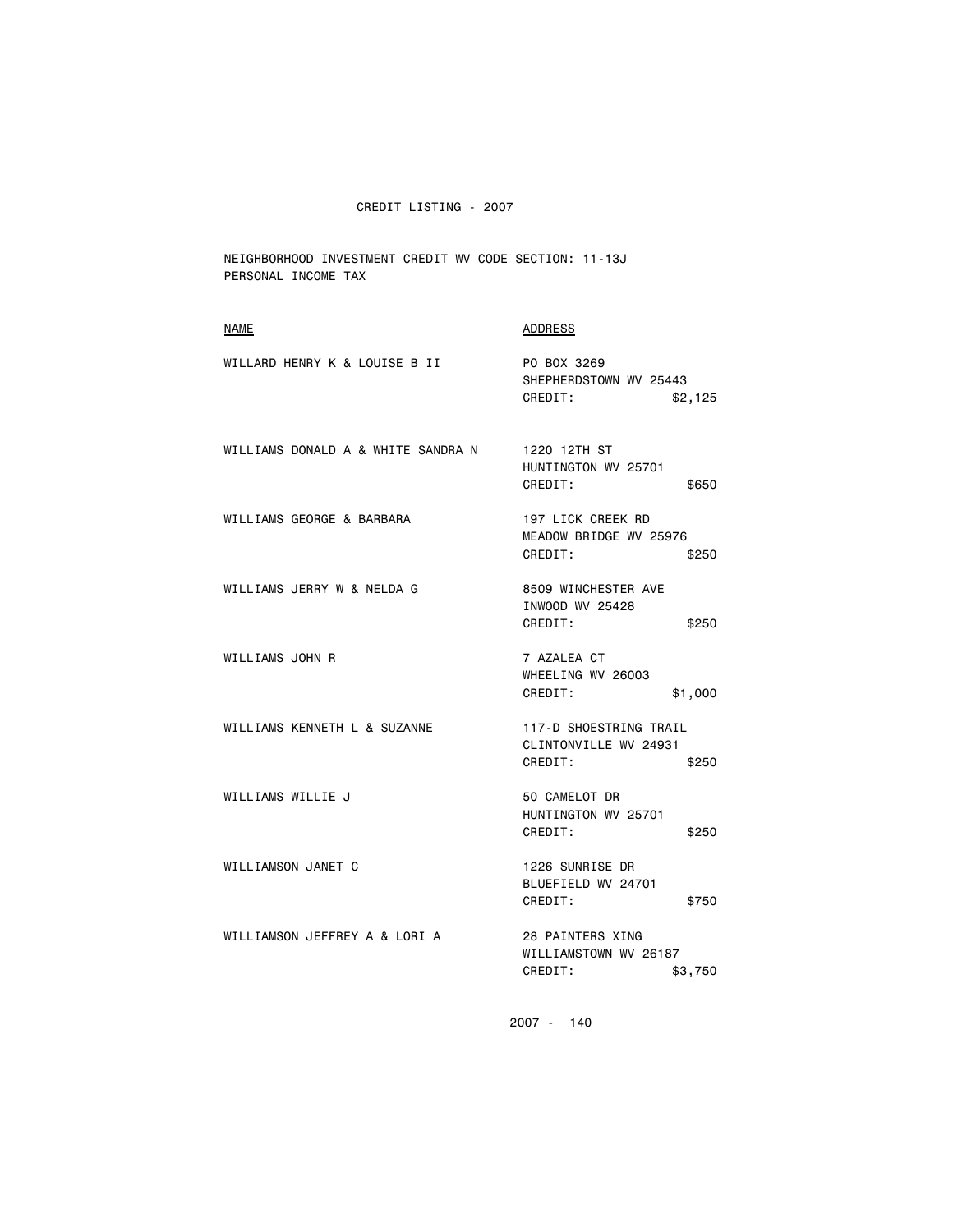NEIGHBORHOOD INVESTMENT CREDIT WV CODE SECTION: 11-13J PERSONAL INCOME TAX

| <b>NAME</b>                        | <b>ADDRESS</b>                                                      |
|------------------------------------|---------------------------------------------------------------------|
| WILLARD HENRY K & LOUISE B II      | PO BOX 3269<br>SHEPHERDSTOWN WV 25443<br>CREDIT:<br>\$2,125         |
| WILLIAMS DONALD A & WHITE SANDRA N | 1220 12TH ST<br>HUNTINGTON WV 25701<br>CREDIT:<br>\$650             |
| WILLIAMS GEORGE & BARBARA          | 197 LICK CREEK RD<br>MEADOW BRIDGE WV 25976<br>CREDIT:<br>\$250     |
| WILLIAMS JERRY W & NELDA G         | 8509 WINCHESTER AVE<br>INWOOD WV 25428<br>CREDIT:<br>\$250          |
| WILLIAMS JOHN R                    | 7 AZALEA CT<br>WHEELING WV 26003<br>CREDIT:<br>\$1,000              |
| WILLIAMS KENNETH L & SUZANNE       | 117-D SHOESTRING TRAIL<br>CLINTONVILLE WV 24931<br>CREDIT:<br>\$250 |
| WILLIAMS WILLIE J                  | 50 CAMELOT DR<br>HUNTINGTON WV 25701<br>CREDIT:<br>\$250            |
| WILLIAMSON JANET C                 | 1226 SUNRISE DR<br>BLUEFIELD WV 24701<br>CREDIT:<br>\$750           |
| WILLIAMSON JEFFREY A & LORI A      | 28 PAINTERS XING<br>WILLIAMSTOWN WV 26187<br>CREDIT:<br>\$3,750     |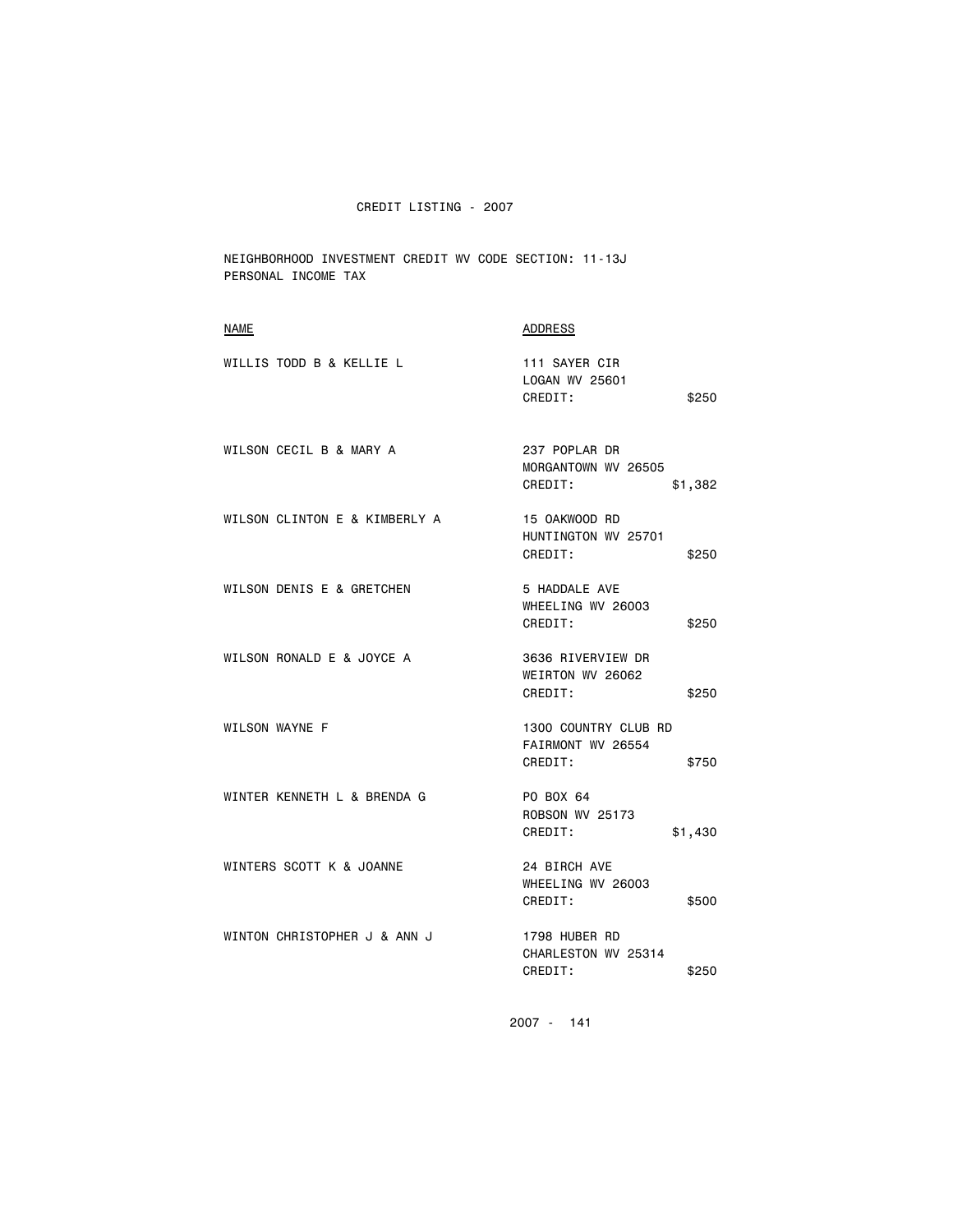NEIGHBORHOOD INVESTMENT CREDIT WV CODE SECTION: 11-13J PERSONAL INCOME TAX

| <b>NAME</b>                   | ADDRESS                                                       |
|-------------------------------|---------------------------------------------------------------|
| WILLIS TODD B & KELLIE L      | 111 SAYER CIR<br>LOGAN WV 25601<br>CREDIT:<br>\$250           |
| WILSON CECIL B & MARY A       | 237 POPLAR DR<br>MORGANTOWN WV 26505<br>CREDIT:<br>\$1,382    |
| WILSON CLINTON E & KIMBERLY A | 15 OAKWOOD RD<br>HUNTINGTON WV 25701<br>CREDIT:<br>\$250      |
| WILSON DENIS E & GRETCHEN     | 5 HADDALE AVE<br>WHEELING WV 26003<br>CREDIT:<br>\$250        |
| WILSON RONALD E & JOYCE A     | 3636 RIVERVIEW DR<br>WEIRTON WV 26062<br>CREDIT:<br>\$250     |
| WILSON WAYNE F                | 1300 COUNTRY CLUB RD<br>FAIRMONT WV 26554<br>CREDIT:<br>\$750 |
| WINTER KENNETH L & BRENDA G   | PO BOX 64<br><b>ROBSON WV 25173</b><br>CREDIT:<br>\$1,430     |
| WINTERS SCOTT K & JOANNE      | 24 BIRCH AVE<br>WHEELING WV 26003<br>CREDIT:<br>\$500         |
| WINTON CHRISTOPHER J & ANN J  | 1798 HUBER RD<br>CHARLESTON WV 25314<br>CREDIT:<br>\$250      |
|                               |                                                               |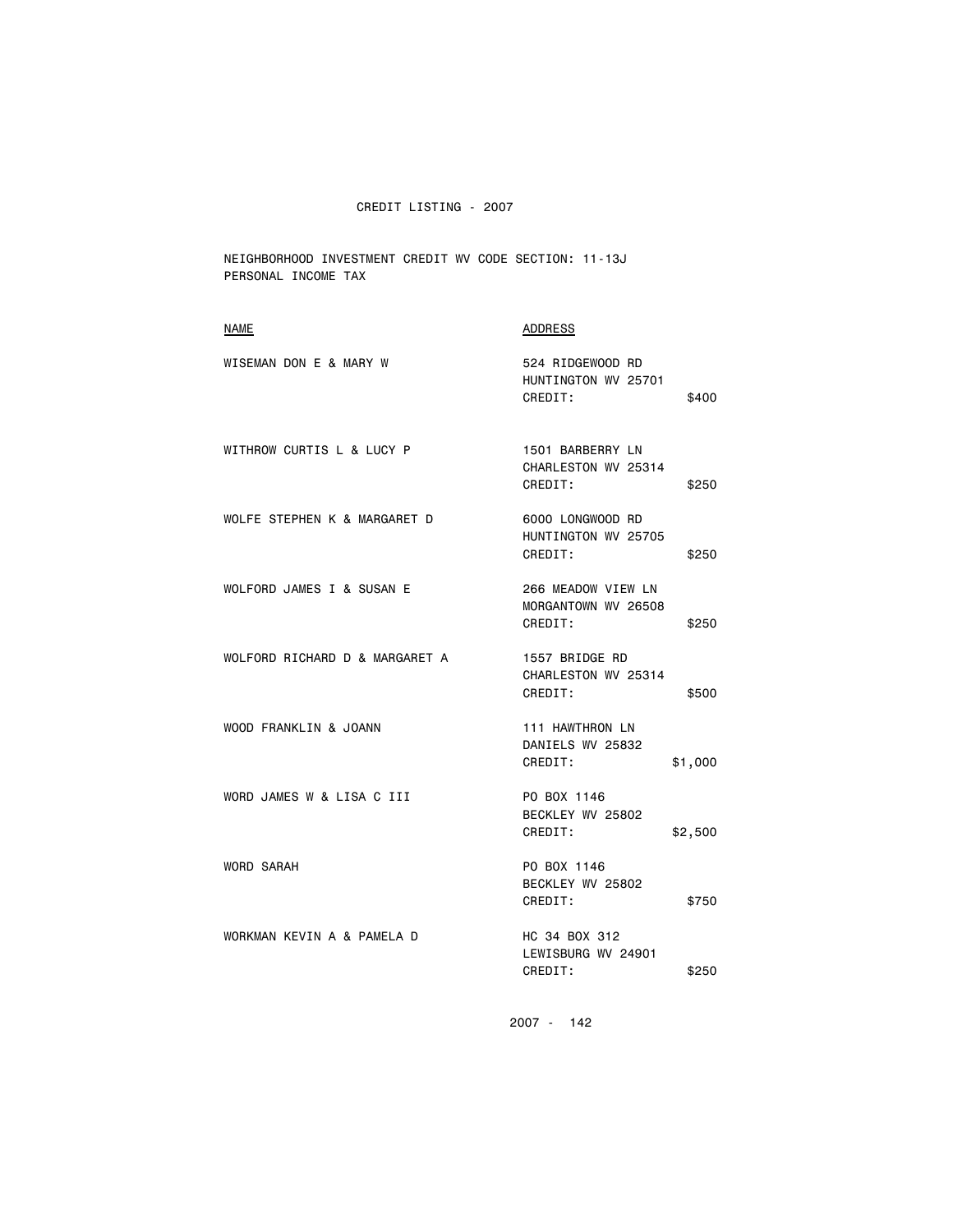NEIGHBORHOOD INVESTMENT CREDIT WV CODE SECTION: 11-13J PERSONAL INCOME TAX

| <b>ADDRESS</b>                                                |
|---------------------------------------------------------------|
| 524 RIDGEWOOD RD<br>HUNTINGTON WV 25701<br>CREDIT:<br>\$400   |
| 1501 BARBERRY LN<br>CHARLESTON WV 25314<br>CREDIT:<br>\$250   |
| 6000 LONGWOOD RD<br>HUNTINGTON WV 25705<br>CREDIT:<br>\$250   |
| 266 MEADOW VIEW LN<br>MORGANTOWN WV 26508<br>CREDIT:<br>\$250 |
| 1557 BRIDGE RD<br>CHARLESTON WV 25314<br>CREDIT:<br>\$500     |
| 111 HAWTHRON LN<br>DANIELS WV 25832<br>CREDIT:<br>\$1,000     |
| PO BOX 1146<br>BECKLEY WV 25802<br>CREDIT:<br>\$2,500         |
| PO BOX 1146<br>BECKLEY WV 25802<br>CREDIT:<br>\$750           |
| HC 34 BOX 312<br>LEWISBURG WV 24901<br>CREDIT:<br>\$250       |
|                                                               |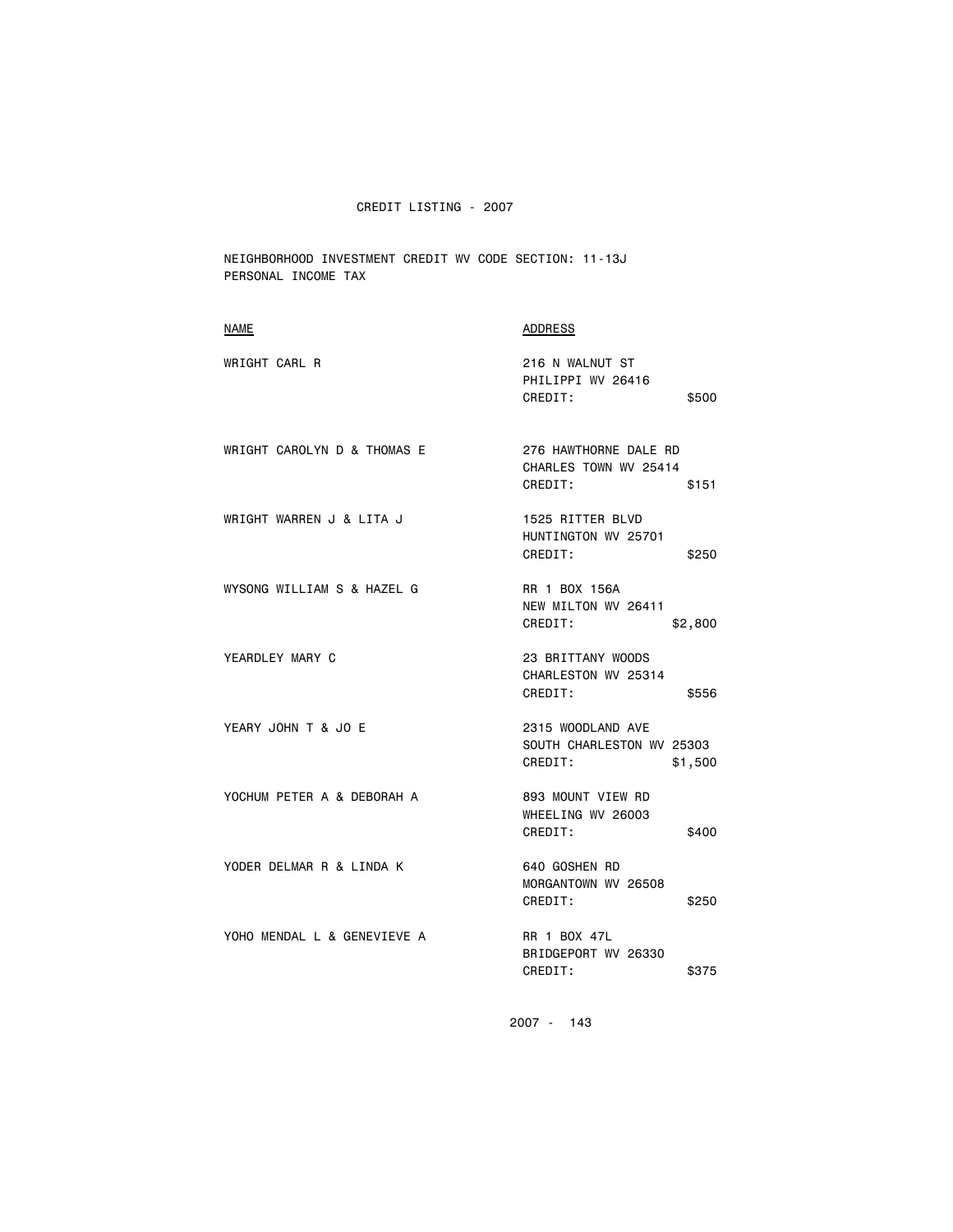CREDIT LISTING - 2007

NEIGHBORHOOD INVESTMENT CREDIT WV CODE SECTION: 11-13J PERSONAL INCOME TAX

| <b>NAME</b>                 | ADDRESS                                                              |
|-----------------------------|----------------------------------------------------------------------|
| WRIGHT CARL R               | 216 N WALNUT ST<br>PHILIPPI WV 26416<br>CREDIT:<br>\$500             |
| WRIGHT CAROLYN D & THOMAS E | 276 HAWTHORNE DALE RD<br>CHARLES TOWN WV 25414<br>CREDIT:<br>\$151   |
| WRIGHT WARREN J & LITA J    | 1525 RITTER BLVD<br>HUNTINGTON WV 25701<br>CREDIT:<br>\$250          |
| WYSONG WILLIAM S & HAZEL G  | RR 1 BOX 156A<br>NEW MILTON WV 26411<br>CREDIT:<br>\$2,800           |
| YEARDLEY MARY C             | 23 BRITTANY WOODS<br>CHARLESTON WV 25314<br>CREDIT:<br>\$556         |
| YEARY JOHN T & JO E         | 2315 WOODLAND AVE<br>SOUTH CHARLESTON WV 25303<br>CREDIT:<br>\$1,500 |
| YOCHUM PETER A & DEBORAH A  | 893 MOUNT VIEW RD<br>WHEELING WV 26003<br>CREDIT:<br>\$400           |
| YODER DELMAR R & LINDA K    | 640 GOSHEN RD<br>MORGANTOWN WV 26508<br>CREDIT:<br>\$250             |
| YOHO MENDAL L & GENEVIEVE A | <b>RR 1 BOX 47L</b><br>BRIDGEPORT WV 26330<br>CREDIT:<br>\$375       |
|                             |                                                                      |

2007 - 143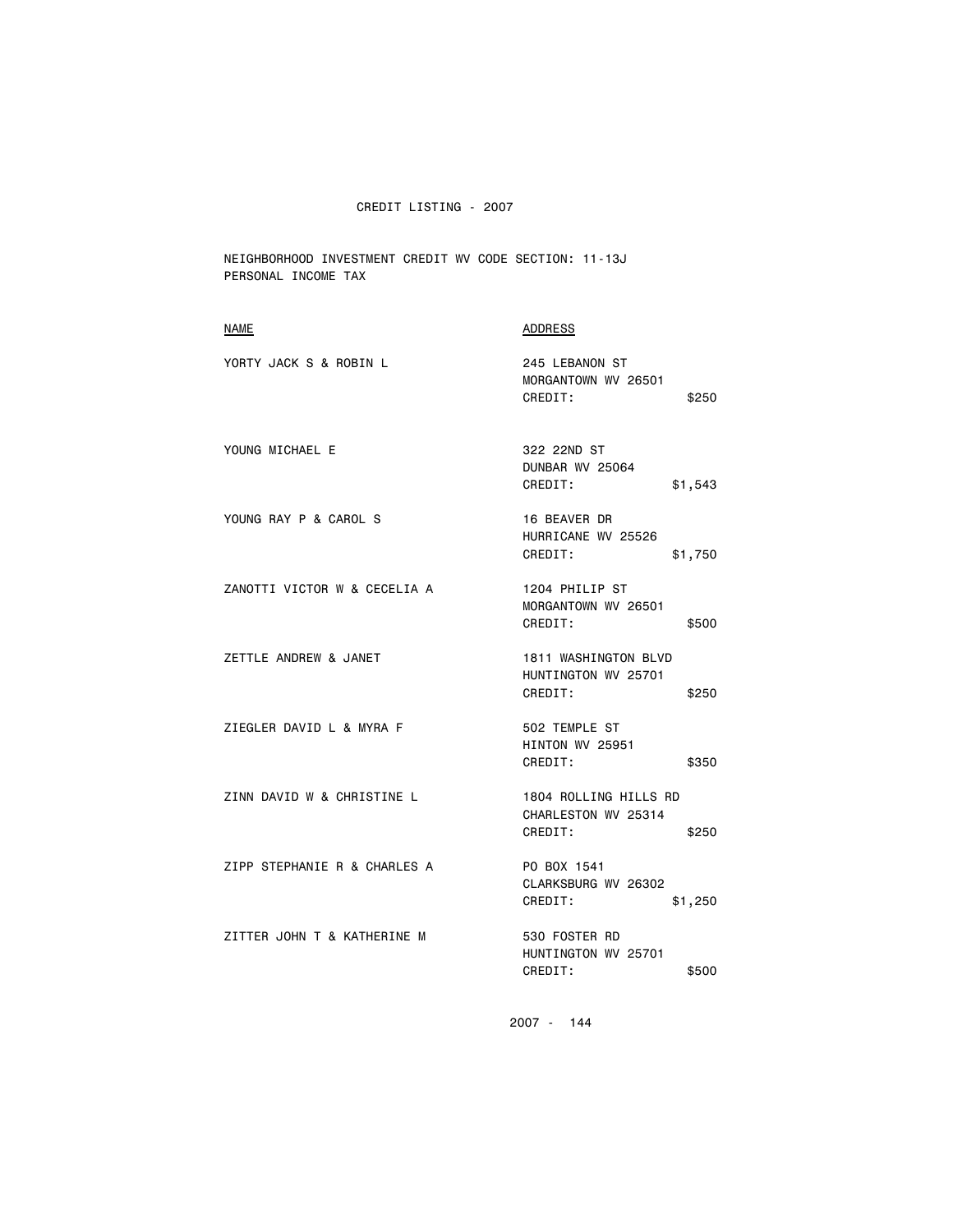## CREDIT LISTING - 2007

NEIGHBORHOOD INVESTMENT CREDIT WV CODE SECTION: 11-13J PERSONAL INCOME TAX

| <b>NAME</b>                  | <b>ADDRESS</b>                                                   |
|------------------------------|------------------------------------------------------------------|
| YORTY JACK S & ROBIN L       | 245 LEBANON ST<br>MORGANTOWN WV 26501<br>CREDIT:<br>\$250        |
| YOUNG MICHAEL E              | 322 22ND ST<br>DUNBAR WV 25064<br>CREDIT:<br>\$1,543             |
| YOUNG RAY P & CAROL S        | 16 BEAVER DR<br>HURRICANE WV 25526<br>CREDIT:<br>\$1,750         |
| ZANOTTI VICTOR W & CECELIA A | 1204 PHILIP ST<br>MORGANTOWN WV 26501<br>CREDIT:<br>\$500        |
| ZETTLE ANDREW & JANET        | 1811 WASHINGTON BLVD<br>HUNTINGTON WV 25701<br>CREDIT:<br>\$250  |
| ZIEGLER DAVID L & MYRA F     | 502 TEMPLE ST<br><b>HINTON WV 25951</b><br>CREDIT:<br>\$350      |
| ZINN DAVID W & CHRISTINE L   | 1804 ROLLING HILLS RD<br>CHARLESTON WV 25314<br>CREDIT:<br>\$250 |
| ZIPP STEPHANIE R & CHARLES A | PO BOX 1541<br>CLARKSBURG WV 26302<br>CREDIT:<br>\$1,250         |
| ZITTER JOHN T & KATHERINE M  | 530 FOSTER RD<br>HUNTINGTON WV 25701<br>CREDIT:<br>\$500         |
|                              |                                                                  |

2007 - 144